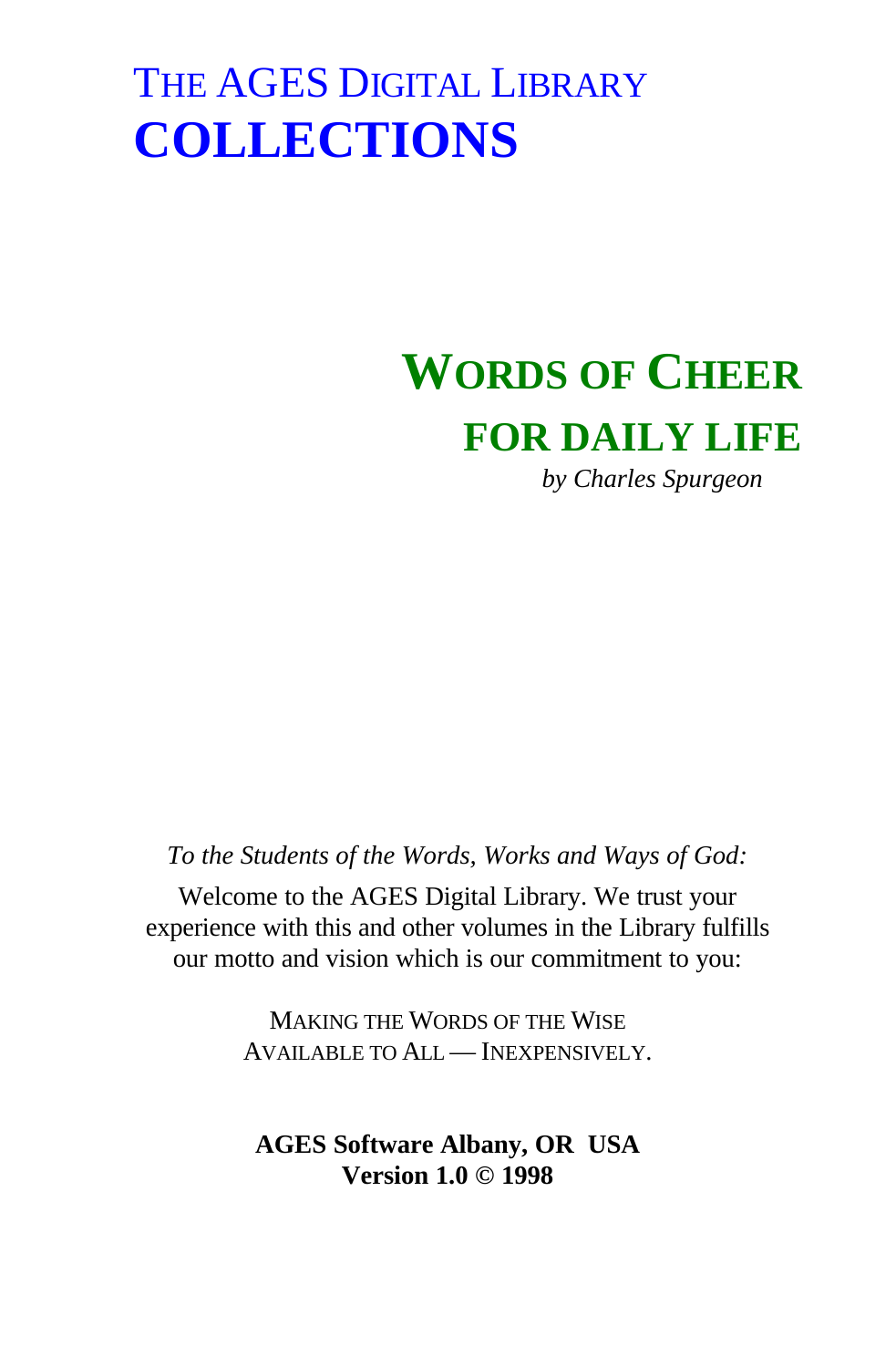# **WORDS OF CHEER FOR DAILY LIFE**

*by Charles Spurgeon*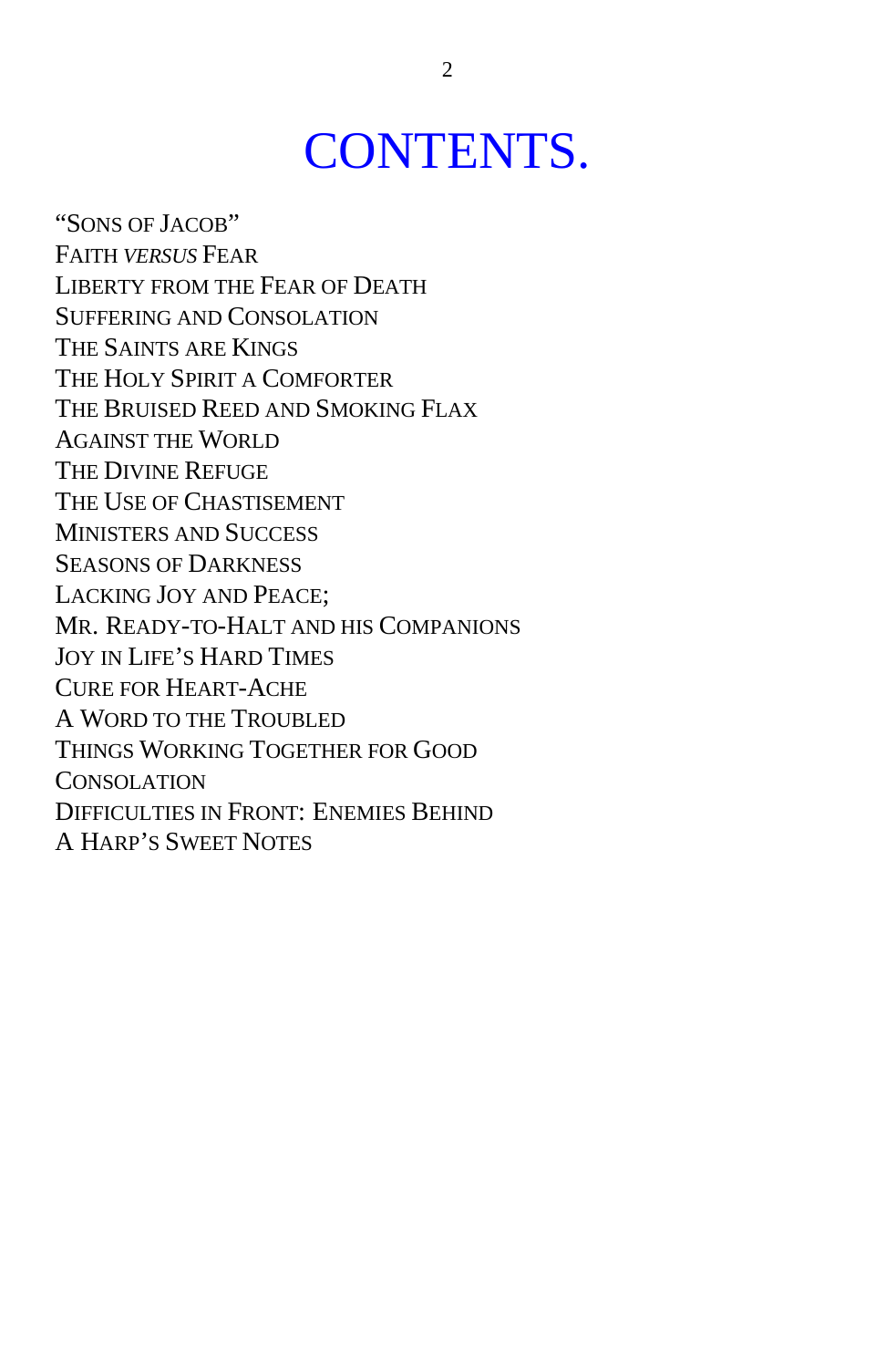#### CONTENTS.

"SONS OF JACOB" FAITH *VERSUS* FEAR LIBERTY FROM THE FEAR OF DEATH SUFFERING AND CONSOLATION THE SAINTS ARE KINGS THE HOLY SPIRIT A COMFORTER THE BRUISED REED AND SMOKING FLAX AGAINST THE WORLD THE DIVINE REFUGE THE USE OF CHASTISEMENT MINISTERS AND SUCCESS SEASONS OF DARKNESS LACKING JOY AND PEACE; MR. READY-TO-HALT AND HIS COMPANIONS JOY IN LIFE'S HARD TIMES CURE FOR HEART-ACHE A WORD TO THE TROUBLED THINGS WORKING TOGETHER FOR GOOD **CONSOLATION** DIFFICULTIES IN FRONT: ENEMIES BEHIND A HARP'S SWEET NOTES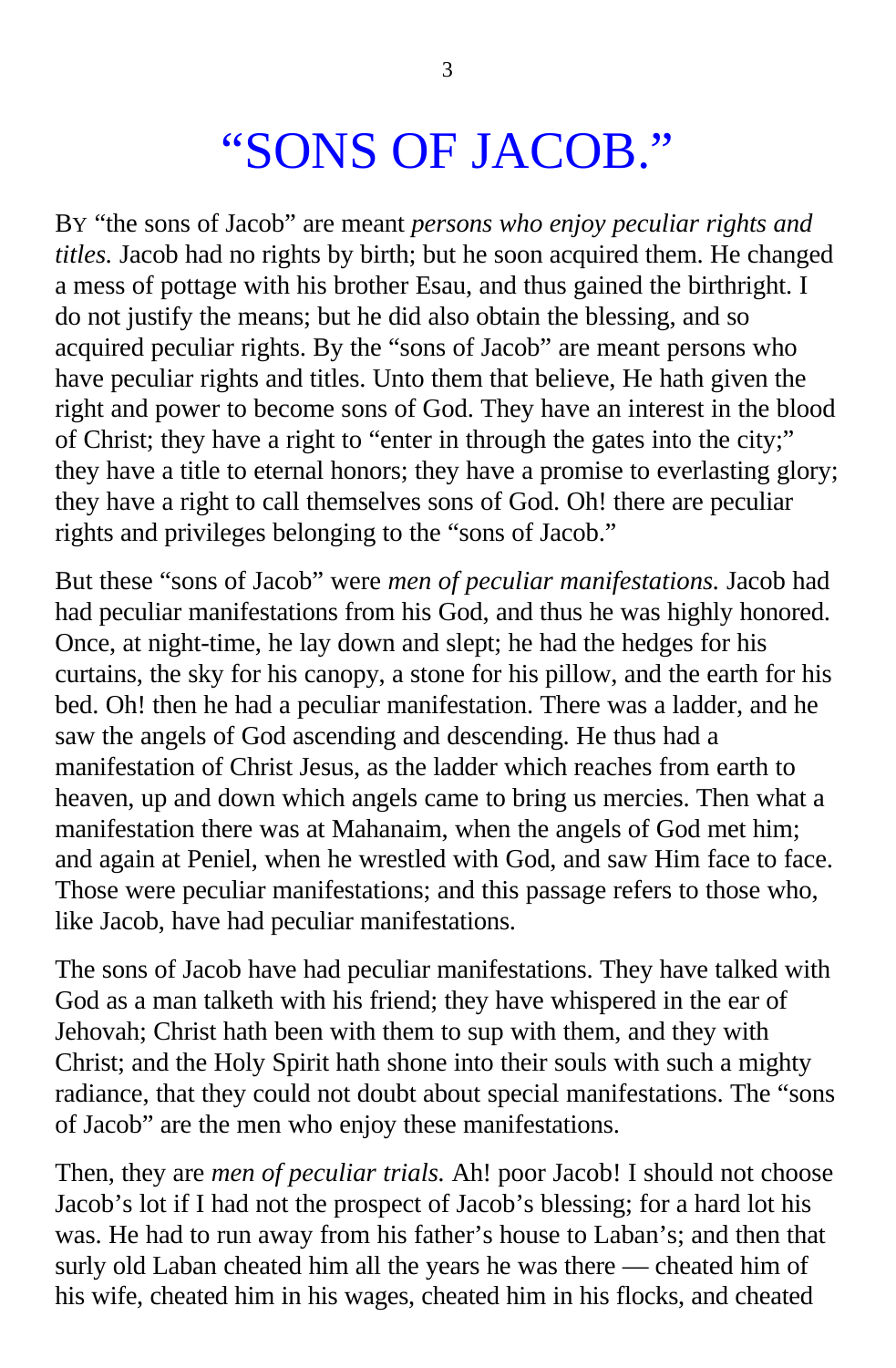## "SONS OF JACOB."

BY "the sons of Jacob" are meant *persons who enjoy peculiar rights and titles.* Jacob had no rights by birth; but he soon acquired them. He changed a mess of pottage with his brother Esau, and thus gained the birthright. I do not justify the means; but he did also obtain the blessing, and so acquired peculiar rights. By the "sons of Jacob" are meant persons who have peculiar rights and titles. Unto them that believe, He hath given the right and power to become sons of God. They have an interest in the blood of Christ; they have a right to "enter in through the gates into the city;" they have a title to eternal honors; they have a promise to everlasting glory; they have a right to call themselves sons of God. Oh! there are peculiar rights and privileges belonging to the "sons of Jacob."

But these "sons of Jacob" were *men of peculiar manifestations.* Jacob had had peculiar manifestations from his God, and thus he was highly honored. Once, at night-time, he lay down and slept; he had the hedges for his curtains, the sky for his canopy, a stone for his pillow, and the earth for his bed. Oh! then he had a peculiar manifestation. There was a ladder, and he saw the angels of God ascending and descending. He thus had a manifestation of Christ Jesus, as the ladder which reaches from earth to heaven, up and down which angels came to bring us mercies. Then what a manifestation there was at Mahanaim, when the angels of God met him; and again at Peniel, when he wrestled with God, and saw Him face to face. Those were peculiar manifestations; and this passage refers to those who, like Jacob, have had peculiar manifestations.

The sons of Jacob have had peculiar manifestations. They have talked with God as a man talketh with his friend; they have whispered in the ear of Jehovah; Christ hath been with them to sup with them, and they with Christ; and the Holy Spirit hath shone into their souls with such a mighty radiance, that they could not doubt about special manifestations. The "sons of Jacob" are the men who enjoy these manifestations.

Then, they are *men of peculiar trials.* Ah! poor Jacob! I should not choose Jacob's lot if I had not the prospect of Jacob's blessing; for a hard lot his was. He had to run away from his father's house to Laban's; and then that surly old Laban cheated him all the years he was there — cheated him of his wife, cheated him in his wages, cheated him in his flocks, and cheated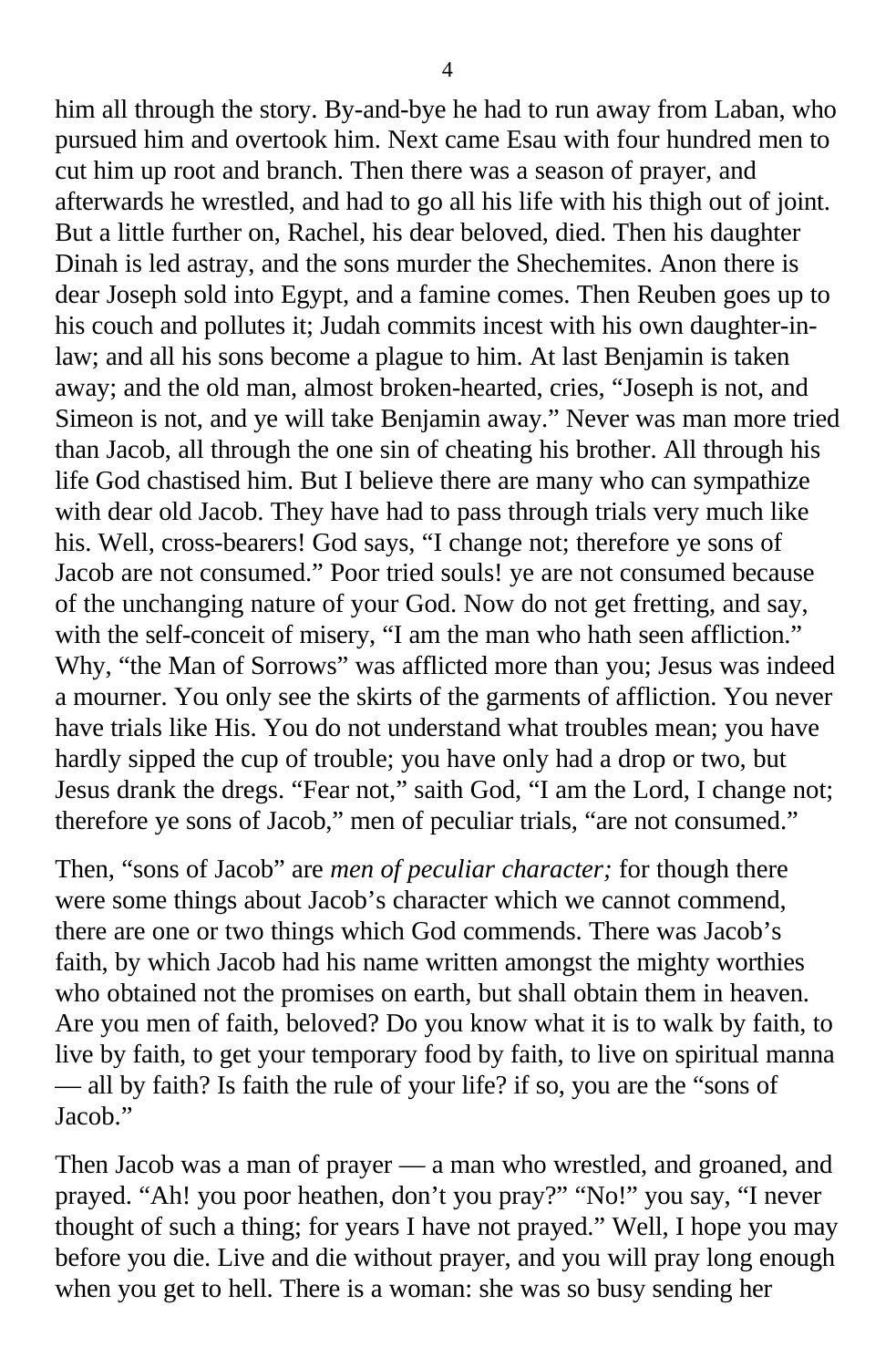him all through the story. By-and-bye he had to run away from Laban, who pursued him and overtook him. Next came Esau with four hundred men to cut him up root and branch. Then there was a season of prayer, and afterwards he wrestled, and had to go all his life with his thigh out of joint. But a little further on, Rachel, his dear beloved, died. Then his daughter Dinah is led astray, and the sons murder the Shechemites. Anon there is dear Joseph sold into Egypt, and a famine comes. Then Reuben goes up to his couch and pollutes it; Judah commits incest with his own daughter-inlaw; and all his sons become a plague to him. At last Benjamin is taken away; and the old man, almost broken-hearted, cries, "Joseph is not, and Simeon is not, and ye will take Benjamin away." Never was man more tried than Jacob, all through the one sin of cheating his brother. All through his life God chastised him. But I believe there are many who can sympathize with dear old Jacob. They have had to pass through trials very much like his. Well, cross-bearers! God says, "I change not; therefore ye sons of Jacob are not consumed." Poor tried souls! ye are not consumed because of the unchanging nature of your God. Now do not get fretting, and say, with the self-conceit of misery, "I am the man who hath seen affliction." Why, "the Man of Sorrows" was afflicted more than you; Jesus was indeed a mourner. You only see the skirts of the garments of affliction. You never have trials like His. You do not understand what troubles mean; you have hardly sipped the cup of trouble; you have only had a drop or two, but Jesus drank the dregs. "Fear not," saith God, "I am the Lord, I change not; therefore ye sons of Jacob," men of peculiar trials, "are not consumed."

Then, "sons of Jacob" are *men of peculiar character;* for though there were some things about Jacob's character which we cannot commend, there are one or two things which God commends. There was Jacob's faith, by which Jacob had his name written amongst the mighty worthies who obtained not the promises on earth, but shall obtain them in heaven. Are you men of faith, beloved? Do you know what it is to walk by faith, to live by faith, to get your temporary food by faith, to live on spiritual manna — all by faith? Is faith the rule of your life? if so, you are the "sons of Jacob."

Then Jacob was a man of prayer — a man who wrestled, and groaned, and prayed. "Ah! you poor heathen, don't you pray?" "No!" you say, "I never thought of such a thing; for years I have not prayed." Well, I hope you may before you die. Live and die without prayer, and you will pray long enough when you get to hell. There is a woman: she was so busy sending her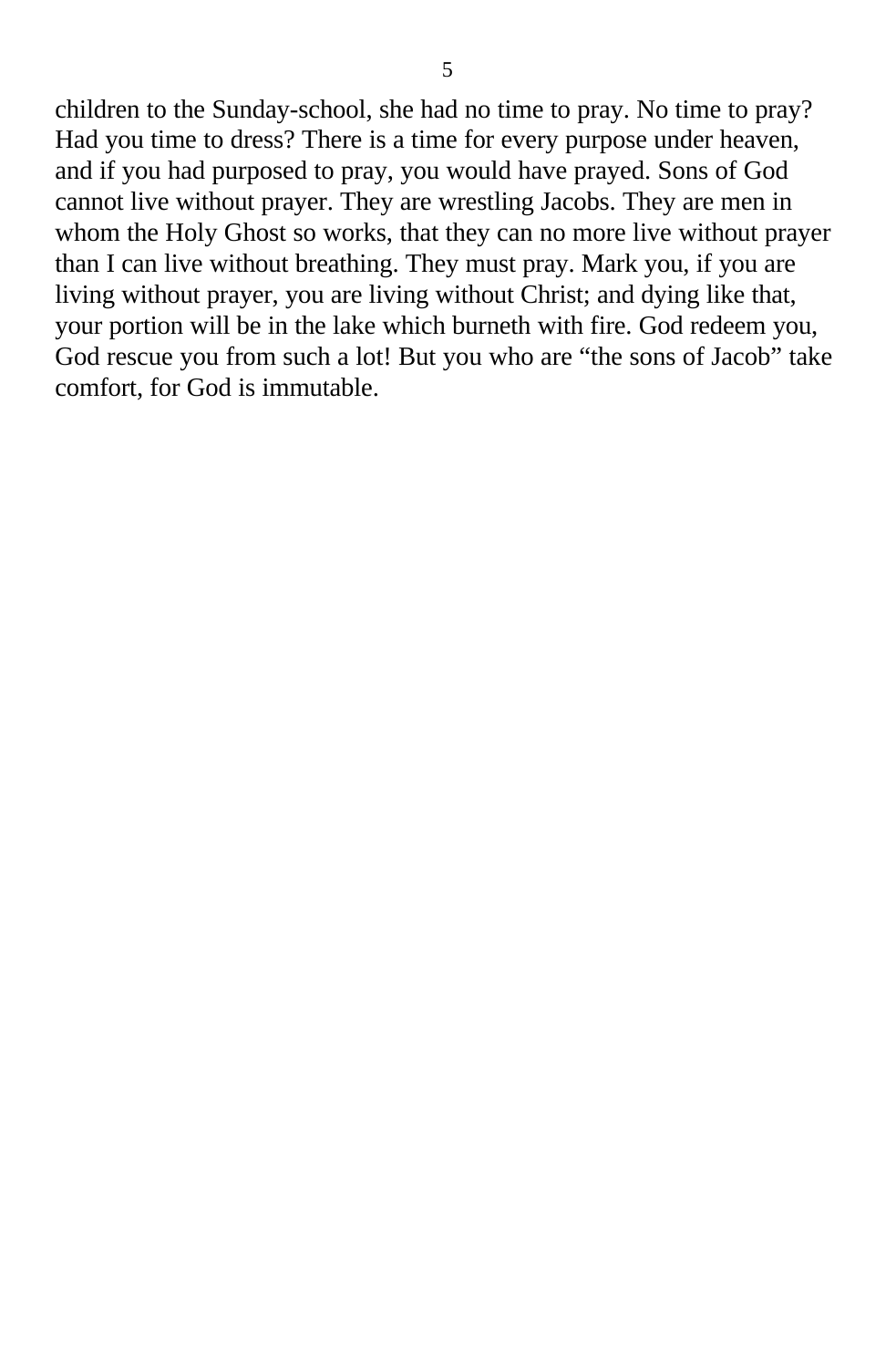children to the Sunday-school, she had no time to pray. No time to pray? Had you time to dress? There is a time for every purpose under heaven, and if you had purposed to pray, you would have prayed. Sons of God cannot live without prayer. They are wrestling Jacobs. They are men in whom the Holy Ghost so works, that they can no more live without prayer than I can live without breathing. They must pray. Mark you, if you are living without prayer, you are living without Christ; and dying like that, your portion will be in the lake which burneth with fire. God redeem you, God rescue you from such a lot! But you who are "the sons of Jacob" take comfort, for God is immutable.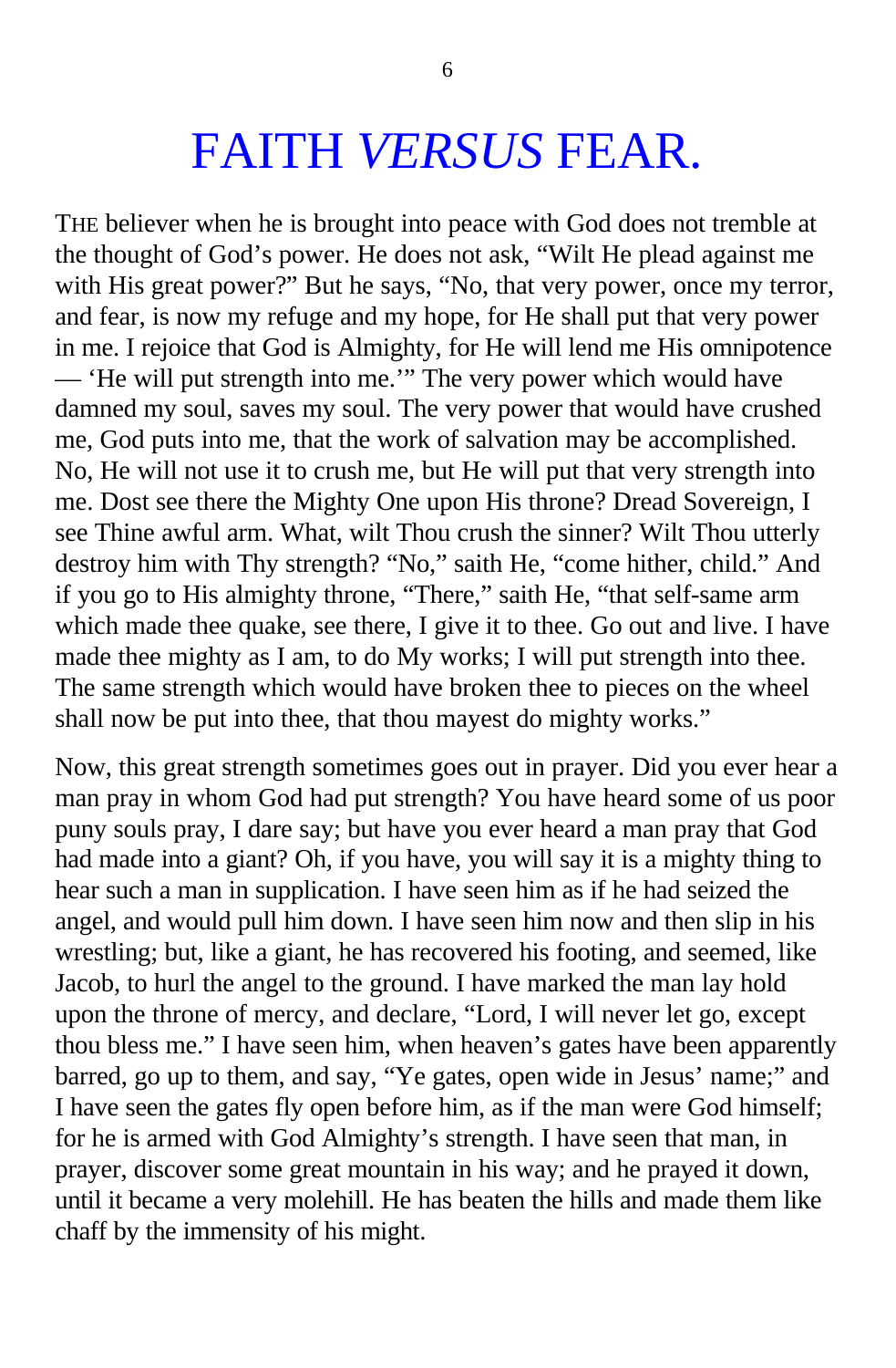### FAITH *VERSUS* FEAR.

THE believer when he is brought into peace with God does not tremble at the thought of God's power. He does not ask, "Wilt He plead against me with His great power?" But he says, "No, that very power, once my terror, and fear, is now my refuge and my hope, for He shall put that very power in me. I rejoice that God is Almighty, for He will lend me His omnipotence — 'He will put strength into me.'" The very power which would have damned my soul, saves my soul. The very power that would have crushed me, God puts into me, that the work of salvation may be accomplished. No, He will not use it to crush me, but He will put that very strength into me. Dost see there the Mighty One upon His throne? Dread Sovereign, I see Thine awful arm. What, wilt Thou crush the sinner? Wilt Thou utterly destroy him with Thy strength? "No," saith He, "come hither, child." And if you go to His almighty throne, "There," saith He, "that self-same arm which made thee quake, see there, I give it to thee. Go out and live. I have made thee mighty as I am, to do My works; I will put strength into thee. The same strength which would have broken thee to pieces on the wheel shall now be put into thee, that thou mayest do mighty works."

Now, this great strength sometimes goes out in prayer. Did you ever hear a man pray in whom God had put strength? You have heard some of us poor puny souls pray, I dare say; but have you ever heard a man pray that God had made into a giant? Oh, if you have, you will say it is a mighty thing to hear such a man in supplication. I have seen him as if he had seized the angel, and would pull him down. I have seen him now and then slip in his wrestling; but, like a giant, he has recovered his footing, and seemed, like Jacob, to hurl the angel to the ground. I have marked the man lay hold upon the throne of mercy, and declare, "Lord, I will never let go, except thou bless me." I have seen him, when heaven's gates have been apparently barred, go up to them, and say, "Ye gates, open wide in Jesus' name;" and I have seen the gates fly open before him, as if the man were God himself; for he is armed with God Almighty's strength. I have seen that man, in prayer, discover some great mountain in his way; and he prayed it down, until it became a very molehill. He has beaten the hills and made them like chaff by the immensity of his might.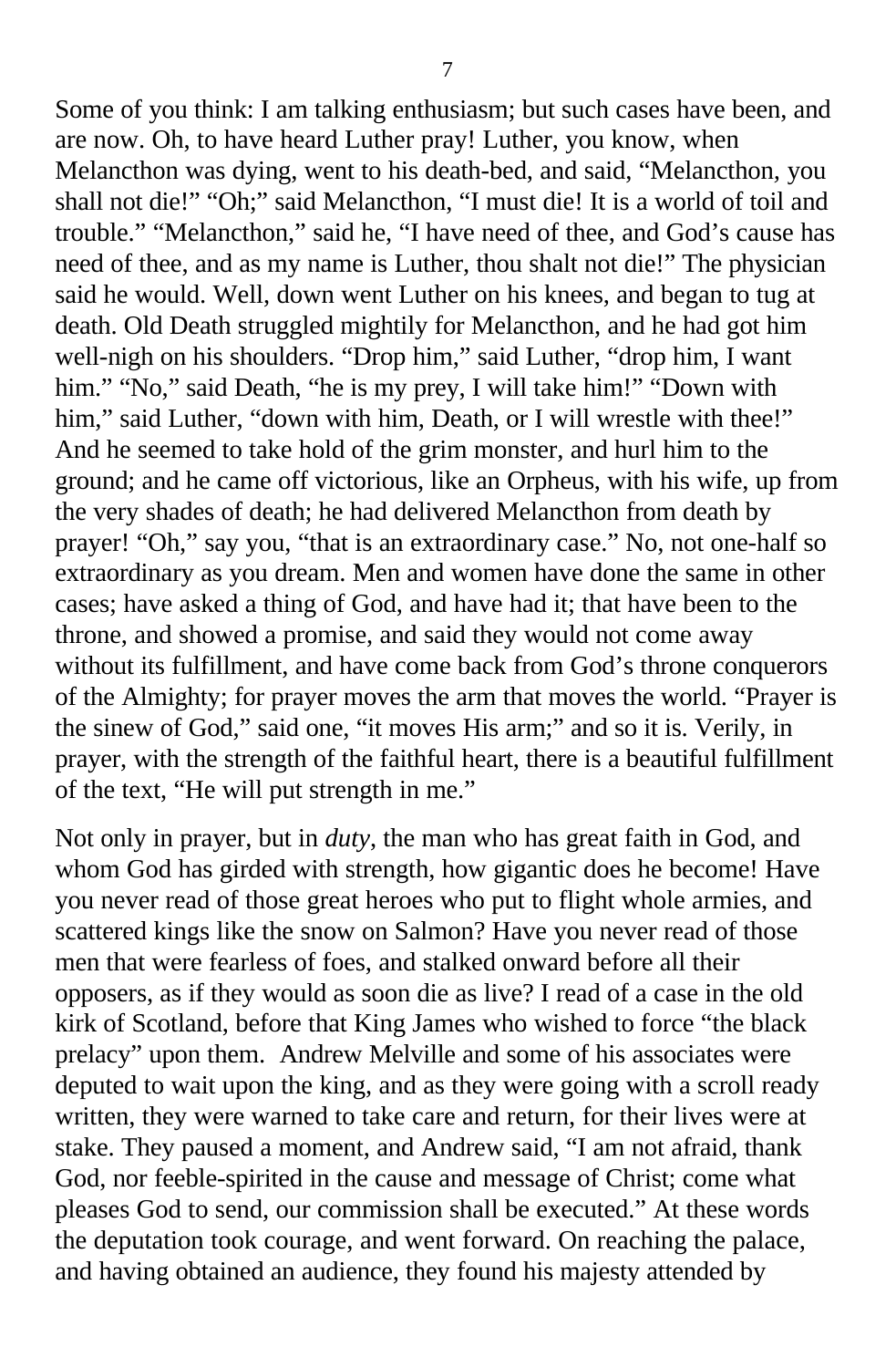Some of you think: I am talking enthusiasm; but such cases have been, and are now. Oh, to have heard Luther pray! Luther, you know, when Melancthon was dying, went to his death-bed, and said, "Melancthon*,* you shall not die!" "Oh;" said Melancthon, "I must die! It is a world of toil and trouble." "Melancthon," said he, "I have need of thee, and God's cause has need of thee, and as my name is Luther, thou shalt not die!" The physician said he would. Well, down went Luther on his knees, and began to tug at death. Old Death struggled mightily for Melancthon, and he had got him well-nigh on his shoulders. "Drop him," said Luther, "drop him, I want him." "No," said Death, "he is my prey, I will take him!" "Down with him," said Luther, "down with him, Death, or I will wrestle with thee!" And he seemed to take hold of the grim monster, and hurl him to the ground; and he came off victorious, like an Orpheus, with his wife, up from the very shades of death; he had delivered Melancthon from death by prayer! "Oh," say you, "that is an extraordinary case." No, not one-half so extraordinary as you dream. Men and women have done the same in other cases; have asked a thing of God, and have had it; that have been to the throne, and showed a promise, and said they would not come away without its fulfillment, and have come back from God's throne conquerors of the Almighty; for prayer moves the arm that moves the world. "Prayer is the sinew of God," said one, "it moves His arm;" and so it is. Verily, in prayer, with the strength of the faithful heart, there is a beautiful fulfillment of the text, "He will put strength in me."

Not only in prayer, but in *duty*, the man who has great faith in God, and whom God has girded with strength, how gigantic does he become! Have you never read of those great heroes who put to flight whole armies, and scattered kings like the snow on Salmon? Have you never read of those men that were fearless of foes, and stalked onward before all their opposers, as if they would as soon die as live? I read of a case in the old kirk of Scotland, before that King James who wished to force "the black prelacy" upon them. Andrew Melville and some of his associates were deputed to wait upon the king, and as they were going with a scroll ready written, they were warned to take care and return, for their lives were at stake. They paused a moment, and Andrew said, "I am not afraid, thank God, nor feeble-spirited in the cause and message of Christ; come what pleases God to send, our commission shall be executed." At these words the deputation took courage, and went forward. On reaching the palace, and having obtained an audience, they found his majesty attended by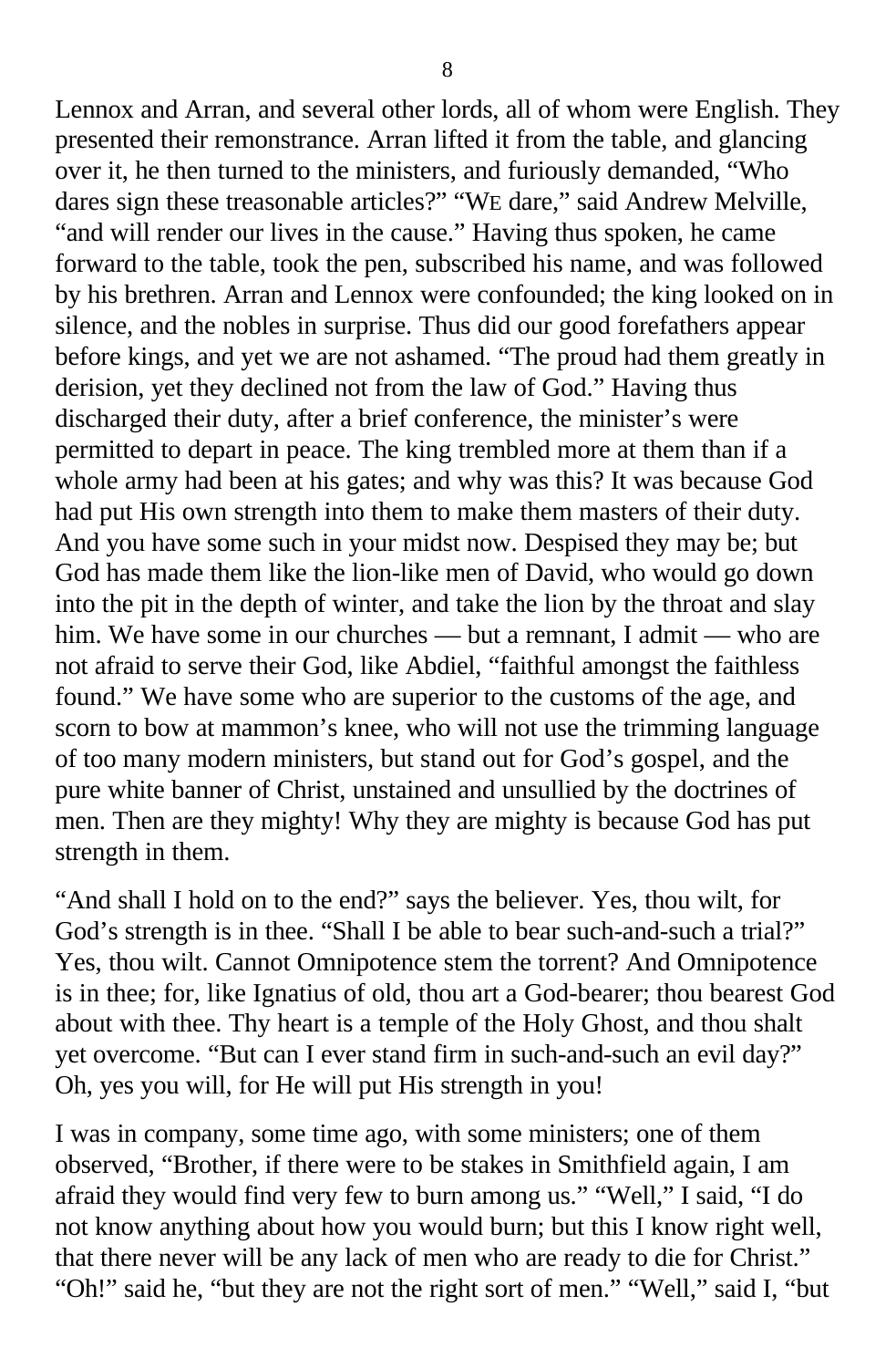Lennox and Arran, and several other lords, all of whom were English. They presented their remonstrance. Arran lifted it from the table, and glancing over it, he then turned to the ministers, and furiously demanded, "Who dares sign these treasonable articles?" "WE dare," said Andrew Melville, "and will render our lives in the cause." Having thus spoken, he came forward to the table, took the pen, subscribed his name, and was followed by his brethren. Arran and Lennox were confounded; the king looked on in silence, and the nobles in surprise. Thus did our good forefathers appear before kings, and yet we are not ashamed. "The proud had them greatly in derision, yet they declined not from the law of God." Having thus discharged their duty, after a brief conference, the minister's were permitted to depart in peace. The king trembled more at them than if a whole army had been at his gates; and why was this? It was because God had put His own strength into them to make them masters of their duty. And you have some such in your midst now. Despised they may be; but God has made them like the lion-like men of David, who would go down into the pit in the depth of winter, and take the lion by the throat and slay him. We have some in our churches — but a remnant, I admit — who are not afraid to serve their God, like Abdiel, "faithful amongst the faithless found." We have some who are superior to the customs of the age, and scorn to bow at mammon's knee, who will not use the trimming language of too many modern ministers, but stand out for God's gospel, and the pure white banner of Christ, unstained and unsullied by the doctrines of men. Then are they mighty! Why they are mighty is because God has put strength in them.

"And shall I hold on to the end?" says the believer. Yes, thou wilt, for God's strength is in thee. "Shall I be able to bear such-and-such a trial?" Yes, thou wilt. Cannot Omnipotence stem the torrent? And Omnipotence is in thee; for, like Ignatius of old, thou art a God-bearer; thou bearest God about with thee. Thy heart is a temple of the Holy Ghost, and thou shalt yet overcome. "But can I ever stand firm in such-and-such an evil day?" Oh, yes you will, for He will put His strength in you!

I was in company, some time ago, with some ministers; one of them observed, "Brother, if there were to be stakes in Smithfield again, I am afraid they would find very few to burn among us." "Well," I said, "I do not know anything about how you would burn; but this I know right well, that there never will be any lack of men who are ready to die for Christ." "Oh!" said he, "but they are not the right sort of men." "Well," said I, "but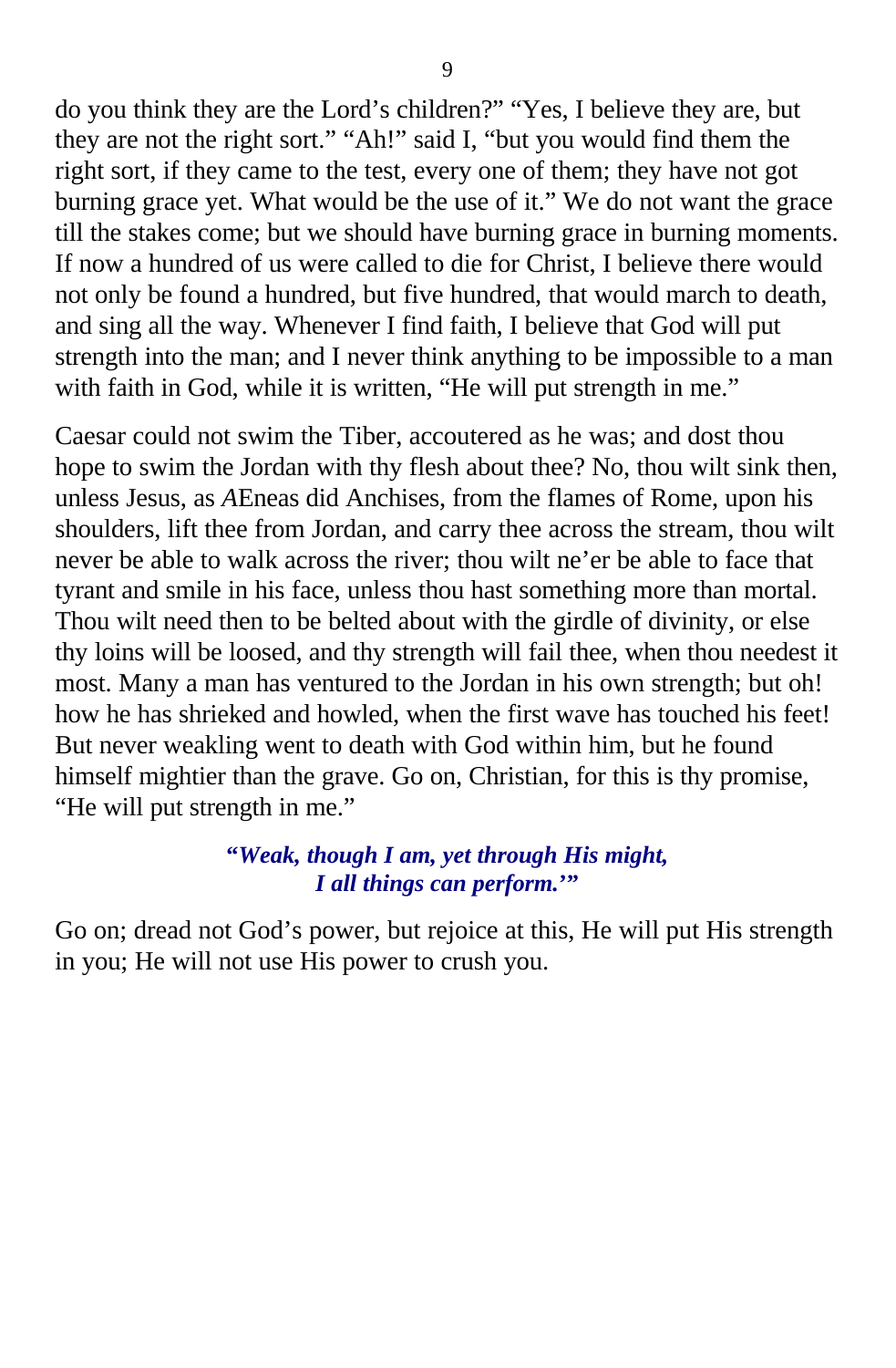do you think they are the Lord's children?" "Yes, I believe they are, but they are not the right sort." "Ah!" said I, "but you would find them the right sort, if they came to the test, every one of them; they have not got burning grace yet. What would be the use of it." We do not want the grace till the stakes come; but we should have burning grace in burning moments. If now a hundred of us were called to die for Christ, I believe there would not only be found a hundred, but five hundred, that would march to death, and sing all the way. Whenever I find faith, I believe that God will put strength into the man; and I never think anything to be impossible to a man with faith in God, while it is written, "He will put strength in me."

Caesar could not swim the Tiber, accoutered as he was; and dost thou hope to swim the Jordan with thy flesh about thee? No, thou wilt sink then, unless Jesus, as *A*Eneas did Anchises, from the flames of Rome, upon his shoulders, lift thee from Jordan, and carry thee across the stream, thou wilt never be able to walk across the river; thou wilt ne'er be able to face that tyrant and smile in his face, unless thou hast something more than mortal. Thou wilt need then to be belted about with the girdle of divinity, or else thy loins will be loosed, and thy strength will fail thee, when thou needest it most. Many a man has ventured to the Jordan in his own strength; but oh! how he has shrieked and howled, when the first wave has touched his feet! But never weakling went to death with God within him, but he found himself mightier than the grave. Go on, Christian, for this is thy promise, "He will put strength in me."

#### **"***Weak, though I am, yet through His might, I all things can perform.***'"**

Go on; dread not God's power, but rejoice at this, He will put His strength in you; He will not use His power to crush you.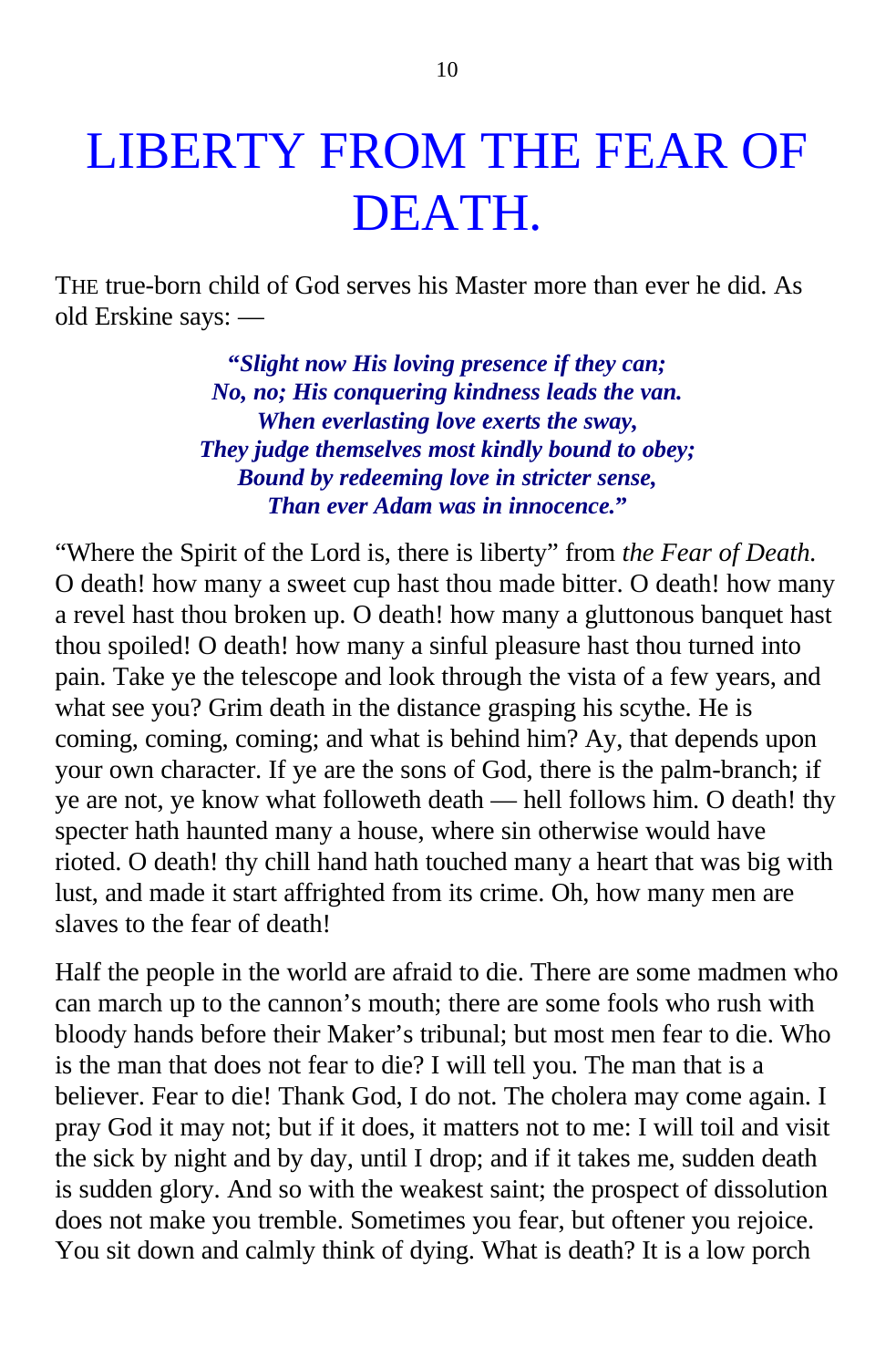# LIBERTY FROM THE FEAR OF DEATH.

THE true-born child of God serves his Master more than ever he did. As old Erskine says: —

> **"***Slight now His loving presence if they can; No, no; His conquering kindness leads the van. When everlasting love exerts the sway, They judge themselves most kindly bound to obey; Bound by redeeming love in stricter sense, Than ever Adam was in innocence.***"**

"Where the Spirit of the Lord is, there is liberty" from *the Fear of Death.* O death! how many a sweet cup hast thou made bitter. O death! how many a revel hast thou broken up. O death! how many a gluttonous banquet hast thou spoiled! O death! how many a sinful pleasure hast thou turned into pain. Take ye the telescope and look through the vista of a few years, and what see you? Grim death in the distance grasping his scythe. He is coming, coming, coming; and what is behind him? Ay, that depends upon your own character. If ye are the sons of God, there is the palm-branch; if ye are not, ye know what followeth death — hell follows him. O death! thy specter hath haunted many a house, where sin otherwise would have rioted. O death! thy chill hand hath touched many a heart that was big with lust, and made it start affrighted from its crime. Oh, how many men are slaves to the fear of death!

Half the people in the world are afraid to die. There are some madmen who can march up to the cannon's mouth; there are some fools who rush with bloody hands before their Maker's tribunal; but most men fear to die. Who is the man that does not fear to die? I will tell you. The man that is a believer. Fear to die! Thank God, I do not. The cholera may come again. I pray God it may not; but if it does, it matters not to me: I will toil and visit the sick by night and by day, until I drop; and if it takes me, sudden death is sudden glory. And so with the weakest saint; the prospect of dissolution does not make you tremble. Sometimes you fear, but oftener you rejoice. You sit down and calmly think of dying. What is death? It is a low porch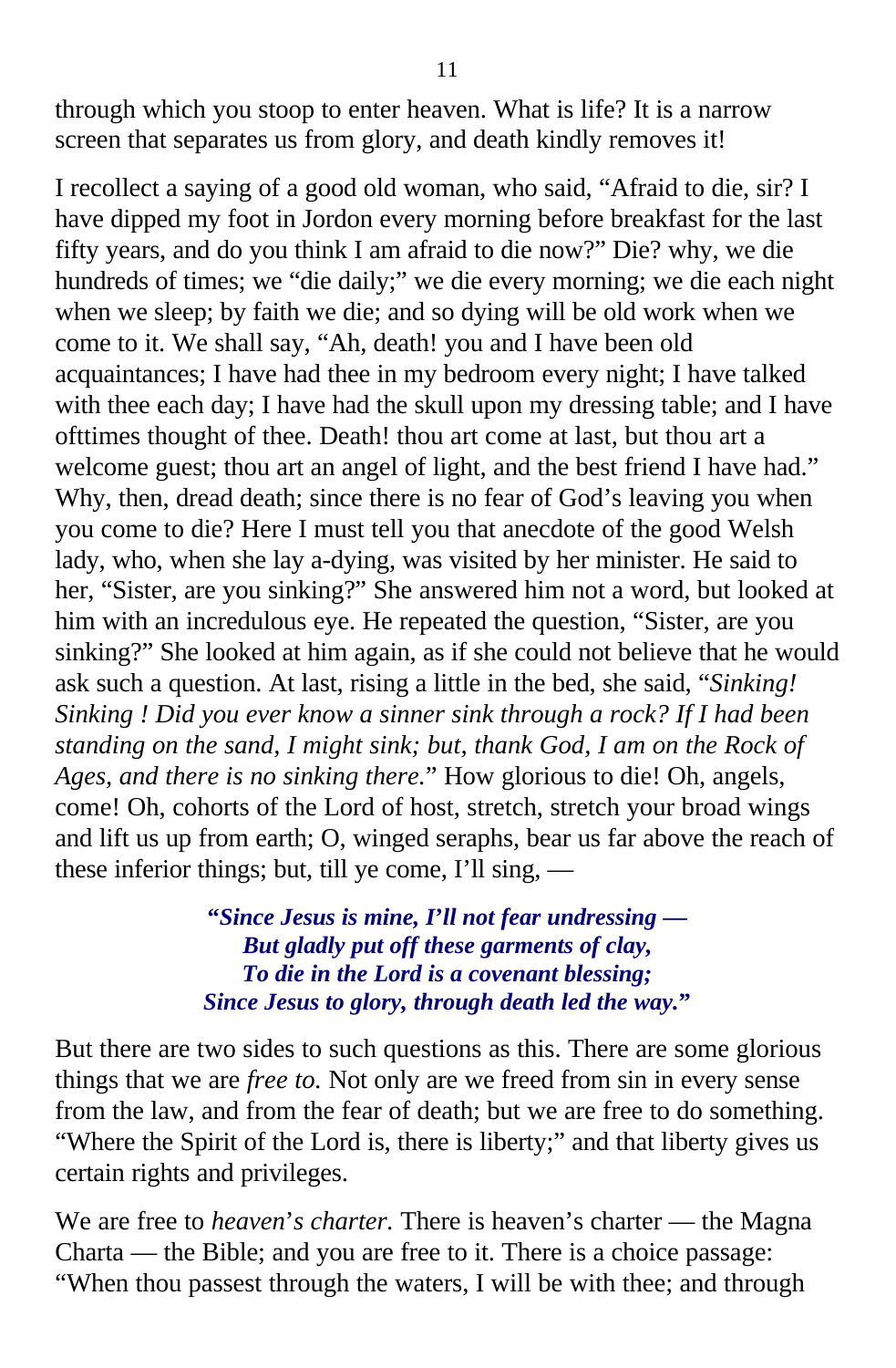through which you stoop to enter heaven. What is life? It is a narrow screen that separates us from glory, and death kindly removes it!

I recollect a saying of a good old woman, who said, "Afraid to die, sir? I have dipped my foot in Jordon every morning before breakfast for the last fifty years, and do you think I am afraid to die now?" Die? why, we die hundreds of times; we "die daily;" we die every morning; we die each night when we sleep; by faith we die; and so dying will be old work when we come to it. We shall say, "Ah, death! you and I have been old acquaintances; I have had thee in my bedroom every night; I have talked with thee each day; I have had the skull upon my dressing table; and I have ofttimes thought of thee. Death! thou art come at last, but thou art a welcome guest; thou art an angel of light, and the best friend I have had." Why, then, dread death; since there is no fear of God's leaving you when you come to die? Here I must tell you that anecdote of the good Welsh lady, who, when she lay a-dying, was visited by her minister. He said to her, "Sister, are you sinking?" She answered him not a word, but looked at him with an incredulous eye. He repeated the question, "Sister, are you sinking?" She looked at him again, as if she could not believe that he would ask such a question. At last, rising a little in the bed, she said, "*Sinking! Sinking ! Did you ever know a sinner sink through a rock? If I had been standing on the sand, I might sink; but, thank God, I am on the Rock of Ages, and there is no sinking there.*" How glorious to die! Oh, angels, come! Oh, cohorts of the Lord of host, stretch, stretch your broad wings and lift us up from earth; O, winged seraphs, bear us far above the reach of these inferior things; but, till ye come, I'll sing, —

> **"***Since Jesus is mine, I***'***ll not fear undressing — But gladly put off these garments of clay, To die in the Lord is a covenant blessing; Since Jesus to glory, through death led the way.***"**

But there are two sides to such questions as this. There are some glorious things that we are *free to.* Not only are we freed from sin in every sense from the law, and from the fear of death; but we are free to do something. "Where the Spirit of the Lord is, there is liberty;" and that liberty gives us certain rights and privileges.

We are free to *heaven*'*s charter.* There is heaven's charter — the Magna Charta — the Bible; and you are free to it. There is a choice passage: "When thou passest through the waters, I will be with thee; and through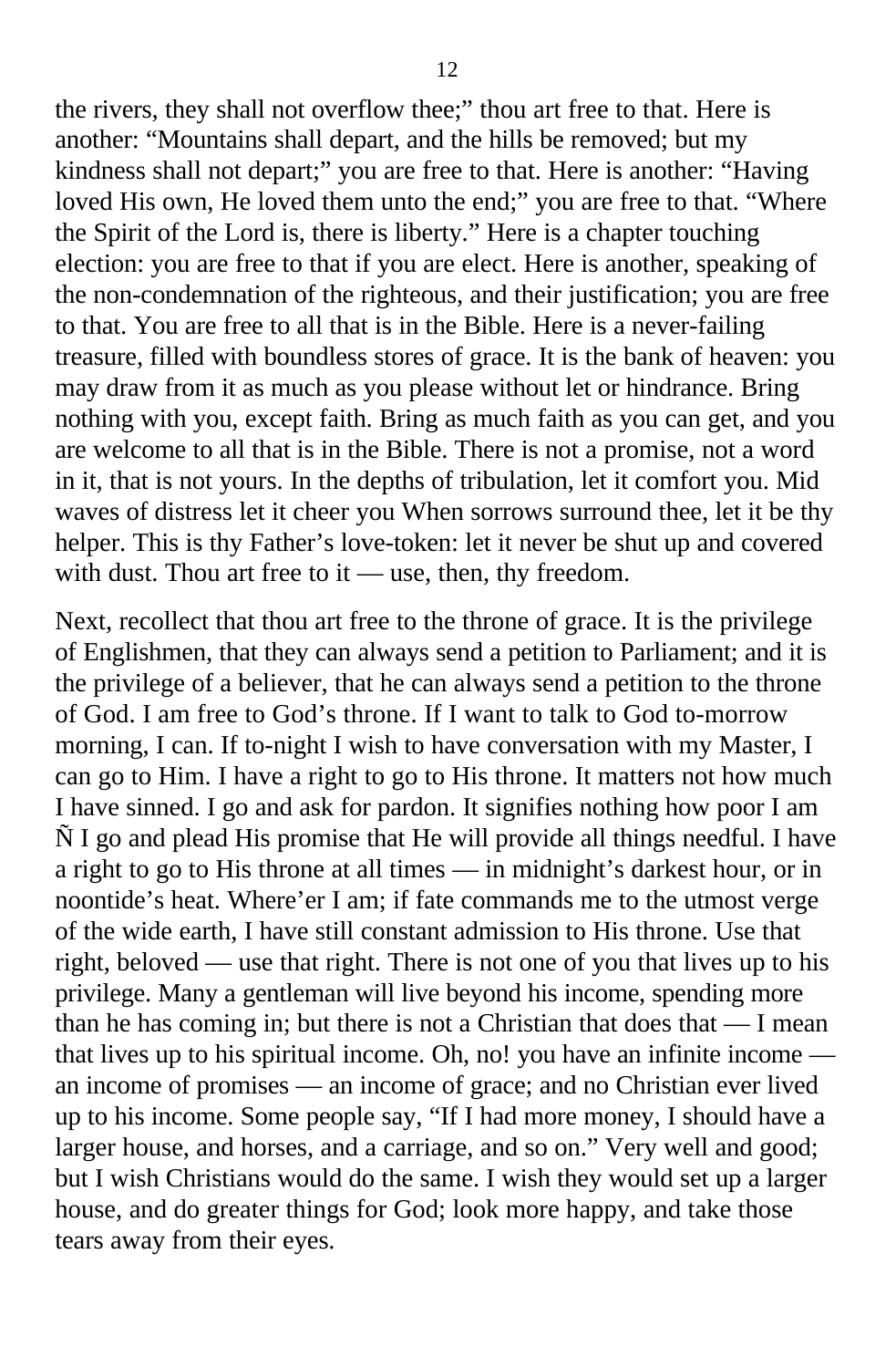the rivers, they shall not overflow thee;" thou art free to that. Here is another: "Mountains shall depart, and the hills be removed; but my kindness shall not depart;" you are free to that. Here is another: "Having loved His own, He loved them unto the end;" you are free to that. "Where the Spirit of the Lord is, there is liberty." Here is a chapter touching election: you are free to that if you are elect. Here is another, speaking of the non-condemnation of the righteous, and their justification; you are free to that. You are free to all that is in the Bible. Here is a never-failing treasure, filled with boundless stores of grace. It is the bank of heaven: you may draw from it as much as you please without let or hindrance. Bring nothing with you, except faith. Bring as much faith as you can get, and you are welcome to all that is in the Bible. There is not a promise, not a word in it, that is not yours. In the depths of tribulation, let it comfort you. Mid waves of distress let it cheer you When sorrows surround thee, let it be thy helper. This is thy Father's love-token: let it never be shut up and covered with dust. Thou art free to it — use, then, thy freedom.

Next, recollect that thou art free to the throne of grace. It is the privilege of Englishmen, that they can always send a petition to Parliament; and it is the privilege of a believer, that he can always send a petition to the throne of God. I am free to God's throne. If I want to talk to God to-morrow morning, I can. If to-night I wish to have conversation with my Master, I can go to Him. I have a right to go to His throne. It matters not how much I have sinned. I go and ask for pardon. It signifies nothing how poor I am  $\tilde{N}$  I go and plead His promise that He will provide all things needful. I have a right to go to His throne at all times — in midnight's darkest hour, or in noontide's heat. Where'er I am; if fate commands me to the utmost verge of the wide earth, I have still constant admission to His throne. Use that right, beloved — use that right. There is not one of you that lives up to his privilege. Many a gentleman will live beyond his income, spending more than he has coming in; but there is not a Christian that does that — I mean that lives up to his spiritual income. Oh, no! you have an infinite income an income of promises — an income of grace; and no Christian ever lived up to his income. Some people say, "If I had more money, I should have a larger house, and horses, and a carriage, and so on." Very well and good; but I wish Christians would do the same. I wish they would set up a larger house, and do greater things for God; look more happy, and take those tears away from their eyes.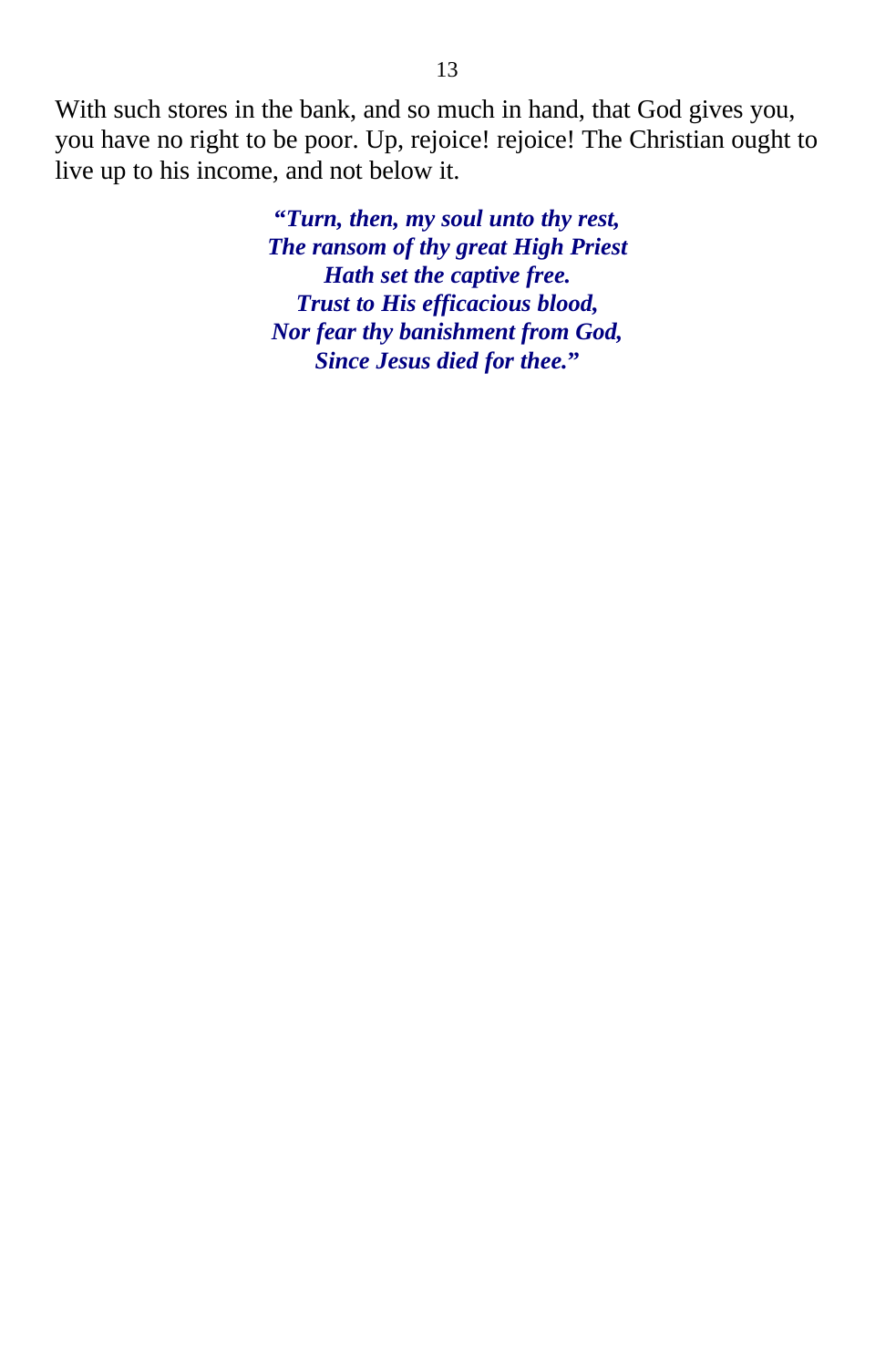With such stores in the bank, and so much in hand, that God gives you, you have no right to be poor. Up, rejoice! rejoice! The Christian ought to live up to his income, and not below it.

> **"***Turn, then, my soul unto thy rest, The ransom of thy great High Priest Hath set the captive free. Trust to His efficacious blood, Nor fear thy banishment from God, Since Jesus died for thee.***"**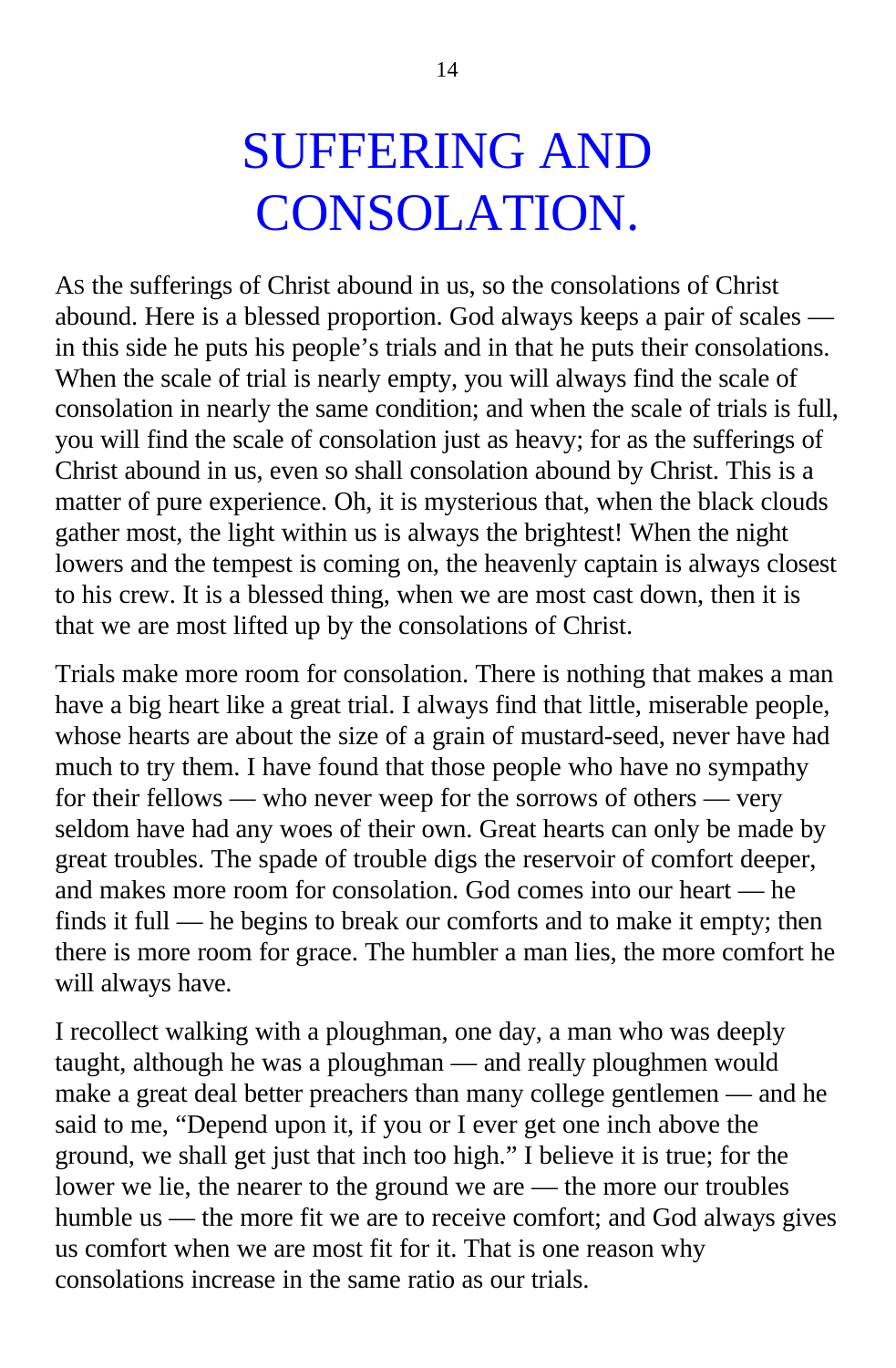# SUFFERING AND CONSOLATION.

AS the sufferings of Christ abound in us, so the consolations of Christ abound. Here is a blessed proportion. God always keeps a pair of scales in this side he puts his people's trials and in that he puts their consolations. When the scale of trial is nearly empty, you will always find the scale of consolation in nearly the same condition; and when the scale of trials is full, you will find the scale of consolation just as heavy; for as the sufferings of Christ abound in us, even so shall consolation abound by Christ. This is a matter of pure experience. Oh, it is mysterious that, when the black clouds gather most, the light within us is always the brightest! When the night lowers and the tempest is coming on, the heavenly captain is always closest to his crew. It is a blessed thing, when we are most cast down, then it is that we are most lifted up by the consolations of Christ.

Trials make more room for consolation. There is nothing that makes a man have a big heart like a great trial. I always find that little, miserable people, whose hearts are about the size of a grain of mustard-seed, never have had much to try them. I have found that those people who have no sympathy for their fellows — who never weep for the sorrows of others — very seldom have had any woes of their own. Great hearts can only be made by great troubles. The spade of trouble digs the reservoir of comfort deeper, and makes more room for consolation. God comes into our heart — he finds it full — he begins to break our comforts and to make it empty; then there is more room for grace. The humbler a man lies, the more comfort he will always have.

I recollect walking with a ploughman, one day, a man who was deeply taught, although he was a ploughman — and really ploughmen would make a great deal better preachers than many college gentlemen — and he said to me, "Depend upon it, if you or I ever get one inch above the ground, we shall get just that inch too high." I believe it is true; for the lower we lie, the nearer to the ground we are — the more our troubles humble us — the more fit we are to receive comfort; and God always gives us comfort when we are most fit for it. That is one reason why consolations increase in the same ratio as our trials.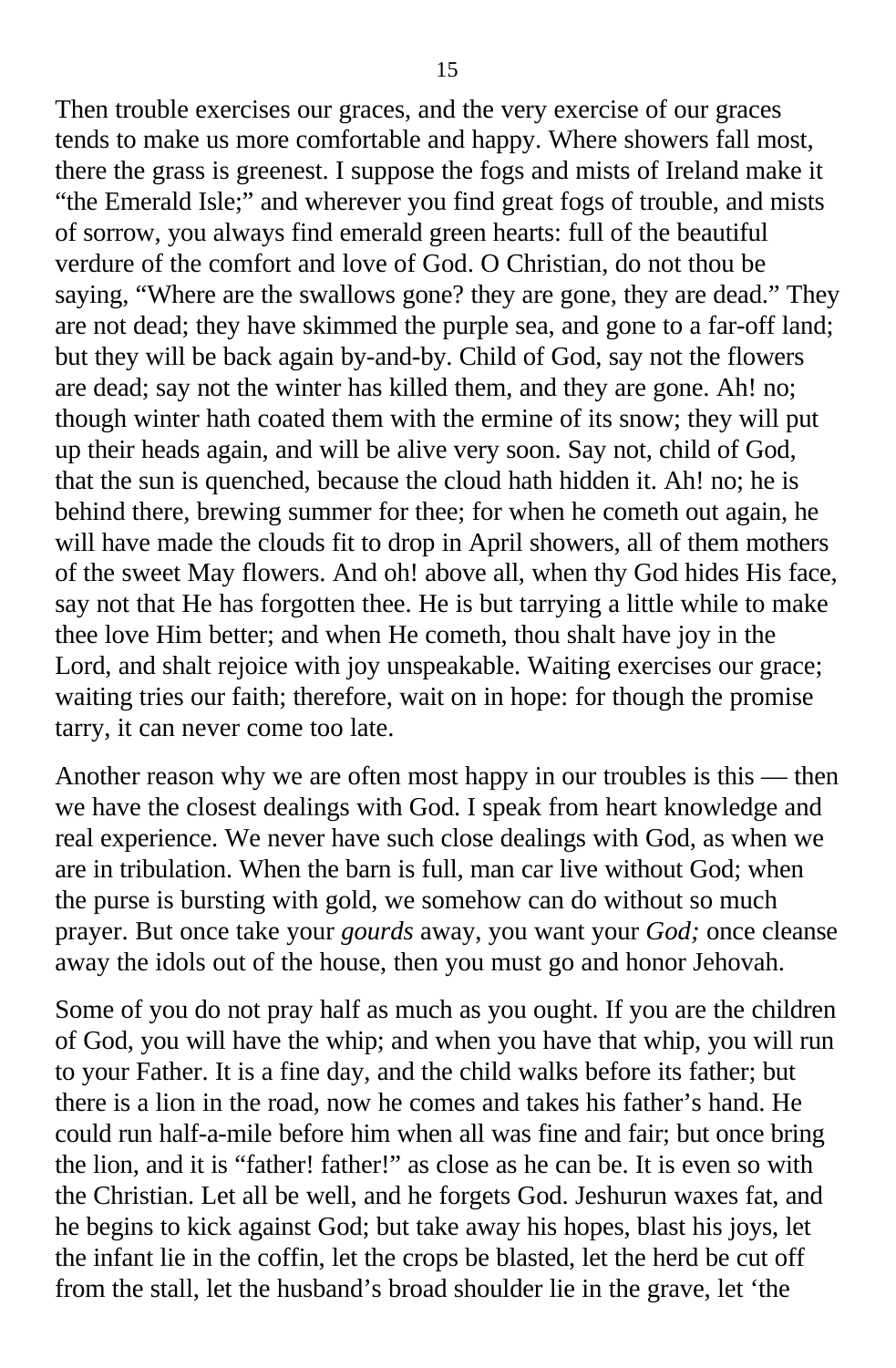Then trouble exercises our graces, and the very exercise of our graces tends to make us more comfortable and happy. Where showers fall most, there the grass is greenest. I suppose the fogs and mists of Ireland make it "the Emerald Isle;" and wherever you find great fogs of trouble, and mists of sorrow, you always find emerald green hearts: full of the beautiful verdure of the comfort and love of God. O Christian, do not thou be saying, "Where are the swallows gone? they are gone, they are dead." They are not dead; they have skimmed the purple sea, and gone to a far-off land; but they will be back again by-and-by. Child of God, say not the flowers are dead; say not the winter has killed them, and they are gone. Ah! no; though winter hath coated them with the ermine of its snow; they will put up their heads again, and will be alive very soon. Say not, child of God, that the sun is quenched, because the cloud hath hidden it. Ah! no; he is behind there, brewing summer for thee; for when he cometh out again, he will have made the clouds fit to drop in April showers, all of them mothers of the sweet May flowers. And oh! above all, when thy God hides His face, say not that He has forgotten thee. He is but tarrying a little while to make thee love Him better; and when He cometh, thou shalt have joy in the Lord, and shalt rejoice with joy unspeakable. Waiting exercises our grace; waiting tries our faith; therefore, wait on in hope: for though the promise tarry, it can never come too late.

Another reason why we are often most happy in our troubles is this — then we have the closest dealings with God. I speak from heart knowledge and real experience. We never have such close dealings with God, as when we are in tribulation. When the barn is full, man car live without God; when the purse is bursting with gold, we somehow can do without so much prayer. But once take your *gourds* away, you want your *God;* once cleanse away the idols out of the house, then you must go and honor Jehovah.

Some of you do not pray half as much as you ought. If you are the children of God, you will have the whip; and when you have that whip, you will run to your Father. It is a fine day, and the child walks before its father; but there is a lion in the road, now he comes and takes his father's hand. He could run half-a-mile before him when all was fine and fair; but once bring the lion, and it is "father! father!" as close as he can be. It is even so with the Christian. Let all be well, and he forgets God. Jeshurun waxes fat, and he begins to kick against God; but take away his hopes, blast his joys, let the infant lie in the coffin, let the crops be blasted, let the herd be cut off from the stall, let the husband's broad shoulder lie in the grave, let 'the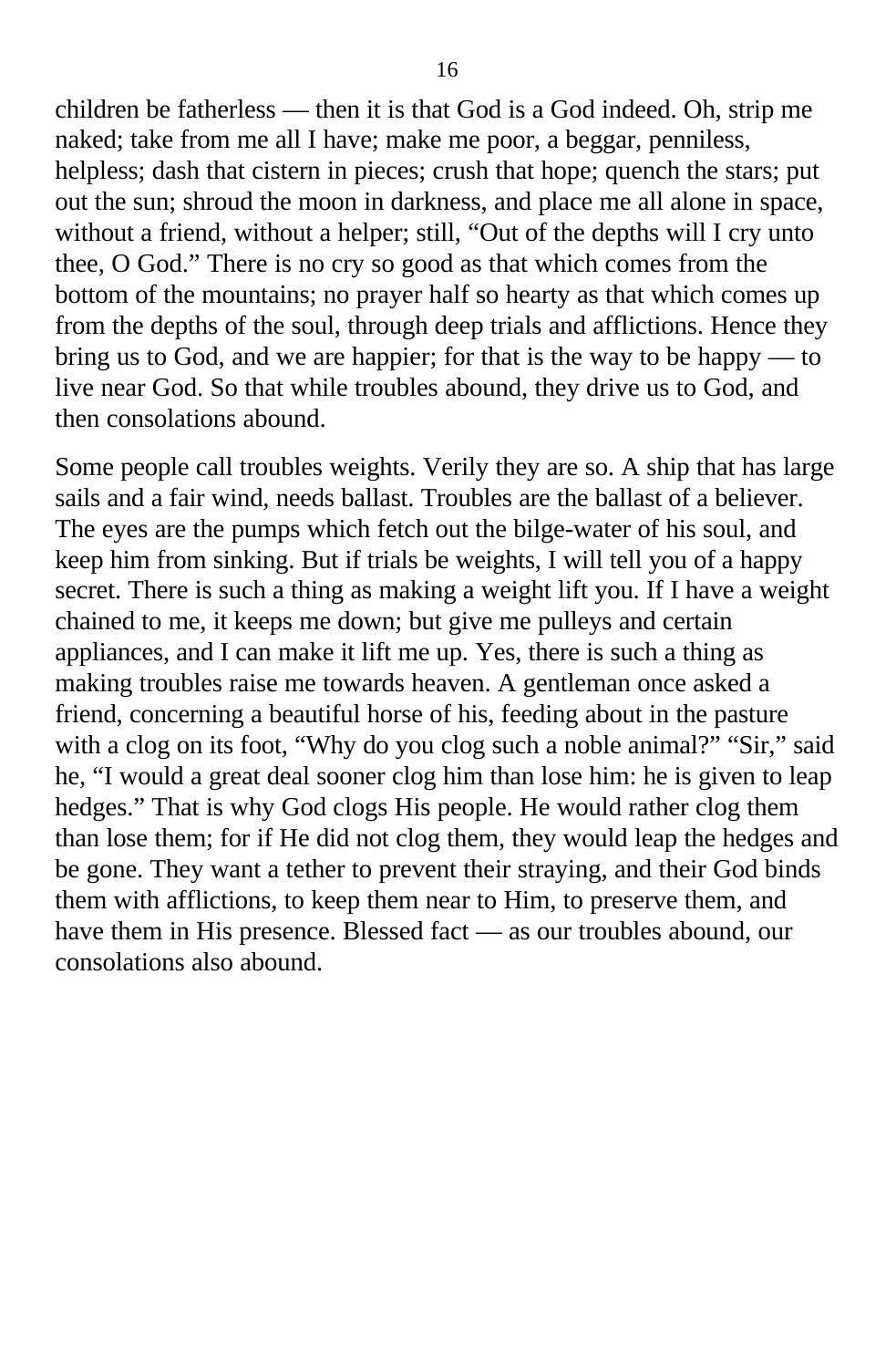children be fatherless — then it is that God is a God indeed. Oh, strip me naked; take from me all I have; make me poor, a beggar, penniless, helpless; dash that cistern in pieces; crush that hope; quench the stars; put out the sun; shroud the moon in darkness, and place me all alone in space, without a friend, without a helper; still, "Out of the depths will I cry unto thee, O God." There is no cry so good as that which comes from the bottom of the mountains; no prayer half so hearty as that which comes up from the depths of the soul, through deep trials and afflictions. Hence they bring us to God, and we are happier; for that is the way to be happy — to live near God. So that while troubles abound, they drive us to God, and then consolations abound.

Some people call troubles weights. Verily they are so. A ship that has large sails and a fair wind, needs ballast. Troubles are the ballast of a believer. The eyes are the pumps which fetch out the bilge-water of his soul, and keep him from sinking. But if trials be weights, I will tell you of a happy secret. There is such a thing as making a weight lift you. If I have a weight chained to me, it keeps me down; but give me pulleys and certain appliances, and I can make it lift me up. Yes, there is such a thing as making troubles raise me towards heaven. A gentleman once asked a friend, concerning a beautiful horse of his, feeding about in the pasture with a clog on its foot, "Why do you clog such a noble animal?" "Sir," said he, "I would a great deal sooner clog him than lose him: he is given to leap hedges." That is why God clogs His people. He would rather clog them than lose them; for if He did not clog them, they would leap the hedges and be gone. They want a tether to prevent their straying, and their God binds them with afflictions, to keep them near to Him, to preserve them, and have them in His presence. Blessed fact — as our troubles abound, our consolations also abound.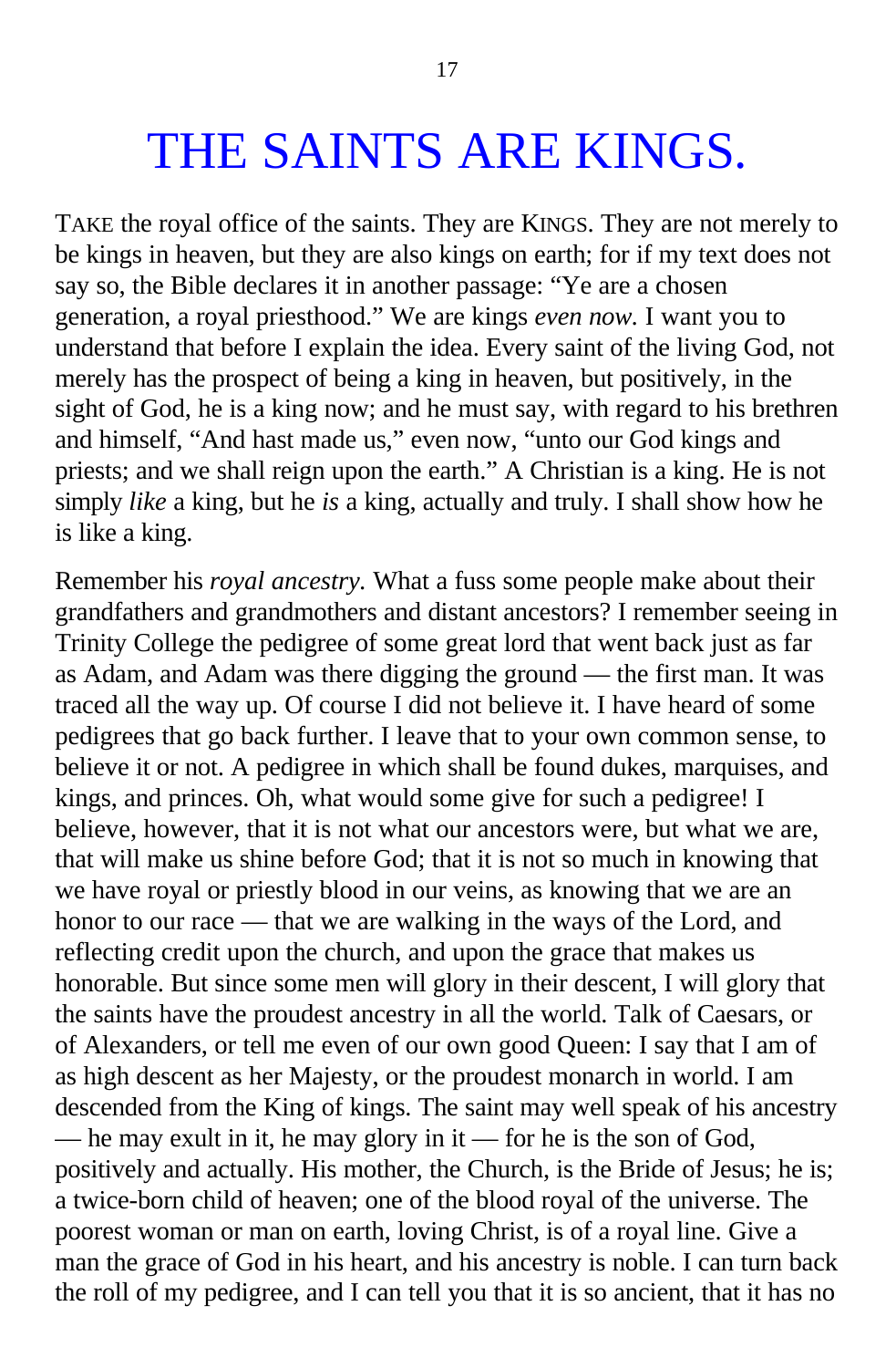## THE SAINTS ARE KINGS.

TAKE the royal office of the saints. They are KINGS. They are not merely to be kings in heaven, but they are also kings on earth; for if my text does not say so, the Bible declares it in another passage: "Ye are a chosen generation, a royal priesthood." We are kings *even now.* I want you to understand that before I explain the idea. Every saint of the living God, not merely has the prospect of being a king in heaven, but positively, in the sight of God, he is a king now; and he must say, with regard to his brethren and himself, "And hast made us," even now, "unto our God kings and priests; and we shall reign upon the earth." A Christian is a king. He is not simply *like* a king, but he *is* a king, actually and truly. I shall show how he is like a king.

Remember his *royal ancestry.* What a fuss some people make about their grandfathers and grandmothers and distant ancestors? I remember seeing in Trinity College the pedigree of some great lord that went back just as far as Adam, and Adam was there digging the ground — the first man. It was traced all the way up. Of course I did not believe it. I have heard of some pedigrees that go back further. I leave that to your own common sense, to believe it or not. A pedigree in which shall be found dukes, marquises, and kings, and princes. Oh, what would some give for such a pedigree! I believe, however, that it is not what our ancestors were, but what we are, that will make us shine before God; that it is not so much in knowing that we have royal or priestly blood in our veins, as knowing that we are an honor to our race — that we are walking in the ways of the Lord, and reflecting credit upon the church, and upon the grace that makes us honorable. But since some men will glory in their descent, I will glory that the saints have the proudest ancestry in all the world. Talk of Caesars, or of Alexanders, or tell me even of our own good Queen: I say that I am of as high descent as her Majesty, or the proudest monarch in world. I am descended from the King of kings. The saint may well speak of his ancestry — he may exult in it, he may glory in it — for he is the son of God, positively and actually. His mother, the Church, is the Bride of Jesus; he is; a twice-born child of heaven; one of the blood royal of the universe. The poorest woman or man on earth, loving Christ, is of a royal line. Give a man the grace of God in his heart, and his ancestry is noble. I can turn back the roll of my pedigree, and I can tell you that it is so ancient, that it has no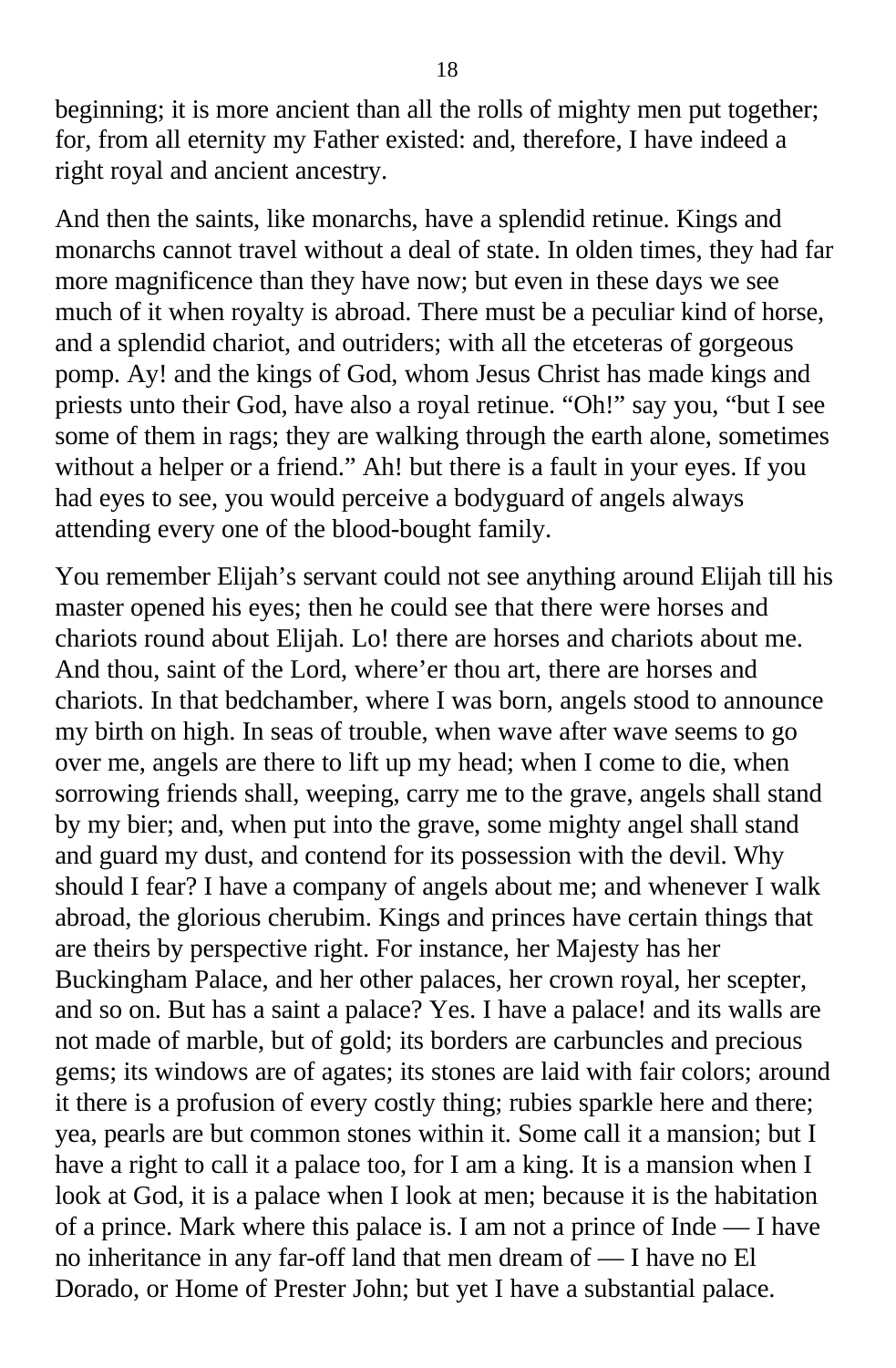beginning; it is more ancient than all the rolls of mighty men put together; for, from all eternity my Father existed: and, therefore, I have indeed a right royal and ancient ancestry.

And then the saints, like monarchs, have a splendid retinue. Kings and monarchs cannot travel without a deal of state. In olden times, they had far more magnificence than they have now; but even in these days we see much of it when royalty is abroad. There must be a peculiar kind of horse, and a splendid chariot, and outriders; with all the etceteras of gorgeous pomp. Ay! and the kings of God, whom Jesus Christ has made kings and priests unto their God, have also a royal retinue. "Oh!" say you, "but I see some of them in rags; they are walking through the earth alone, sometimes without a helper or a friend." Ah! but there is a fault in your eyes. If you had eyes to see, you would perceive a bodyguard of angels always attending every one of the blood-bought family.

You remember Elijah's servant could not see anything around Elijah till his master opened his eyes; then he could see that there were horses and chariots round about Elijah. Lo! there are horses and chariots about me. And thou, saint of the Lord, where'er thou art, there are horses and chariots. In that bedchamber, where I was born, angels stood to announce my birth on high. In seas of trouble, when wave after wave seems to go over me, angels are there to lift up my head; when I come to die, when sorrowing friends shall, weeping, carry me to the grave, angels shall stand by my bier; and, when put into the grave, some mighty angel shall stand and guard my dust, and contend for its possession with the devil. Why should I fear? I have a company of angels about me; and whenever I walk abroad, the glorious cherubim. Kings and princes have certain things that are theirs by perspective right. For instance, her Majesty has her Buckingham Palace, and her other palaces, her crown royal, her scepter, and so on. But has a saint a palace? Yes. I have a palace! and its walls are not made of marble, but of gold; its borders are carbuncles and precious gems; its windows are of agates; its stones are laid with fair colors; around it there is a profusion of every costly thing; rubies sparkle here and there; yea, pearls are but common stones within it. Some call it a mansion; but I have a right to call it a palace too, for I am a king. It is a mansion when I look at God, it is a palace when I look at men; because it is the habitation of a prince. Mark where this palace is. I am not a prince of Inde — I have no inheritance in any far-off land that men dream of — I have no El Dorado, or Home of Prester John; but yet I have a substantial palace.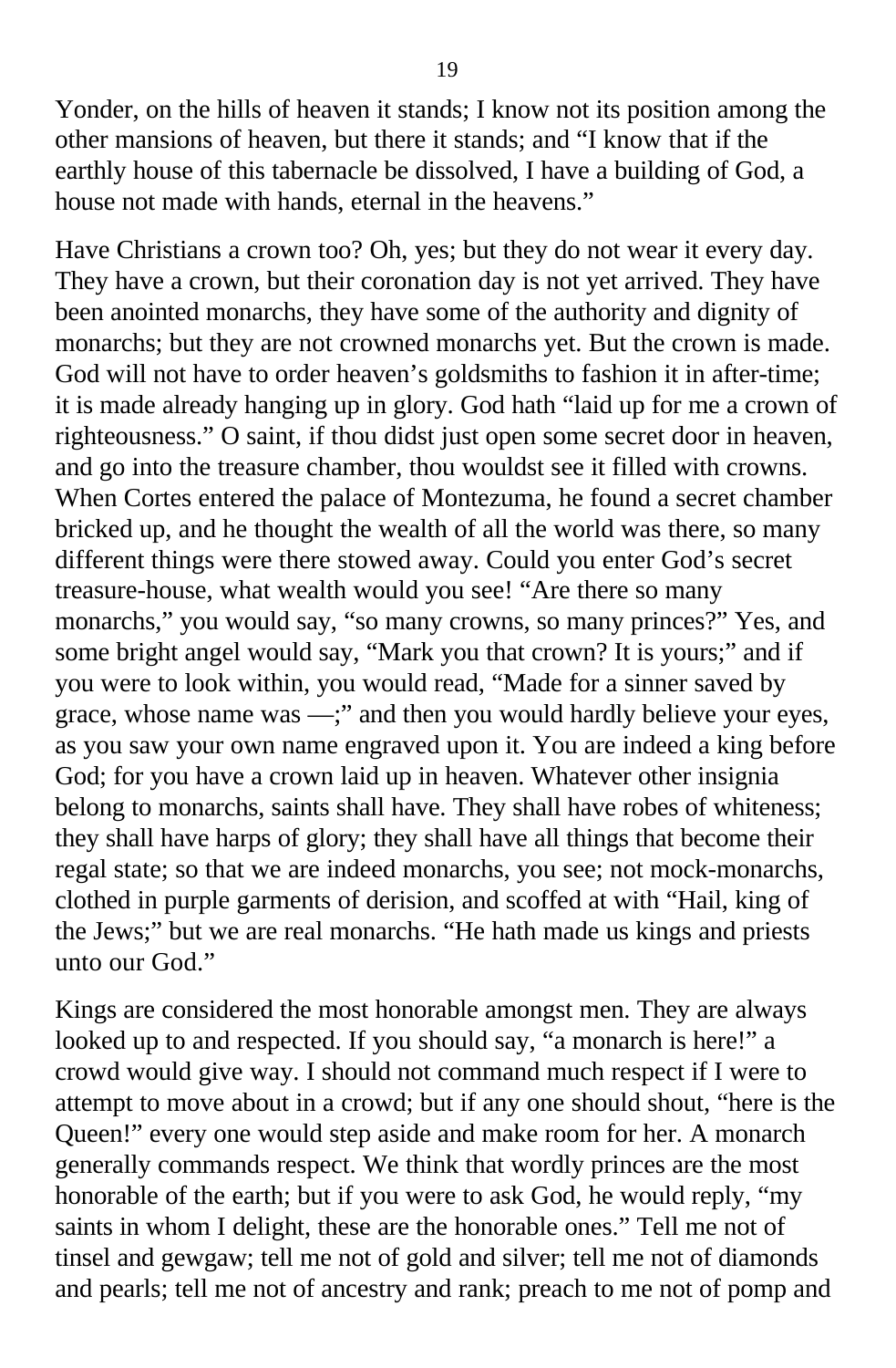Yonder, on the hills of heaven it stands; I know not its position among the other mansions of heaven, but there it stands; and "I know that if the earthly house of this tabernacle be dissolved, I have a building of God, a house not made with hands, eternal in the heavens."

Have Christians a crown too? Oh, yes; but they do not wear it every day. They have a crown, but their coronation day is not yet arrived. They have been anointed monarchs, they have some of the authority and dignity of monarchs; but they are not crowned monarchs yet. But the crown is made. God will not have to order heaven's goldsmiths to fashion it in after-time; it is made already hanging up in glory. God hath "laid up for me a crown of righteousness." O saint, if thou didst just open some secret door in heaven, and go into the treasure chamber, thou wouldst see it filled with crowns. When Cortes entered the palace of Montezuma, he found a secret chamber bricked up, and he thought the wealth of all the world was there, so many different things were there stowed away. Could you enter God's secret treasure-house, what wealth would you see! "Are there so many monarchs," you would say, "so many crowns, so many princes?" Yes, and some bright angel would say, "Mark you that crown? It is yours;" and if you were to look within, you would read, "Made for a sinner saved by grace, whose name was —;" and then you would hardly believe your eyes, as you saw your own name engraved upon it. You are indeed a king before God; for you have a crown laid up in heaven. Whatever other insignia belong to monarchs, saints shall have. They shall have robes of whiteness; they shall have harps of glory; they shall have all things that become their regal state; so that we are indeed monarchs, you see; not mock-monarchs, clothed in purple garments of derision, and scoffed at with "Hail, king of the Jews;" but we are real monarchs. "He hath made us kings and priests unto our God."

Kings are considered the most honorable amongst men. They are always looked up to and respected. If you should say, "a monarch is here!" a crowd would give way. I should not command much respect if I were to attempt to move about in a crowd; but if any one should shout, "here is the Queen!" every one would step aside and make room for her. A monarch generally commands respect. We think that wordly princes are the most honorable of the earth; but if you were to ask God, he would reply, "my saints in whom I delight, these are the honorable ones." Tell me not of tinsel and gewgaw; tell me not of gold and silver; tell me not of diamonds and pearls; tell me not of ancestry and rank; preach to me not of pomp and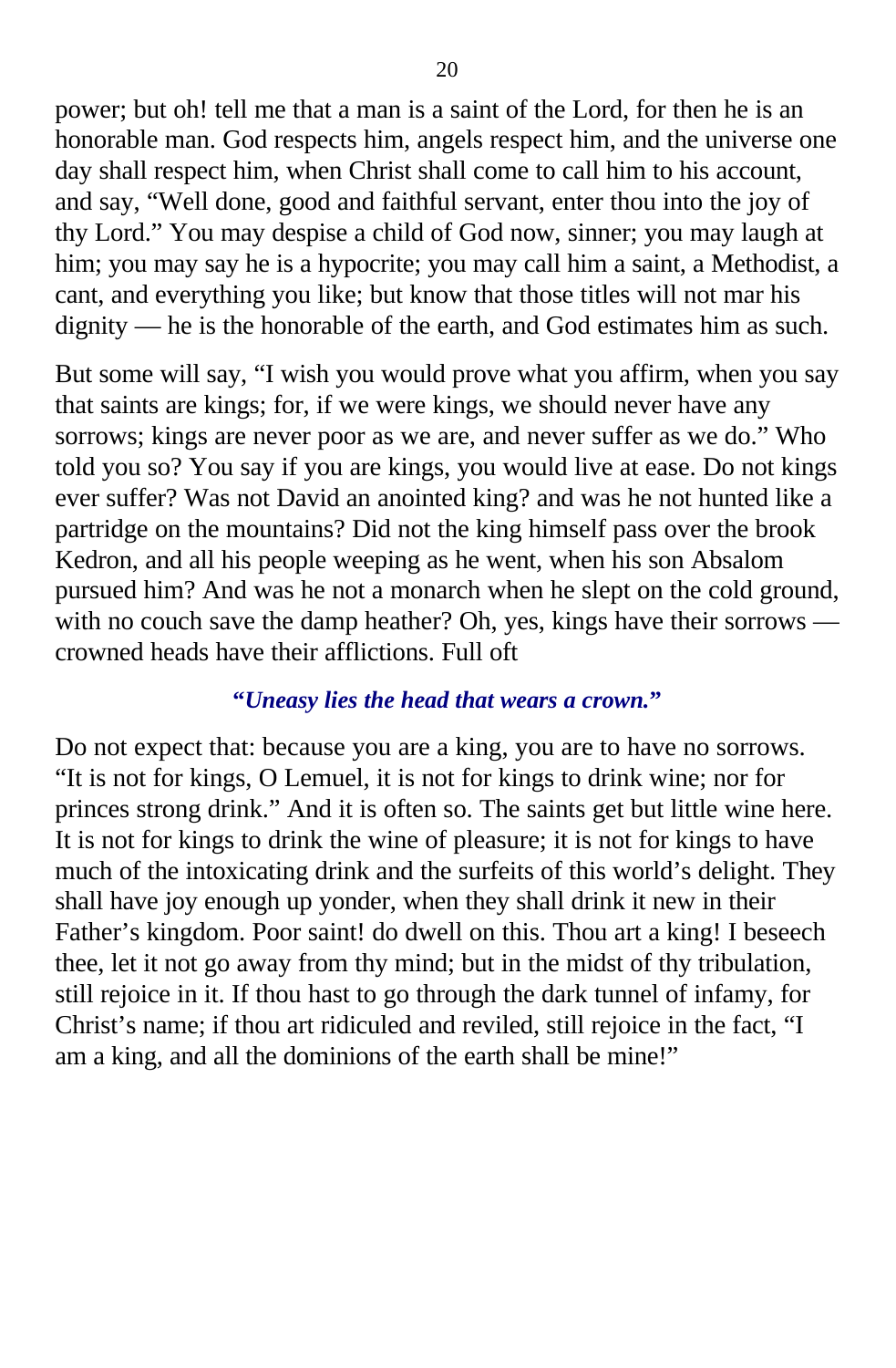power; but oh! tell me that a man is a saint of the Lord, for then he is an honorable man. God respects him, angels respect him, and the universe one day shall respect him, when Christ shall come to call him to his account, and say, "Well done, good and faithful servant, enter thou into the joy of thy Lord." You may despise a child of God now, sinner; you may laugh at him; you may say he is a hypocrite; you may call him a saint, a Methodist, a cant, and everything you like; but know that those titles will not mar his dignity — he is the honorable of the earth, and God estimates him as such.

But some will say, "I wish you would prove what you affirm, when you say that saints are kings; for, if we were kings, we should never have any sorrows; kings are never poor as we are, and never suffer as we do." Who told you so? You say if you are kings, you would live at ease. Do not kings ever suffer? Was not David an anointed king? and was he not hunted like a partridge on the mountains? Did not the king himself pass over the brook Kedron, and all his people weeping as he went, when his son Absalom pursued him? And was he not a monarch when he slept on the cold ground, with no couch save the damp heather? Oh, yes, kings have their sorrows crowned heads have their afflictions. Full oft

#### **"***Uneasy lies the head that wears a crown.***"**

Do not expect that: because you are a king, you are to have no sorrows. "It is not for kings, O Lemuel, it is not for kings to drink wine; nor for princes strong drink." And it is often so. The saints get but little wine here. It is not for kings to drink the wine of pleasure; it is not for kings to have much of the intoxicating drink and the surfeits of this world's delight. They shall have joy enough up yonder, when they shall drink it new in their Father's kingdom. Poor saint! do dwell on this. Thou art a king! I beseech thee, let it not go away from thy mind; but in the midst of thy tribulation, still rejoice in it. If thou hast to go through the dark tunnel of infamy, for Christ's name; if thou art ridiculed and reviled, still rejoice in the fact, "I am a king, and all the dominions of the earth shall be mine!"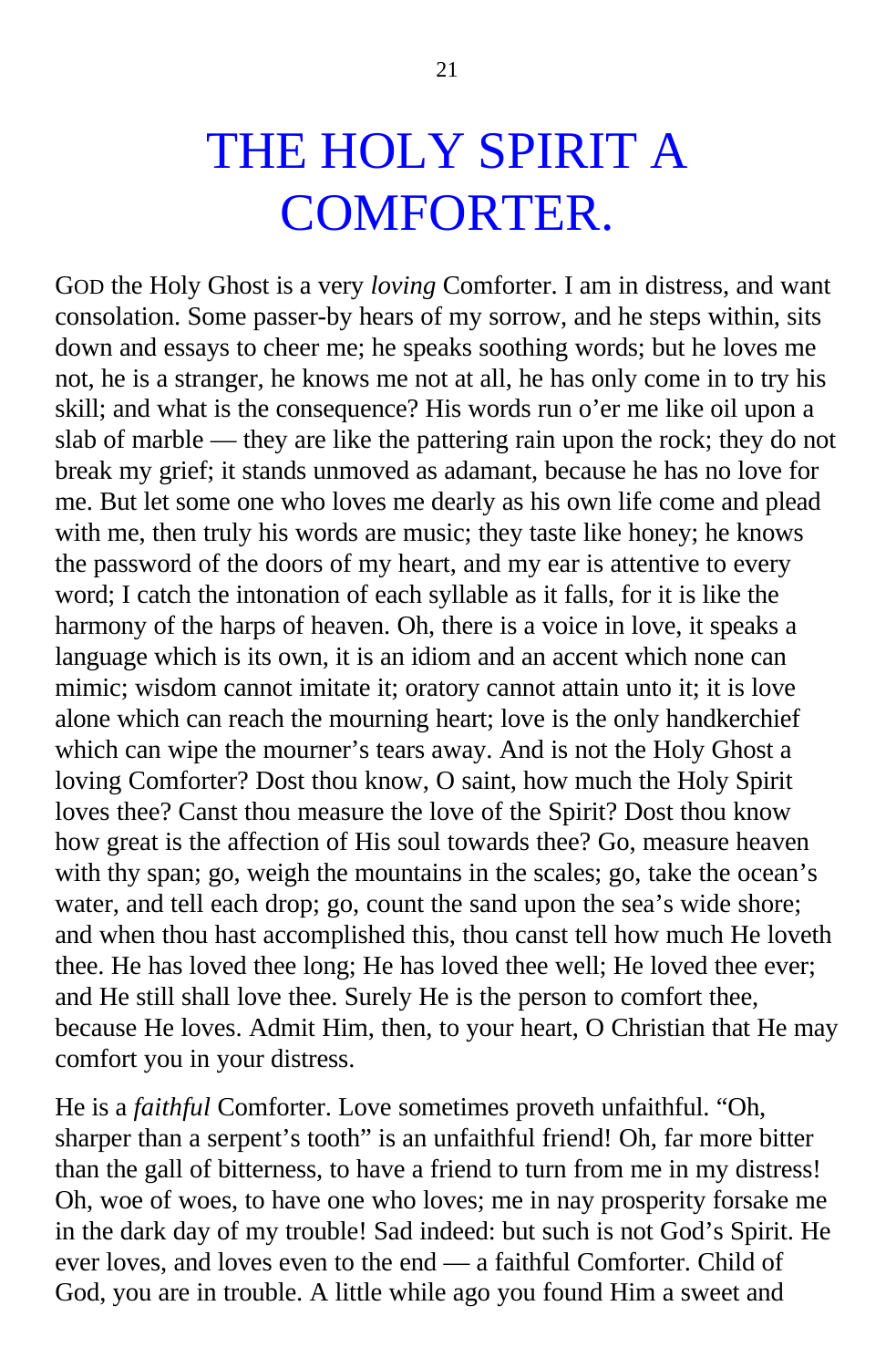# THE HOLY SPIRIT A COMFORTER.

GOD the Holy Ghost is a very *loving* Comforter. I am in distress, and want consolation. Some passer-by hears of my sorrow, and he steps within, sits down and essays to cheer me; he speaks soothing words; but he loves me not, he is a stranger, he knows me not at all, he has only come in to try his skill; and what is the consequence? His words run o'er me like oil upon a slab of marble — they are like the pattering rain upon the rock; they do not break my grief; it stands unmoved as adamant, because he has no love for me. But let some one who loves me dearly as his own life come and plead with me, then truly his words are music; they taste like honey; he knows the password of the doors of my heart, and my ear is attentive to every word; I catch the intonation of each syllable as it falls, for it is like the harmony of the harps of heaven. Oh, there is a voice in love, it speaks a language which is its own, it is an idiom and an accent which none can mimic; wisdom cannot imitate it; oratory cannot attain unto it; it is love alone which can reach the mourning heart; love is the only handkerchief which can wipe the mourner's tears away. And is not the Holy Ghost a loving Comforter? Dost thou know, O saint, how much the Holy Spirit loves thee? Canst thou measure the love of the Spirit? Dost thou know how great is the affection of His soul towards thee? Go, measure heaven with thy span; go, weigh the mountains in the scales; go, take the ocean's water, and tell each drop; go, count the sand upon the sea's wide shore; and when thou hast accomplished this, thou canst tell how much He loveth thee. He has loved thee long; He has loved thee well; He loved thee ever; and He still shall love thee. Surely He is the person to comfort thee, because He loves. Admit Him, then, to your heart, O Christian that He may comfort you in your distress.

He is a *faithful* Comforter. Love sometimes proveth unfaithful. "Oh, sharper than a serpent's tooth" is an unfaithful friend! Oh, far more bitter than the gall of bitterness, to have a friend to turn from me in my distress! Oh, woe of woes, to have one who loves; me in nay prosperity forsake me in the dark day of my trouble! Sad indeed: but such is not God's Spirit. He ever loves, and loves even to the end — a faithful Comforter. Child of God, you are in trouble. A little while ago you found Him a sweet and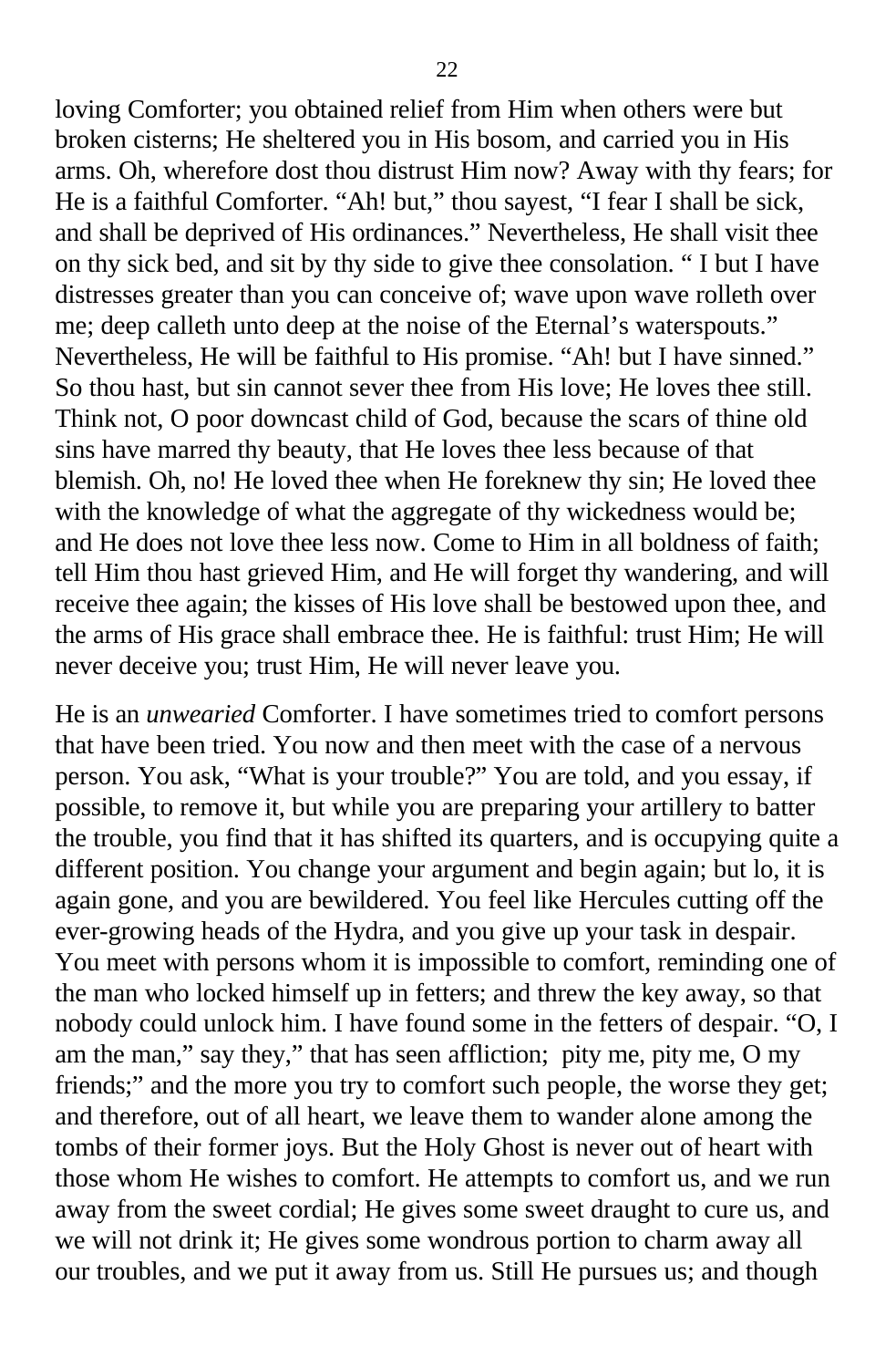loving Comforter; you obtained relief from Him when others were but broken cisterns; He sheltered you in His bosom, and carried you in His arms. Oh, wherefore dost thou distrust Him now? Away with thy fears; for He is a faithful Comforter. "Ah! but," thou sayest, "I fear I shall be sick, and shall be deprived of His ordinances." Nevertheless, He shall visit thee on thy sick bed, and sit by thy side to give thee consolation. " I but I have distresses greater than you can conceive of; wave upon wave rolleth over me; deep calleth unto deep at the noise of the Eternal's waterspouts." Nevertheless, He will be faithful to His promise. "Ah! but I have sinned." So thou hast, but sin cannot sever thee from His love; He loves thee still. Think not, O poor downcast child of God, because the scars of thine old sins have marred thy beauty, that He loves thee less because of that blemish. Oh, no! He loved thee when He foreknew thy sin; He loved thee with the knowledge of what the aggregate of thy wickedness would be; and He does not love thee less now. Come to Him in all boldness of faith; tell Him thou hast grieved Him, and He will forget thy wandering, and will receive thee again; the kisses of His love shall be bestowed upon thee, and the arms of His grace shall embrace thee. He is faithful: trust Him; He will never deceive you; trust Him, He will never leave you.

He is an *unwearied* Comforter. I have sometimes tried to comfort persons that have been tried. You now and then meet with the case of a nervous person. You ask, "What is your trouble?" You are told, and you essay, if possible, to remove it, but while you are preparing your artillery to batter the trouble, you find that it has shifted its quarters, and is occupying quite a different position. You change your argument and begin again; but lo, it is again gone, and you are bewildered. You feel like Hercules cutting off the ever-growing heads of the Hydra, and you give up your task in despair. You meet with persons whom it is impossible to comfort, reminding one of the man who locked himself up in fetters; and threw the key away, so that nobody could unlock him. I have found some in the fetters of despair. "O, I am the man," say they," that has seen affliction; pity me, pity me, O my friends;" and the more you try to comfort such people, the worse they get; and therefore, out of all heart, we leave them to wander alone among the tombs of their former joys. But the Holy Ghost is never out of heart with those whom He wishes to comfort. He attempts to comfort us, and we run away from the sweet cordial; He gives some sweet draught to cure us, and we will not drink it; He gives some wondrous portion to charm away all our troubles, and we put it away from us. Still He pursues us; and though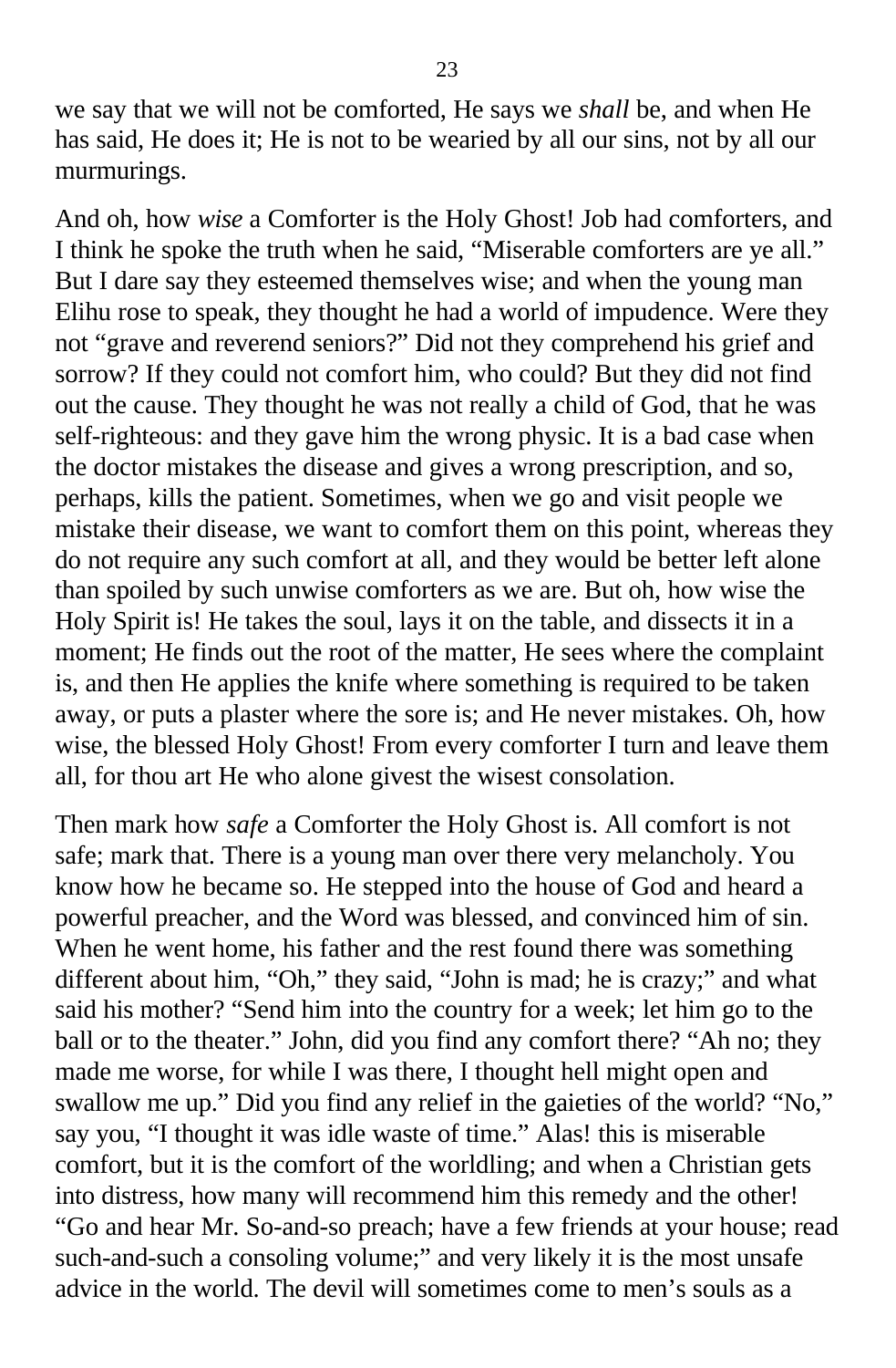we say that we will not be comforted, He says we *shall* be, and when He has said, He does it; He is not to be wearied by all our sins, not by all our murmurings.

And oh, how *wise* a Comforter is the Holy Ghost! Job had comforters, and I think he spoke the truth when he said, "Miserable comforters are ye all." But I dare say they esteemed themselves wise; and when the young man Elihu rose to speak, they thought he had a world of impudence. Were they not "grave and reverend seniors?" Did not they comprehend his grief and sorrow? If they could not comfort him, who could? But they did not find out the cause. They thought he was not really a child of God, that he was self-righteous: and they gave him the wrong physic. It is a bad case when the doctor mistakes the disease and gives a wrong prescription, and so, perhaps, kills the patient. Sometimes, when we go and visit people we mistake their disease, we want to comfort them on this point, whereas they do not require any such comfort at all, and they would be better left alone than spoiled by such unwise comforters as we are. But oh, how wise the Holy Spirit is! He takes the soul, lays it on the table, and dissects it in a moment; He finds out the root of the matter, He sees where the complaint is, and then He applies the knife where something is required to be taken away, or puts a plaster where the sore is; and He never mistakes. Oh, how wise, the blessed Holy Ghost! From every comforter I turn and leave them all, for thou art He who alone givest the wisest consolation.

Then mark how *safe* a Comforter the Holy Ghost is. All comfort is not safe; mark that. There is a young man over there very melancholy. You know how he became so. He stepped into the house of God and heard a powerful preacher, and the Word was blessed, and convinced him of sin. When he went home, his father and the rest found there was something different about him, "Oh," they said, "John is mad; he is crazy;" and what said his mother? "Send him into the country for a week; let him go to the ball or to the theater." John, did you find any comfort there? "Ah no; they made me worse, for while I was there, I thought hell might open and swallow me up." Did you find any relief in the gaieties of the world? "No," say you, "I thought it was idle waste of time." Alas! this is miserable comfort, but it is the comfort of the worldling; and when a Christian gets into distress, how many will recommend him this remedy and the other! "Go and hear Mr. So-and-so preach; have a few friends at your house; read such-and-such a consoling volume;" and very likely it is the most unsafe advice in the world. The devil will sometimes come to men's souls as a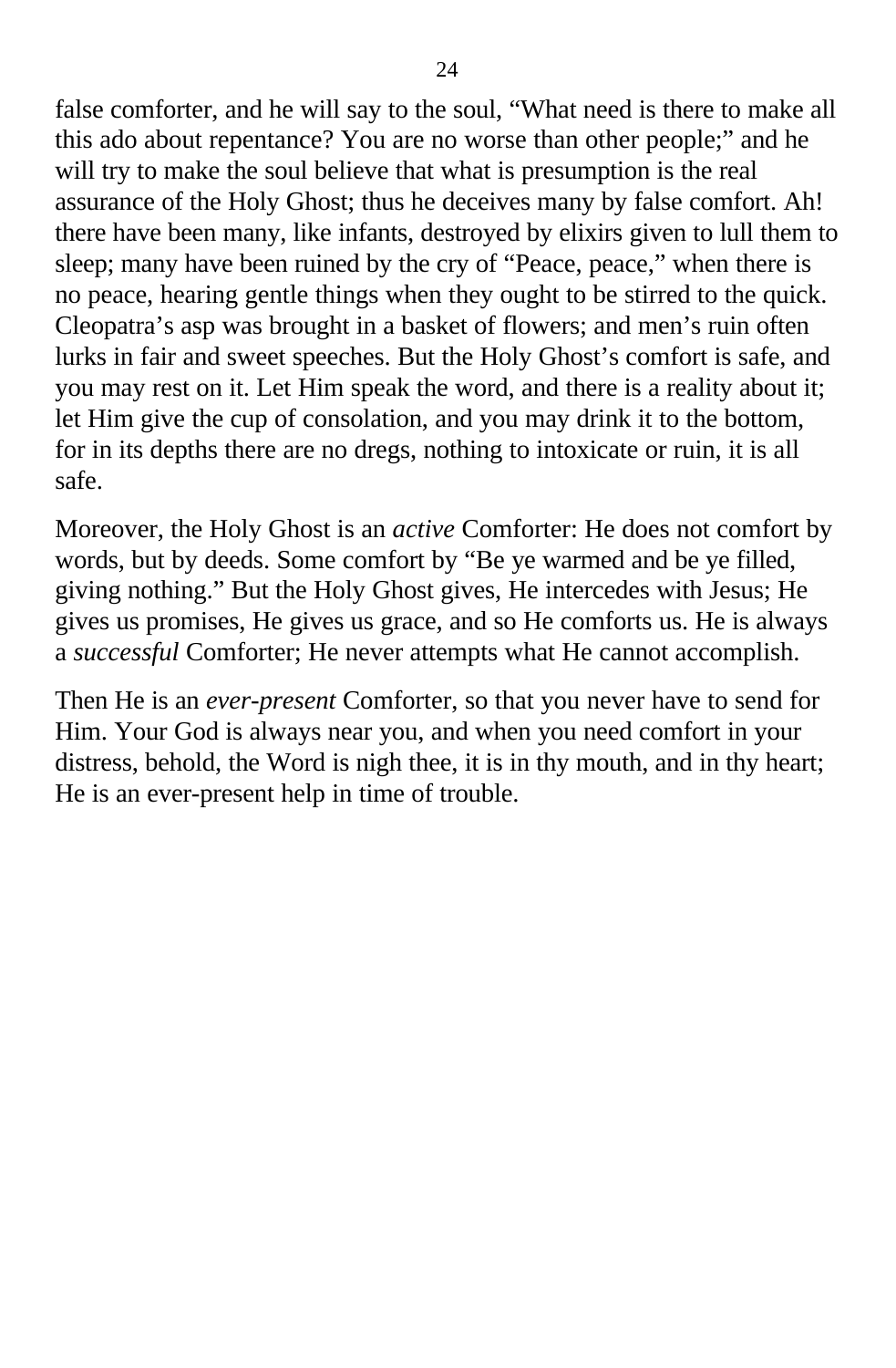false comforter, and he will say to the soul, "What need is there to make all this ado about repentance? You are no worse than other people;" and he will try to make the soul believe that what is presumption is the real assurance of the Holy Ghost; thus he deceives many by false comfort. Ah! there have been many, like infants, destroyed by elixirs given to lull them to sleep; many have been ruined by the cry of "Peace, peace," when there is no peace, hearing gentle things when they ought to be stirred to the quick. Cleopatra's asp was brought in a basket of flowers; and men's ruin often lurks in fair and sweet speeches. But the Holy Ghost's comfort is safe, and you may rest on it. Let Him speak the word, and there is a reality about it; let Him give the cup of consolation, and you may drink it to the bottom, for in its depths there are no dregs, nothing to intoxicate or ruin, it is all safe.

Moreover, the Holy Ghost is an *active* Comforter: He does not comfort by words, but by deeds. Some comfort by "Be ye warmed and be ye filled, giving nothing." But the Holy Ghost gives, He intercedes with Jesus; He gives us promises, He gives us grace, and so He comforts us. He is always a *successful* Comforter; He never attempts what He cannot accomplish.

Then He is an *ever-present* Comforter, so that you never have to send for Him. Your God is always near you, and when you need comfort in your distress, behold, the Word is nigh thee, it is in thy mouth, and in thy heart; He is an ever-present help in time of trouble.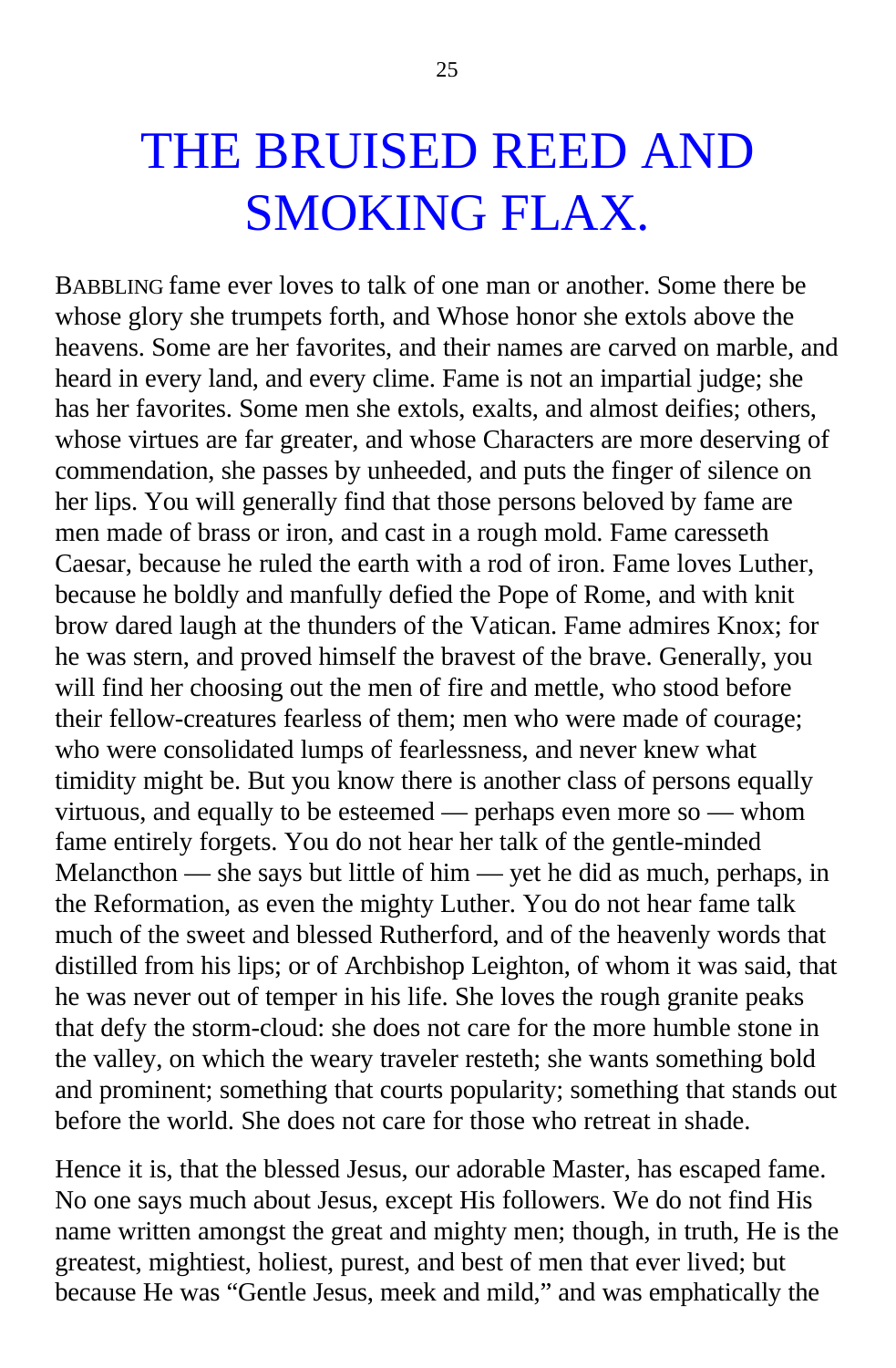# THE BRUISED REED AND SMOKING FLAX.

BABBLING fame ever loves to talk of one man or another. Some there be whose glory she trumpets forth, and Whose honor she extols above the heavens. Some are her favorites, and their names are carved on marble, and heard in every land, and every clime. Fame is not an impartial judge; she has her favorites. Some men she extols, exalts, and almost deifies; others, whose virtues are far greater, and whose Characters are more deserving of commendation, she passes by unheeded, and puts the finger of silence on her lips. You will generally find that those persons beloved by fame are men made of brass or iron, and cast in a rough mold. Fame caresseth Caesar, because he ruled the earth with a rod of iron. Fame loves Luther, because he boldly and manfully defied the Pope of Rome, and with knit brow dared laugh at the thunders of the Vatican. Fame admires Knox; for he was stern, and proved himself the bravest of the brave. Generally, you will find her choosing out the men of fire and mettle, who stood before their fellow-creatures fearless of them; men who were made of courage; who were consolidated lumps of fearlessness, and never knew what timidity might be. But you know there is another class of persons equally virtuous, and equally to be esteemed — perhaps even more so — whom fame entirely forgets. You do not hear her talk of the gentle-minded Melancthon — she says but little of him — yet he did as much, perhaps, in the Reformation, as even the mighty Luther. You do not hear fame talk much of the sweet and blessed Rutherford, and of the heavenly words that distilled from his lips; or of Archbishop Leighton, of whom it was said, that he was never out of temper in his life. She loves the rough granite peaks that defy the storm-cloud: she does not care for the more humble stone in the valley, on which the weary traveler resteth; she wants something bold and prominent; something that courts popularity; something that stands out before the world. She does not care for those who retreat in shade.

Hence it is, that the blessed Jesus, our adorable Master, has escaped fame. No one says much about Jesus, except His followers. We do not find His name written amongst the great and mighty men; though, in truth, He is the greatest, mightiest, holiest, purest, and best of men that ever lived; but because He was "Gentle Jesus, meek and mild," and was emphatically the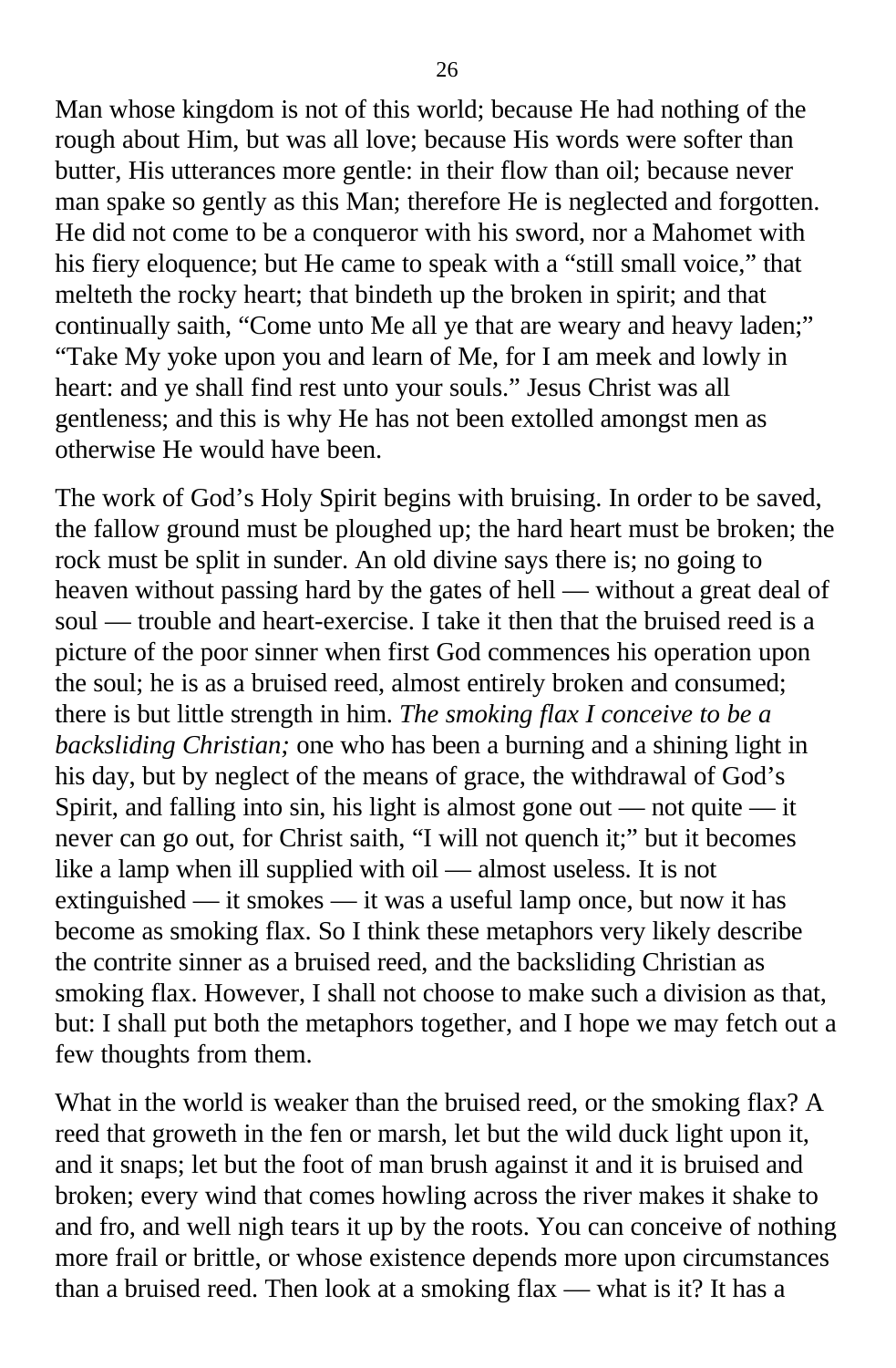Man whose kingdom is not of this world; because He had nothing of the rough about Him, but was all love; because His words were softer than butter, His utterances more gentle: in their flow than oil; because never man spake so gently as this Man; therefore He is neglected and forgotten. He did not come to be a conqueror with his sword, nor a Mahomet with his fiery eloquence; but He came to speak with a "still small voice," that melteth the rocky heart; that bindeth up the broken in spirit; and that continually saith, "Come unto Me all ye that are weary and heavy laden;" "Take My yoke upon you and learn of Me, for I am meek and lowly in heart: and ye shall find rest unto your souls." Jesus Christ was all gentleness; and this is why He has not been extolled amongst men as otherwise He would have been.

The work of God's Holy Spirit begins with bruising. In order to be saved, the fallow ground must be ploughed up; the hard heart must be broken; the rock must be split in sunder. An old divine says there is; no going to heaven without passing hard by the gates of hell — without a great deal of soul — trouble and heart-exercise. I take it then that the bruised reed is a picture of the poor sinner when first God commences his operation upon the soul; he is as a bruised reed, almost entirely broken and consumed; there is but little strength in him. *The smoking flax I conceive to be a backsliding Christian;* one who has been a burning and a shining light in his day, but by neglect of the means of grace, the withdrawal of God's Spirit, and falling into sin, his light is almost gone out — not quite — it never can go out, for Christ saith, "I will not quench it;" but it becomes like a lamp when ill supplied with oil — almost useless. It is not extinguished — it smokes — it was a useful lamp once, but now it has become as smoking flax. So I think these metaphors very likely describe the contrite sinner as a bruised reed, and the backsliding Christian as smoking flax. However, I shall not choose to make such a division as that, but: I shall put both the metaphors together, and I hope we may fetch out a few thoughts from them.

What in the world is weaker than the bruised reed, or the smoking flax? A reed that groweth in the fen or marsh, let but the wild duck light upon it, and it snaps; let but the foot of man brush against it and it is bruised and broken; every wind that comes howling across the river makes it shake to and fro, and well nigh tears it up by the roots. You can conceive of nothing more frail or brittle, or whose existence depends more upon circumstances than a bruised reed. Then look at a smoking flax — what is it? It has a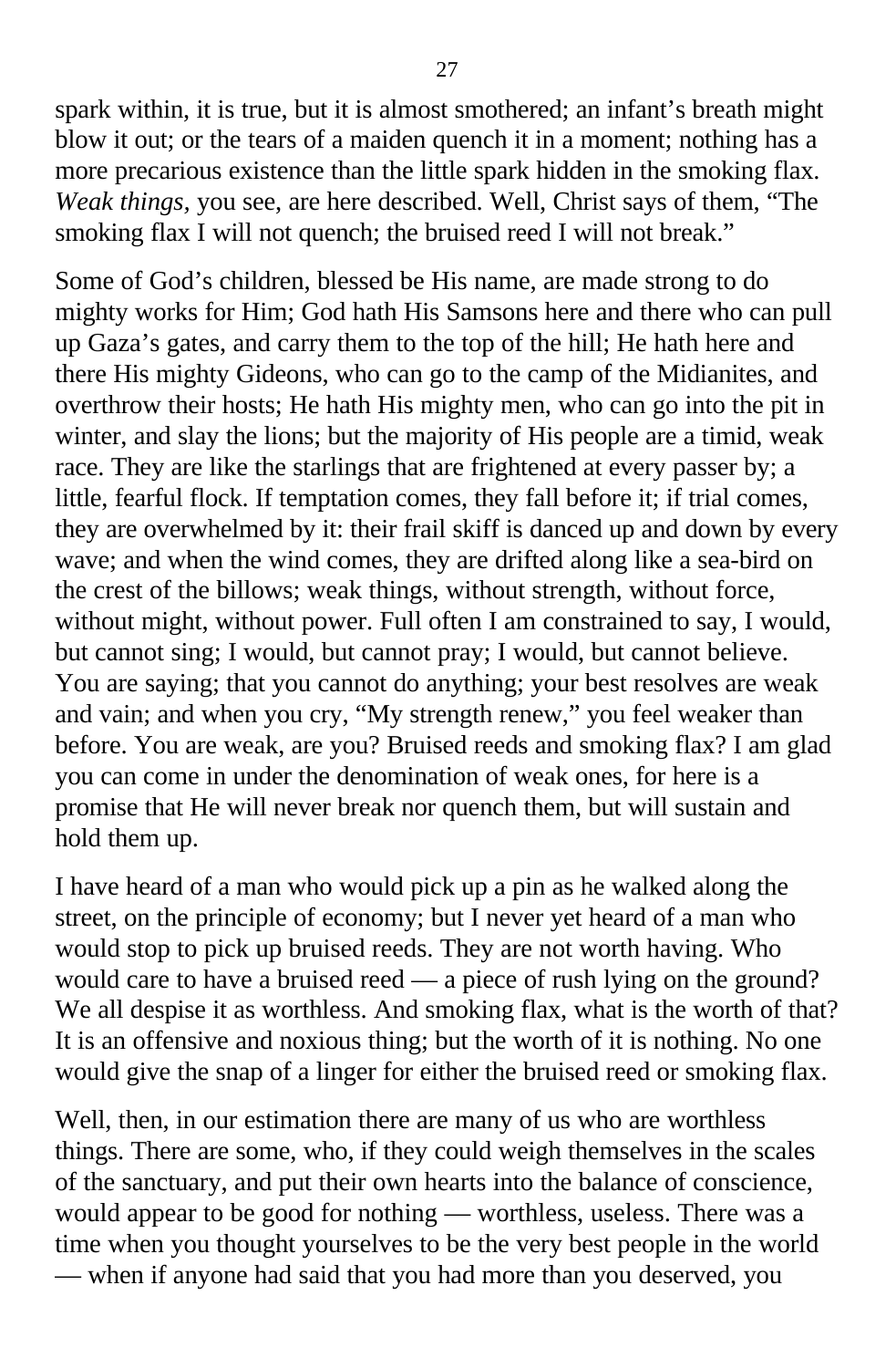spark within, it is true, but it is almost smothered; an infant's breath might blow it out; or the tears of a maiden quench it in a moment; nothing has a more precarious existence than the little spark hidden in the smoking flax. *Weak things,* you see, are here described. Well, Christ says of them, "The smoking flax I will not quench; the bruised reed I will not break."

Some of God's children, blessed be His name, are made strong to do mighty works for Him; God hath His Samsons here and there who can pull up Gaza's gates, and carry them to the top of the hill; He hath here and there His mighty Gideons, who can go to the camp of the Midianites, and overthrow their hosts; He hath His mighty men, who can go into the pit in winter, and slay the lions; but the majority of His people are a timid, weak race. They are like the starlings that are frightened at every passer by; a little, fearful flock. If temptation comes, they fall before it; if trial comes, they are overwhelmed by it: their frail skiff is danced up and down by every wave; and when the wind comes, they are drifted along like a sea-bird on the crest of the billows; weak things, without strength, without force, without might, without power. Full often I am constrained to say, I would, but cannot sing; I would, but cannot pray; I would, but cannot believe. You are saying; that you cannot do anything; your best resolves are weak and vain; and when you cry, "My strength renew," you feel weaker than before. You are weak, are you? Bruised reeds and smoking flax? I am glad you can come in under the denomination of weak ones, for here is a promise that He will never break nor quench them, but will sustain and hold them up.

I have heard of a man who would pick up a pin as he walked along the street, on the principle of economy; but I never yet heard of a man who would stop to pick up bruised reeds. They are not worth having. Who would care to have a bruised reed — a piece of rush lying on the ground? We all despise it as worthless. And smoking flax, what is the worth of that? It is an offensive and noxious thing; but the worth of it is nothing. No one would give the snap of a linger for either the bruised reed or smoking flax.

Well, then, in our estimation there are many of us who are worthless things. There are some, who, if they could weigh themselves in the scales of the sanctuary, and put their own hearts into the balance of conscience, would appear to be good for nothing — worthless, useless. There was a time when you thought yourselves to be the very best people in the world — when if anyone had said that you had more than you deserved, you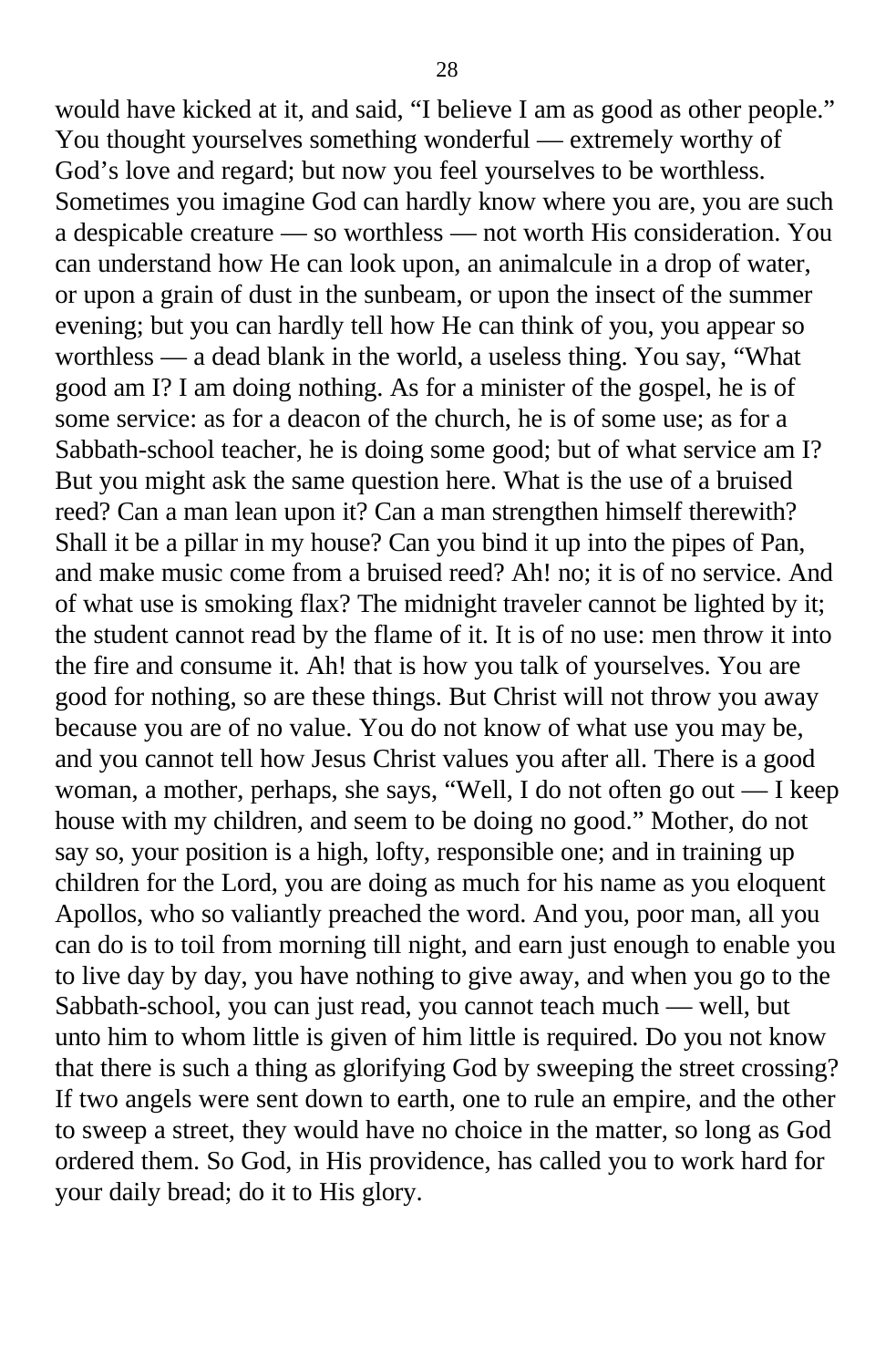would have kicked at it, and said, "I believe I am as good as other people." You thought yourselves something wonderful — extremely worthy of God's love and regard; but now you feel yourselves to be worthless. Sometimes you imagine God can hardly know where you are, you are such a despicable creature — so worthless — not worth His consideration. You can understand how He can look upon, an animalcule in a drop of water, or upon a grain of dust in the sunbeam, or upon the insect of the summer evening; but you can hardly tell how He can think of you, you appear so worthless — a dead blank in the world, a useless thing. You say, "What good am I? I am doing nothing. As for a minister of the gospel, he is of some service: as for a deacon of the church, he is of some use; as for a Sabbath-school teacher, he is doing some good; but of what service am I? But you might ask the same question here. What is the use of a bruised reed? Can a man lean upon it? Can a man strengthen himself therewith? Shall it be a pillar in my house? Can you bind it up into the pipes of Pan, and make music come from a bruised reed? Ah! no; it is of no service. And of what use is smoking flax? The midnight traveler cannot be lighted by it; the student cannot read by the flame of it. It is of no use: men throw it into the fire and consume it. Ah! that is how you talk of yourselves. You are good for nothing, so are these things. But Christ will not throw you away because you are of no value. You do not know of what use you may be, and you cannot tell how Jesus Christ values you after all. There is a good woman, a mother, perhaps, she says, "Well, I do not often go out — I keep house with my children, and seem to be doing no good." Mother, do not say so, your position is a high, lofty, responsible one; and in training up children for the Lord, you are doing as much for his name as you eloquent Apollos, who so valiantly preached the word. And you, poor man, all you can do is to toil from morning till night, and earn just enough to enable you to live day by day, you have nothing to give away, and when you go to the Sabbath-school, you can just read, you cannot teach much — well, but unto him to whom little is given of him little is required. Do you not know that there is such a thing as glorifying God by sweeping the street crossing? If two angels were sent down to earth, one to rule an empire, and the other to sweep a street, they would have no choice in the matter, so long as God ordered them. So God, in His providence, has called you to work hard for your daily bread; do it to His glory.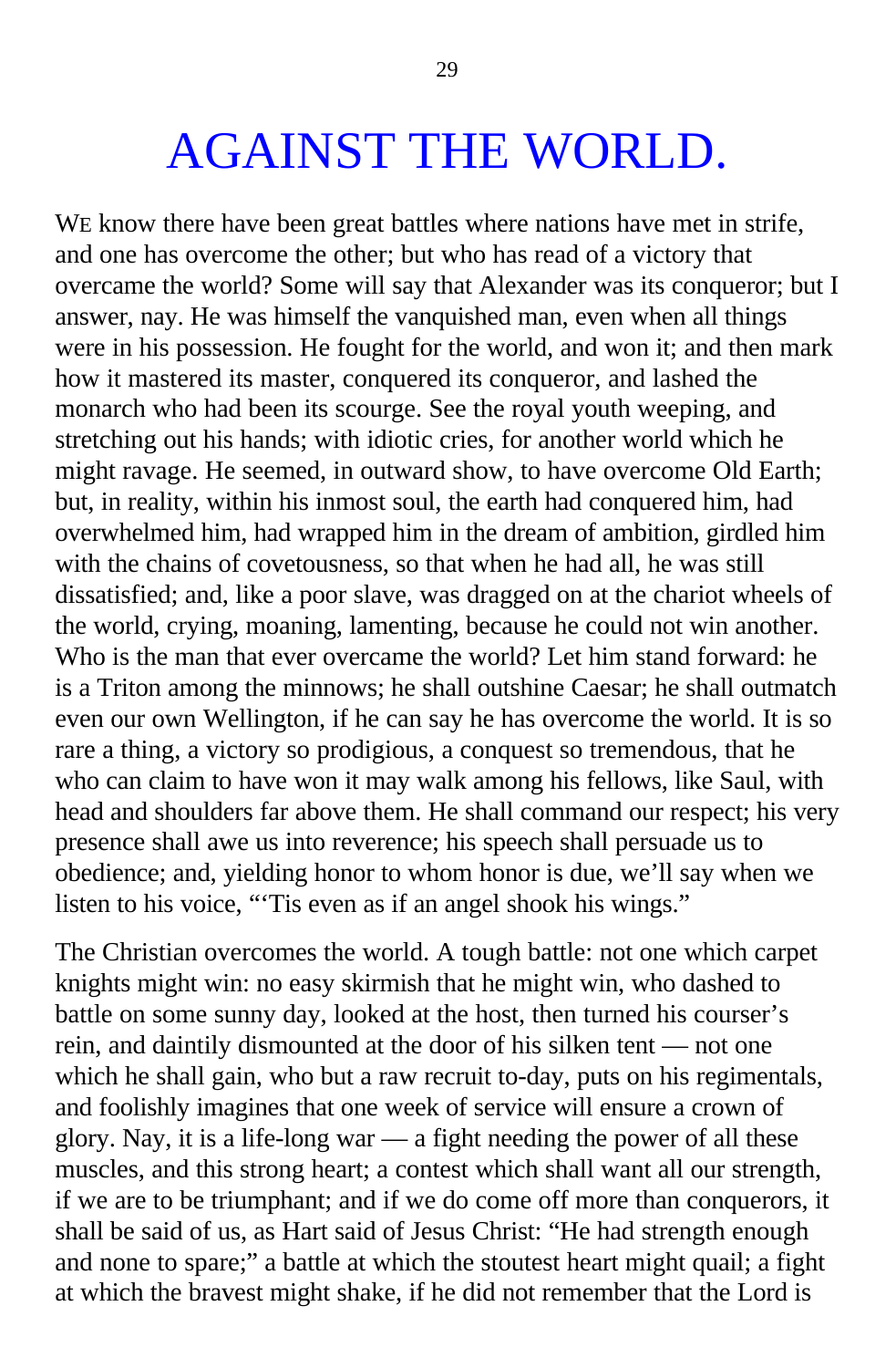## AGAINST THE WORLD.

WE know there have been great battles where nations have met in strife, and one has overcome the other; but who has read of a victory that overcame the world? Some will say that Alexander was its conqueror; but I answer, nay. He was himself the vanquished man, even when all things were in his possession. He fought for the world, and won it; and then mark how it mastered its master, conquered its conqueror, and lashed the monarch who had been its scourge. See the royal youth weeping, and stretching out his hands; with idiotic cries, for another world which he might ravage. He seemed, in outward show, to have overcome Old Earth; but, in reality, within his inmost soul, the earth had conquered him, had overwhelmed him, had wrapped him in the dream of ambition, girdled him with the chains of covetousness, so that when he had all, he was still dissatisfied; and, like a poor slave, was dragged on at the chariot wheels of the world, crying, moaning, lamenting, because he could not win another. Who is the man that ever overcame the world? Let him stand forward: he is a Triton among the minnows; he shall outshine Caesar; he shall outmatch even our own Wellington, if he can say he has overcome the world. It is so rare a thing, a victory so prodigious, a conquest so tremendous, that he who can claim to have won it may walk among his fellows, like Saul, with head and shoulders far above them. He shall command our respect; his very presence shall awe us into reverence; his speech shall persuade us to obedience; and, yielding honor to whom honor is due, we'll say when we listen to his voice, "'Tis even as if an angel shook his wings."

The Christian overcomes the world. A tough battle: not one which carpet knights might win: no easy skirmish that he might win, who dashed to battle on some sunny day, looked at the host, then turned his courser's rein, and daintily dismounted at the door of his silken tent — not one which he shall gain, who but a raw recruit to-day, puts on his regimentals, and foolishly imagines that one week of service will ensure a crown of glory. Nay, it is a life-long war — a fight needing the power of all these muscles, and this strong heart; a contest which shall want all our strength, if we are to be triumphant; and if we do come off more than conquerors, it shall be said of us, as Hart said of Jesus Christ: "He had strength enough and none to spare;" a battle at which the stoutest heart might quail; a fight at which the bravest might shake, if he did not remember that the Lord is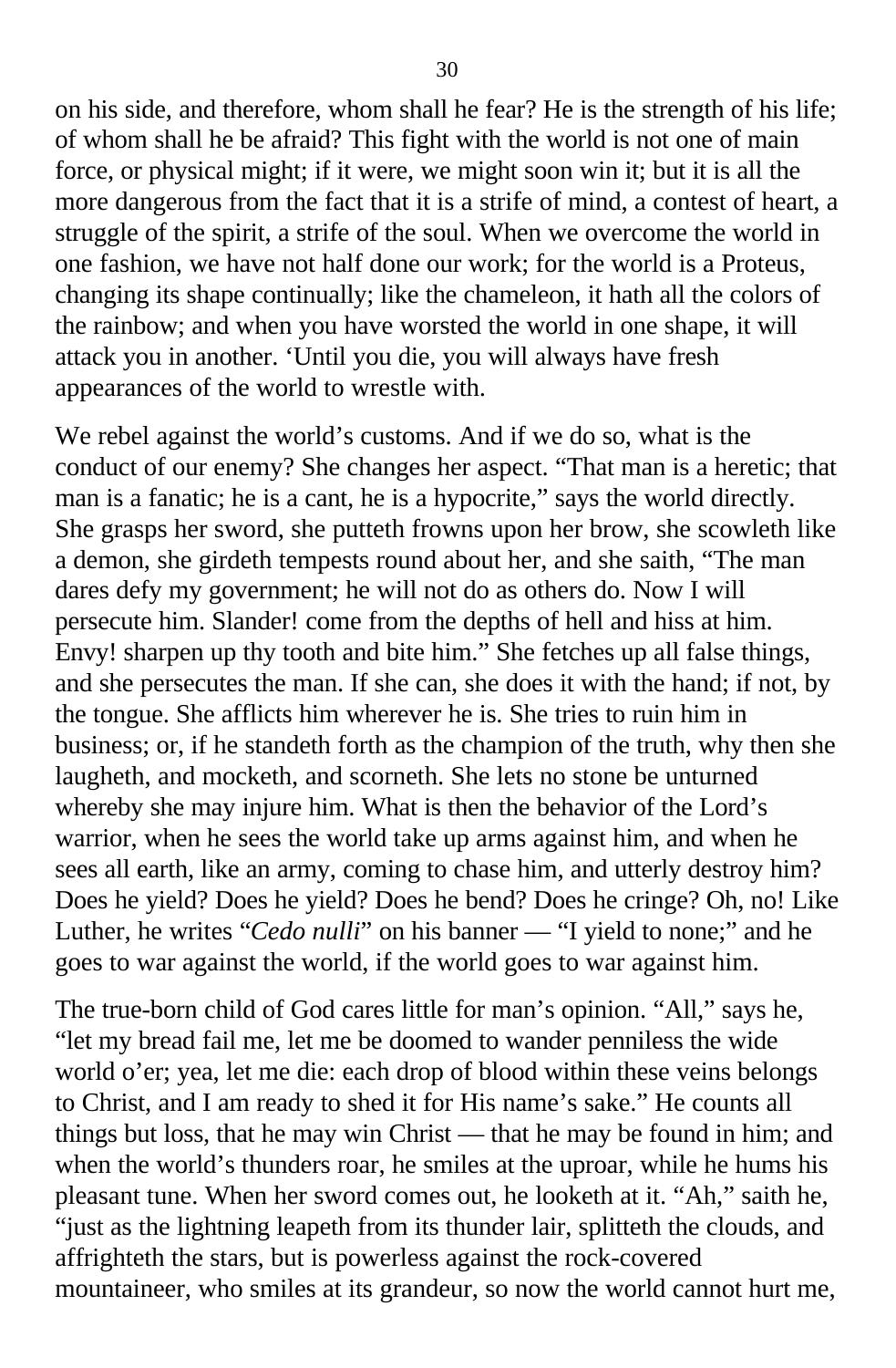on his side, and therefore, whom shall he fear? He is the strength of his life; of whom shall he be afraid? This fight with the world is not one of main force, or physical might; if it were, we might soon win it; but it is all the more dangerous from the fact that it is a strife of mind, a contest of heart, a struggle of the spirit, a strife of the soul. When we overcome the world in one fashion, we have not half done our work; for the world is a Proteus, changing its shape continually; like the chameleon, it hath all the colors of the rainbow; and when you have worsted the world in one shape, it will attack you in another. 'Until you die, you will always have fresh appearances of the world to wrestle with.

We rebel against the world's customs. And if we do so, what is the conduct of our enemy? She changes her aspect. "That man is a heretic; that man is a fanatic; he is a cant, he is a hypocrite," says the world directly. She grasps her sword, she putteth frowns upon her brow, she scowleth like a demon, she girdeth tempests round about her, and she saith, "The man dares defy my government; he will not do as others do. Now I will persecute him. Slander! come from the depths of hell and hiss at him. Envy! sharpen up thy tooth and bite him." She fetches up all false things, and she persecutes the man. If she can, she does it with the hand; if not, by the tongue. She afflicts him wherever he is. She tries to ruin him in business; or, if he standeth forth as the champion of the truth, why then she laugheth, and mocketh, and scorneth. She lets no stone be unturned whereby she may injure him. What is then the behavior of the Lord's warrior, when he sees the world take up arms against him, and when he sees all earth, like an army, coming to chase him, and utterly destroy him? Does he yield? Does he yield? Does he bend? Does he cringe? Oh, no! Like Luther, he writes "*Cedo nulli*" on his banner — "I yield to none;" and he goes to war against the world, if the world goes to war against him.

The true-born child of God cares little for man's opinion. "All," says he, "let my bread fail me, let me be doomed to wander penniless the wide world o'er; yea, let me die: each drop of blood within these veins belongs to Christ, and I am ready to shed it for His name's sake." He counts all things but loss, that he may win Christ — that he may be found in him; and when the world's thunders roar, he smiles at the uproar, while he hums his pleasant tune. When her sword comes out, he looketh at it. "Ah," saith he, "just as the lightning leapeth from its thunder lair, splitteth the clouds, and affrighteth the stars, but is powerless against the rock-covered mountaineer, who smiles at its grandeur, so now the world cannot hurt me,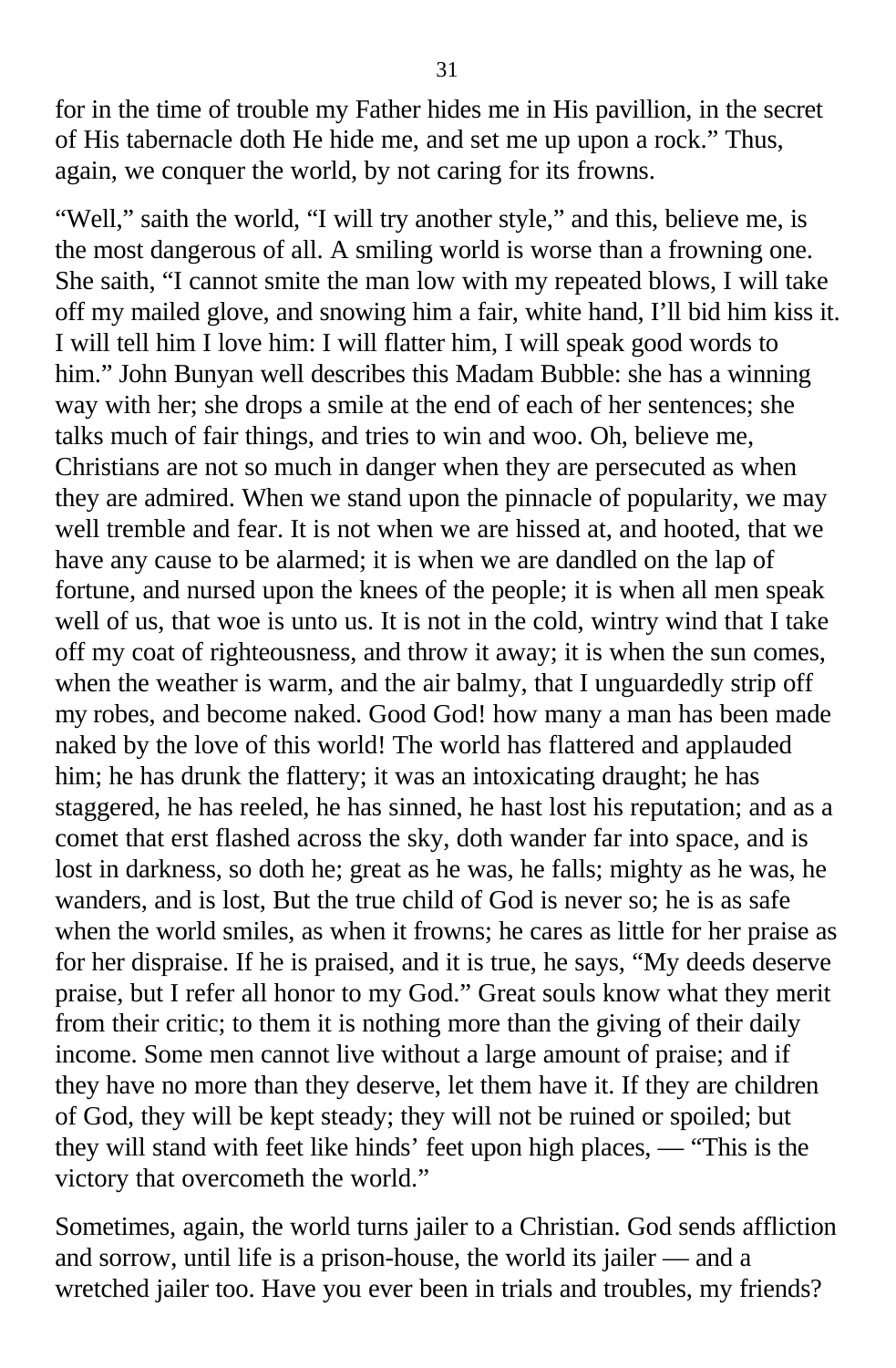for in the time of trouble my Father hides me in His pavillion, in the secret of His tabernacle doth He hide me, and set me up upon a rock." Thus, again, we conquer the world, by not caring for its frowns.

"Well," saith the world, "I will try another style," and this, believe me, is the most dangerous of all. A smiling world is worse than a frowning one. She saith, "I cannot smite the man low with my repeated blows, I will take off my mailed glove, and snowing him a fair, white hand, I'll bid him kiss it. I will tell him I love him: I will flatter him, I will speak good words to him." John Bunyan well describes this Madam Bubble: she has a winning way with her; she drops a smile at the end of each of her sentences; she talks much of fair things, and tries to win and woo. Oh, believe me, Christians are not so much in danger when they are persecuted as when they are admired. When we stand upon the pinnacle of popularity, we may well tremble and fear. It is not when we are hissed at, and hooted, that we have any cause to be alarmed; it is when we are dandled on the lap of fortune, and nursed upon the knees of the people; it is when all men speak well of us, that woe is unto us. It is not in the cold, wintry wind that I take off my coat of righteousness, and throw it away; it is when the sun comes, when the weather is warm, and the air balmy, that I unguardedly strip off my robes, and become naked. Good God! how many a man has been made naked by the love of this world! The world has flattered and applauded him; he has drunk the flattery; it was an intoxicating draught; he has staggered, he has reeled, he has sinned, he hast lost his reputation; and as a comet that erst flashed across the sky, doth wander far into space, and is lost in darkness, so doth he; great as he was, he falls; mighty as he was, he wanders, and is lost, But the true child of God is never so; he is as safe when the world smiles, as when it frowns; he cares as little for her praise as for her dispraise. If he is praised, and it is true, he says, "My deeds deserve praise, but I refer all honor to my God." Great souls know what they merit from their critic; to them it is nothing more than the giving of their daily income. Some men cannot live without a large amount of praise; and if they have no more than they deserve, let them have it. If they are children of God, they will be kept steady; they will not be ruined or spoiled; but they will stand with feet like hinds' feet upon high places, — "This is the victory that overcometh the world."

Sometimes, again, the world turns jailer to a Christian. God sends affliction and sorrow, until life is a prison-house, the world its jailer — and a wretched jailer too. Have you ever been in trials and troubles, my friends?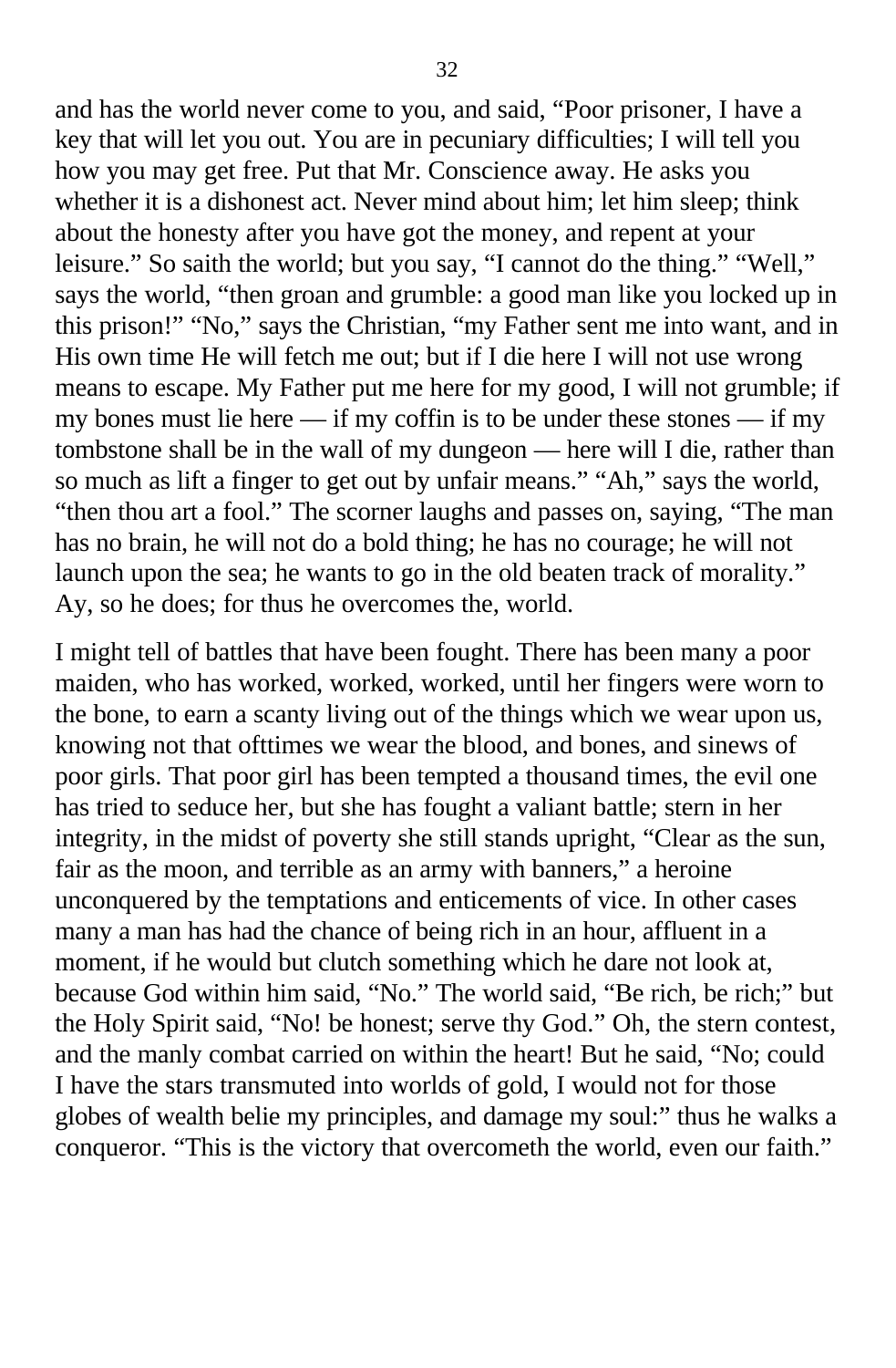and has the world never come to you, and said, "Poor prisoner, I have a key that will let you out. You are in pecuniary difficulties; I will tell you how you may get free. Put that Mr. Conscience away. He asks you whether it is a dishonest act. Never mind about him; let him sleep; think about the honesty after you have got the money, and repent at your leisure." So saith the world; but you say, "I cannot do the thing." "Well," says the world, "then groan and grumble: a good man like you locked up in this prison!" "No," says the Christian, "my Father sent me into want, and in His own time He will fetch me out; but if I die here I will not use wrong means to escape. My Father put me here for my good, I will not grumble; if my bones must lie here — if my coffin is to be under these stones — if my tombstone shall be in the wall of my dungeon — here will I die, rather than so much as lift a finger to get out by unfair means." "Ah," says the world, "then thou art a fool." The scorner laughs and passes on, saying, "The man has no brain, he will not do a bold thing; he has no courage; he will not launch upon the sea; he wants to go in the old beaten track of morality." Ay, so he does; for thus he overcomes the, world.

I might tell of battles that have been fought. There has been many a poor maiden, who has worked, worked, worked, until her fingers were worn to the bone, to earn a scanty living out of the things which we wear upon us, knowing not that ofttimes we wear the blood, and bones, and sinews of poor girls. That poor girl has been tempted a thousand times, the evil one has tried to seduce her, but she has fought a valiant battle; stern in her integrity, in the midst of poverty she still stands upright, "Clear as the sun, fair as the moon, and terrible as an army with banners," a heroine unconquered by the temptations and enticements of vice. In other cases many a man has had the chance of being rich in an hour, affluent in a moment, if he would but clutch something which he dare not look at, because God within him said, "No." The world said, "Be rich, be rich;" but the Holy Spirit said, "No! be honest; serve thy God." Oh, the stern contest, and the manly combat carried on within the heart! But he said, "No; could I have the stars transmuted into worlds of gold, I would not for those globes of wealth belie my principles, and damage my soul:" thus he walks a conqueror. "This is the victory that overcometh the world, even our faith."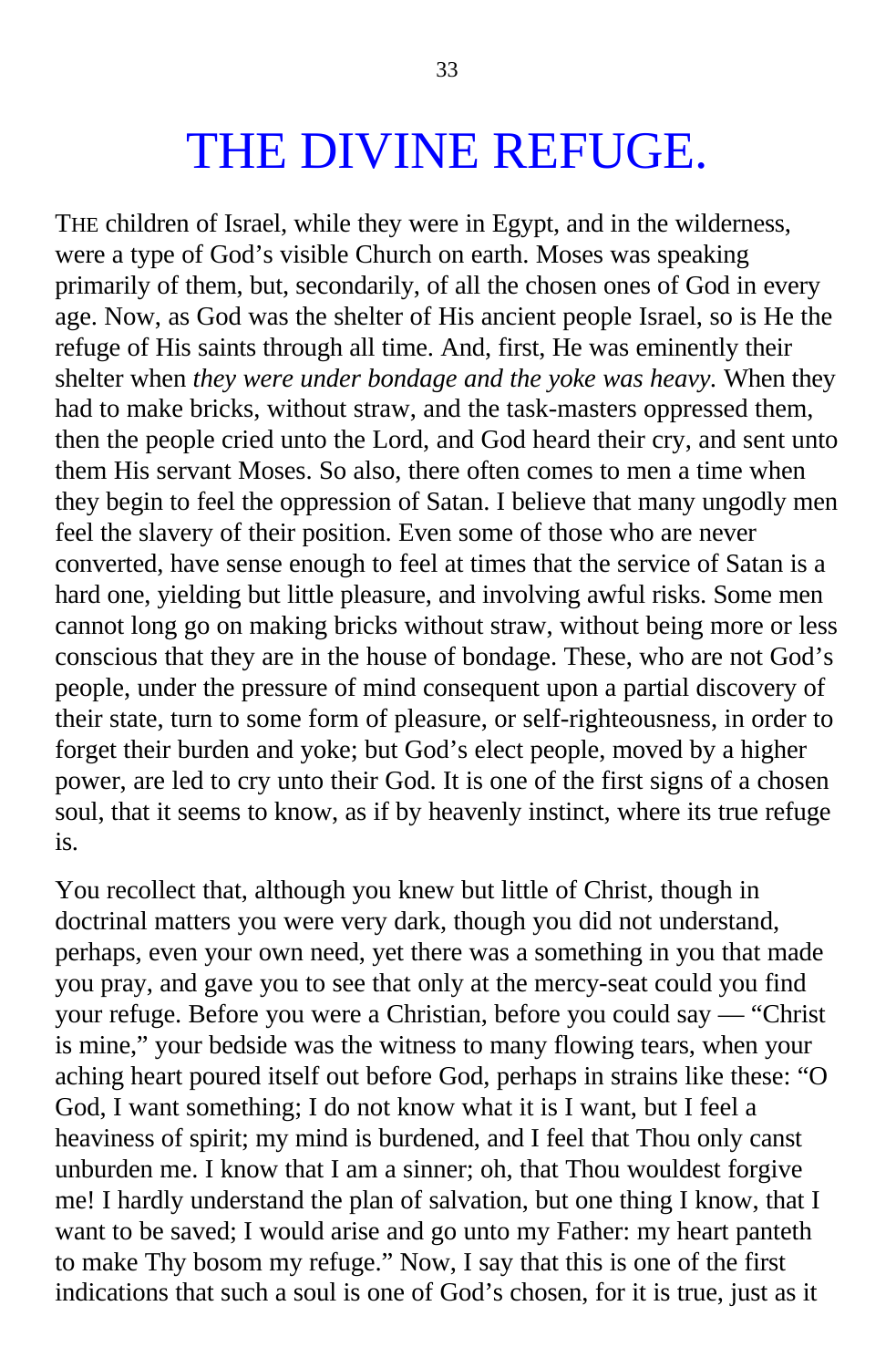#### THE DIVINE REFUGE.

THE children of Israel, while they were in Egypt, and in the wilderness, were a type of God's visible Church on earth. Moses was speaking primarily of them, but, secondarily, of all the chosen ones of God in every age. Now, as God was the shelter of His ancient people Israel, so is He the refuge of His saints through all time. And, first, He was eminently their shelter when *they were under bondage and the yoke was heavy.* When they had to make bricks, without straw, and the task-masters oppressed them, then the people cried unto the Lord, and God heard their cry, and sent unto them His servant Moses. So also, there often comes to men a time when they begin to feel the oppression of Satan. I believe that many ungodly men feel the slavery of their position. Even some of those who are never converted, have sense enough to feel at times that the service of Satan is a hard one, yielding but little pleasure, and involving awful risks. Some men cannot long go on making bricks without straw, without being more or less conscious that they are in the house of bondage. These, who are not God's people, under the pressure of mind consequent upon a partial discovery of their state, turn to some form of pleasure, or self-righteousness, in order to forget their burden and yoke; but God's elect people, moved by a higher power, are led to cry unto their God. It is one of the first signs of a chosen soul, that it seems to know, as if by heavenly instinct, where its true refuge is.

You recollect that, although you knew but little of Christ, though in doctrinal matters you were very dark, though you did not understand, perhaps, even your own need, yet there was a something in you that made you pray, and gave you to see that only at the mercy-seat could you find your refuge. Before you were a Christian, before you could say — "Christ is mine," your bedside was the witness to many flowing tears, when your aching heart poured itself out before God, perhaps in strains like these: "O God, I want something; I do not know what it is I want, but I feel a heaviness of spirit; my mind is burdened, and I feel that Thou only canst unburden me. I know that I am a sinner; oh, that Thou wouldest forgive me! I hardly understand the plan of salvation, but one thing I know, that I want to be saved; I would arise and go unto my Father: my heart panteth to make Thy bosom my refuge." Now, I say that this is one of the first indications that such a soul is one of God's chosen, for it is true, just as it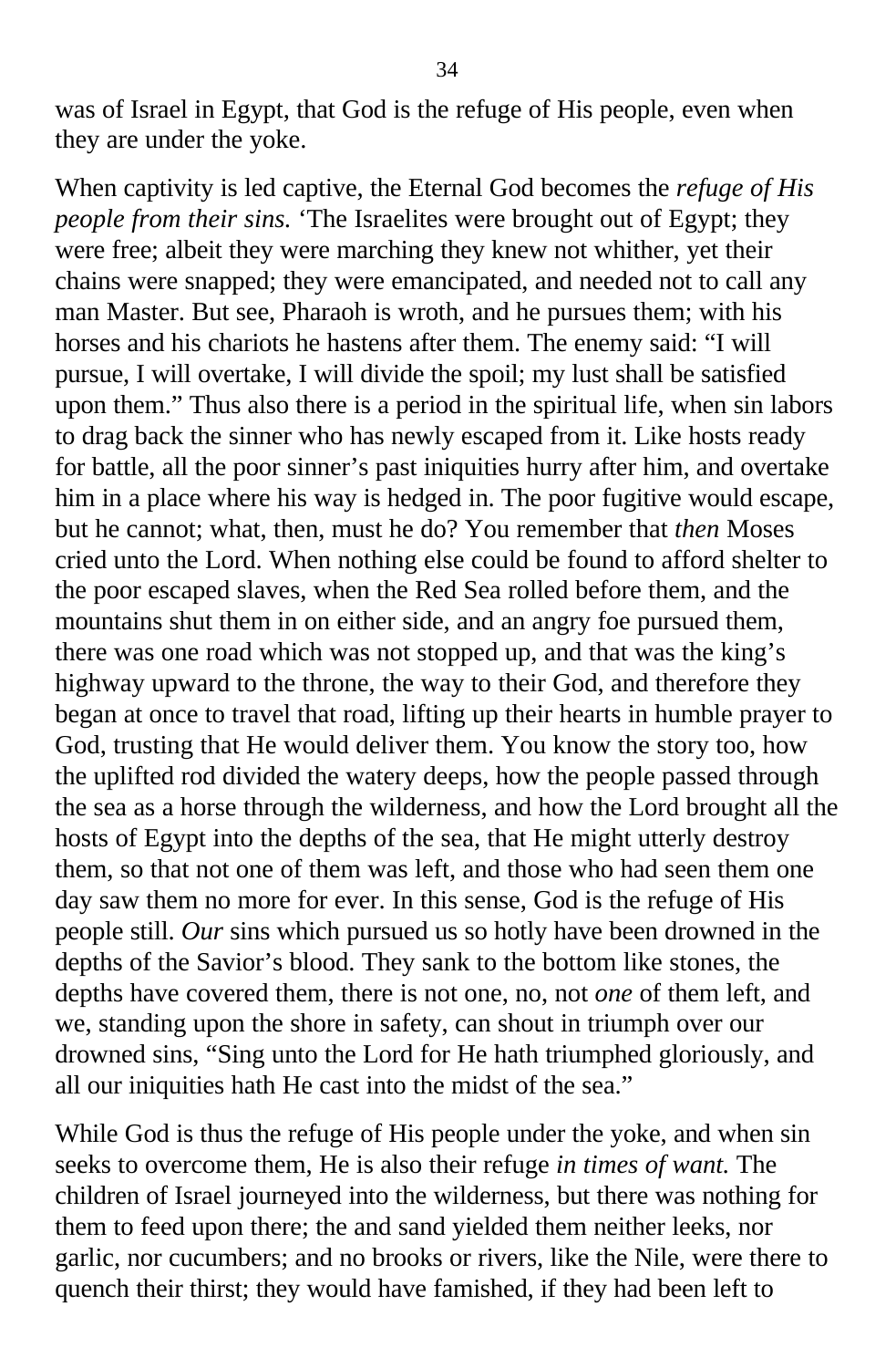was of Israel in Egypt, that God is the refuge of His people, even when they are under the yoke.

When captivity is led captive, the Eternal God becomes the *refuge of His people from their sins.* 'The Israelites were brought out of Egypt; they were free; albeit they were marching they knew not whither, yet their chains were snapped; they were emancipated, and needed not to call any man Master. But see, Pharaoh is wroth, and he pursues them; with his horses and his chariots he hastens after them. The enemy said: "I will pursue, I will overtake, I will divide the spoil; my lust shall be satisfied upon them." Thus also there is a period in the spiritual life, when sin labors to drag back the sinner who has newly escaped from it. Like hosts ready for battle, all the poor sinner's past iniquities hurry after him, and overtake him in a place where his way is hedged in. The poor fugitive would escape, but he cannot; what, then, must he do? You remember that *then* Moses cried unto the Lord. When nothing else could be found to afford shelter to the poor escaped slaves, when the Red Sea rolled before them, and the mountains shut them in on either side, and an angry foe pursued them, there was one road which was not stopped up, and that was the king's highway upward to the throne, the way to their God, and therefore they began at once to travel that road, lifting up their hearts in humble prayer to God, trusting that He would deliver them. You know the story too, how the uplifted rod divided the watery deeps, how the people passed through the sea as a horse through the wilderness, and how the Lord brought all the hosts of Egypt into the depths of the sea, that He might utterly destroy them, so that not one of them was left, and those who had seen them one day saw them no more for ever. In this sense, God is the refuge of His people still. *Our* sins which pursued us so hotly have been drowned in the depths of the Savior's blood. They sank to the bottom like stones, the depths have covered them, there is not one, no, not *one* of them left, and we, standing upon the shore in safety, can shout in triumph over our drowned sins, "Sing unto the Lord for He hath triumphed gloriously, and all our iniquities hath He cast into the midst of the sea."

While God is thus the refuge of His people under the yoke, and when sin seeks to overcome them, He is also their refuge *in times of want.* The children of Israel journeyed into the wilderness, but there was nothing for them to feed upon there; the and sand yielded them neither leeks, nor garlic, nor cucumbers; and no brooks or rivers, like the Nile, were there to quench their thirst; they would have famished, if they had been left to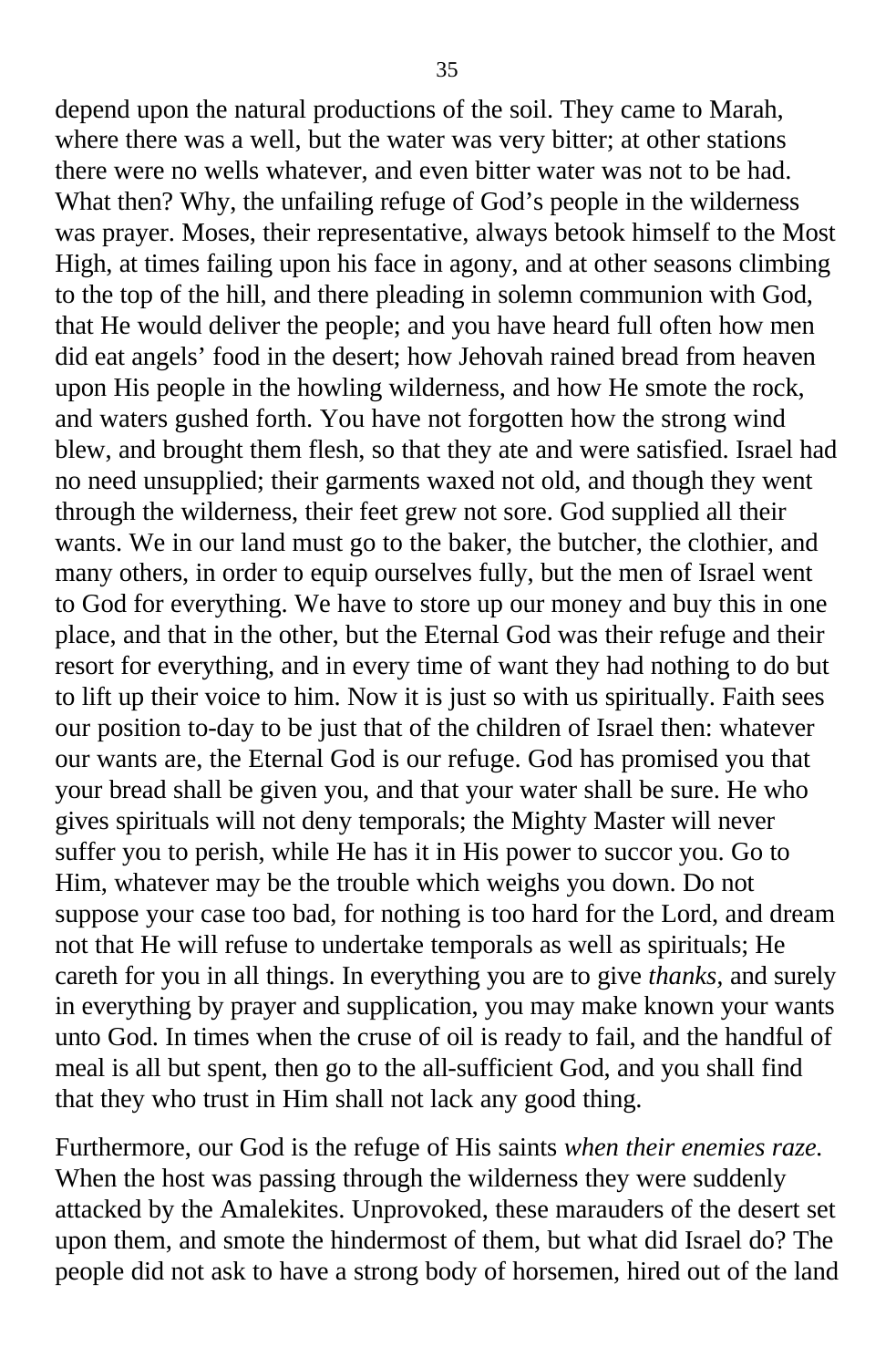depend upon the natural productions of the soil. They came to Marah, where there was a well, but the water was very bitter; at other stations there were no wells whatever, and even bitter water was not to be had. What then? Why, the unfailing refuge of God's people in the wilderness was prayer. Moses, their representative, always betook himself to the Most High, at times failing upon his face in agony, and at other seasons climbing to the top of the hill, and there pleading in solemn communion with God, that He would deliver the people; and you have heard full often how men did eat angels' food in the desert; how Jehovah rained bread from heaven upon His people in the howling wilderness, and how He smote the rock, and waters gushed forth. You have not forgotten how the strong wind blew, and brought them flesh, so that they ate and were satisfied. Israel had no need unsupplied; their garments waxed not old, and though they went through the wilderness, their feet grew not sore. God supplied all their wants. We in our land must go to the baker, the butcher, the clothier, and many others, in order to equip ourselves fully, but the men of Israel went to God for everything. We have to store up our money and buy this in one place, and that in the other, but the Eternal God was their refuge and their resort for everything, and in every time of want they had nothing to do but to lift up their voice to him. Now it is just so with us spiritually. Faith sees our position to-day to be just that of the children of Israel then: whatever our wants are, the Eternal God is our refuge. God has promised you that your bread shall be given you, and that your water shall be sure. He who gives spirituals will not deny temporals; the Mighty Master will never suffer you to perish, while He has it in His power to succor you. Go to Him, whatever may be the trouble which weighs you down. Do not suppose your case too bad, for nothing is too hard for the Lord, and dream not that He will refuse to undertake temporals as well as spirituals; He careth for you in all things. In everything you are to give *thanks,* and surely in everything by prayer and supplication, you may make known your wants unto God. In times when the cruse of oil is ready to fail, and the handful of meal is all but spent, then go to the all-sufficient God, and you shall find that they who trust in Him shall not lack any good thing.

Furthermore, our God is the refuge of His saints *when their enemies raze.* When the host was passing through the wilderness they were suddenly attacked by the Amalekites. Unprovoked, these marauders of the desert set upon them, and smote the hindermost of them, but what did Israel do? The people did not ask to have a strong body of horsemen, hired out of the land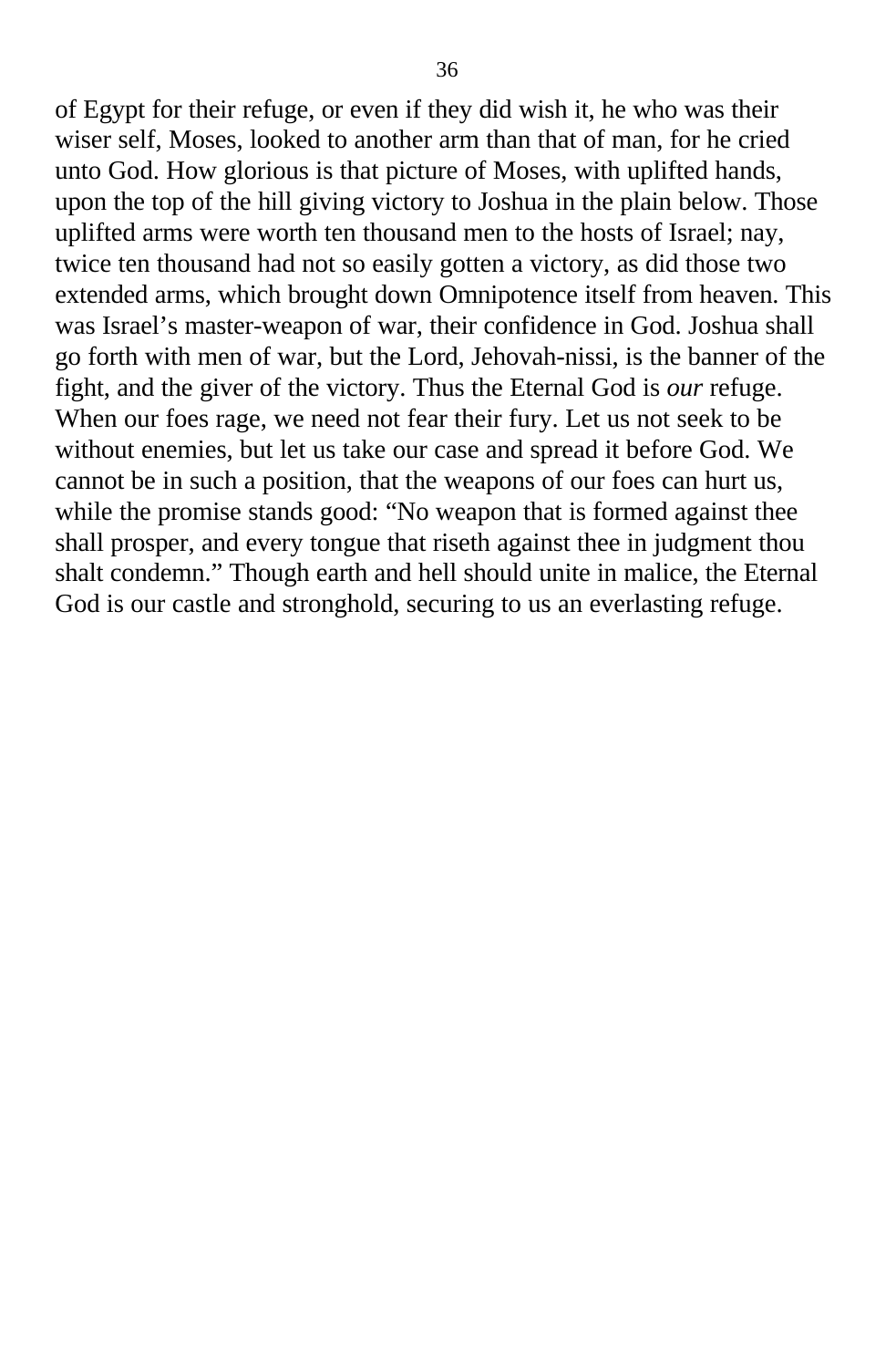of Egypt for their refuge, or even if they did wish it, he who was their wiser self, Moses, looked to another arm than that of man, for he cried unto God. How glorious is that picture of Moses, with uplifted hands, upon the top of the hill giving victory to Joshua in the plain below. Those uplifted arms were worth ten thousand men to the hosts of Israel; nay, twice ten thousand had not so easily gotten a victory, as did those two extended arms, which brought down Omnipotence itself from heaven. This was Israel's master-weapon of war, their confidence in God. Joshua shall go forth with men of war, but the Lord, Jehovah-nissi, is the banner of the fight, and the giver of the victory. Thus the Eternal God is *our* refuge. When our foes rage, we need not fear their fury. Let us not seek to be without enemies, but let us take our case and spread it before God. We cannot be in such a position, that the weapons of our foes can hurt us, while the promise stands good: "No weapon that is formed against thee shall prosper, and every tongue that riseth against thee in judgment thou shalt condemn." Though earth and hell should unite in malice, the Eternal God is our castle and stronghold, securing to us an everlasting refuge.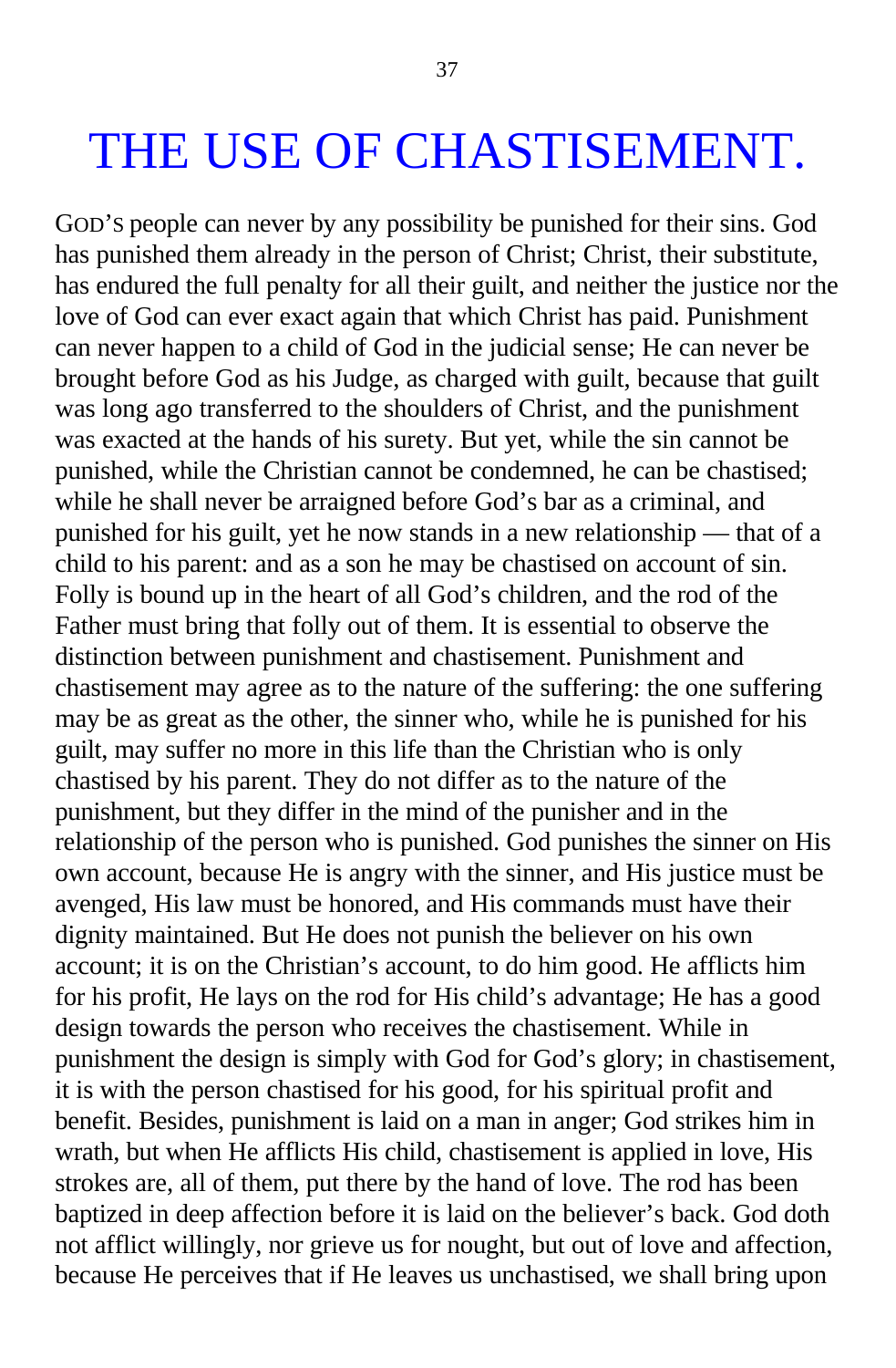### THE USE OF CHASTISEMENT.

GOD'S people can never by any possibility be punished for their sins. God has punished them already in the person of Christ; Christ, their substitute, has endured the full penalty for all their guilt, and neither the justice nor the love of God can ever exact again that which Christ has paid. Punishment can never happen to a child of God in the judicial sense; He can never be brought before God as his Judge, as charged with guilt, because that guilt was long ago transferred to the shoulders of Christ, and the punishment was exacted at the hands of his surety. But yet, while the sin cannot be punished, while the Christian cannot be condemned, he can be chastised; while he shall never be arraigned before God's bar as a criminal, and punished for his guilt, yet he now stands in a new relationship — that of a child to his parent: and as a son he may be chastised on account of sin. Folly is bound up in the heart of all God's children, and the rod of the Father must bring that folly out of them. It is essential to observe the distinction between punishment and chastisement. Punishment and chastisement may agree as to the nature of the suffering: the one suffering may be as great as the other, the sinner who, while he is punished for his guilt, may suffer no more in this life than the Christian who is only chastised by his parent. They do not differ as to the nature of the punishment, but they differ in the mind of the punisher and in the relationship of the person who is punished. God punishes the sinner on His own account, because He is angry with the sinner, and His justice must be avenged, His law must be honored, and His commands must have their dignity maintained. But He does not punish the believer on his own account; it is on the Christian's account, to do him good. He afflicts him for his profit, He lays on the rod for His child's advantage; He has a good design towards the person who receives the chastisement. While in punishment the design is simply with God for God's glory; in chastisement, it is with the person chastised for his good, for his spiritual profit and benefit. Besides, punishment is laid on a man in anger; God strikes him in wrath, but when He afflicts His child, chastisement is applied in love, His strokes are, all of them, put there by the hand of love. The rod has been baptized in deep affection before it is laid on the believer's back. God doth not afflict willingly, nor grieve us for nought, but out of love and affection, because He perceives that if He leaves us unchastised, we shall bring upon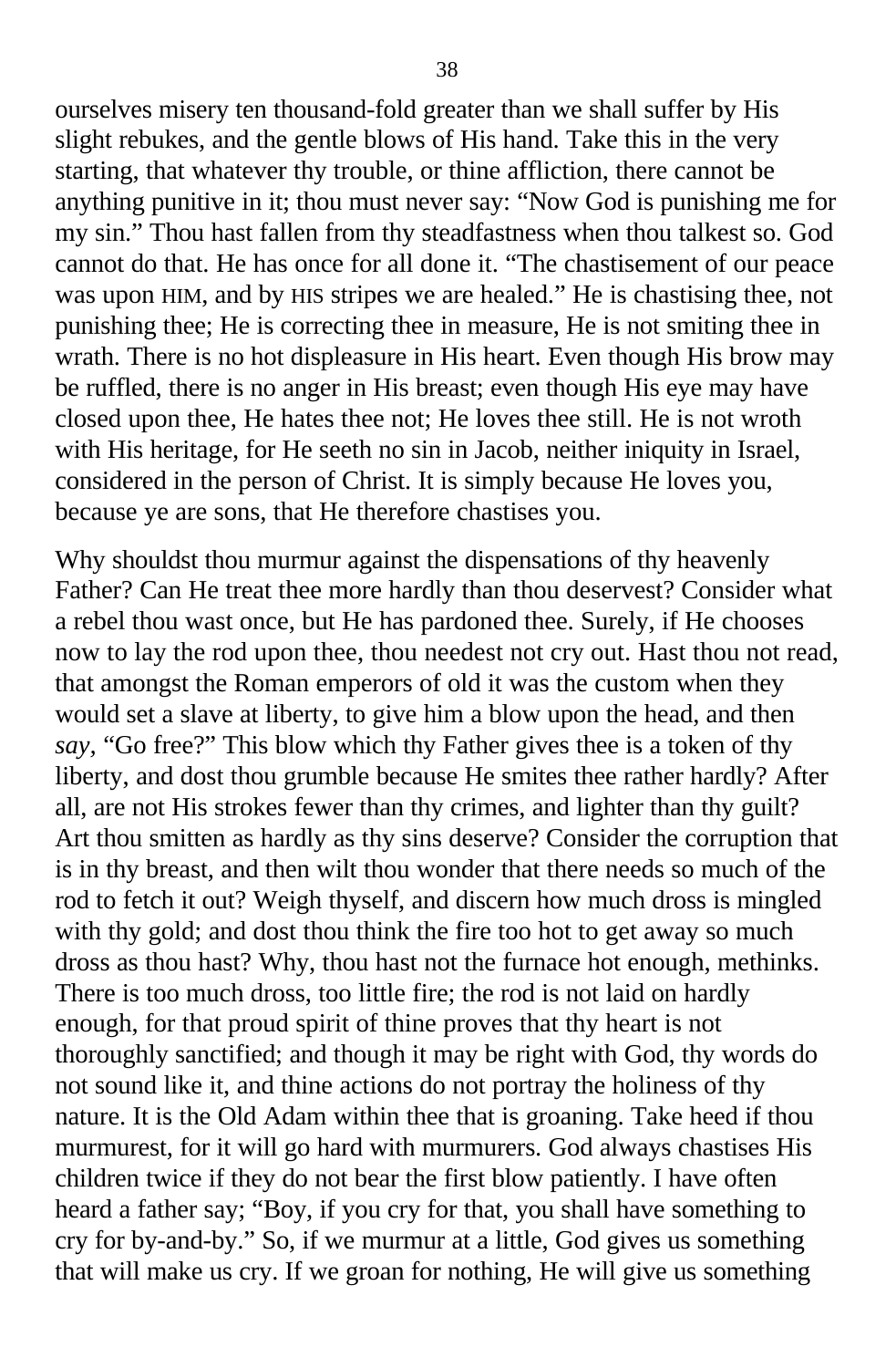ourselves misery ten thousand-fold greater than we shall suffer by His slight rebukes, and the gentle blows of His hand. Take this in the very starting, that whatever thy trouble, or thine affliction, there cannot be anything punitive in it; thou must never say: "Now God is punishing me for my sin." Thou hast fallen from thy steadfastness when thou talkest so. God cannot do that. He has once for all done it. "The chastisement of our peace was upon HIM, and by HIS stripes we are healed." He is chastising thee, not punishing thee; He is correcting thee in measure, He is not smiting thee in wrath. There is no hot displeasure in His heart. Even though His brow may be ruffled, there is no anger in His breast; even though His eye may have closed upon thee, He hates thee not; He loves thee still. He is not wroth with His heritage, for He seeth no sin in Jacob, neither iniquity in Israel, considered in the person of Christ. It is simply because He loves you, because ye are sons, that He therefore chastises you.

Why shouldst thou murmur against the dispensations of thy heavenly Father? Can He treat thee more hardly than thou deservest? Consider what a rebel thou wast once, but He has pardoned thee. Surely, if He chooses now to lay the rod upon thee, thou needest not cry out. Hast thou not read, that amongst the Roman emperors of old it was the custom when they would set a slave at liberty, to give him a blow upon the head, and then *say,* "Go free?" This blow which thy Father gives thee is a token of thy liberty, and dost thou grumble because He smites thee rather hardly? After all, are not His strokes fewer than thy crimes, and lighter than thy guilt? Art thou smitten as hardly as thy sins deserve? Consider the corruption that is in thy breast, and then wilt thou wonder that there needs so much of the rod to fetch it out? Weigh thyself, and discern how much dross is mingled with thy gold; and dost thou think the fire too hot to get away so much dross as thou hast? Why, thou hast not the furnace hot enough, methinks. There is too much dross, too little fire; the rod is not laid on hardly enough, for that proud spirit of thine proves that thy heart is not thoroughly sanctified; and though it may be right with God, thy words do not sound like it, and thine actions do not portray the holiness of thy nature. It is the Old Adam within thee that is groaning. Take heed if thou murmurest, for it will go hard with murmurers. God always chastises His children twice if they do not bear the first blow patiently. I have often heard a father say; "Boy, if you cry for that, you shall have something to cry for by-and-by." So, if we murmur at a little, God gives us something that will make us cry. If we groan for nothing, He will give us something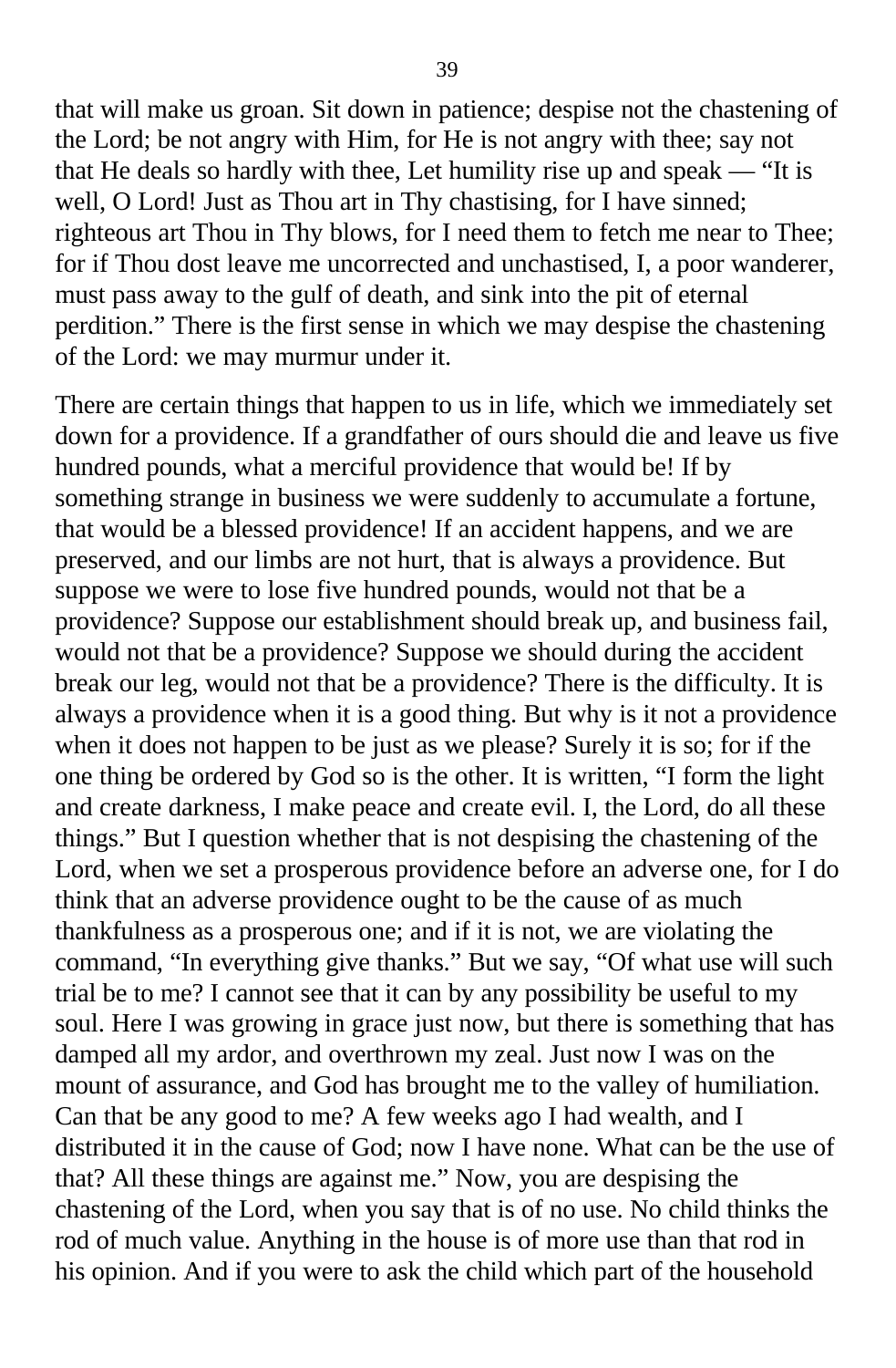that will make us groan. Sit down in patience; despise not the chastening of the Lord; be not angry with Him, for He is not angry with thee; say not that He deals so hardly with thee, Let humility rise up and speak — "It is well, O Lord! Just as Thou art in Thy chastising, for I have sinned; righteous art Thou in Thy blows, for I need them to fetch me near to Thee; for if Thou dost leave me uncorrected and unchastised, I, a poor wanderer, must pass away to the gulf of death, and sink into the pit of eternal perdition." There is the first sense in which we may despise the chastening of the Lord: we may murmur under it.

There are certain things that happen to us in life, which we immediately set down for a providence. If a grandfather of ours should die and leave us five hundred pounds, what a merciful providence that would be! If by something strange in business we were suddenly to accumulate a fortune, that would be a blessed providence! If an accident happens, and we are preserved, and our limbs are not hurt, that is always a providence. But suppose we were to lose five hundred pounds, would not that be a providence? Suppose our establishment should break up, and business fail, would not that be a providence? Suppose we should during the accident break our leg, would not that be a providence? There is the difficulty. It is always a providence when it is a good thing. But why is it not a providence when it does not happen to be just as we please? Surely it is so; for if the one thing be ordered by God so is the other. It is written, "I form the light and create darkness, I make peace and create evil. I, the Lord, do all these things." But I question whether that is not despising the chastening of the Lord, when we set a prosperous providence before an adverse one, for I do think that an adverse providence ought to be the cause of as much thankfulness as a prosperous one; and if it is not, we are violating the command, "In everything give thanks." But we say, "Of what use will such trial be to me? I cannot see that it can by any possibility be useful to my soul. Here I was growing in grace just now, but there is something that has damped all my ardor, and overthrown my zeal. Just now I was on the mount of assurance, and God has brought me to the valley of humiliation. Can that be any good to me? A few weeks ago I had wealth, and I distributed it in the cause of God; now I have none. What can be the use of that? All these things are against me." Now, you are despising the chastening of the Lord, when you say that is of no use. No child thinks the rod of much value. Anything in the house is of more use than that rod in his opinion. And if you were to ask the child which part of the household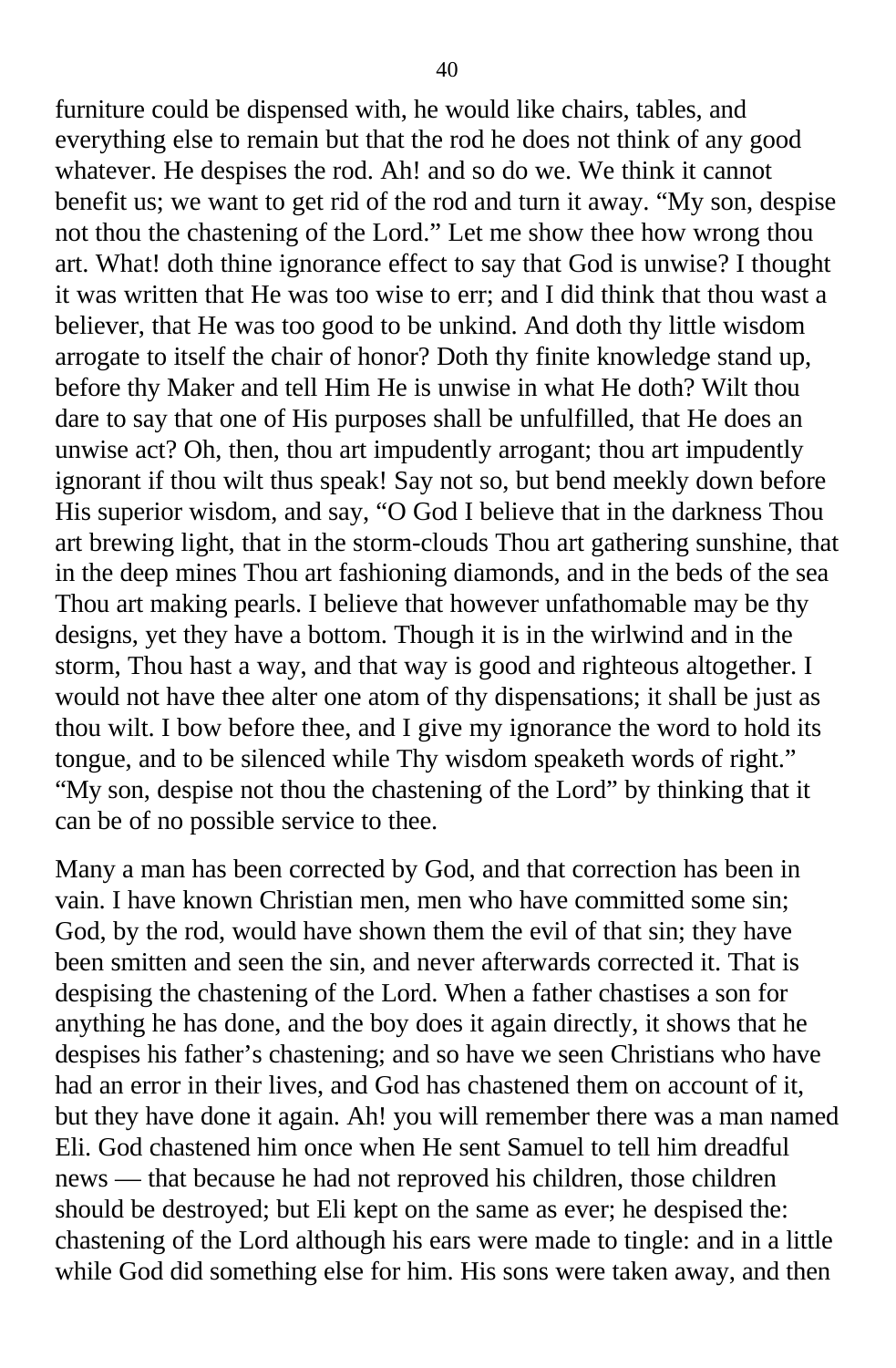furniture could be dispensed with, he would like chairs, tables, and everything else to remain but that the rod he does not think of any good whatever. He despises the rod. Ah! and so do we. We think it cannot benefit us; we want to get rid of the rod and turn it away. "My son, despise not thou the chastening of the Lord." Let me show thee how wrong thou art. What! doth thine ignorance effect to say that God is unwise? I thought it was written that He was too wise to err; and I did think that thou wast a believer, that He was too good to be unkind. And doth thy little wisdom arrogate to itself the chair of honor? Doth thy finite knowledge stand up, before thy Maker and tell Him He is unwise in what He doth? Wilt thou dare to say that one of His purposes shall be unfulfilled, that He does an unwise act? Oh, then, thou art impudently arrogant; thou art impudently ignorant if thou wilt thus speak! Say not so, but bend meekly down before His superior wisdom, and say, "O God I believe that in the darkness Thou art brewing light, that in the storm-clouds Thou art gathering sunshine, that in the deep mines Thou art fashioning diamonds, and in the beds of the sea Thou art making pearls. I believe that however unfathomable may be thy designs, yet they have a bottom. Though it is in the wirlwind and in the storm, Thou hast a way, and that way is good and righteous altogether. I would not have thee alter one atom of thy dispensations; it shall be just as thou wilt. I bow before thee, and I give my ignorance the word to hold its tongue, and to be silenced while Thy wisdom speaketh words of right." "My son, despise not thou the chastening of the Lord" by thinking that it can be of no possible service to thee.

Many a man has been corrected by God, and that correction has been in vain. I have known Christian men, men who have committed some sin; God, by the rod, would have shown them the evil of that sin; they have been smitten and seen the sin, and never afterwards corrected it. That is despising the chastening of the Lord. When a father chastises a son for anything he has done, and the boy does it again directly, it shows that he despises his father's chastening; and so have we seen Christians who have had an error in their lives, and God has chastened them on account of it, but they have done it again. Ah! you will remember there was a man named Eli. God chastened him once when He sent Samuel to tell him dreadful news — that because he had not reproved his children, those children should be destroyed; but Eli kept on the same as ever; he despised the: chastening of the Lord although his ears were made to tingle: and in a little while God did something else for him. His sons were taken away, and then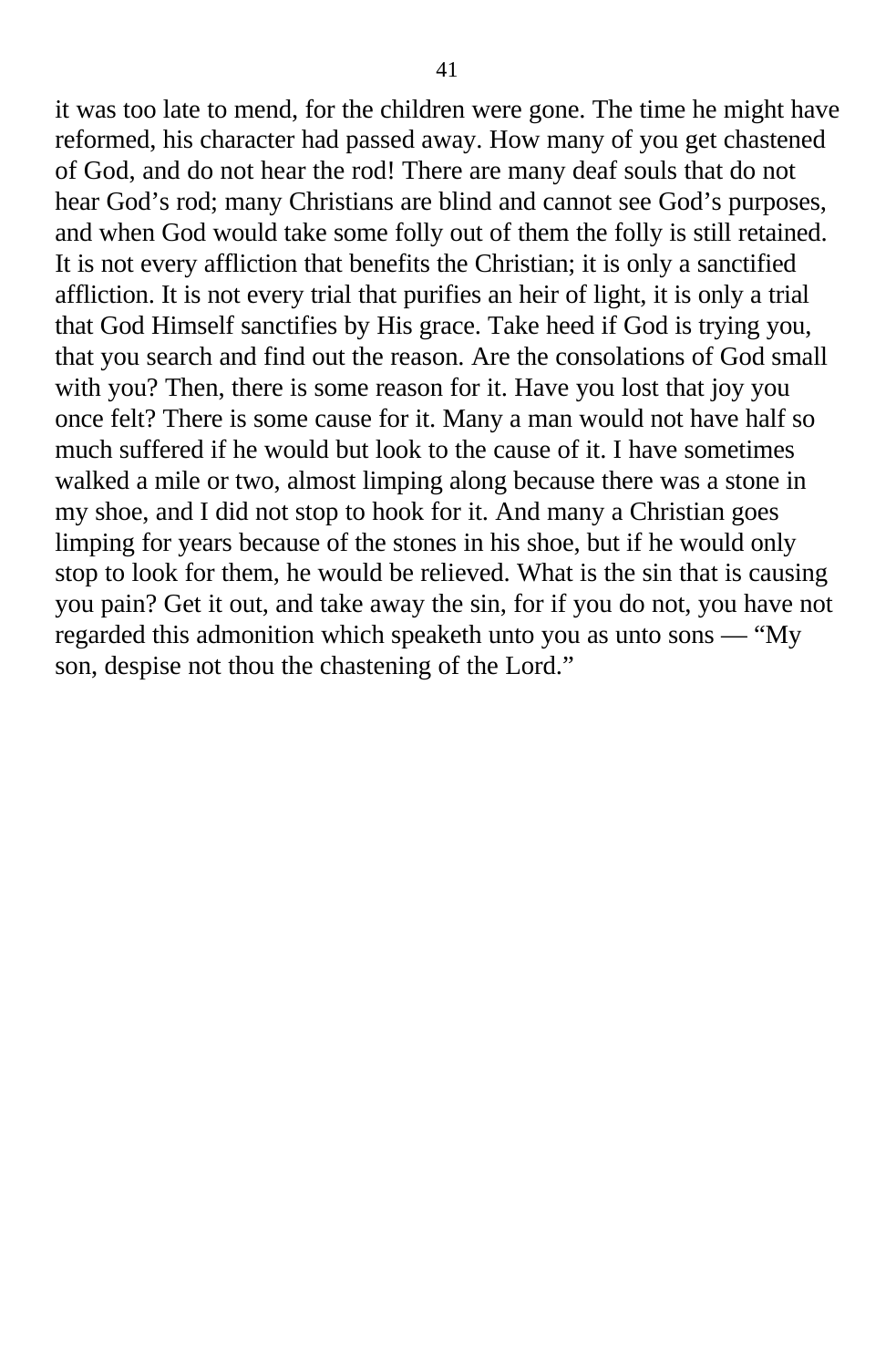it was too late to mend, for the children were gone. The time he might have reformed, his character had passed away. How many of you get chastened of God, and do not hear the rod! There are many deaf souls that do not hear God's rod; many Christians are blind and cannot see God's purposes, and when God would take some folly out of them the folly is still retained. It is not every affliction that benefits the Christian; it is only a sanctified affliction. It is not every trial that purifies an heir of light, it is only a trial that God Himself sanctifies by His grace. Take heed if God is trying you, that you search and find out the reason. Are the consolations of God small with you? Then, there is some reason for it. Have you lost that joy you once felt? There is some cause for it. Many a man would not have half so much suffered if he would but look to the cause of it. I have sometimes walked a mile or two, almost limping along because there was a stone in my shoe, and I did not stop to hook for it. And many a Christian goes limping for years because of the stones in his shoe, but if he would only stop to look for them, he would be relieved. What is the sin that is causing you pain? Get it out, and take away the sin, for if you do not, you have not regarded this admonition which speaketh unto you as unto sons — "My son, despise not thou the chastening of the Lord."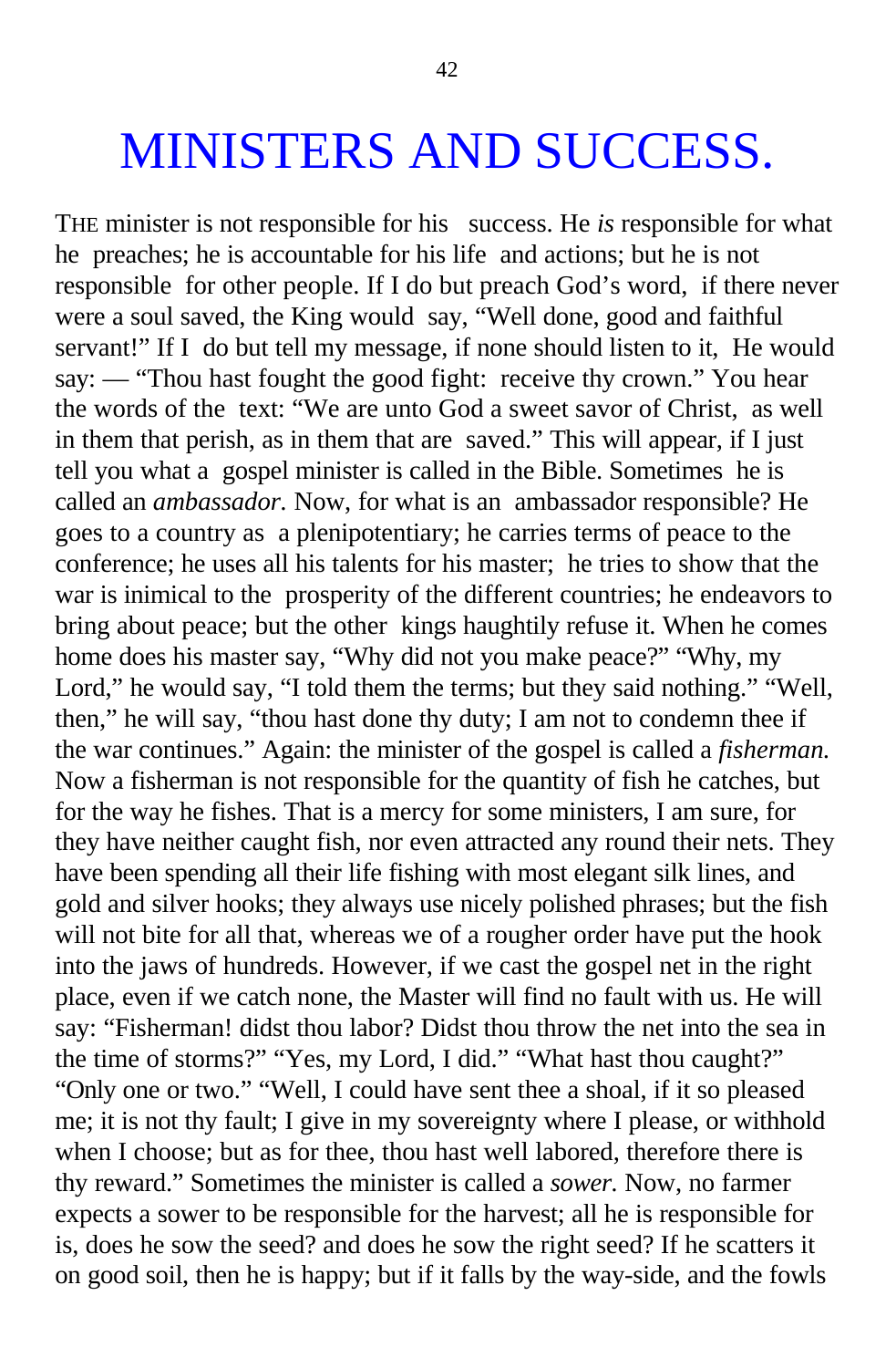### MINISTERS AND SUCCESS.

THE minister is not responsible for his success. He *is* responsible for what he preaches; he is accountable for his life and actions; but he is not responsible for other people. If I do but preach God's word, if there never were a soul saved, the King would say, "Well done, good and faithful servant!" If I do but tell my message, if none should listen to it, He would say: — "Thou hast fought the good fight: receive thy crown." You hear the words of the text: "We are unto God a sweet savor of Christ, as well in them that perish, as in them that are saved." This will appear, if I just tell you what a gospel minister is called in the Bible. Sometimes he is called an *ambassador.* Now, for what is an ambassador responsible? He goes to a country as a plenipotentiary; he carries terms of peace to the conference; he uses all his talents for his master; he tries to show that the war is inimical to the prosperity of the different countries; he endeavors to bring about peace; but the other kings haughtily refuse it. When he comes home does his master say, "Why did not you make peace?" "Why, my Lord," he would say, "I told them the terms; but they said nothing." "Well, then," he will say, "thou hast done thy duty; I am not to condemn thee if the war continues." Again: the minister of the gospel is called a *fisherman.* Now a fisherman is not responsible for the quantity of fish he catches, but for the way he fishes. That is a mercy for some ministers, I am sure, for they have neither caught fish, nor even attracted any round their nets. They have been spending all their life fishing with most elegant silk lines, and gold and silver hooks; they always use nicely polished phrases; but the fish will not bite for all that, whereas we of a rougher order have put the hook into the jaws of hundreds. However, if we cast the gospel net in the right place, even if we catch none, the Master will find no fault with us. He will say: "Fisherman! didst thou labor? Didst thou throw the net into the sea in the time of storms?" "Yes, my Lord, I did." "What hast thou caught?" "Only one or two." "Well, I could have sent thee a shoal, if it so pleased me; it is not thy fault; I give in my sovereignty where I please, or withhold when I choose; but as for thee, thou hast well labored, therefore there is thy reward." Sometimes the minister is called a *sower.* Now, no farmer expects a sower to be responsible for the harvest; all he is responsible for is, does he sow the seed? and does he sow the right seed? If he scatters it on good soil, then he is happy; but if it falls by the way-side, and the fowls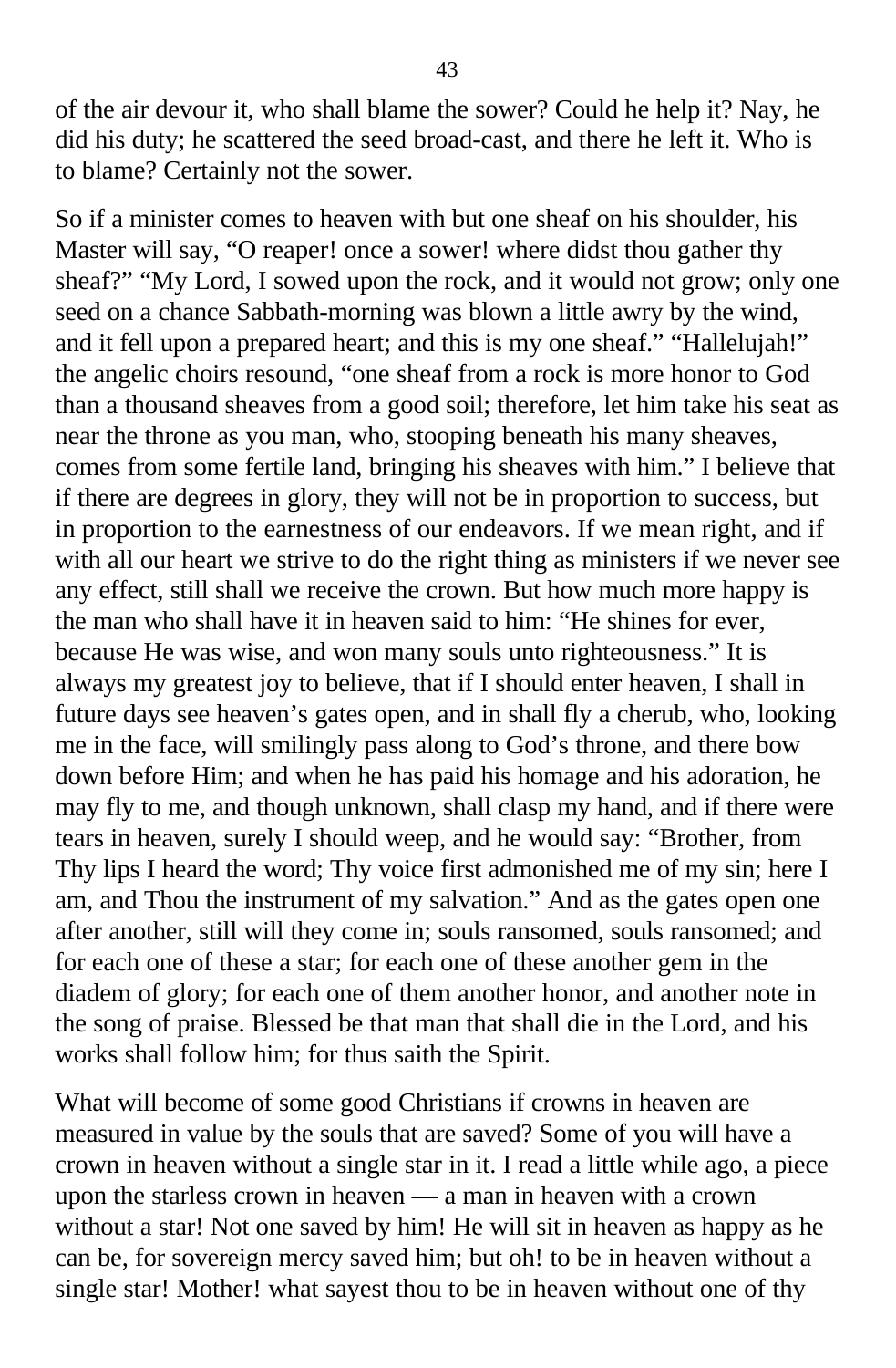of the air devour it, who shall blame the sower? Could he help it? Nay, he did his duty; he scattered the seed broad-cast, and there he left it. Who is to blame? Certainly not the sower.

So if a minister comes to heaven with but one sheaf on his shoulder, his Master will say, "O reaper! once a sower! where didst thou gather thy sheaf?" "My Lord, I sowed upon the rock, and it would not grow; only one seed on a chance Sabbath-morning was blown a little awry by the wind, and it fell upon a prepared heart; and this is my one sheaf." "Hallelujah!" the angelic choirs resound, "one sheaf from a rock is more honor to God than a thousand sheaves from a good soil; therefore, let him take his seat as near the throne as you man, who, stooping beneath his many sheaves, comes from some fertile land, bringing his sheaves with him." I believe that if there are degrees in glory, they will not be in proportion to success, but in proportion to the earnestness of our endeavors. If we mean right, and if with all our heart we strive to do the right thing as ministers if we never see any effect, still shall we receive the crown. But how much more happy is the man who shall have it in heaven said to him: "He shines for ever, because He was wise, and won many souls unto righteousness." It is always my greatest joy to believe, that if I should enter heaven, I shall in future days see heaven's gates open, and in shall fly a cherub, who, looking me in the face, will smilingly pass along to God's throne, and there bow down before Him; and when he has paid his homage and his adoration, he may fly to me, and though unknown, shall clasp my hand, and if there were tears in heaven, surely I should weep, and he would say: "Brother, from Thy lips I heard the word; Thy voice first admonished me of my sin; here I am, and Thou the instrument of my salvation." And as the gates open one after another, still will they come in; souls ransomed, souls ransomed; and for each one of these a star; for each one of these another gem in the diadem of glory; for each one of them another honor, and another note in the song of praise. Blessed be that man that shall die in the Lord, and his works shall follow him; for thus saith the Spirit.

What will become of some good Christians if crowns in heaven are measured in value by the souls that are saved? Some of you will have a crown in heaven without a single star in it. I read a little while ago, a piece upon the starless crown in heaven — a man in heaven with a crown without a star! Not one saved by him! He will sit in heaven as happy as he can be, for sovereign mercy saved him; but oh! to be in heaven without a single star! Mother! what sayest thou to be in heaven without one of thy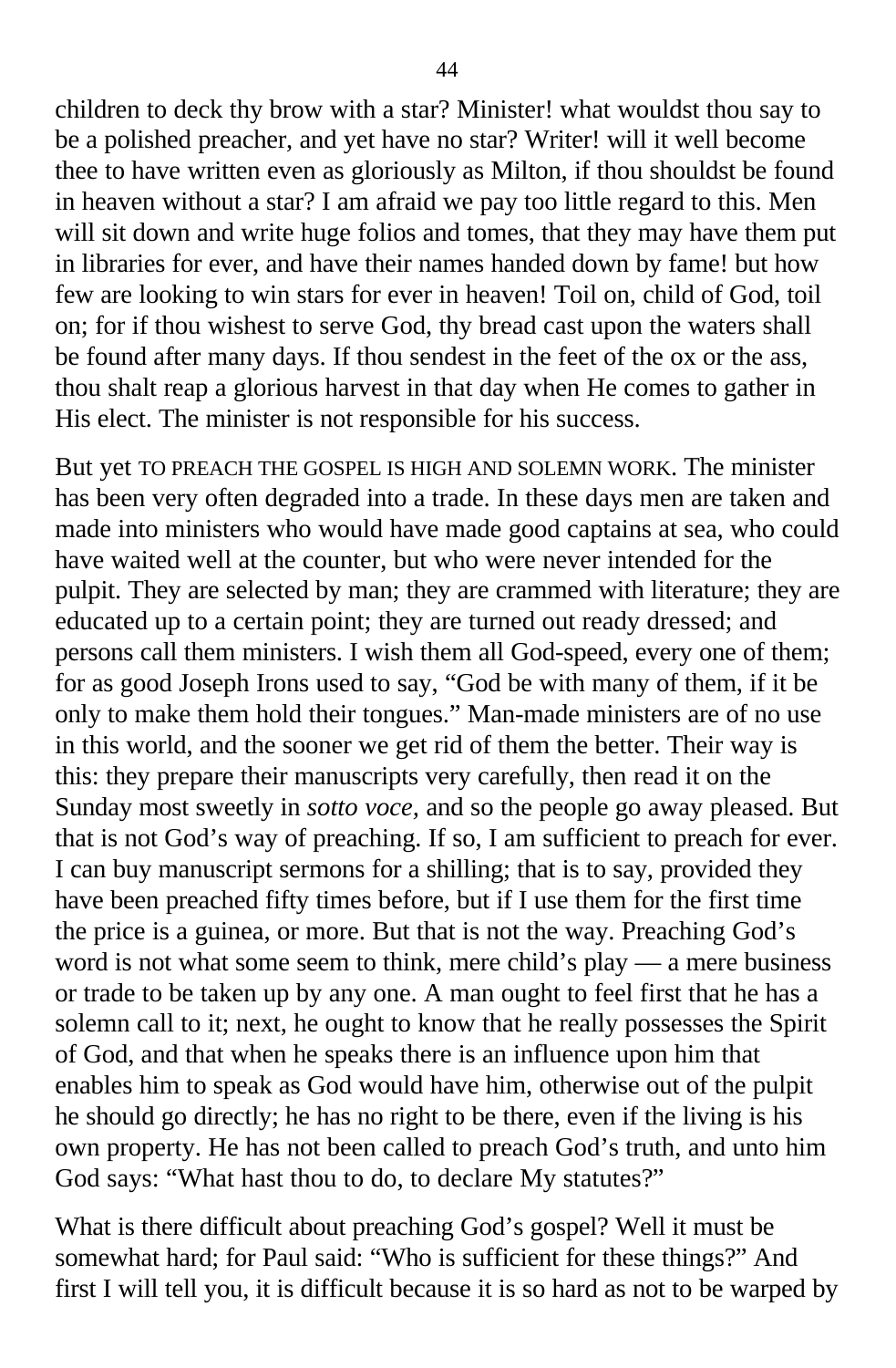children to deck thy brow with a star? Minister! what wouldst thou say to be a polished preacher, and yet have no star? Writer! will it well become thee to have written even as gloriously as Milton, if thou shouldst be found in heaven without a star? I am afraid we pay too little regard to this. Men will sit down and write huge folios and tomes, that they may have them put in libraries for ever, and have their names handed down by fame! but how few are looking to win stars for ever in heaven! Toil on, child of God, toil on; for if thou wishest to serve God, thy bread cast upon the waters shall be found after many days. If thou sendest in the feet of the ox or the ass, thou shalt reap a glorious harvest in that day when He comes to gather in His elect. The minister is not responsible for his success.

But yet TO PREACH THE GOSPEL IS HIGH AND SOLEMN WORK. The minister has been very often degraded into a trade. In these days men are taken and made into ministers who would have made good captains at sea, who could have waited well at the counter, but who were never intended for the pulpit. They are selected by man; they are crammed with literature; they are educated up to a certain point; they are turned out ready dressed; and persons call them ministers. I wish them all God-speed, every one of them; for as good Joseph Irons used to say, "God be with many of them, if it be only to make them hold their tongues." Man-made ministers are of no use in this world, and the sooner we get rid of them the better. Their way is this: they prepare their manuscripts very carefully, then read it on the Sunday most sweetly in *sotto voce,* and so the people go away pleased. But that is not God's way of preaching. If so, I am sufficient to preach for ever. I can buy manuscript sermons for a shilling; that is to say, provided they have been preached fifty times before, but if I use them for the first time the price is a guinea, or more. But that is not the way. Preaching God's word is not what some seem to think, mere child's play — a mere business or trade to be taken up by any one. A man ought to feel first that he has a solemn call to it; next, he ought to know that he really possesses the Spirit of God, and that when he speaks there is an influence upon him that enables him to speak as God would have him, otherwise out of the pulpit he should go directly; he has no right to be there, even if the living is his own property. He has not been called to preach God's truth, and unto him God says: "What hast thou to do, to declare My statutes?"

What is there difficult about preaching God's gospel? Well it must be somewhat hard; for Paul said: "Who is sufficient for these things?" And first I will tell you, it is difficult because it is so hard as not to be warped by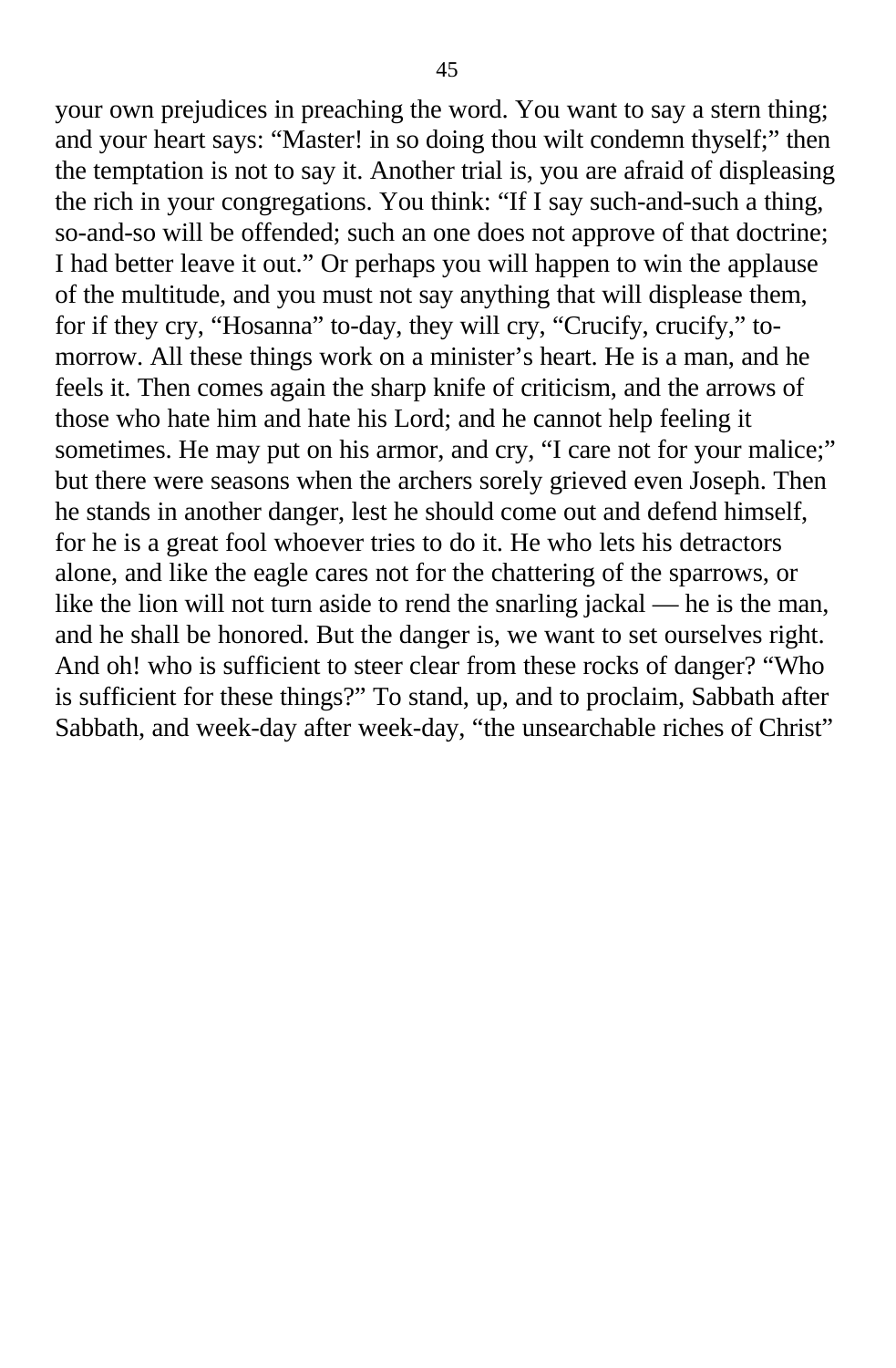your own prejudices in preaching the word. You want to say a stern thing; and your heart says: "Master! in so doing thou wilt condemn thyself;" then the temptation is not to say it. Another trial is, you are afraid of displeasing the rich in your congregations. You think: "If I say such-and-such a thing, so-and-so will be offended; such an one does not approve of that doctrine; I had better leave it out." Or perhaps you will happen to win the applause of the multitude, and you must not say anything that will displease them, for if they cry, "Hosanna" to-day, they will cry, "Crucify, crucify," tomorrow. All these things work on a minister's heart. He is a man, and he feels it. Then comes again the sharp knife of criticism, and the arrows of those who hate him and hate his Lord; and he cannot help feeling it sometimes. He may put on his armor, and cry, "I care not for your malice;" but there were seasons when the archers sorely grieved even Joseph. Then he stands in another danger, lest he should come out and defend himself, for he is a great fool whoever tries to do it. He who lets his detractors alone, and like the eagle cares not for the chattering of the sparrows, or like the lion will not turn aside to rend the snarling jackal — he is the man, and he shall be honored. But the danger is, we want to set ourselves right. And oh! who is sufficient to steer clear from these rocks of danger? "Who is sufficient for these things?" To stand, up, and to proclaim, Sabbath after Sabbath, and week-day after week-day, "the unsearchable riches of Christ"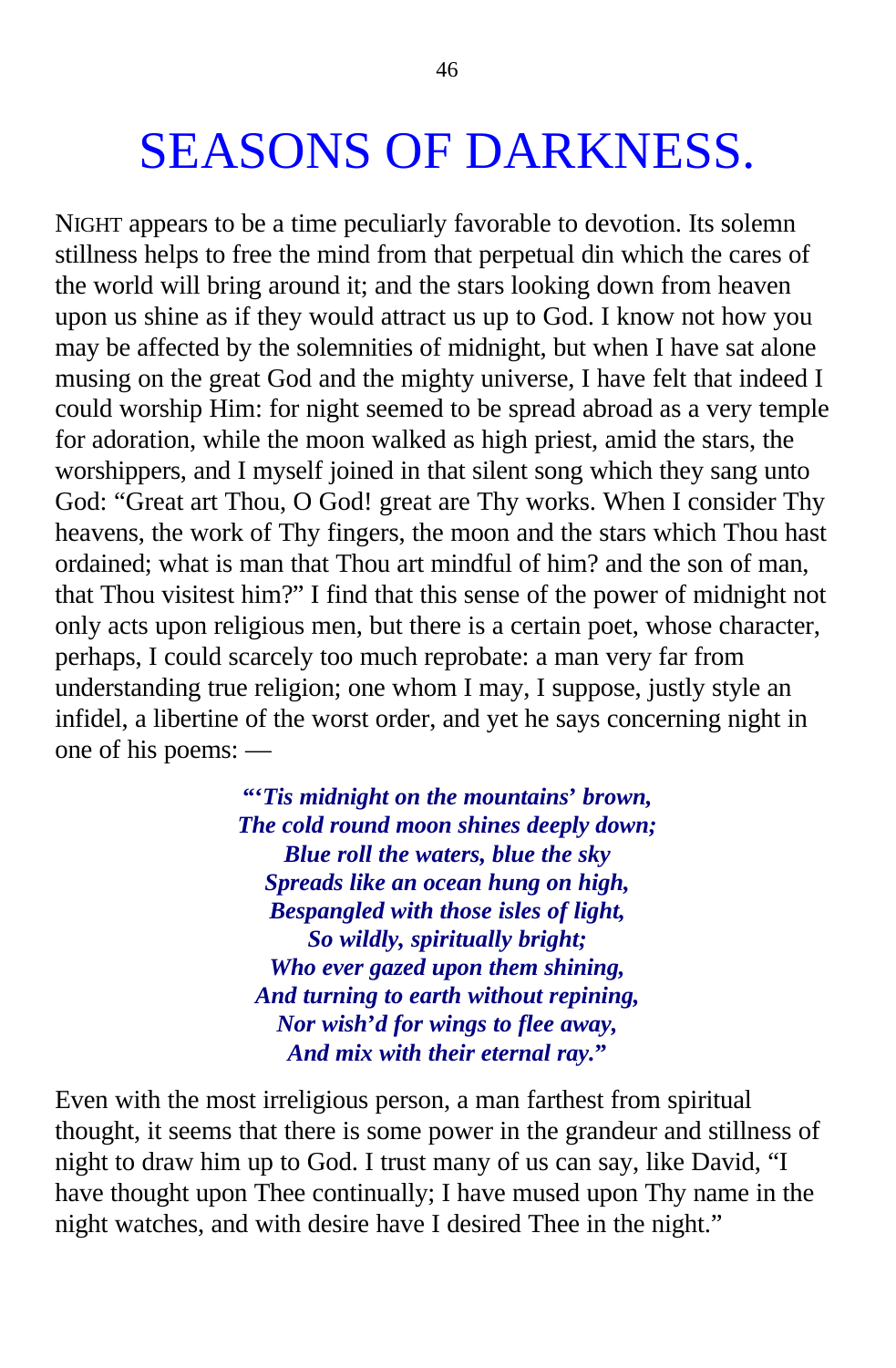# SEASONS OF DARKNESS.

NIGHT appears to be a time peculiarly favorable to devotion. Its solemn stillness helps to free the mind from that perpetual din which the cares of the world will bring around it; and the stars looking down from heaven upon us shine as if they would attract us up to God. I know not how you may be affected by the solemnities of midnight, but when I have sat alone musing on the great God and the mighty universe, I have felt that indeed I could worship Him: for night seemed to be spread abroad as a very temple for adoration, while the moon walked as high priest, amid the stars, the worshippers, and I myself joined in that silent song which they sang unto God: "Great art Thou, O God! great are Thy works. When I consider Thy heavens, the work of Thy fingers, the moon and the stars which Thou hast ordained; what is man that Thou art mindful of him? and the son of man, that Thou visitest him?" I find that this sense of the power of midnight not only acts upon religious men, but there is a certain poet, whose character, perhaps, I could scarcely too much reprobate: a man very far from understanding true religion; one whom I may, I suppose, justly style an infidel, a libertine of the worst order, and yet he says concerning night in one of his poems: —

> **"'***Tis midnight on the mountains***'** *brown, The cold round moon shines deeply down; Blue roll the waters, blue the sky Spreads like an ocean hung on high, Bespangled with those isles of light, So wildly, spiritually bright; Who ever gazed upon them shining, And turning to earth without repining, Nor wish***'***d for wings to flee away, And mix with their eternal ray.***"**

Even with the most irreligious person, a man farthest from spiritual thought, it seems that there is some power in the grandeur and stillness of night to draw him up to God. I trust many of us can say, like David, "I have thought upon Thee continually; I have mused upon Thy name in the night watches, and with desire have I desired Thee in the night."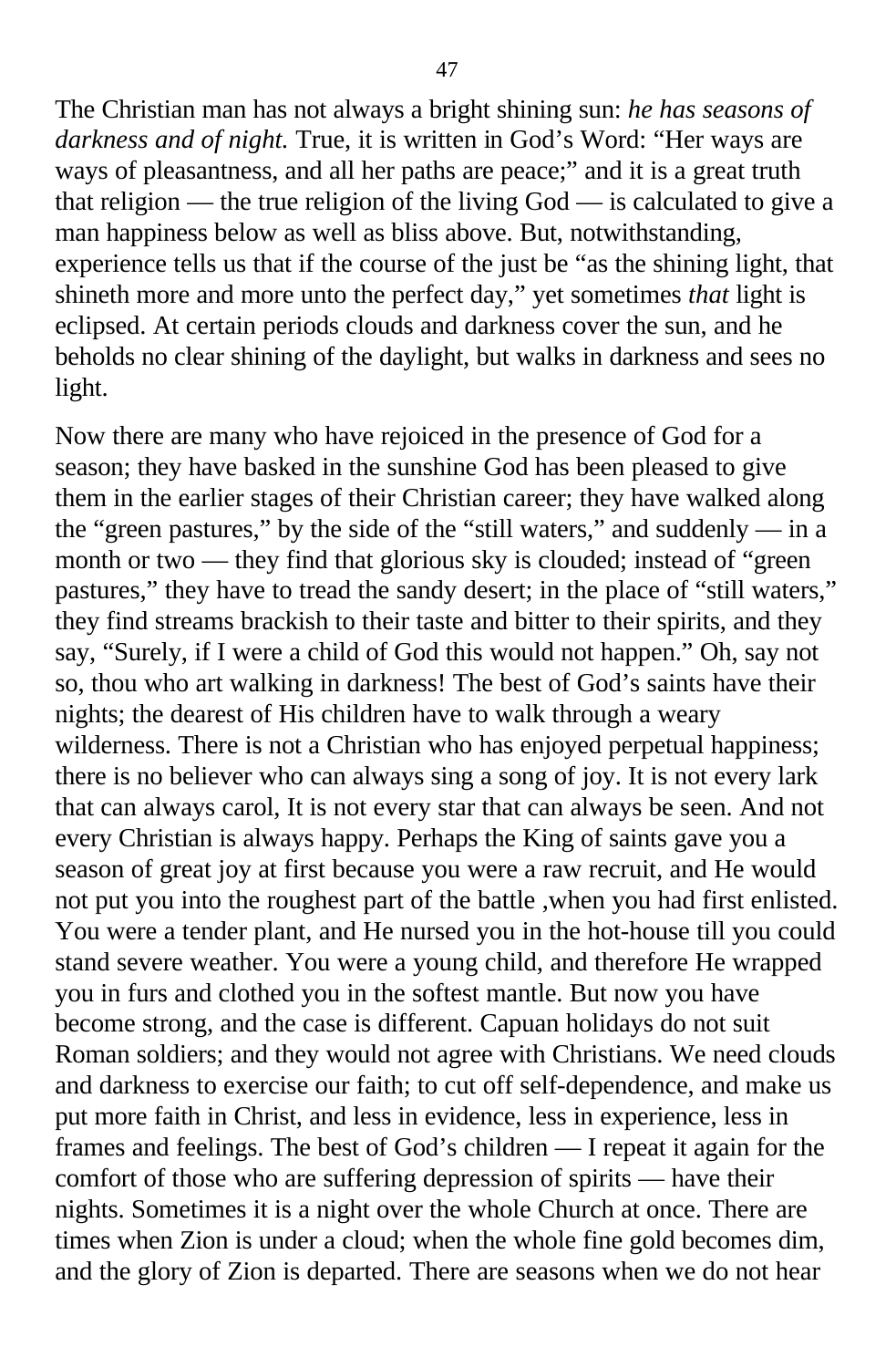The Christian man has not always a bright shining sun: *he has seasons of darkness and of night.* True, it is written in God's Word: "Her ways are ways of pleasantness, and all her paths are peace;" and it is a great truth that religion — the true religion of the living God — is calculated to give a man happiness below as well as bliss above. But, notwithstanding, experience tells us that if the course of the just be "as the shining light, that shineth more and more unto the perfect day," yet sometimes *that* light is eclipsed. At certain periods clouds and darkness cover the sun, and he beholds no clear shining of the daylight, but walks in darkness and sees no light.

Now there are many who have rejoiced in the presence of God for a season; they have basked in the sunshine God has been pleased to give them in the earlier stages of their Christian career; they have walked along the "green pastures," by the side of the "still waters," and suddenly — in a month or two — they find that glorious sky is clouded; instead of "green pastures," they have to tread the sandy desert; in the place of "still waters," they find streams brackish to their taste and bitter to their spirits, and they say, "Surely, if I were a child of God this would not happen." Oh, say not so, thou who art walking in darkness! The best of God's saints have their nights; the dearest of His children have to walk through a weary wilderness. There is not a Christian who has enjoyed perpetual happiness; there is no believer who can always sing a song of joy. It is not every lark that can always carol, It is not every star that can always be seen. And not every Christian is always happy. Perhaps the King of saints gave you a season of great joy at first because you were a raw recruit, and He would not put you into the roughest part of the battle ,when you had first enlisted. You were a tender plant, and He nursed you in the hot-house till you could stand severe weather. You were a young child, and therefore He wrapped you in furs and clothed you in the softest mantle. But now you have become strong, and the case is different. Capuan holidays do not suit Roman soldiers; and they would not agree with Christians. We need clouds and darkness to exercise our faith; to cut off self-dependence, and make us put more faith in Christ, and less in evidence, less in experience, less in frames and feelings. The best of God's children — I repeat it again for the comfort of those who are suffering depression of spirits — have their nights. Sometimes it is a night over the whole Church at once. There are times when Zion is under a cloud; when the whole fine gold becomes dim, and the glory of Zion is departed. There are seasons when we do not hear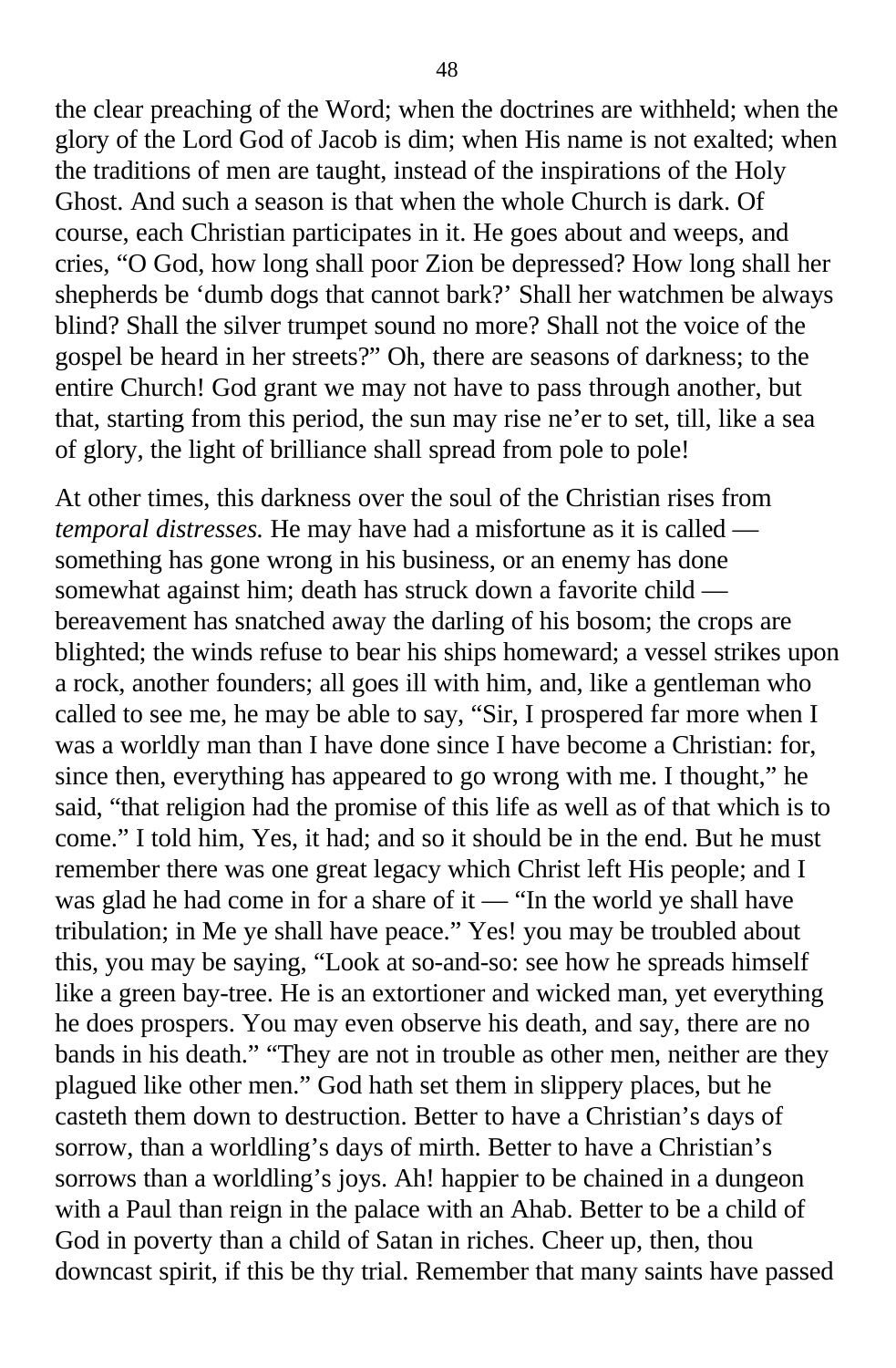the clear preaching of the Word; when the doctrines are withheld; when the glory of the Lord God of Jacob is dim; when His name is not exalted; when the traditions of men are taught, instead of the inspirations of the Holy Ghost. And such a season is that when the whole Church is dark. Of course, each Christian participates in it. He goes about and weeps, and cries, "O God, how long shall poor Zion be depressed? How long shall her shepherds be 'dumb dogs that cannot bark?' Shall her watchmen be always blind? Shall the silver trumpet sound no more? Shall not the voice of the gospel be heard in her streets?" Oh, there are seasons of darkness; to the entire Church! God grant we may not have to pass through another, but that, starting from this period, the sun may rise ne'er to set, till, like a sea of glory, the light of brilliance shall spread from pole to pole!

At other times, this darkness over the soul of the Christian rises from *temporal distresses.* He may have had a misfortune as it is called something has gone wrong in his business, or an enemy has done somewhat against him; death has struck down a favorite child bereavement has snatched away the darling of his bosom; the crops are blighted; the winds refuse to bear his ships homeward; a vessel strikes upon a rock, another founders; all goes ill with him, and, like a gentleman who called to see me, he may be able to say, "Sir, I prospered far more when I was a worldly man than I have done since I have become a Christian: for, since then, everything has appeared to go wrong with me. I thought," he said, "that religion had the promise of this life as well as of that which is to come." I told him, Yes, it had; and so it should be in the end. But he must remember there was one great legacy which Christ left His people; and I was glad he had come in for a share of it  $-$  "In the world ye shall have tribulation; in Me ye shall have peace." Yes! you may be troubled about this, you may be saying, "Look at so-and-so: see how he spreads himself like a green bay-tree. He is an extortioner and wicked man, yet everything he does prospers. You may even observe his death, and say, there are no bands in his death." "They are not in trouble as other men, neither are they plagued like other men." God hath set them in slippery places, but he casteth them down to destruction. Better to have a Christian's days of sorrow, than a worldling's days of mirth. Better to have a Christian's sorrows than a worldling's joys. Ah! happier to be chained in a dungeon with a Paul than reign in the palace with an Ahab. Better to be a child of God in poverty than a child of Satan in riches. Cheer up, then, thou downcast spirit, if this be thy trial. Remember that many saints have passed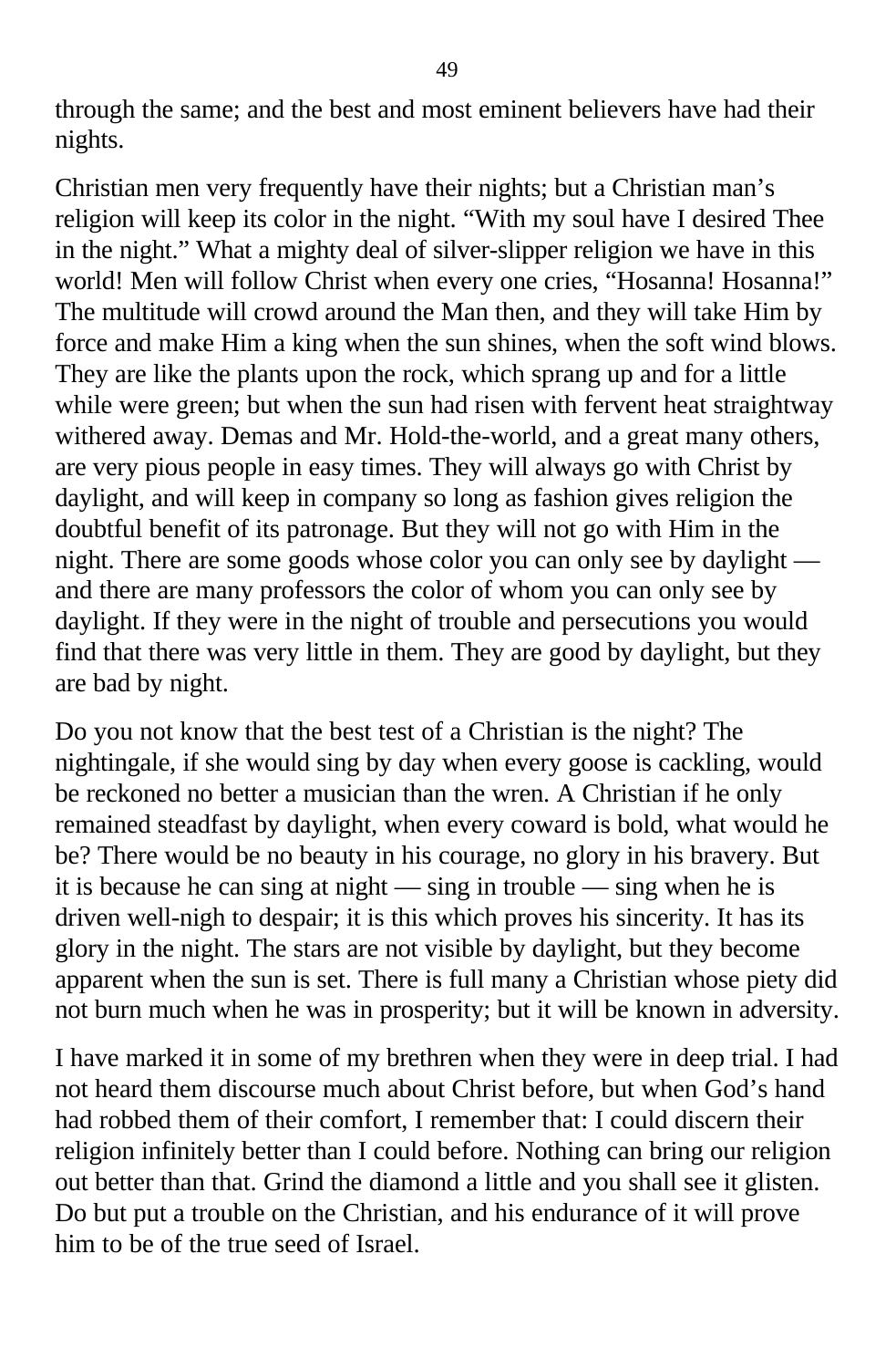through the same; and the best and most eminent believers have had their nights.

Christian men very frequently have their nights; but a Christian man's religion will keep its color in the night. "With my soul have I desired Thee in the night." What a mighty deal of silver-slipper religion we have in this world! Men will follow Christ when every one cries, "Hosanna! Hosanna!" The multitude will crowd around the Man then, and they will take Him by force and make Him a king when the sun shines, when the soft wind blows. They are like the plants upon the rock, which sprang up and for a little while were green; but when the sun had risen with fervent heat straightway withered away. Demas and Mr. Hold-the-world, and a great many others, are very pious people in easy times. They will always go with Christ by daylight, and will keep in company so long as fashion gives religion the doubtful benefit of its patronage. But they will not go with Him in the night. There are some goods whose color you can only see by daylight and there are many professors the color of whom you can only see by daylight. If they were in the night of trouble and persecutions you would find that there was very little in them. They are good by daylight, but they are bad by night.

Do you not know that the best test of a Christian is the night? The nightingale, if she would sing by day when every goose is cackling, would be reckoned no better a musician than the wren. A Christian if he only remained steadfast by daylight, when every coward is bold, what would he be? There would be no beauty in his courage, no glory in his bravery. But it is because he can sing at night — sing in trouble — sing when he is driven well-nigh to despair; it is this which proves his sincerity. It has its glory in the night. The stars are not visible by daylight, but they become apparent when the sun is set. There is full many a Christian whose piety did not burn much when he was in prosperity; but it will be known in adversity.

I have marked it in some of my brethren when they were in deep trial. I had not heard them discourse much about Christ before, but when God's hand had robbed them of their comfort, I remember that: I could discern their religion infinitely better than I could before. Nothing can bring our religion out better than that. Grind the diamond a little and you shall see it glisten. Do but put a trouble on the Christian, and his endurance of it will prove him to be of the true seed of Israel.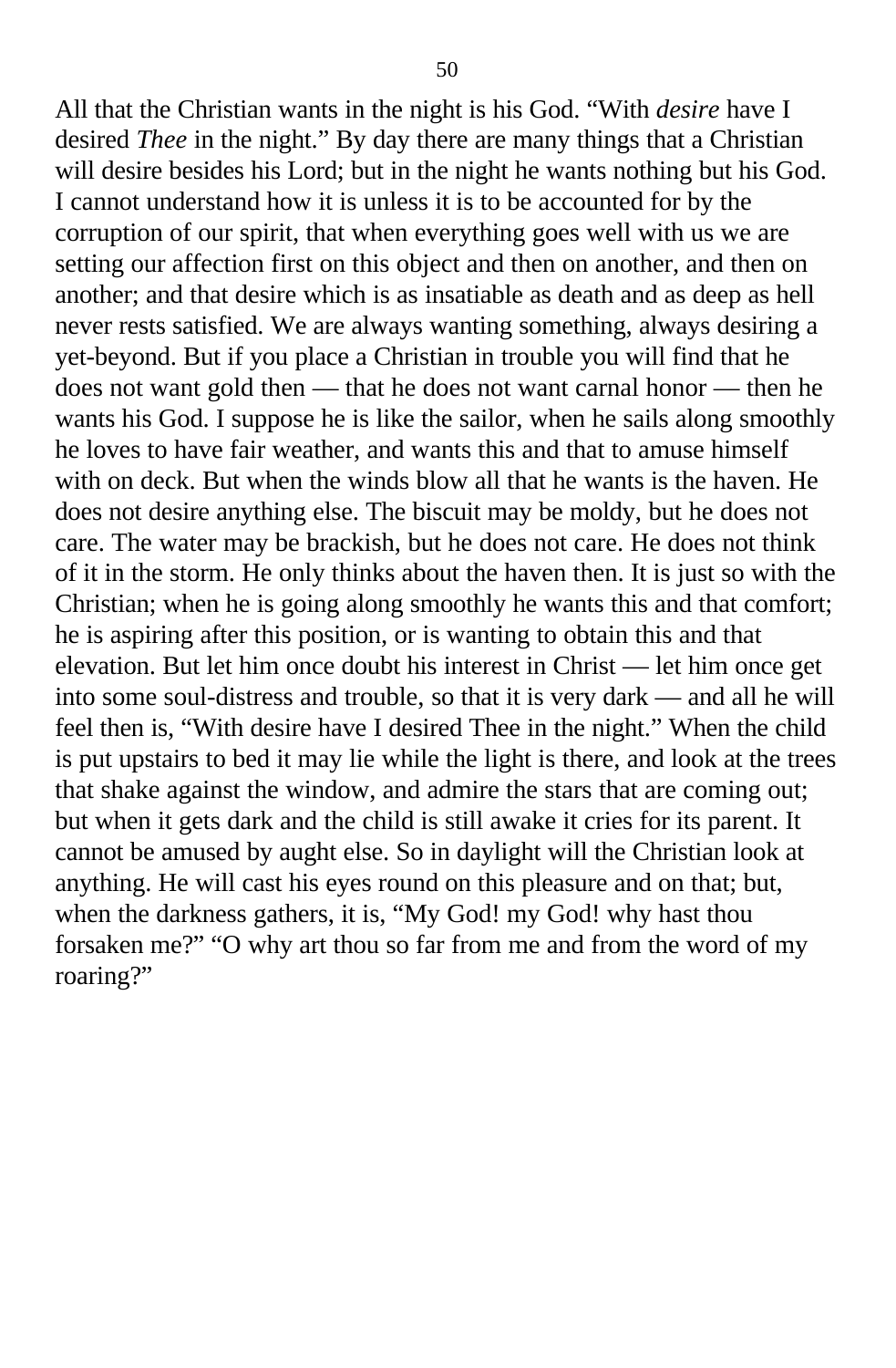All that the Christian wants in the night is his God. "With *desire* have I desired *Thee* in the night." By day there are many things that a Christian will desire besides his Lord; but in the night he wants nothing but his God. I cannot understand how it is unless it is to be accounted for by the corruption of our spirit, that when everything goes well with us we are setting our affection first on this object and then on another, and then on another; and that desire which is as insatiable as death and as deep as hell never rests satisfied. We are always wanting something, always desiring a yet-beyond. But if you place a Christian in trouble you will find that he does not want gold then — that he does not want carnal honor — then he wants his God. I suppose he is like the sailor, when he sails along smoothly he loves to have fair weather, and wants this and that to amuse himself with on deck. But when the winds blow all that he wants is the haven. He does not desire anything else. The biscuit may be moldy, but he does not care. The water may be brackish, but he does not care. He does not think of it in the storm. He only thinks about the haven then. It is just so with the Christian; when he is going along smoothly he wants this and that comfort; he is aspiring after this position, or is wanting to obtain this and that elevation. But let him once doubt his interest in Christ — let him once get into some soul-distress and trouble, so that it is very dark — and all he will feel then is, "With desire have I desired Thee in the night." When the child is put upstairs to bed it may lie while the light is there, and look at the trees that shake against the window, and admire the stars that are coming out; but when it gets dark and the child is still awake it cries for its parent. It cannot be amused by aught else. So in daylight will the Christian look at anything. He will cast his eyes round on this pleasure and on that; but, when the darkness gathers, it is, "My God! my God! why hast thou forsaken me?" "O why art thou so far from me and from the word of my roaring?"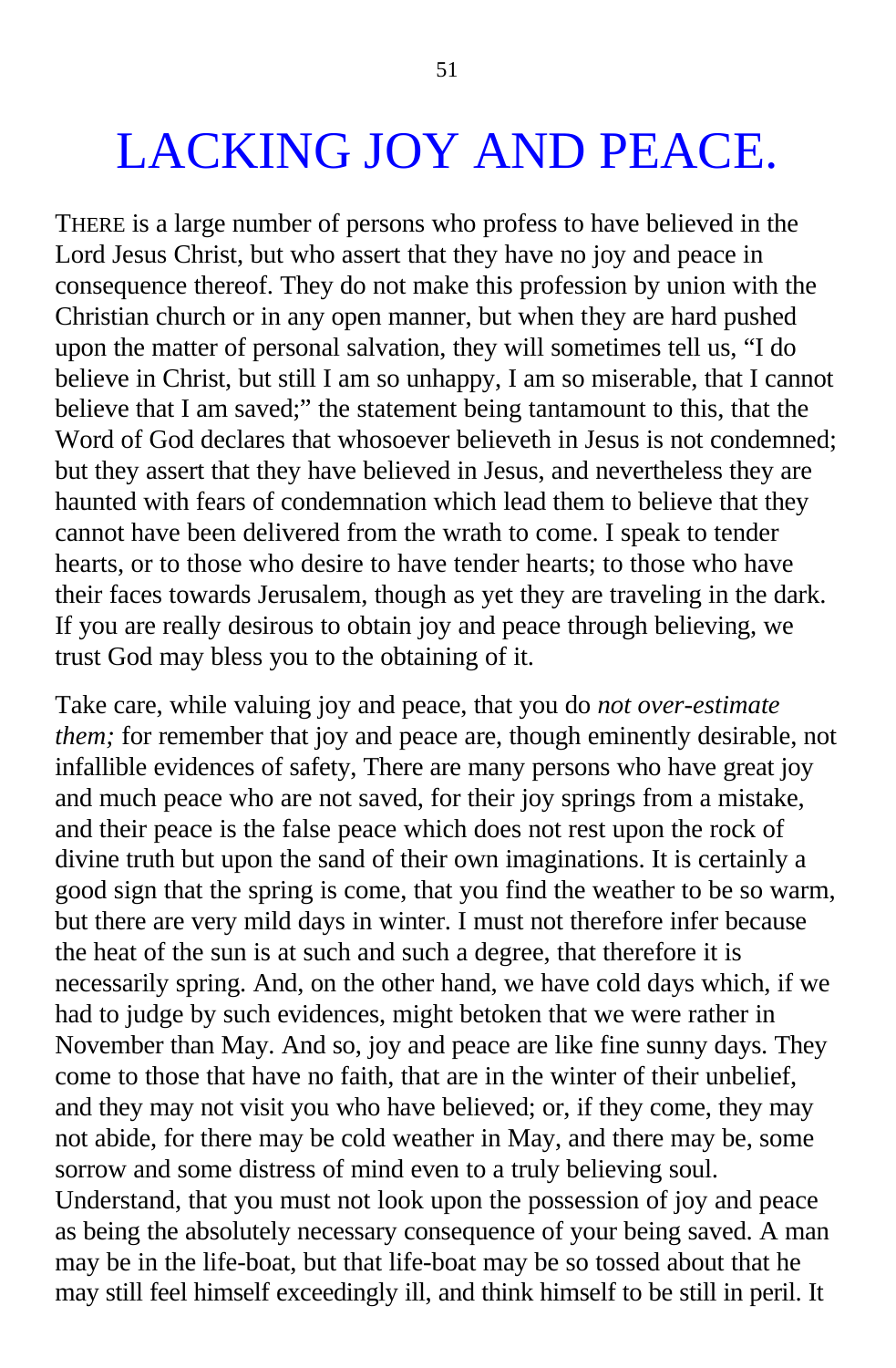# LACKING JOY AND PEACE.

THERE is a large number of persons who profess to have believed in the Lord Jesus Christ, but who assert that they have no joy and peace in consequence thereof. They do not make this profession by union with the Christian church or in any open manner, but when they are hard pushed upon the matter of personal salvation, they will sometimes tell us, "I do believe in Christ, but still I am so unhappy, I am so miserable, that I cannot believe that I am saved;" the statement being tantamount to this, that the Word of God declares that whosoever believeth in Jesus is not condemned; but they assert that they have believed in Jesus, and nevertheless they are haunted with fears of condemnation which lead them to believe that they cannot have been delivered from the wrath to come. I speak to tender hearts, or to those who desire to have tender hearts; to those who have their faces towards Jerusalem, though as yet they are traveling in the dark. If you are really desirous to obtain joy and peace through believing, we trust God may bless you to the obtaining of it.

Take care, while valuing joy and peace, that you do *not over-estimate them;* for remember that joy and peace are, though eminently desirable, not infallible evidences of safety, There are many persons who have great joy and much peace who are not saved, for their joy springs from a mistake, and their peace is the false peace which does not rest upon the rock of divine truth but upon the sand of their own imaginations. It is certainly a good sign that the spring is come, that you find the weather to be so warm, but there are very mild days in winter. I must not therefore infer because the heat of the sun is at such and such a degree, that therefore it is necessarily spring. And, on the other hand, we have cold days which, if we had to judge by such evidences, might betoken that we were rather in November than May. And so, joy and peace are like fine sunny days. They come to those that have no faith, that are in the winter of their unbelief, and they may not visit you who have believed; or, if they come, they may not abide, for there may be cold weather in May, and there may be, some sorrow and some distress of mind even to a truly believing soul. Understand, that you must not look upon the possession of joy and peace as being the absolutely necessary consequence of your being saved. A man may be in the life-boat, but that life-boat may be so tossed about that he may still feel himself exceedingly ill, and think himself to be still in peril. It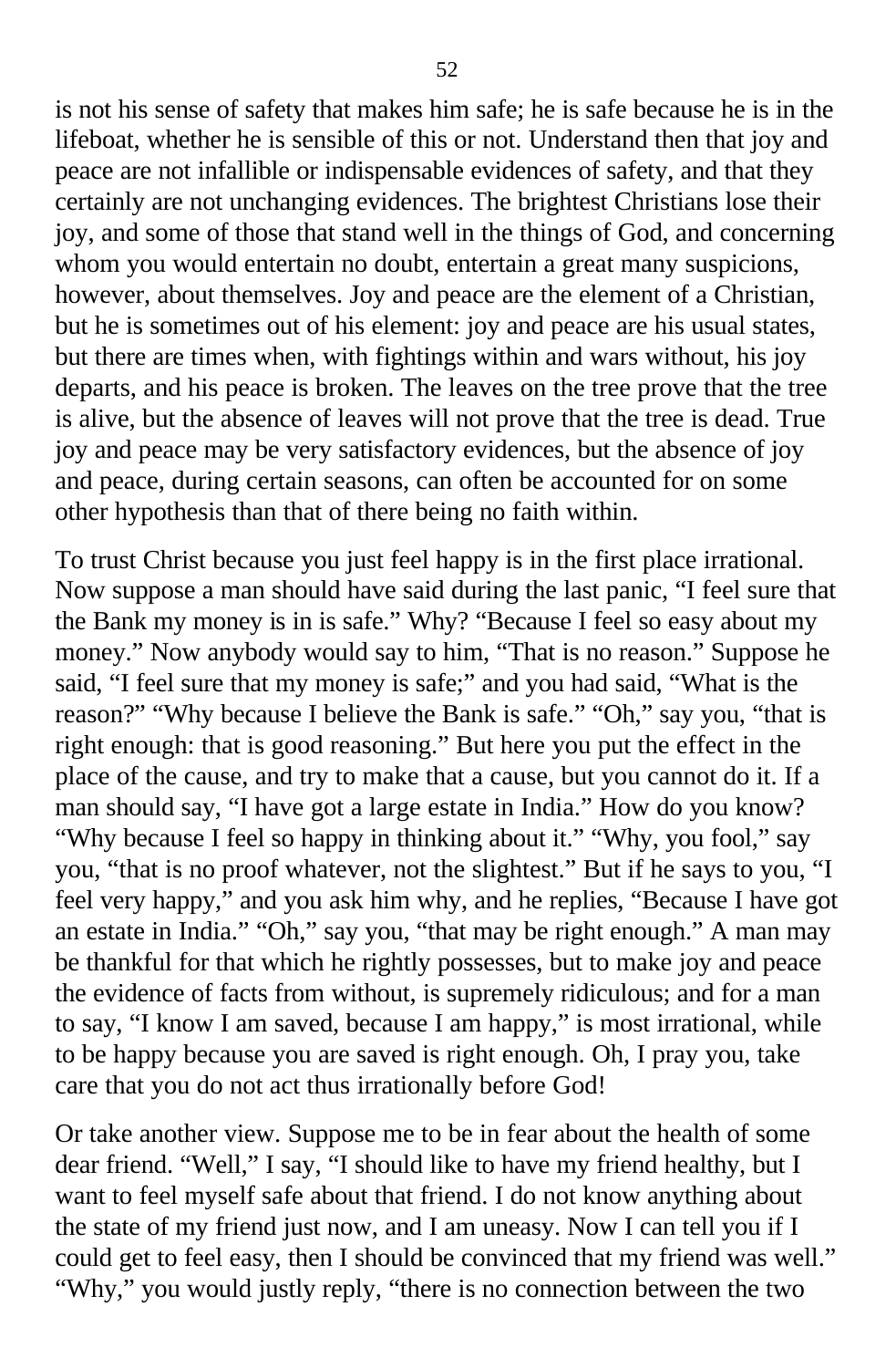is not his sense of safety that makes him safe; he is safe because he is in the lifeboat, whether he is sensible of this or not. Understand then that joy and peace are not infallible or indispensable evidences of safety, and that they certainly are not unchanging evidences. The brightest Christians lose their joy, and some of those that stand well in the things of God, and concerning whom you would entertain no doubt, entertain a great many suspicions, however, about themselves. Joy and peace are the element of a Christian, but he is sometimes out of his element: joy and peace are his usual states, but there are times when, with fightings within and wars without, his joy departs, and his peace is broken. The leaves on the tree prove that the tree is alive, but the absence of leaves will not prove that the tree is dead. True joy and peace may be very satisfactory evidences, but the absence of joy and peace, during certain seasons, can often be accounted for on some other hypothesis than that of there being no faith within.

To trust Christ because you just feel happy is in the first place irrational. Now suppose a man should have said during the last panic, "I feel sure that the Bank my money is in is safe." Why? "Because I feel so easy about my money." Now anybody would say to him, "That is no reason." Suppose he said, "I feel sure that my money is safe;" and you had said, "What is the reason?" "Why because I believe the Bank is safe." "Oh," say you, "that is right enough: that is good reasoning." But here you put the effect in the place of the cause, and try to make that a cause, but you cannot do it. If a man should say, "I have got a large estate in India." How do you know? "Why because I feel so happy in thinking about it." "Why, you fool," say you, "that is no proof whatever, not the slightest." But if he says to you, "I feel very happy," and you ask him why, and he replies, "Because I have got an estate in India." "Oh," say you, "that may be right enough." A man may be thankful for that which he rightly possesses, but to make joy and peace the evidence of facts from without, is supremely ridiculous; and for a man to say, "I know I am saved, because I am happy," is most irrational, while to be happy because you are saved is right enough. Oh, I pray you, take care that you do not act thus irrationally before God!

Or take another view. Suppose me to be in fear about the health of some dear friend. "Well," I say, "I should like to have my friend healthy, but I want to feel myself safe about that friend. I do not know anything about the state of my friend just now, and I am uneasy. Now I can tell you if I could get to feel easy, then I should be convinced that my friend was well." "Why," you would justly reply, "there is no connection between the two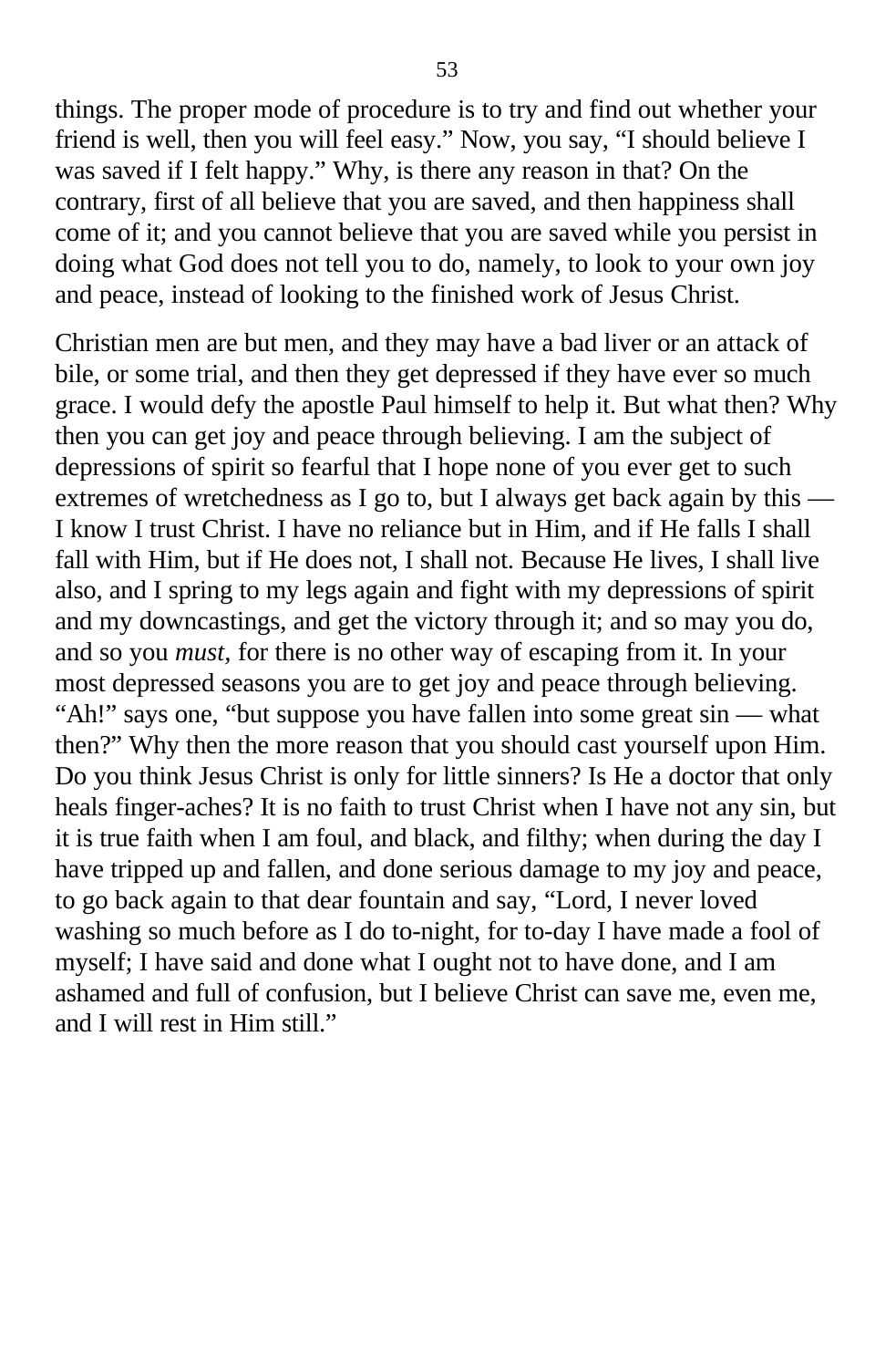things. The proper mode of procedure is to try and find out whether your friend is well, then you will feel easy." Now, you say, "I should believe I was saved if I felt happy." Why, is there any reason in that? On the contrary, first of all believe that you are saved, and then happiness shall come of it; and you cannot believe that you are saved while you persist in doing what God does not tell you to do, namely, to look to your own joy and peace, instead of looking to the finished work of Jesus Christ.

Christian men are but men, and they may have a bad liver or an attack of bile, or some trial, and then they get depressed if they have ever so much grace. I would defy the apostle Paul himself to help it. But what then? Why then you can get joy and peace through believing. I am the subject of depressions of spirit so fearful that I hope none of you ever get to such extremes of wretchedness as I go to, but I always get back again by this — I know I trust Christ. I have no reliance but in Him, and if He falls I shall fall with Him, but if He does not, I shall not. Because He lives, I shall live also, and I spring to my legs again and fight with my depressions of spirit and my downcastings, and get the victory through it; and so may you do, and so you *must,* for there is no other way of escaping from it. In your most depressed seasons you are to get joy and peace through believing. "Ah!" says one, "but suppose you have fallen into some great sin — what then?" Why then the more reason that you should cast yourself upon Him. Do you think Jesus Christ is only for little sinners? Is He a doctor that only heals finger-aches? It is no faith to trust Christ when I have not any sin, but it is true faith when I am foul, and black, and filthy; when during the day I have tripped up and fallen, and done serious damage to my joy and peace, to go back again to that dear fountain and say, "Lord, I never loved washing so much before as I do to-night, for to-day I have made a fool of myself; I have said and done what I ought not to have done, and I am ashamed and full of confusion, but I believe Christ can save me, even me, and I will rest in Him still."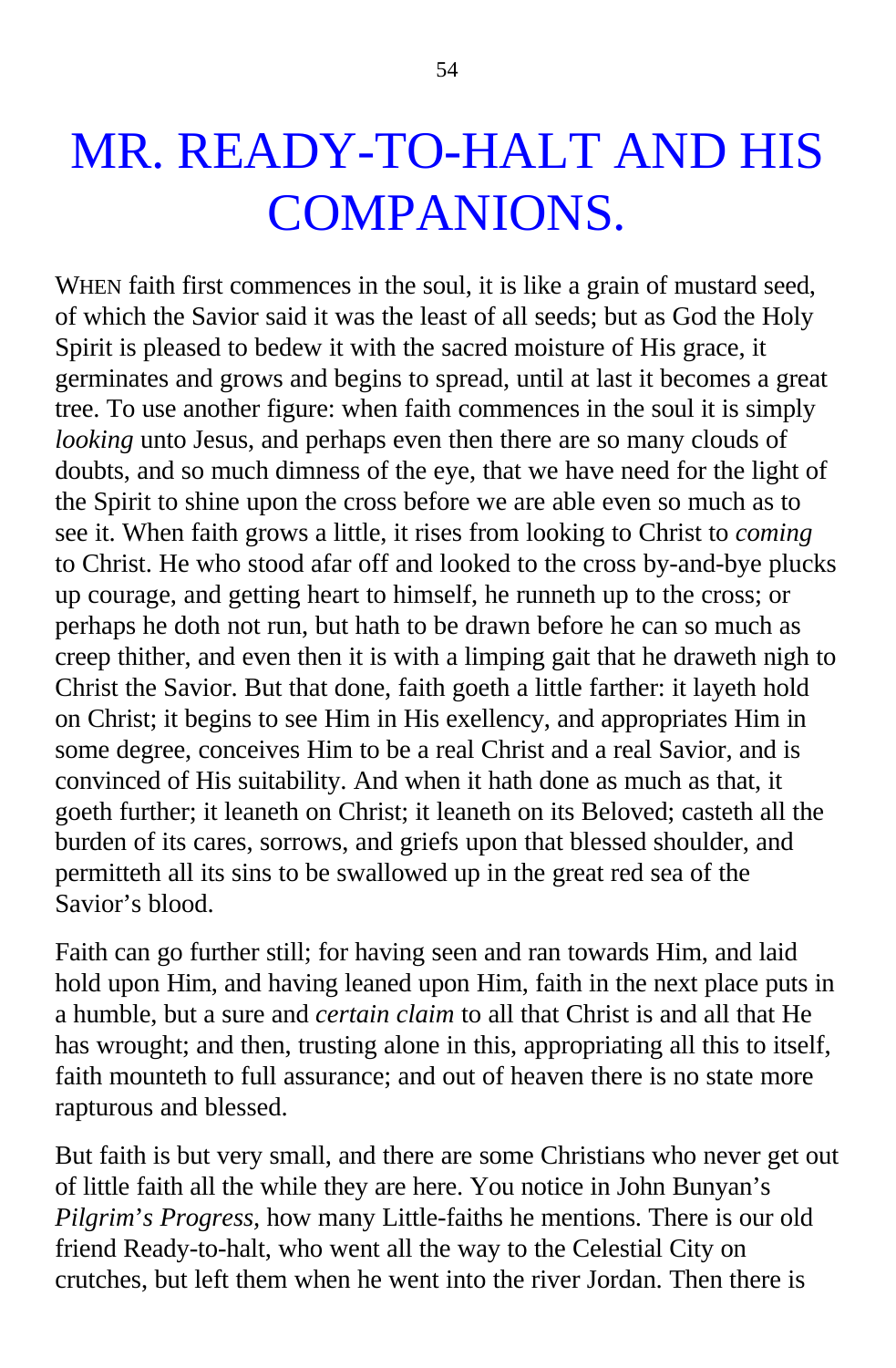# MR. READY-TO-HALT AND HIS COMPANIONS.

WHEN faith first commences in the soul, it is like a grain of mustard seed, of which the Savior said it was the least of all seeds; but as God the Holy Spirit is pleased to bedew it with the sacred moisture of His grace, it germinates and grows and begins to spread, until at last it becomes a great tree. To use another figure: when faith commences in the soul it is simply *looking* unto Jesus, and perhaps even then there are so many clouds of doubts, and so much dimness of the eye, that we have need for the light of the Spirit to shine upon the cross before we are able even so much as to see it. When faith grows a little, it rises from looking to Christ to *coming* to Christ. He who stood afar off and looked to the cross by-and-bye plucks up courage, and getting heart to himself, he runneth up to the cross; or perhaps he doth not run, but hath to be drawn before he can so much as creep thither, and even then it is with a limping gait that he draweth nigh to Christ the Savior. But that done, faith goeth a little farther: it layeth hold on Christ; it begins to see Him in His exellency, and appropriates Him in some degree, conceives Him to be a real Christ and a real Savior, and is convinced of His suitability. And when it hath done as much as that, it goeth further; it leaneth on Christ; it leaneth on its Beloved; casteth all the burden of its cares, sorrows, and griefs upon that blessed shoulder, and permitteth all its sins to be swallowed up in the great red sea of the Savior's blood.

Faith can go further still; for having seen and ran towards Him, and laid hold upon Him, and having leaned upon Him, faith in the next place puts in a humble, but a sure and *certain claim* to all that Christ is and all that He has wrought; and then, trusting alone in this, appropriating all this to itself, faith mounteth to full assurance; and out of heaven there is no state more rapturous and blessed.

But faith is but very small, and there are some Christians who never get out of little faith all the while they are here. You notice in John Bunyan's *Pilgrim*'*s Progress,* how many Little-faiths he mentions. There is our old friend Ready-to-halt, who went all the way to the Celestial City on crutches, but left them when he went into the river Jordan. Then there is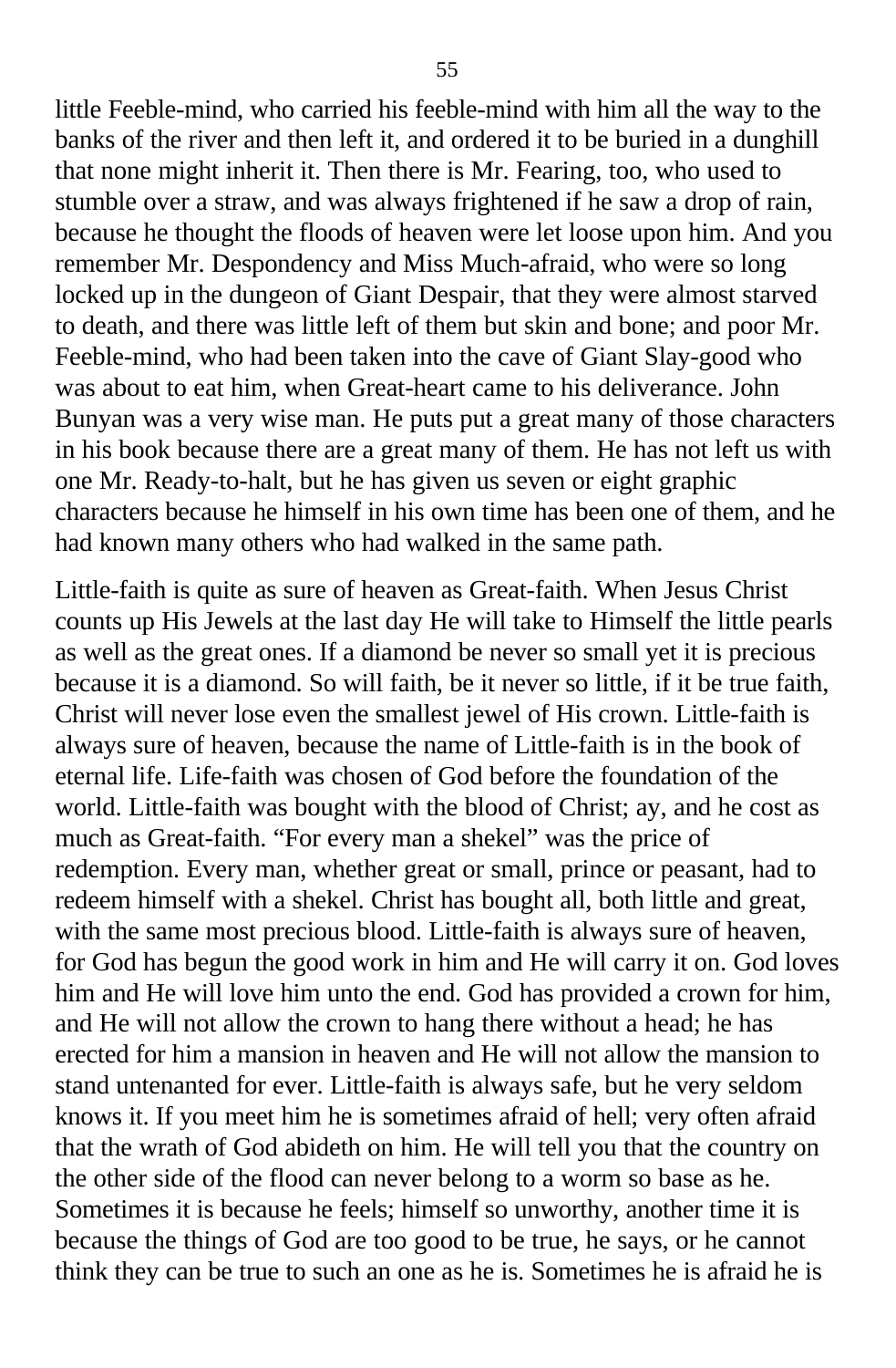little Feeble-mind, who carried his feeble-mind with him all the way to the banks of the river and then left it, and ordered it to be buried in a dunghill that none might inherit it. Then there is Mr. Fearing, too, who used to stumble over a straw, and was always frightened if he saw a drop of rain, because he thought the floods of heaven were let loose upon him. And you remember Mr. Despondency and Miss Much-afraid, who were so long locked up in the dungeon of Giant Despair, that they were almost starved to death, and there was little left of them but skin and bone; and poor Mr. Feeble-mind, who had been taken into the cave of Giant Slay-good who was about to eat him, when Great-heart came to his deliverance. John Bunyan was a very wise man. He puts put a great many of those characters in his book because there are a great many of them. He has not left us with one Mr. Ready-to-halt, but he has given us seven or eight graphic characters because he himself in his own time has been one of them, and he had known many others who had walked in the same path.

Little-faith is quite as sure of heaven as Great-faith. When Jesus Christ counts up His Jewels at the last day He will take to Himself the little pearls as well as the great ones. If a diamond be never so small yet it is precious because it is a diamond. So will faith, be it never so little, if it be true faith, Christ will never lose even the smallest jewel of His crown. Little-faith is always sure of heaven, because the name of Little-faith is in the book of eternal life. Life-faith was chosen of God before the foundation of the world. Little-faith was bought with the blood of Christ; ay, and he cost as much as Great-faith. "For every man a shekel" was the price of redemption. Every man, whether great or small, prince or peasant, had to redeem himself with a shekel. Christ has bought all, both little and great, with the same most precious blood. Little-faith is always sure of heaven, for God has begun the good work in him and He will carry it on. God loves him and He will love him unto the end. God has provided a crown for him, and He will not allow the crown to hang there without a head; he has erected for him a mansion in heaven and He will not allow the mansion to stand untenanted for ever. Little-faith is always safe, but he very seldom knows it. If you meet him he is sometimes afraid of hell; very often afraid that the wrath of God abideth on him. He will tell you that the country on the other side of the flood can never belong to a worm so base as he. Sometimes it is because he feels; himself so unworthy, another time it is because the things of God are too good to be true, he says, or he cannot think they can be true to such an one as he is. Sometimes he is afraid he is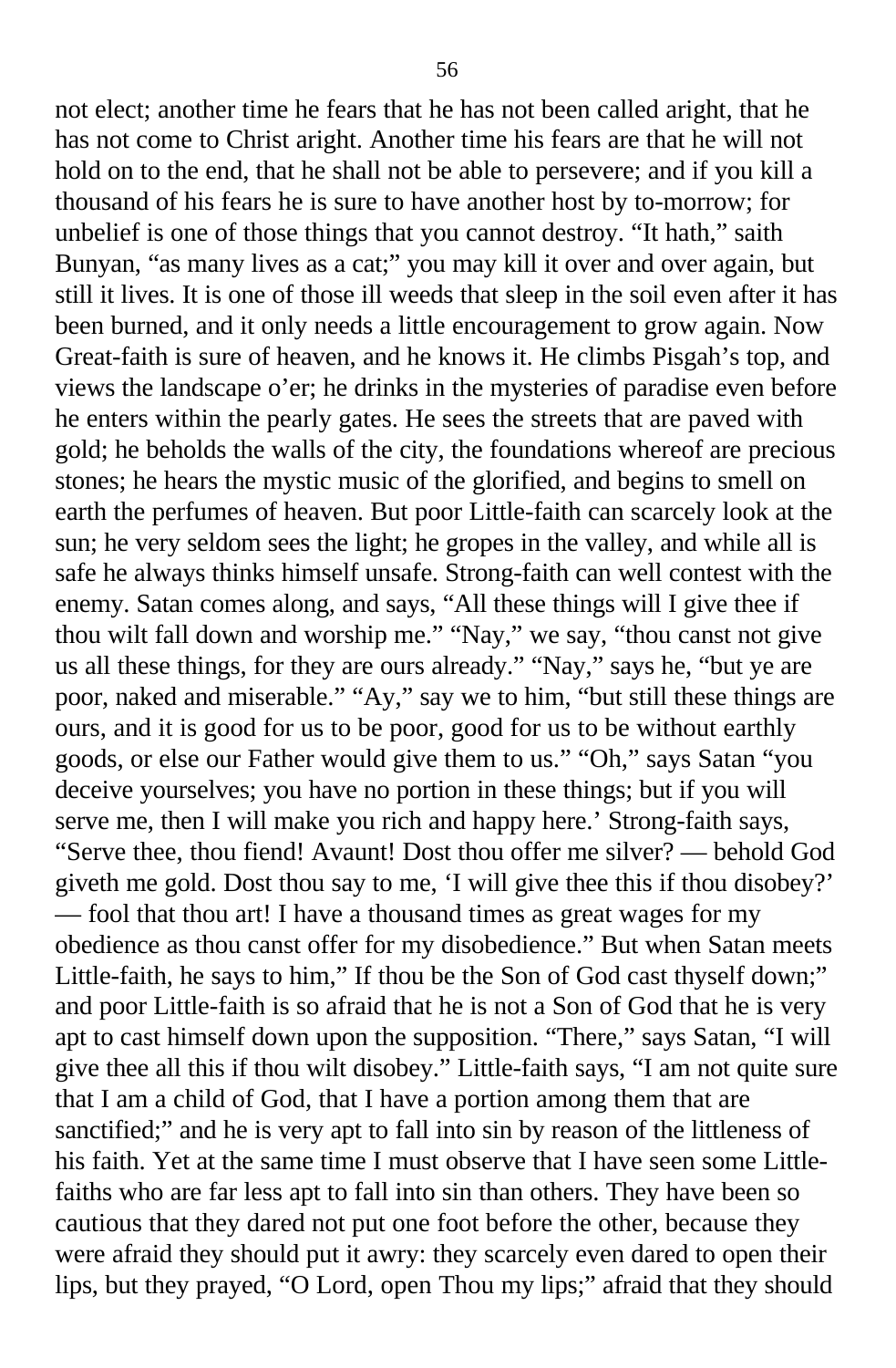not elect; another time he fears that he has not been called aright, that he has not come to Christ aright. Another time his fears are that he will not hold on to the end, that he shall not be able to persevere; and if you kill a thousand of his fears he is sure to have another host by to-morrow; for unbelief is one of those things that you cannot destroy. "It hath," saith Bunyan, "as many lives as a cat;" you may kill it over and over again, but still it lives. It is one of those ill weeds that sleep in the soil even after it has been burned, and it only needs a little encouragement to grow again. Now Great-faith is sure of heaven, and he knows it. He climbs Pisgah's top, and views the landscape o'er; he drinks in the mysteries of paradise even before he enters within the pearly gates. He sees the streets that are paved with gold; he beholds the walls of the city, the foundations whereof are precious stones; he hears the mystic music of the glorified, and begins to smell on earth the perfumes of heaven. But poor Little-faith can scarcely look at the sun; he very seldom sees the light; he gropes in the valley, and while all is safe he always thinks himself unsafe. Strong-faith can well contest with the enemy. Satan comes along, and says, "All these things will I give thee if thou wilt fall down and worship me." "Nay," we say, "thou canst not give us all these things, for they are ours already." "Nay," says he, "but ye are poor, naked and miserable." "Ay," say we to him, "but still these things are ours, and it is good for us to be poor, good for us to be without earthly goods, or else our Father would give them to us." "Oh," says Satan "you deceive yourselves; you have no portion in these things; but if you will serve me, then I will make you rich and happy here.' Strong-faith says, "Serve thee, thou fiend! Avaunt! Dost thou offer me silver? — behold God giveth me gold. Dost thou say to me, 'I will give thee this if thou disobey?' — fool that thou art! I have a thousand times as great wages for my obedience as thou canst offer for my disobedience." But when Satan meets Little-faith, he says to him," If thou be the Son of God cast thyself down;" and poor Little-faith is so afraid that he is not a Son of God that he is very apt to cast himself down upon the supposition. "There," says Satan, "I will give thee all this if thou wilt disobey." Little-faith says, "I am not quite sure that I am a child of God, that I have a portion among them that are sanctified;" and he is very apt to fall into sin by reason of the littleness of his faith. Yet at the same time I must observe that I have seen some Littlefaiths who are far less apt to fall into sin than others. They have been so cautious that they dared not put one foot before the other, because they were afraid they should put it awry: they scarcely even dared to open their lips, but they prayed, "O Lord, open Thou my lips;" afraid that they should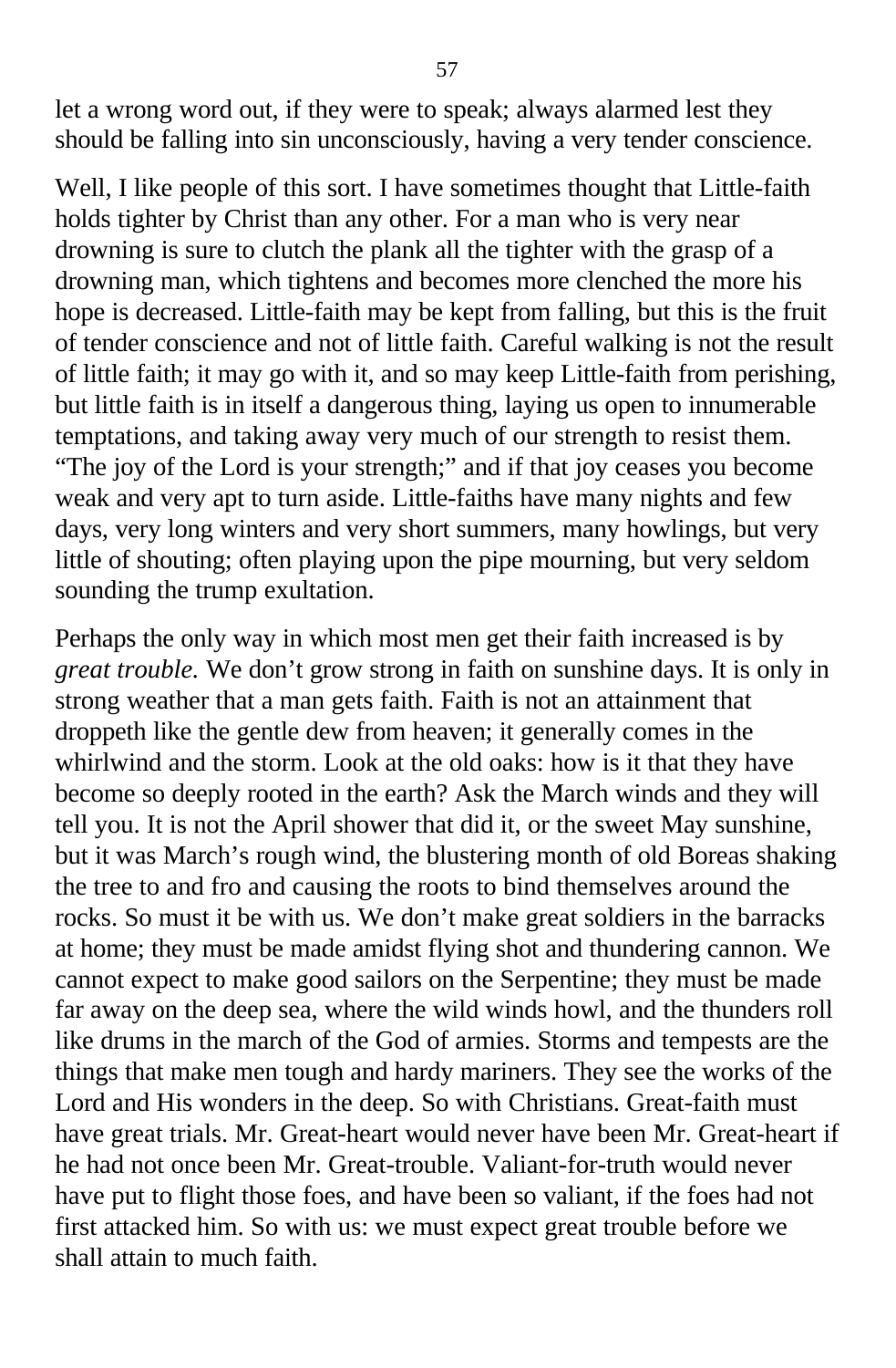let a wrong word out, if they were to speak; always alarmed lest they should be falling into sin unconsciously, having a very tender conscience.

Well, I like people of this sort. I have sometimes thought that Little-faith holds tighter by Christ than any other. For a man who is very near drowning is sure to clutch the plank all the tighter with the grasp of a drowning man, which tightens and becomes more clenched the more his hope is decreased. Little-faith may be kept from falling, but this is the fruit of tender conscience and not of little faith. Careful walking is not the result of little faith; it may go with it, and so may keep Little-faith from perishing, but little faith is in itself a dangerous thing, laying us open to innumerable temptations, and taking away very much of our strength to resist them. "The joy of the Lord is your strength;" and if that joy ceases you become weak and very apt to turn aside. Little-faiths have many nights and few days, very long winters and very short summers, many howlings, but very little of shouting; often playing upon the pipe mourning, but very seldom sounding the trump exultation.

Perhaps the only way in which most men get their faith increased is by *great trouble.* We don't grow strong in faith on sunshine days. It is only in strong weather that a man gets faith. Faith is not an attainment that droppeth like the gentle dew from heaven; it generally comes in the whirlwind and the storm. Look at the old oaks: how is it that they have become so deeply rooted in the earth? Ask the March winds and they will tell you. It is not the April shower that did it, or the sweet May sunshine, but it was March's rough wind, the blustering month of old Boreas shaking the tree to and fro and causing the roots to bind themselves around the rocks. So must it be with us. We don't make great soldiers in the barracks at home; they must be made amidst flying shot and thundering cannon. We cannot expect to make good sailors on the Serpentine; they must be made far away on the deep sea, where the wild winds howl, and the thunders roll like drums in the march of the God of armies. Storms and tempests are the things that make men tough and hardy mariners. They see the works of the Lord and His wonders in the deep. So with Christians. Great-faith must have great trials. Mr. Great-heart would never have been Mr. Great-heart if he had not once been Mr. Great-trouble. Valiant-for-truth would never have put to flight those foes, and have been so valiant, if the foes had not first attacked him. So with us: we must expect great trouble before we shall attain to much faith.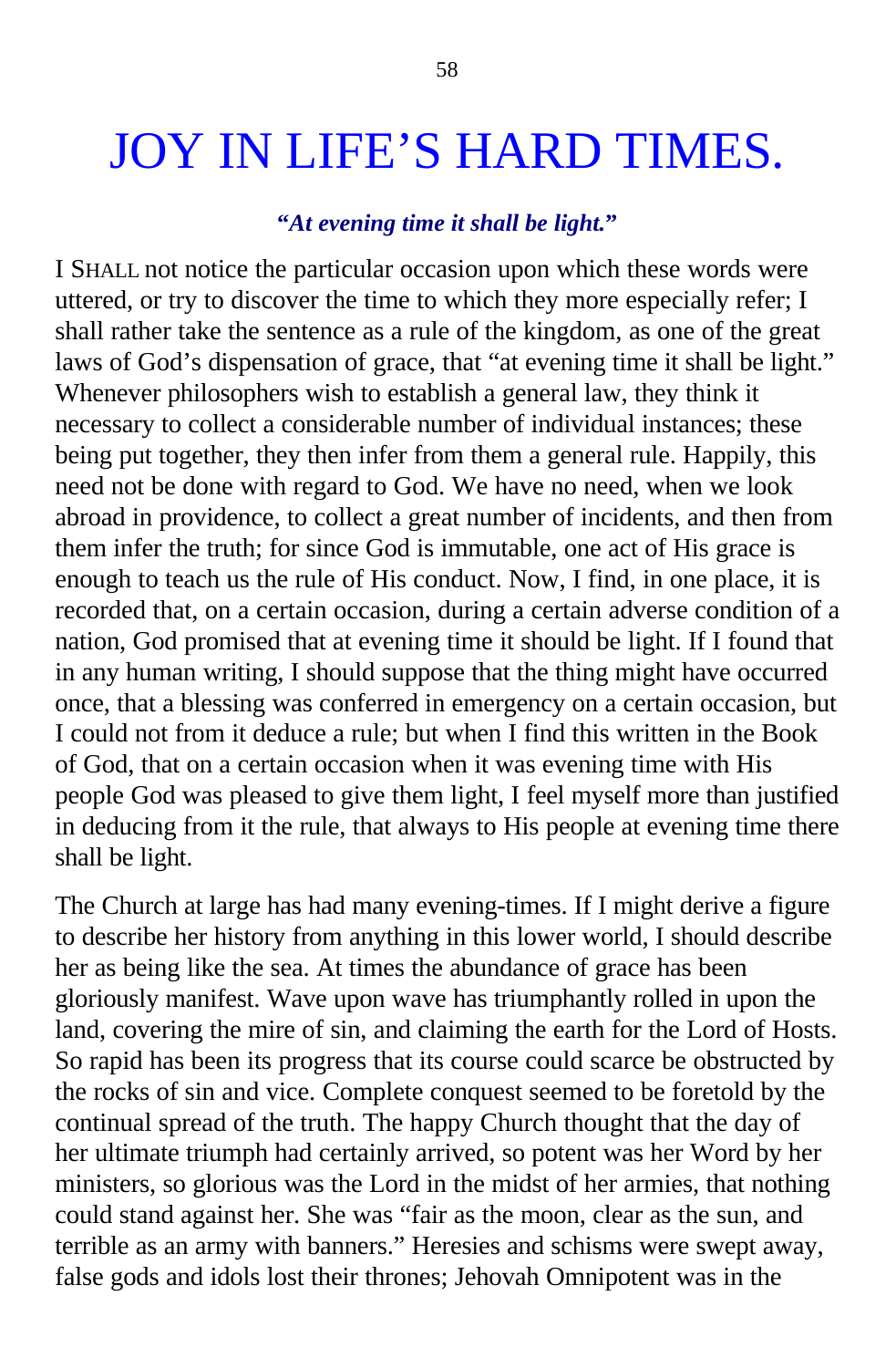### JOY IN LIFE'S HARD TIMES.

#### **"***At evening time it shall be light.***"**

I SHALL not notice the particular occasion upon which these words were uttered, or try to discover the time to which they more especially refer; I shall rather take the sentence as a rule of the kingdom, as one of the great laws of God's dispensation of grace, that "at evening time it shall be light." Whenever philosophers wish to establish a general law, they think it necessary to collect a considerable number of individual instances; these being put together, they then infer from them a general rule. Happily, this need not be done with regard to God. We have no need, when we look abroad in providence, to collect a great number of incidents, and then from them infer the truth; for since God is immutable, one act of His grace is enough to teach us the rule of His conduct. Now, I find, in one place, it is recorded that, on a certain occasion, during a certain adverse condition of a nation, God promised that at evening time it should be light. If I found that in any human writing, I should suppose that the thing might have occurred once, that a blessing was conferred in emergency on a certain occasion, but I could not from it deduce a rule; but when I find this written in the Book of God, that on a certain occasion when it was evening time with His people God was pleased to give them light, I feel myself more than justified in deducing from it the rule, that always to His people at evening time there shall be light.

The Church at large has had many evening-times. If I might derive a figure to describe her history from anything in this lower world, I should describe her as being like the sea. At times the abundance of grace has been gloriously manifest. Wave upon wave has triumphantly rolled in upon the land, covering the mire of sin, and claiming the earth for the Lord of Hosts. So rapid has been its progress that its course could scarce be obstructed by the rocks of sin and vice. Complete conquest seemed to be foretold by the continual spread of the truth. The happy Church thought that the day of her ultimate triumph had certainly arrived, so potent was her Word by her ministers, so glorious was the Lord in the midst of her armies, that nothing could stand against her. She was "fair as the moon, clear as the sun, and terrible as an army with banners." Heresies and schisms were swept away, false gods and idols lost their thrones; Jehovah Omnipotent was in the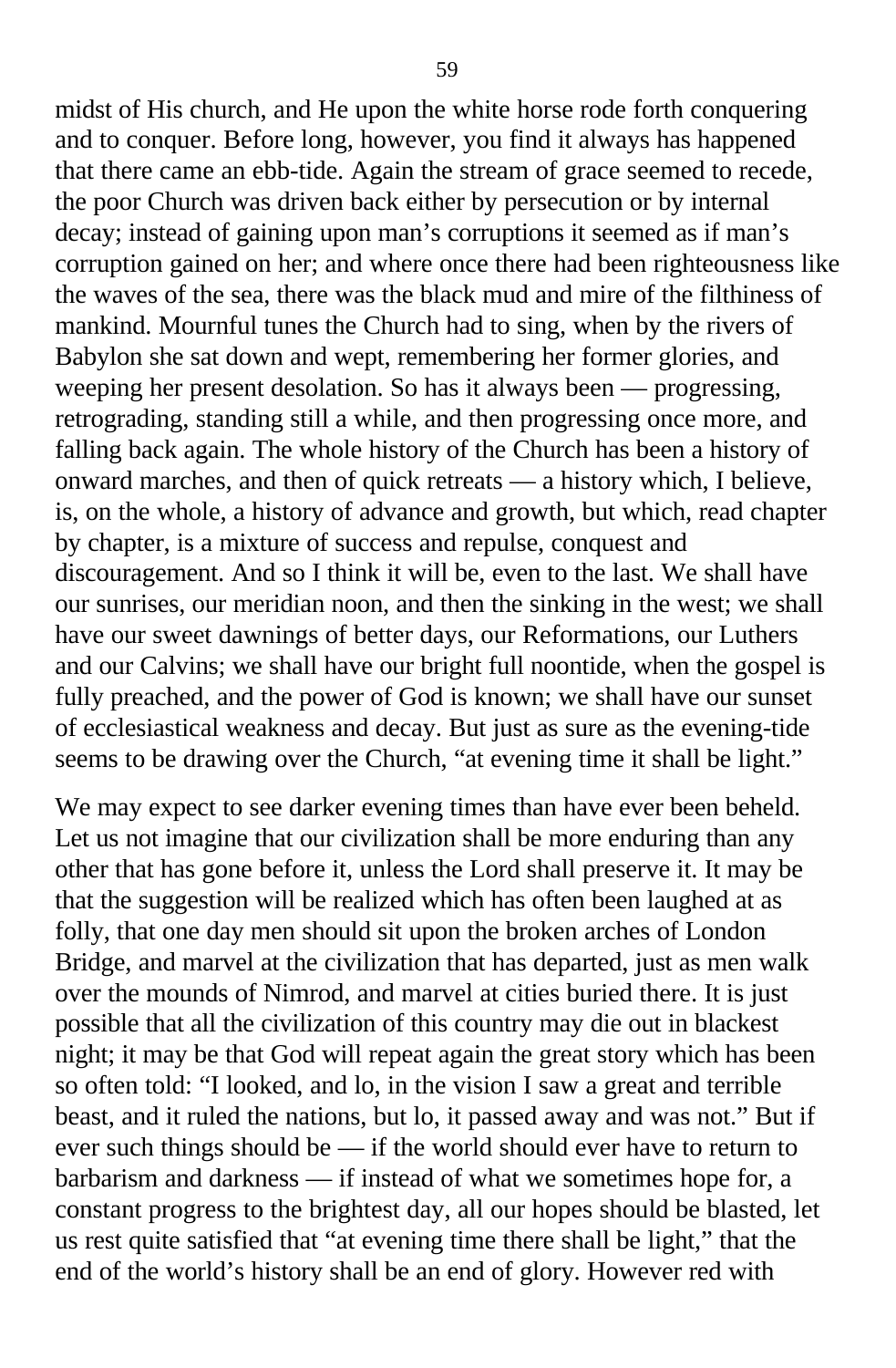midst of His church, and He upon the white horse rode forth conquering and to conquer. Before long, however, you find it always has happened that there came an ebb-tide. Again the stream of grace seemed to recede, the poor Church was driven back either by persecution or by internal decay; instead of gaining upon man's corruptions it seemed as if man's corruption gained on her; and where once there had been righteousness like the waves of the sea, there was the black mud and mire of the filthiness of mankind. Mournful tunes the Church had to sing, when by the rivers of Babylon she sat down and wept, remembering her former glories, and weeping her present desolation. So has it always been — progressing, retrograding, standing still a while, and then progressing once more, and falling back again. The whole history of the Church has been a history of onward marches, and then of quick retreats — a history which, I believe, is, on the whole, a history of advance and growth, but which, read chapter by chapter, is a mixture of success and repulse, conquest and discouragement. And so I think it will be, even to the last. We shall have our sunrises, our meridian noon, and then the sinking in the west; we shall have our sweet dawnings of better days, our Reformations, our Luthers and our Calvins; we shall have our bright full noontide, when the gospel is fully preached, and the power of God is known; we shall have our sunset of ecclesiastical weakness and decay. But just as sure as the evening-tide seems to be drawing over the Church, "at evening time it shall be light."

We may expect to see darker evening times than have ever been beheld. Let us not imagine that our civilization shall be more enduring than any other that has gone before it, unless the Lord shall preserve it. It may be that the suggestion will be realized which has often been laughed at as folly, that one day men should sit upon the broken arches of London Bridge, and marvel at the civilization that has departed, just as men walk over the mounds of Nimrod, and marvel at cities buried there. It is just possible that all the civilization of this country may die out in blackest night; it may be that God will repeat again the great story which has been so often told: "I looked, and lo, in the vision I saw a great and terrible beast, and it ruled the nations, but lo, it passed away and was not." But if ever such things should be — if the world should ever have to return to barbarism and darkness — if instead of what we sometimes hope for, a constant progress to the brightest day, all our hopes should be blasted, let us rest quite satisfied that "at evening time there shall be light," that the end of the world's history shall be an end of glory. However red with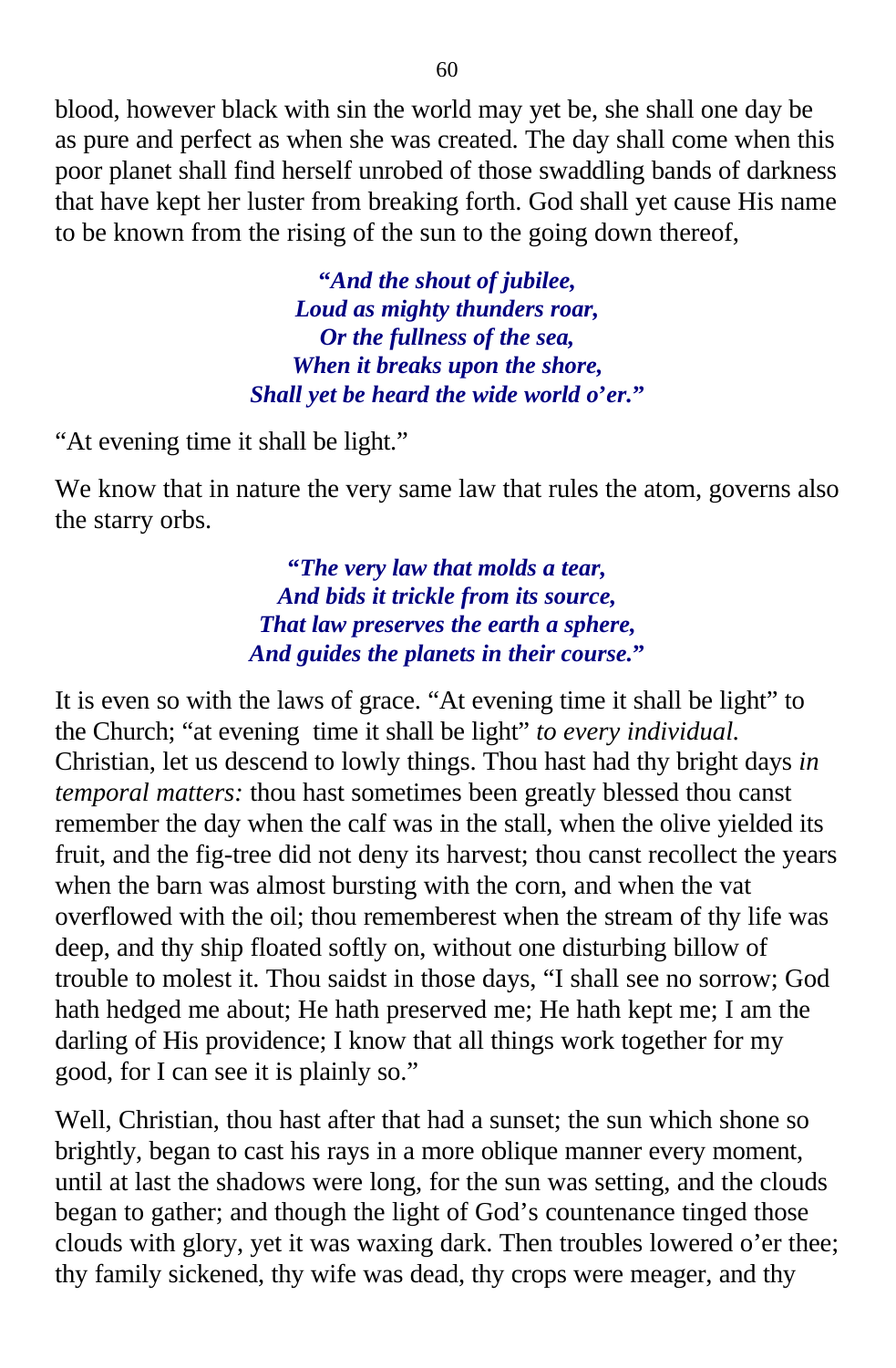blood, however black with sin the world may yet be, she shall one day be as pure and perfect as when she was created. The day shall come when this poor planet shall find herself unrobed of those swaddling bands of darkness that have kept her luster from breaking forth. God shall yet cause His name to be known from the rising of the sun to the going down thereof,

> **"***And the shout of jubilee, Loud as mighty thunders roar, Or the fullness of the sea, When it breaks upon the shore, Shall yet be heard the wide world o***'***er.***"**

"At evening time it shall be light."

We know that in nature the very same law that rules the atom, governs also the starry orbs.

> **"***The very law that molds a tear, And bids it trickle from its source, That law preserves the earth a sphere, And guides the planets in their course.***"**

It is even so with the laws of grace. "At evening time it shall be light" to the Church; "at evening time it shall be light" *to every individual.* Christian, let us descend to lowly things. Thou hast had thy bright days *in temporal matters:* thou hast sometimes been greatly blessed thou canst remember the day when the calf was in the stall, when the olive yielded its fruit, and the fig-tree did not deny its harvest; thou canst recollect the years when the barn was almost bursting with the corn, and when the vat overflowed with the oil; thou rememberest when the stream of thy life was deep, and thy ship floated softly on, without one disturbing billow of trouble to molest it. Thou saidst in those days, "I shall see no sorrow; God hath hedged me about; He hath preserved me; He hath kept me; I am the darling of His providence; I know that all things work together for my good, for I can see it is plainly so."

Well, Christian, thou hast after that had a sunset; the sun which shone so brightly, began to cast his rays in a more oblique manner every moment, until at last the shadows were long, for the sun was setting, and the clouds began to gather; and though the light of God's countenance tinged those clouds with glory, yet it was waxing dark. Then troubles lowered o'er thee; thy family sickened, thy wife was dead, thy crops were meager, and thy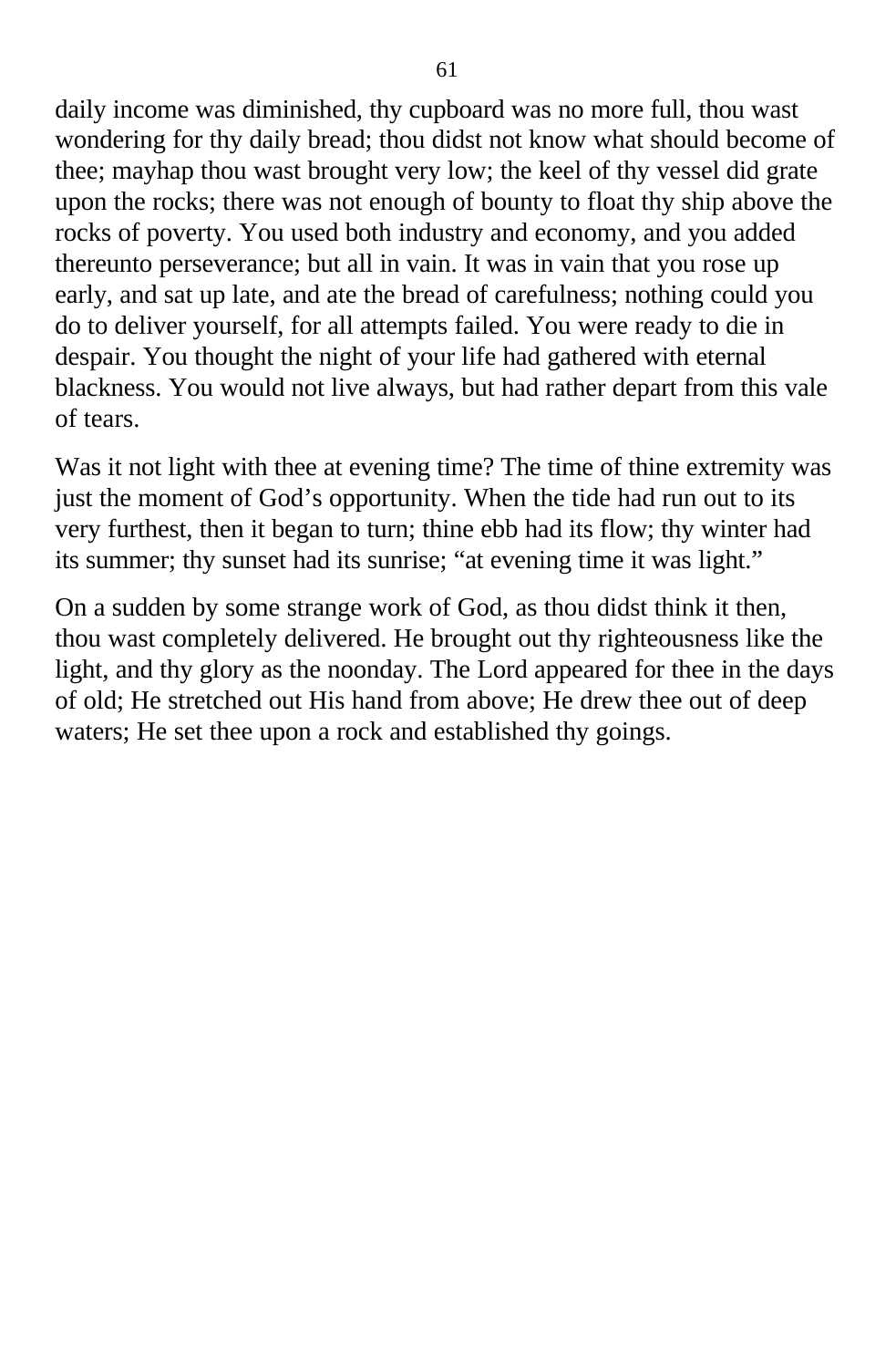daily income was diminished, thy cupboard was no more full, thou wast wondering for thy daily bread; thou didst not know what should become of thee; mayhap thou wast brought very low; the keel of thy vessel did grate upon the rocks; there was not enough of bounty to float thy ship above the rocks of poverty. You used both industry and economy, and you added thereunto perseverance; but all in vain. It was in vain that you rose up early, and sat up late, and ate the bread of carefulness; nothing could you do to deliver yourself, for all attempts failed. You were ready to die in despair. You thought the night of your life had gathered with eternal blackness. You would not live always, but had rather depart from this vale of tears.

Was it not light with thee at evening time? The time of thine extremity was just the moment of God's opportunity. When the tide had run out to its very furthest, then it began to turn; thine ebb had its flow; thy winter had its summer; thy sunset had its sunrise; "at evening time it was light."

On a sudden by some strange work of God, as thou didst think it then, thou wast completely delivered. He brought out thy righteousness like the light, and thy glory as the noonday. The Lord appeared for thee in the days of old; He stretched out His hand from above; He drew thee out of deep waters; He set thee upon a rock and established thy goings.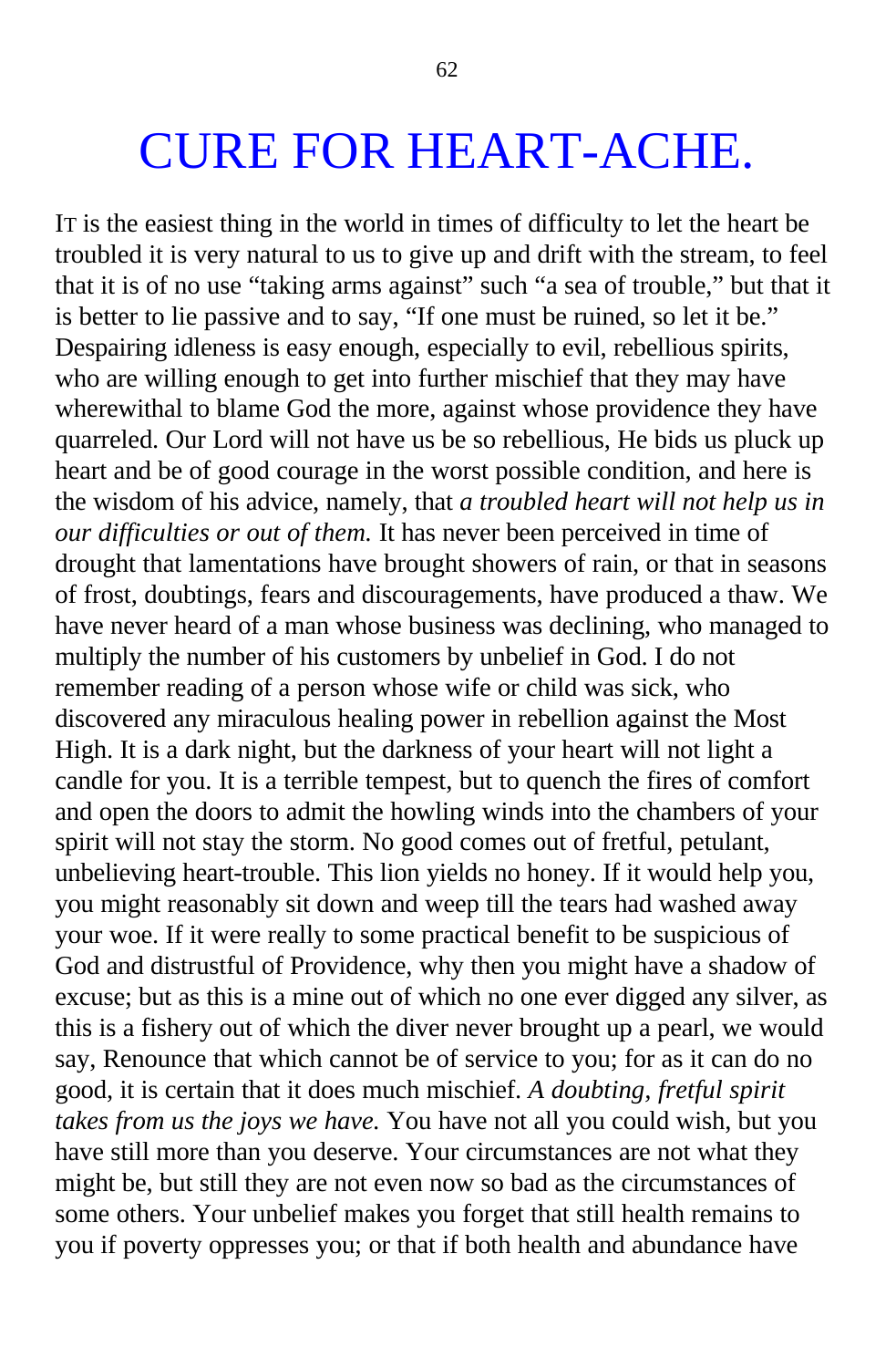### CURE FOR HEART-ACHE.

IT is the easiest thing in the world in times of difficulty to let the heart be troubled it is very natural to us to give up and drift with the stream, to feel that it is of no use "taking arms against" such "a sea of trouble," but that it is better to lie passive and to say, "If one must be ruined, so let it be." Despairing idleness is easy enough, especially to evil, rebellious spirits, who are willing enough to get into further mischief that they may have wherewithal to blame God the more, against whose providence they have quarreled. Our Lord will not have us be so rebellious, He bids us pluck up heart and be of good courage in the worst possible condition, and here is the wisdom of his advice, namely, that *a troubled heart will not help us in our difficulties or out of them.* It has never been perceived in time of drought that lamentations have brought showers of rain, or that in seasons of frost, doubtings, fears and discouragements, have produced a thaw. We have never heard of a man whose business was declining, who managed to multiply the number of his customers by unbelief in God. I do not remember reading of a person whose wife or child was sick, who discovered any miraculous healing power in rebellion against the Most High. It is a dark night, but the darkness of your heart will not light a candle for you. It is a terrible tempest, but to quench the fires of comfort and open the doors to admit the howling winds into the chambers of your spirit will not stay the storm. No good comes out of fretful, petulant, unbelieving heart-trouble. This lion yields no honey. If it would help you, you might reasonably sit down and weep till the tears had washed away your woe. If it were really to some practical benefit to be suspicious of God and distrustful of Providence, why then you might have a shadow of excuse; but as this is a mine out of which no one ever digged any silver, as this is a fishery out of which the diver never brought up a pearl, we would say, Renounce that which cannot be of service to you; for as it can do no good, it is certain that it does much mischief. *A doubting, fretful spirit takes from us the joys we have.* You have not all you could wish, but you have still more than you deserve. Your circumstances are not what they might be, but still they are not even now so bad as the circumstances of some others. Your unbelief makes you forget that still health remains to you if poverty oppresses you; or that if both health and abundance have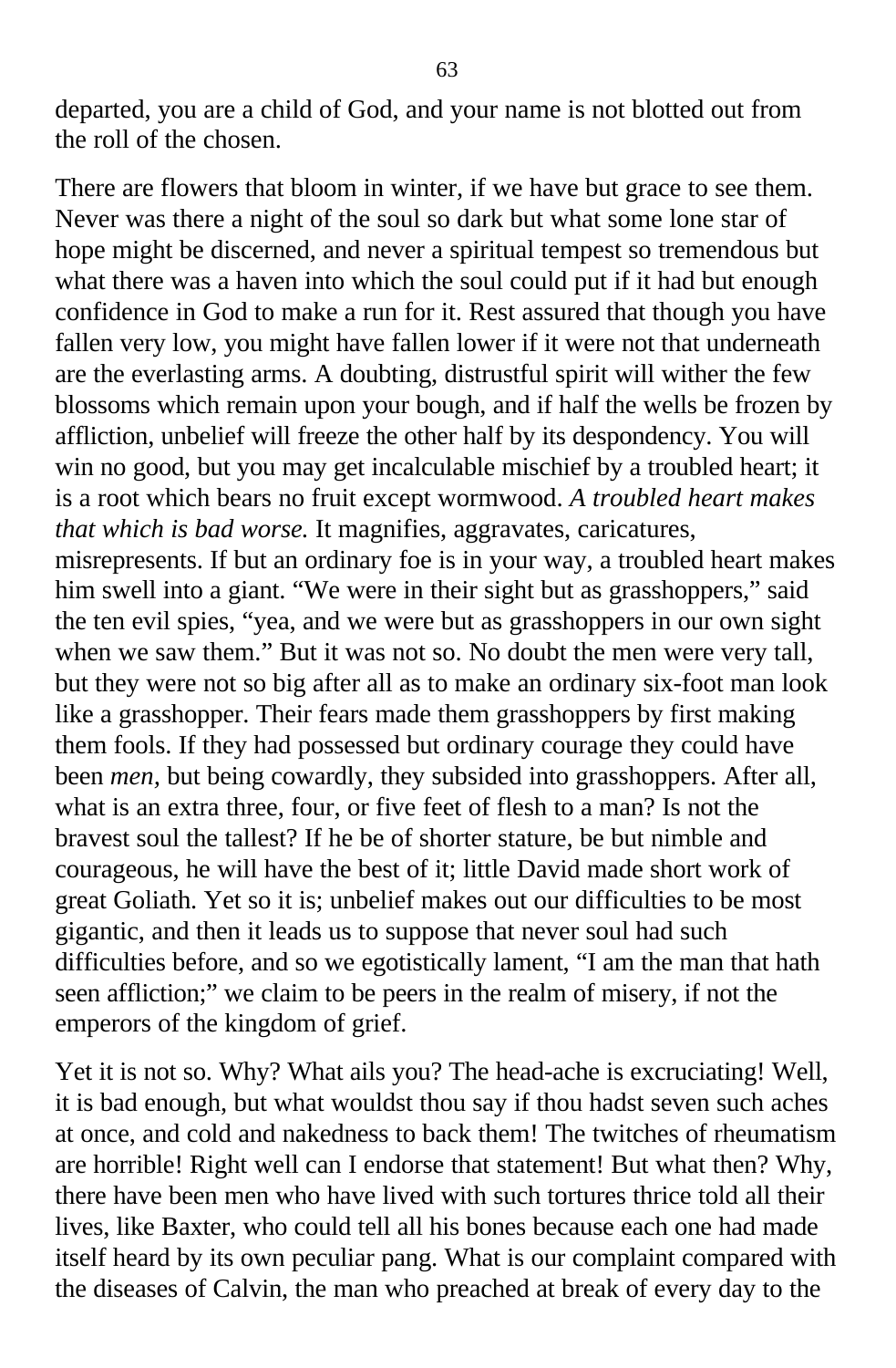departed, you are a child of God, and your name is not blotted out from the roll of the chosen.

There are flowers that bloom in winter, if we have but grace to see them. Never was there a night of the soul so dark but what some lone star of hope might be discerned, and never a spiritual tempest so tremendous but what there was a haven into which the soul could put if it had but enough confidence in God to make a run for it. Rest assured that though you have fallen very low, you might have fallen lower if it were not that underneath are the everlasting arms. A doubting, distrustful spirit will wither the few blossoms which remain upon your bough, and if half the wells be frozen by affliction, unbelief will freeze the other half by its despondency. You will win no good, but you may get incalculable mischief by a troubled heart; it is a root which bears no fruit except wormwood. *A troubled heart makes that which is bad worse.* It magnifies, aggravates, caricatures, misrepresents. If but an ordinary foe is in your way, a troubled heart makes him swell into a giant. "We were in their sight but as grasshoppers," said the ten evil spies, "yea, and we were but as grasshoppers in our own sight when we saw them." But it was not so. No doubt the men were very tall, but they were not so big after all as to make an ordinary six-foot man look like a grasshopper. Their fears made them grasshoppers by first making them fools. If they had possessed but ordinary courage they could have been *men*, but being cowardly, they subsided into grasshoppers. After all, what is an extra three, four, or five feet of flesh to a man? Is not the bravest soul the tallest? If he be of shorter stature, be but nimble and courageous, he will have the best of it; little David made short work of great Goliath. Yet so it is; unbelief makes out our difficulties to be most gigantic, and then it leads us to suppose that never soul had such difficulties before, and so we egotistically lament, "I am the man that hath seen affliction;" we claim to be peers in the realm of misery, if not the emperors of the kingdom of grief.

Yet it is not so. Why? What ails you? The head-ache is excruciating! Well, it is bad enough, but what wouldst thou say if thou hadst seven such aches at once, and cold and nakedness to back them! The twitches of rheumatism are horrible! Right well can I endorse that statement! But what then? Why, there have been men who have lived with such tortures thrice told all their lives, like Baxter, who could tell all his bones because each one had made itself heard by its own peculiar pang. What is our complaint compared with the diseases of Calvin, the man who preached at break of every day to the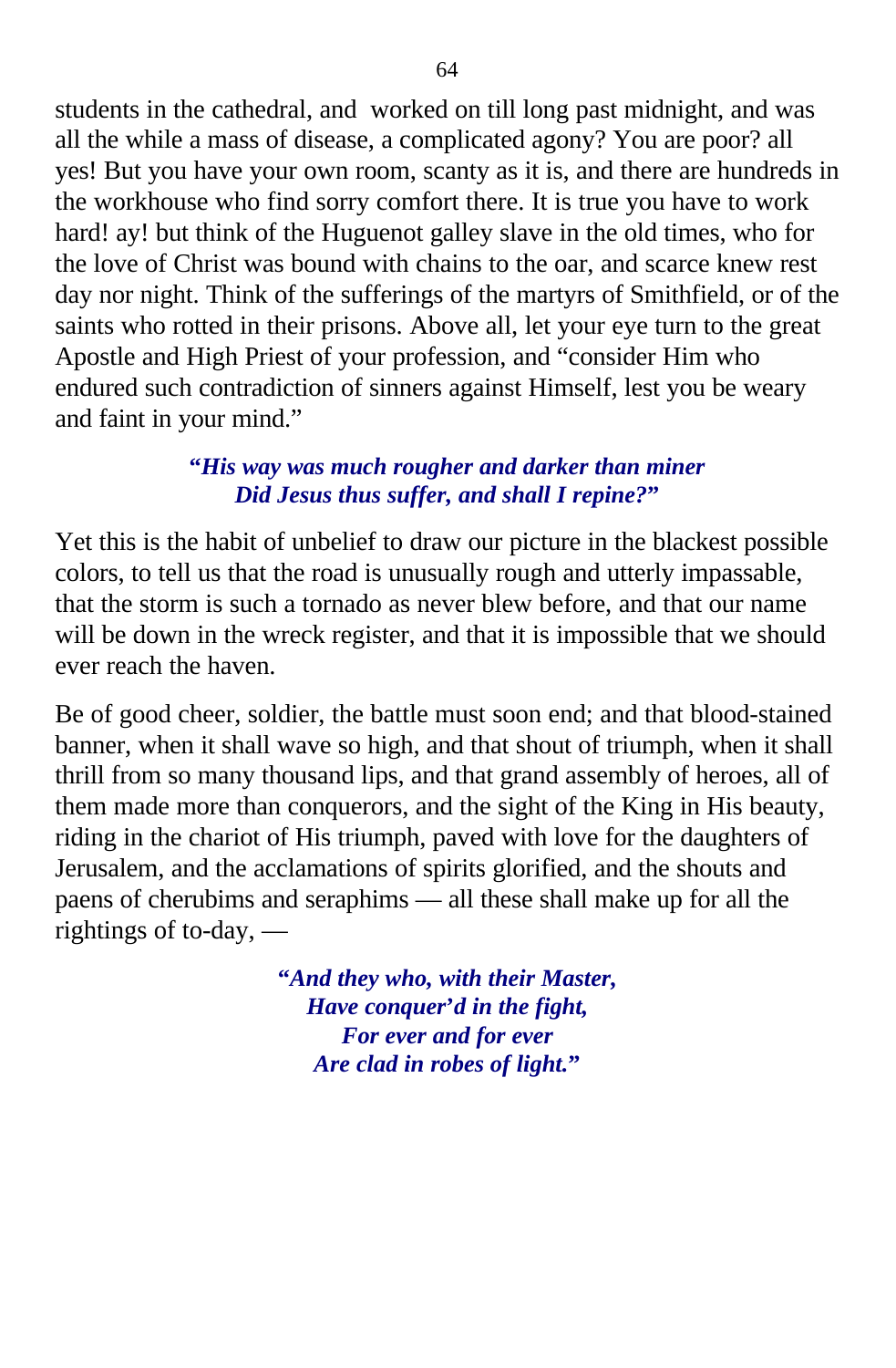students in the cathedral, and worked on till long past midnight, and was all the while a mass of disease, a complicated agony? You are poor? all yes! But you have your own room, scanty as it is, and there are hundreds in the workhouse who find sorry comfort there. It is true you have to work hard! ay! but think of the Huguenot galley slave in the old times, who for the love of Christ was bound with chains to the oar, and scarce knew rest day nor night. Think of the sufferings of the martyrs of Smithfield, or of the saints who rotted in their prisons. Above all, let your eye turn to the great Apostle and High Priest of your profession, and "consider Him who endured such contradiction of sinners against Himself, lest you be weary and faint in your mind."

#### **"***His way was much rougher and darker than miner Did Jesus thus suffer, and shall I repine?***"**

Yet this is the habit of unbelief to draw our picture in the blackest possible colors, to tell us that the road is unusually rough and utterly impassable, that the storm is such a tornado as never blew before, and that our name will be down in the wreck register, and that it is impossible that we should ever reach the haven.

Be of good cheer, soldier, the battle must soon end; and that blood-stained banner, when it shall wave so high, and that shout of triumph, when it shall thrill from so many thousand lips, and that grand assembly of heroes, all of them made more than conquerors, and the sight of the King in His beauty, riding in the chariot of His triumph, paved with love for the daughters of Jerusalem, and the acclamations of spirits glorified, and the shouts and paens of cherubims and seraphims — all these shall make up for all the rightings of to-day, —

> **"***And they who, with their Master, Have conquer***'***d in the fight, For ever and for ever Are clad in robes of light.***"**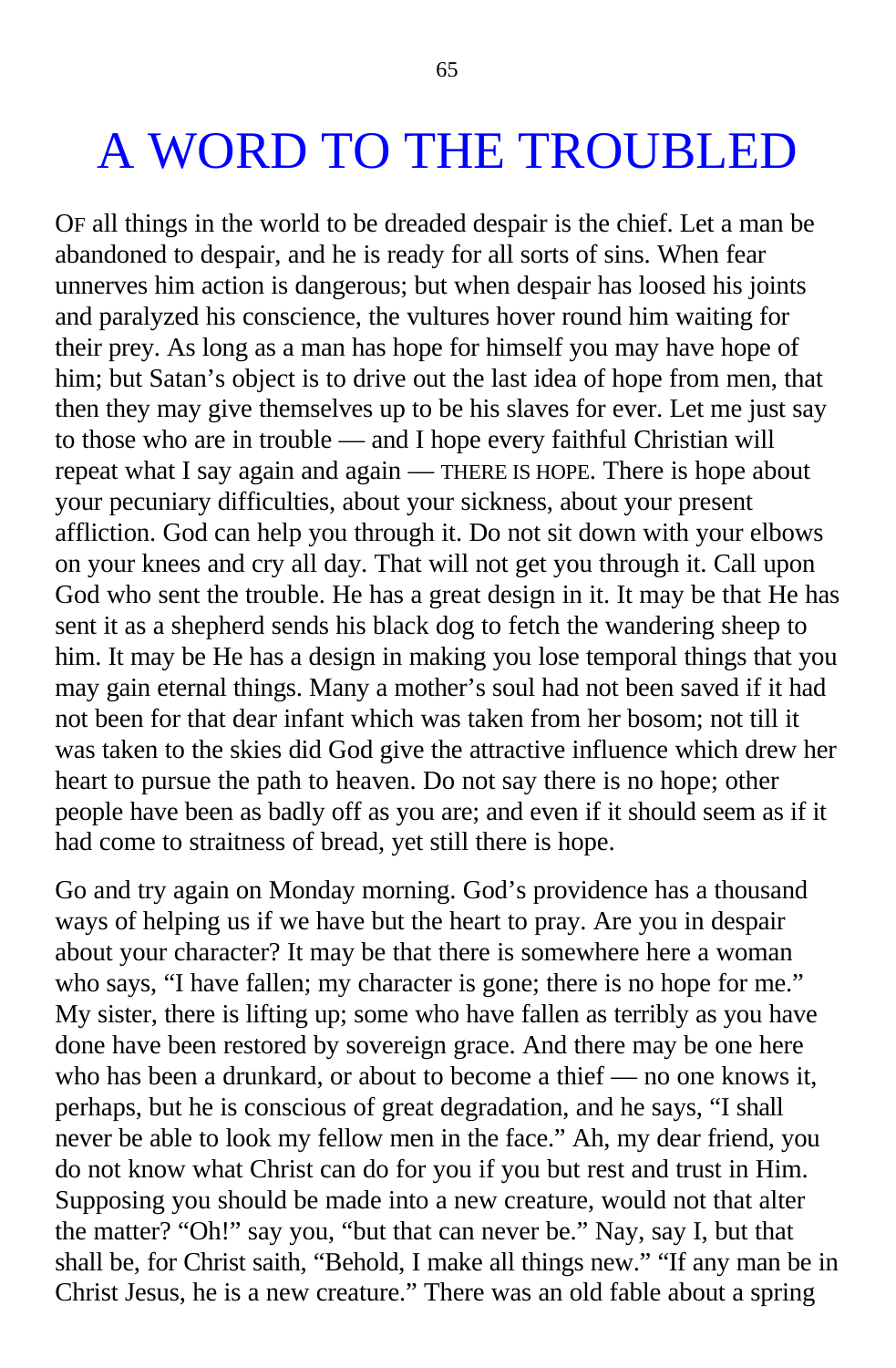# A WORD TO THE TROUBLED

OF all things in the world to be dreaded despair is the chief. Let a man be abandoned to despair, and he is ready for all sorts of sins. When fear unnerves him action is dangerous; but when despair has loosed his joints and paralyzed his conscience, the vultures hover round him waiting for their prey. As long as a man has hope for himself you may have hope of him; but Satan's object is to drive out the last idea of hope from men, that then they may give themselves up to be his slaves for ever. Let me just say to those who are in trouble — and I hope every faithful Christian will repeat what I say again and again — THERE IS HOPE. There is hope about your pecuniary difficulties, about your sickness, about your present affliction. God can help you through it. Do not sit down with your elbows on your knees and cry all day. That will not get you through it. Call upon God who sent the trouble. He has a great design in it. It may be that He has sent it as a shepherd sends his black dog to fetch the wandering sheep to him. It may be He has a design in making you lose temporal things that you may gain eternal things. Many a mother's soul had not been saved if it had not been for that dear infant which was taken from her bosom; not till it was taken to the skies did God give the attractive influence which drew her heart to pursue the path to heaven. Do not say there is no hope; other people have been as badly off as you are; and even if it should seem as if it had come to straitness of bread, yet still there is hope.

Go and try again on Monday morning. God's providence has a thousand ways of helping us if we have but the heart to pray. Are you in despair about your character? It may be that there is somewhere here a woman who says, "I have fallen; my character is gone; there is no hope for me." My sister, there is lifting up; some who have fallen as terribly as you have done have been restored by sovereign grace. And there may be one here who has been a drunkard, or about to become a thief — no one knows it, perhaps, but he is conscious of great degradation, and he says, "I shall never be able to look my fellow men in the face." Ah, my dear friend, you do not know what Christ can do for you if you but rest and trust in Him. Supposing you should be made into a new creature, would not that alter the matter? "Oh!" say you, "but that can never be." Nay, say I, but that shall be, for Christ saith, "Behold, I make all things new." "If any man be in Christ Jesus, he is a new creature." There was an old fable about a spring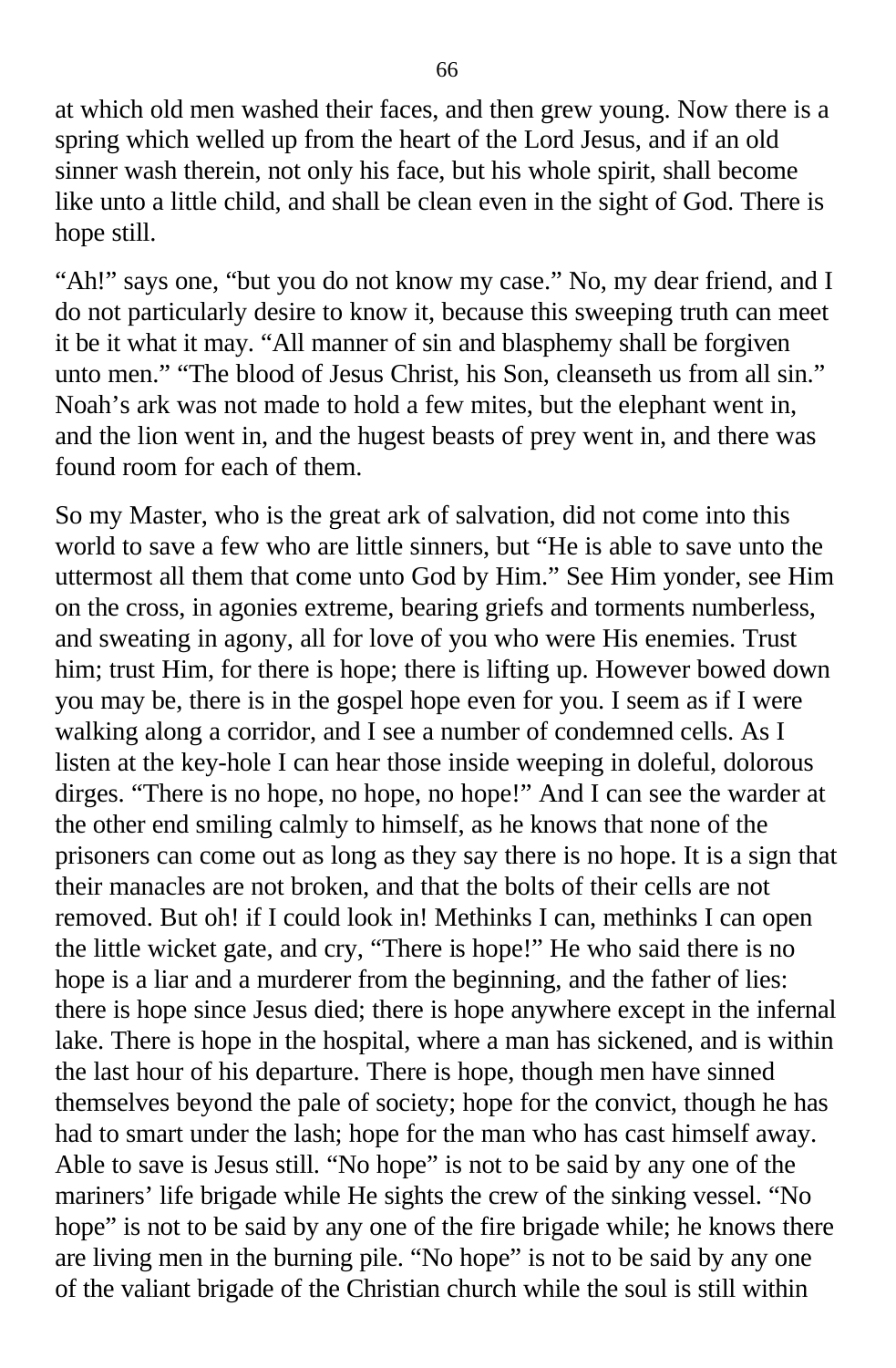at which old men washed their faces, and then grew young. Now there is a spring which welled up from the heart of the Lord Jesus, and if an old sinner wash therein, not only his face, but his whole spirit, shall become like unto a little child, and shall be clean even in the sight of God. There is hope still.

"Ah!" says one, "but you do not know my case." No, my dear friend, and I do not particularly desire to know it, because this sweeping truth can meet it be it what it may. "All manner of sin and blasphemy shall be forgiven unto men." "The blood of Jesus Christ, his Son, cleanseth us from all sin." Noah's ark was not made to hold a few mites, but the elephant went in, and the lion went in, and the hugest beasts of prey went in, and there was found room for each of them.

So my Master, who is the great ark of salvation, did not come into this world to save a few who are little sinners, but "He is able to save unto the uttermost all them that come unto God by Him." See Him yonder, see Him on the cross, in agonies extreme, bearing griefs and torments numberless, and sweating in agony, all for love of you who were His enemies. Trust him; trust Him, for there is hope; there is lifting up. However bowed down you may be, there is in the gospel hope even for you. I seem as if I were walking along a corridor, and I see a number of condemned cells. As I listen at the key-hole I can hear those inside weeping in doleful, dolorous dirges. "There is no hope, no hope, no hope!" And I can see the warder at the other end smiling calmly to himself, as he knows that none of the prisoners can come out as long as they say there is no hope. It is a sign that their manacles are not broken, and that the bolts of their cells are not removed. But oh! if I could look in! Methinks I can, methinks I can open the little wicket gate, and cry, "There is hope!" He who said there is no hope is a liar and a murderer from the beginning, and the father of lies: there is hope since Jesus died; there is hope anywhere except in the infernal lake. There is hope in the hospital, where a man has sickened, and is within the last hour of his departure. There is hope, though men have sinned themselves beyond the pale of society; hope for the convict, though he has had to smart under the lash; hope for the man who has cast himself away. Able to save is Jesus still. "No hope" is not to be said by any one of the mariners' life brigade while He sights the crew of the sinking vessel. "No hope" is not to be said by any one of the fire brigade while; he knows there are living men in the burning pile. "No hope" is not to be said by any one of the valiant brigade of the Christian church while the soul is still within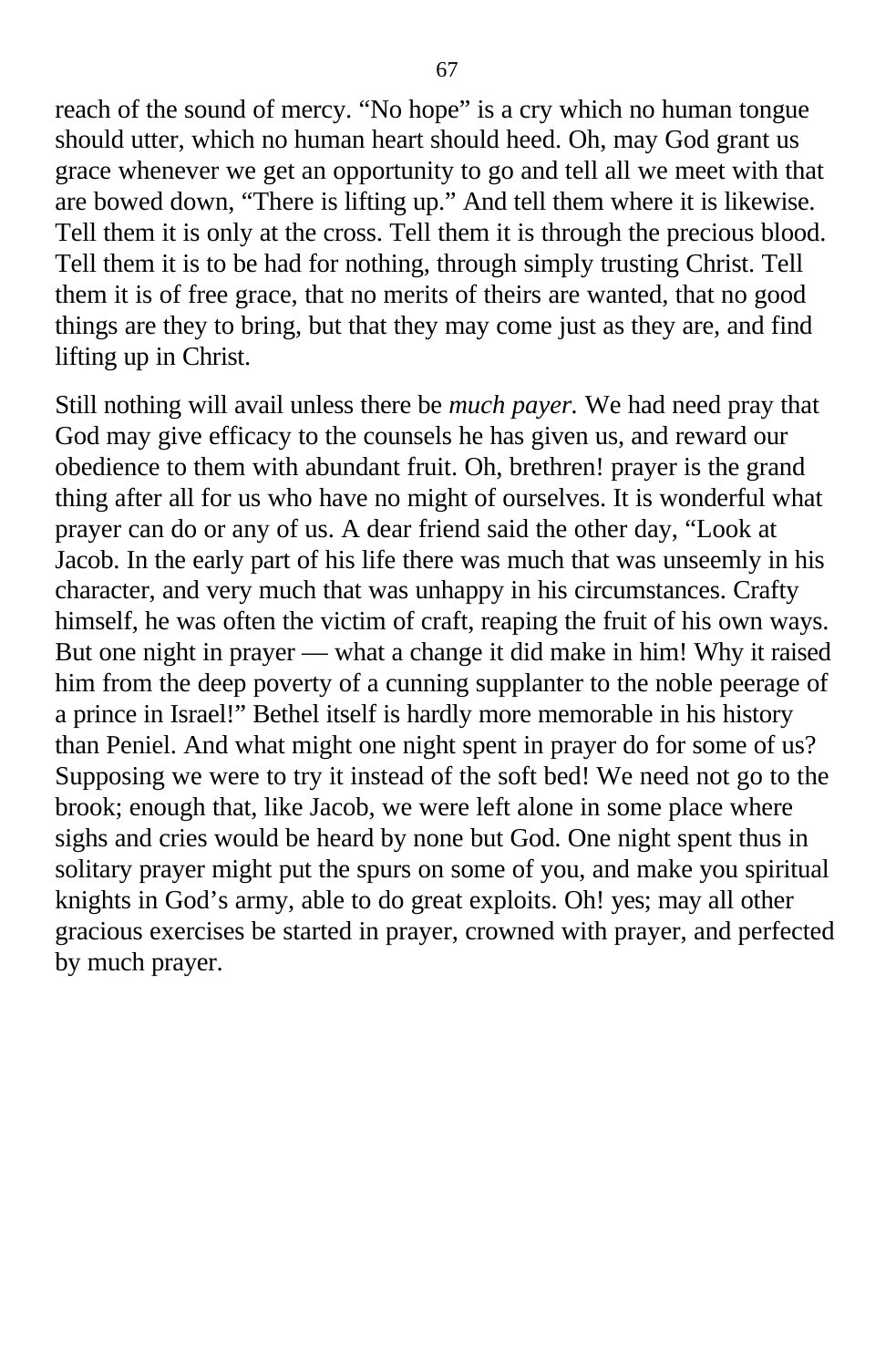reach of the sound of mercy. "No hope" is a cry which no human tongue should utter, which no human heart should heed. Oh, may God grant us grace whenever we get an opportunity to go and tell all we meet with that are bowed down, "There is lifting up." And tell them where it is likewise. Tell them it is only at the cross. Tell them it is through the precious blood. Tell them it is to be had for nothing, through simply trusting Christ. Tell them it is of free grace, that no merits of theirs are wanted, that no good things are they to bring, but that they may come just as they are, and find lifting up in Christ.

Still nothing will avail unless there be *much payer.* We had need pray that God may give efficacy to the counsels he has given us, and reward our obedience to them with abundant fruit. Oh, brethren! prayer is the grand thing after all for us who have no might of ourselves. It is wonderful what prayer can do or any of us. A dear friend said the other day, "Look at Jacob. In the early part of his life there was much that was unseemly in his character, and very much that was unhappy in his circumstances. Crafty himself, he was often the victim of craft, reaping the fruit of his own ways. But one night in prayer — what a change it did make in him! Why it raised him from the deep poverty of a cunning supplanter to the noble peerage of a prince in Israel!" Bethel itself is hardly more memorable in his history than Peniel. And what might one night spent in prayer do for some of us? Supposing we were to try it instead of the soft bed! We need not go to the brook; enough that, like Jacob, we were left alone in some place where sighs and cries would be heard by none but God. One night spent thus in solitary prayer might put the spurs on some of you, and make you spiritual knights in God's army, able to do great exploits. Oh! yes; may all other gracious exercises be started in prayer, crowned with prayer, and perfected by much prayer.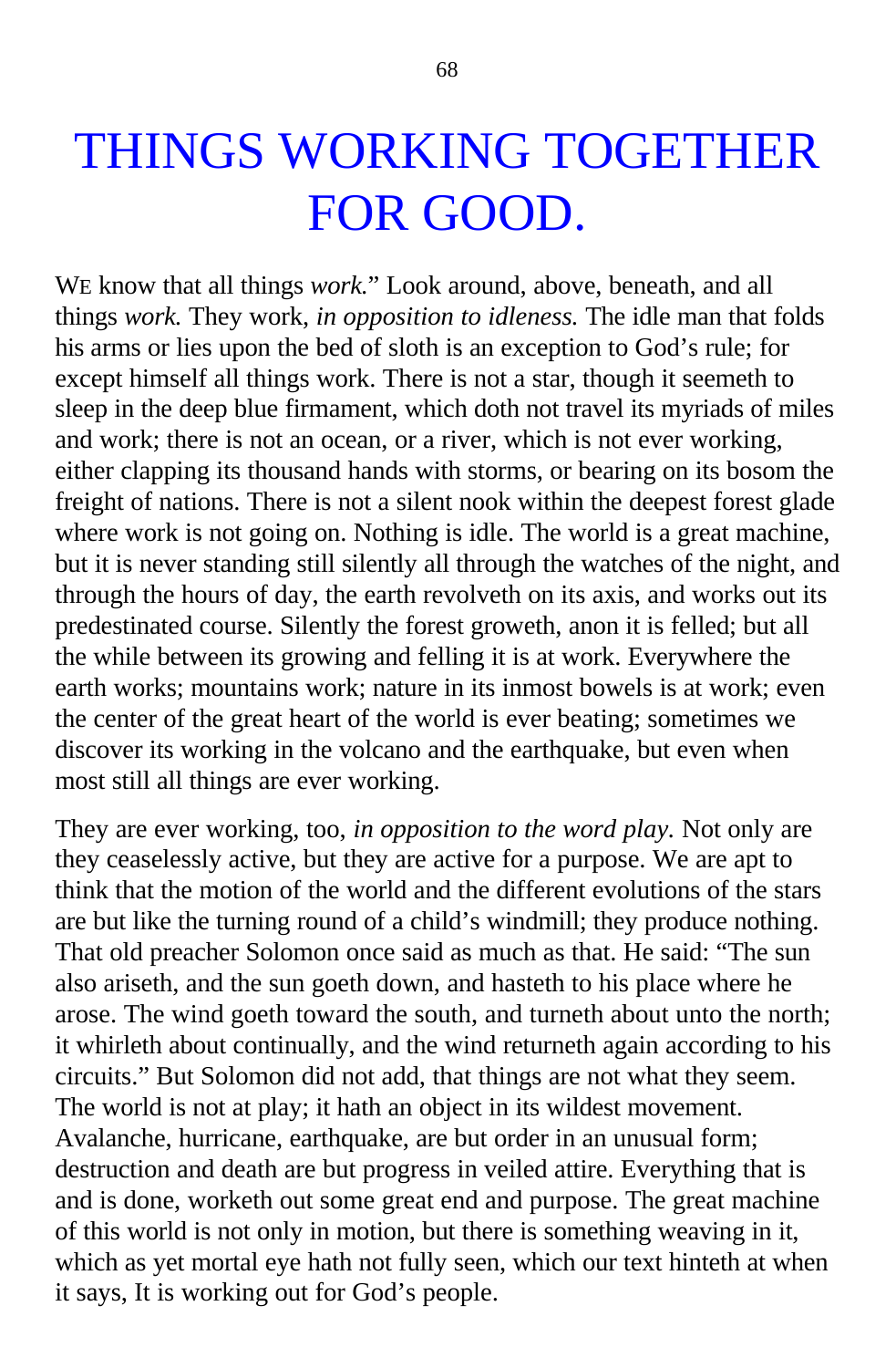# THINGS WORKING TOGETHER FOR GOOD.

WE know that all things *work.*" Look around, above, beneath, and all things *work.* They work, *in opposition to idleness.* The idle man that folds his arms or lies upon the bed of sloth is an exception to God's rule; for except himself all things work. There is not a star, though it seemeth to sleep in the deep blue firmament, which doth not travel its myriads of miles and work; there is not an ocean, or a river, which is not ever working, either clapping its thousand hands with storms, or bearing on its bosom the freight of nations. There is not a silent nook within the deepest forest glade where work is not going on. Nothing is idle. The world is a great machine, but it is never standing still silently all through the watches of the night, and through the hours of day, the earth revolveth on its axis, and works out its predestinated course. Silently the forest groweth, anon it is felled; but all the while between its growing and felling it is at work. Everywhere the earth works; mountains work; nature in its inmost bowels is at work; even the center of the great heart of the world is ever beating; sometimes we discover its working in the volcano and the earthquake, but even when most still all things are ever working.

They are ever working, too, *in opposition to the word play.* Not only are they ceaselessly active, but they are active for a purpose. We are apt to think that the motion of the world and the different evolutions of the stars are but like the turning round of a child's windmill; they produce nothing. That old preacher Solomon once said as much as that. He said: "The sun also ariseth, and the sun goeth down, and hasteth to his place where he arose. The wind goeth toward the south, and turneth about unto the north; it whirleth about continually, and the wind returneth again according to his circuits." But Solomon did not add, that things are not what they seem. The world is not at play; it hath an object in its wildest movement. Avalanche, hurricane, earthquake, are but order in an unusual form; destruction and death are but progress in veiled attire. Everything that is and is done, worketh out some great end and purpose. The great machine of this world is not only in motion, but there is something weaving in it, which as yet mortal eye hath not fully seen, which our text hinteth at when it says, It is working out for God's people.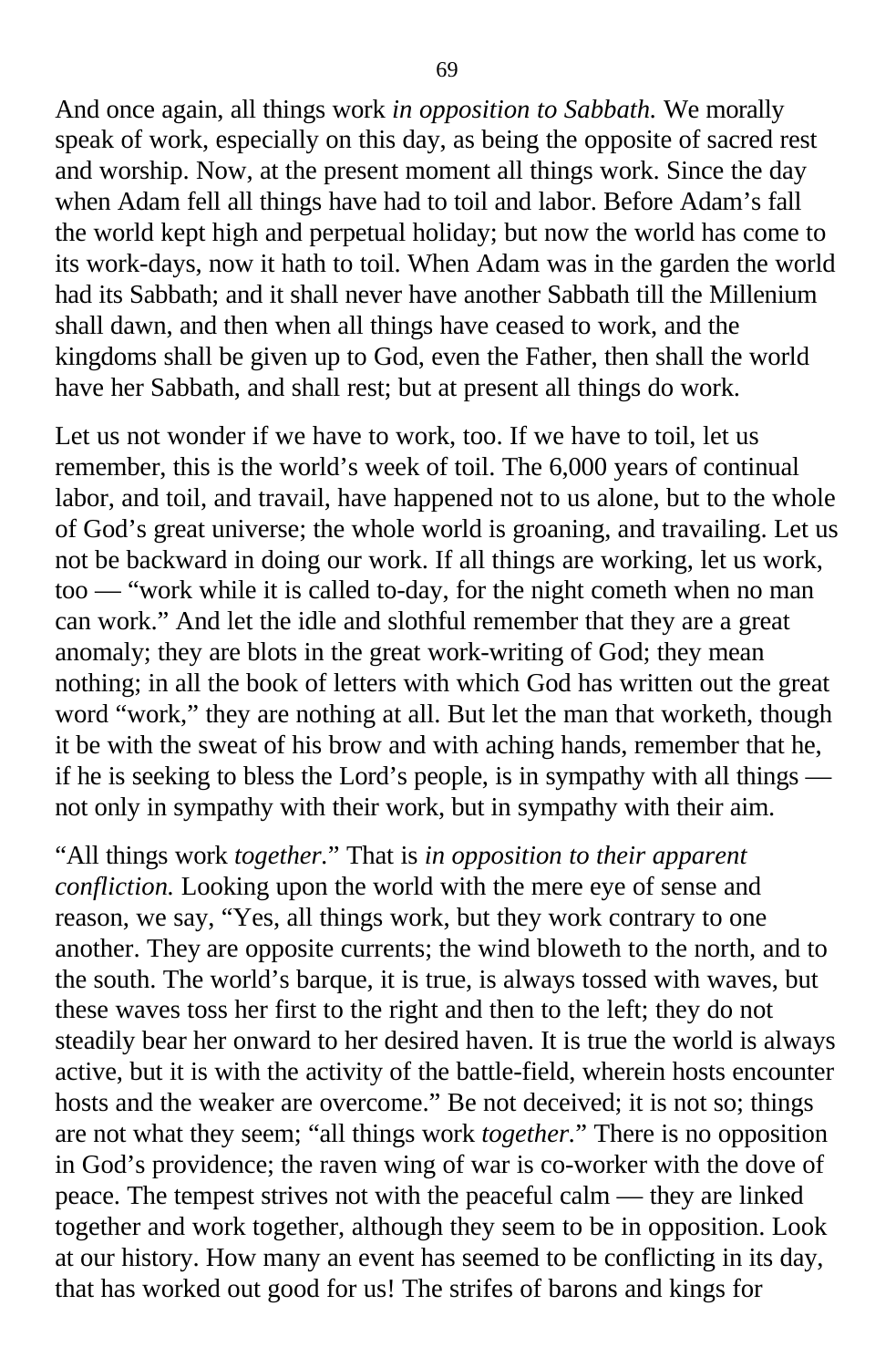And once again, all things work *in opposition to Sabbath.* We morally speak of work, especially on this day, as being the opposite of sacred rest and worship. Now, at the present moment all things work. Since the day when Adam fell all things have had to toil and labor. Before Adam's fall the world kept high and perpetual holiday; but now the world has come to its work-days, now it hath to toil. When Adam was in the garden the world had its Sabbath; and it shall never have another Sabbath till the Millenium shall dawn, and then when all things have ceased to work, and the kingdoms shall be given up to God, even the Father, then shall the world have her Sabbath, and shall rest; but at present all things do work.

Let us not wonder if we have to work, too. If we have to toil, let us remember, this is the world's week of toil. The 6,000 years of continual labor, and toil, and travail, have happened not to us alone, but to the whole of God's great universe; the whole world is groaning, and travailing. Let us not be backward in doing our work. If all things are working, let us work, too — "work while it is called to-day, for the night cometh when no man can work." And let the idle and slothful remember that they are a great anomaly; they are blots in the great work-writing of God; they mean nothing; in all the book of letters with which God has written out the great word "work," they are nothing at all. But let the man that worketh, though it be with the sweat of his brow and with aching hands, remember that he, if he is seeking to bless the Lord's people, is in sympathy with all things not only in sympathy with their work, but in sympathy with their aim.

"All things work *together.*" That is *in opposition to their apparent confliction.* Looking upon the world with the mere eye of sense and reason, we say, "Yes, all things work, but they work contrary to one another. They are opposite currents; the wind bloweth to the north, and to the south. The world's barque, it is true, is always tossed with waves, but these waves toss her first to the right and then to the left; they do not steadily bear her onward to her desired haven. It is true the world is always active, but it is with the activity of the battle-field, wherein hosts encounter hosts and the weaker are overcome." Be not deceived; it is not so; things are not what they seem; "all things work *together.*" There is no opposition in God's providence; the raven wing of war is co-worker with the dove of peace. The tempest strives not with the peaceful calm — they are linked together and work together, although they seem to be in opposition. Look at our history. How many an event has seemed to be conflicting in its day, that has worked out good for us! The strifes of barons and kings for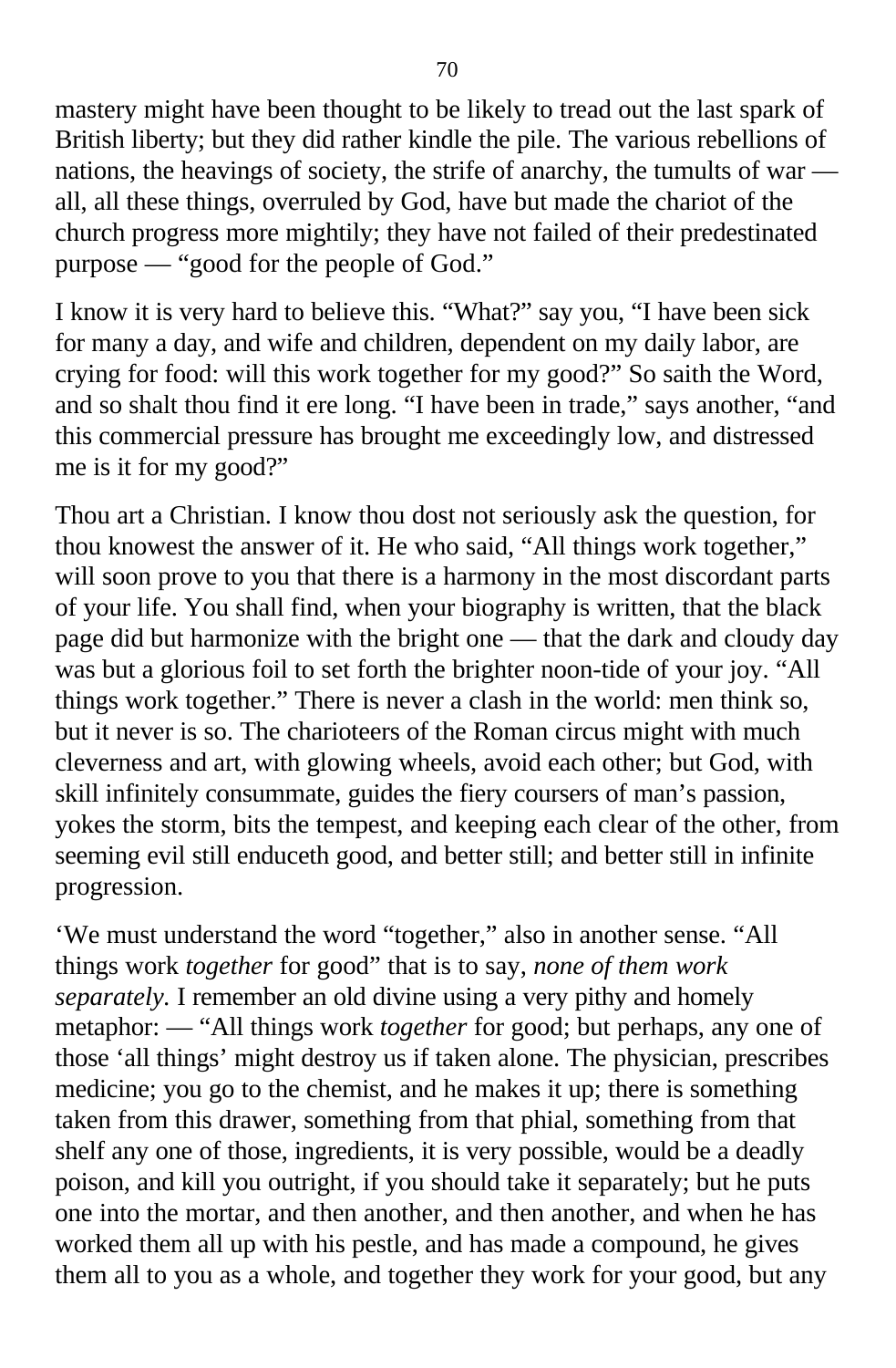mastery might have been thought to be likely to tread out the last spark of British liberty; but they did rather kindle the pile. The various rebellions of nations, the heavings of society, the strife of anarchy, the tumults of war all, all these things, overruled by God, have but made the chariot of the church progress more mightily; they have not failed of their predestinated purpose — "good for the people of God."

I know it is very hard to believe this. "What?" say you, "I have been sick for many a day, and wife and children, dependent on my daily labor, are crying for food: will this work together for my good?" So saith the Word, and so shalt thou find it ere long. "I have been in trade," says another, "and this commercial pressure has brought me exceedingly low, and distressed me is it for my good?"

Thou art a Christian. I know thou dost not seriously ask the question, for thou knowest the answer of it. He who said, "All things work together," will soon prove to you that there is a harmony in the most discordant parts of your life. You shall find, when your biography is written, that the black page did but harmonize with the bright one — that the dark and cloudy day was but a glorious foil to set forth the brighter noon-tide of your joy. "All things work together." There is never a clash in the world: men think so, but it never is so. The charioteers of the Roman circus might with much cleverness and art, with glowing wheels, avoid each other; but God, with skill infinitely consummate, guides the fiery coursers of man's passion, yokes the storm, bits the tempest, and keeping each clear of the other, from seeming evil still enduceth good, and better still; and better still in infinite progression.

'We must understand the word "together," also in another sense. "All things work *together* for good" that is to say, *none of them work separately.* I remember an old divine using a very pithy and homely metaphor: — "All things work *together* for good; but perhaps, any one of those 'all things' might destroy us if taken alone. The physician, prescribes medicine; you go to the chemist, and he makes it up; there is something taken from this drawer, something from that phial, something from that shelf any one of those, ingredients, it is very possible, would be a deadly poison, and kill you outright, if you should take it separately; but he puts one into the mortar, and then another, and then another, and when he has worked them all up with his pestle, and has made a compound, he gives them all to you as a whole, and together they work for your good, but any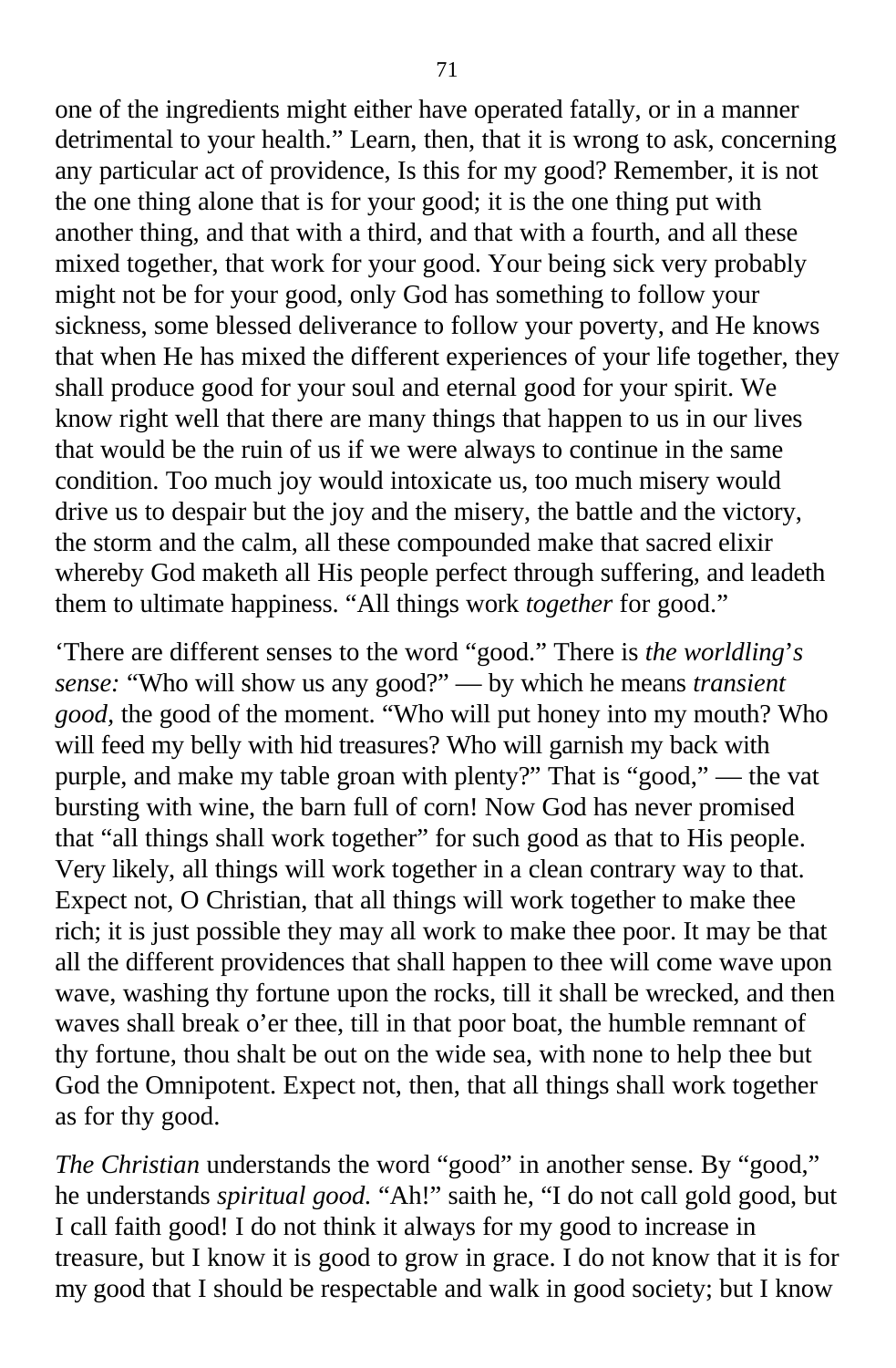one of the ingredients might either have operated fatally, or in a manner detrimental to your health." Learn, then, that it is wrong to ask, concerning any particular act of providence, Is this for my good? Remember, it is not the one thing alone that is for your good; it is the one thing put with another thing, and that with a third, and that with a fourth, and all these mixed together, that work for your good. Your being sick very probably might not be for your good, only God has something to follow your sickness, some blessed deliverance to follow your poverty, and He knows that when He has mixed the different experiences of your life together, they shall produce good for your soul and eternal good for your spirit. We know right well that there are many things that happen to us in our lives that would be the ruin of us if we were always to continue in the same condition. Too much joy would intoxicate us, too much misery would drive us to despair but the joy and the misery, the battle and the victory, the storm and the calm, all these compounded make that sacred elixir whereby God maketh all His people perfect through suffering, and leadeth them to ultimate happiness. "All things work *together* for good."

'There are different senses to the word "good." There is *the worldling*'*s sense:* "Who will show us any good?" — by which he means *transient good,* the good of the moment. "Who will put honey into my mouth? Who will feed my belly with hid treasures? Who will garnish my back with purple, and make my table groan with plenty?" That is "good," — the vat bursting with wine, the barn full of corn! Now God has never promised that "all things shall work together" for such good as that to His people. Very likely, all things will work together in a clean contrary way to that. Expect not, O Christian, that all things will work together to make thee rich; it is just possible they may all work to make thee poor. It may be that all the different providences that shall happen to thee will come wave upon wave, washing thy fortune upon the rocks, till it shall be wrecked, and then waves shall break o'er thee, till in that poor boat, the humble remnant of thy fortune, thou shalt be out on the wide sea, with none to help thee but God the Omnipotent. Expect not, then, that all things shall work together as for thy good.

*The Christian* understands the word "good" in another sense. By "good," he understands *spiritual good.* "Ah!" saith he, "I do not call gold good, but I call faith good! I do not think it always for my good to increase in treasure, but I know it is good to grow in grace. I do not know that it is for my good that I should be respectable and walk in good society; but I know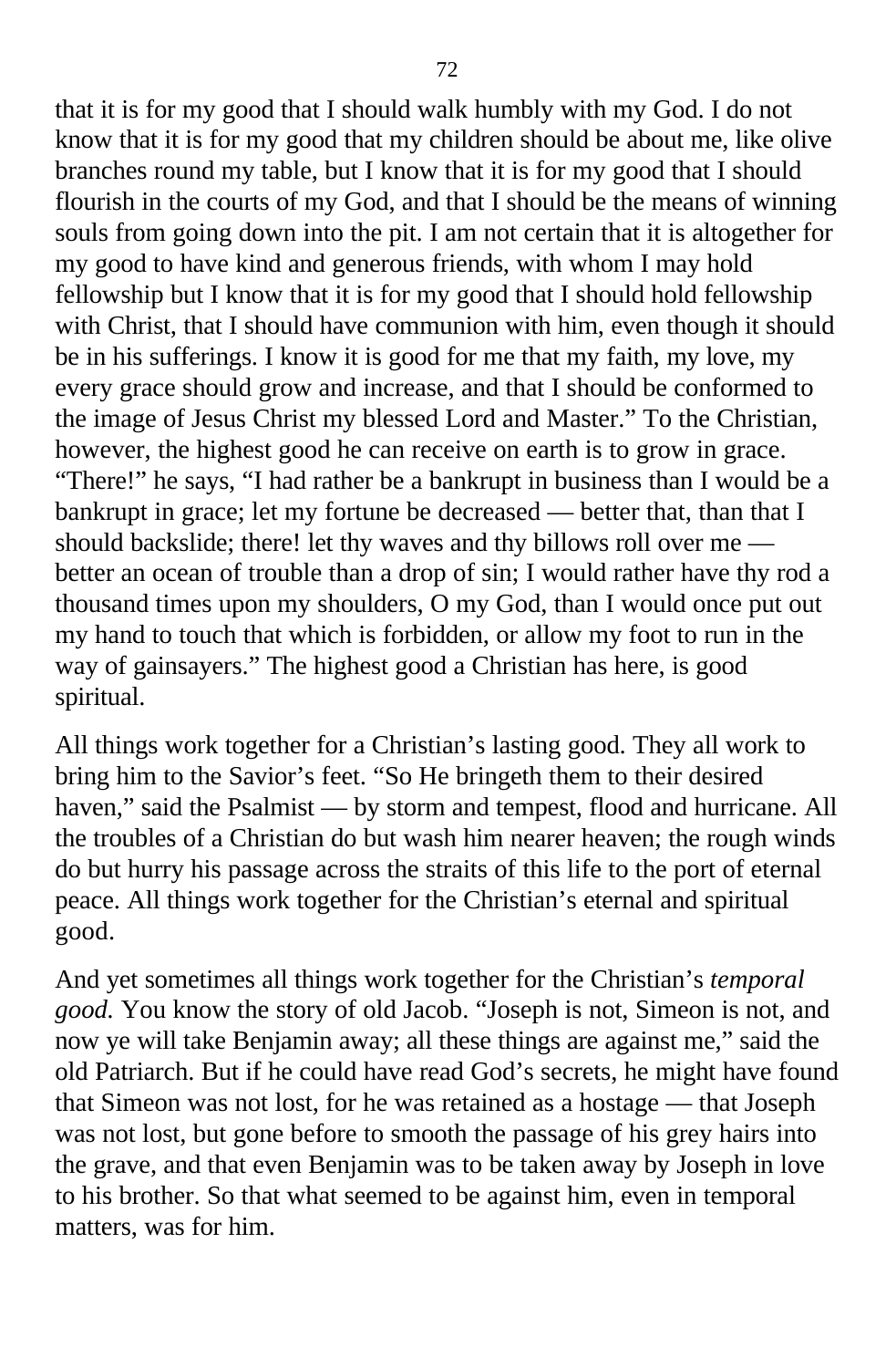that it is for my good that I should walk humbly with my God. I do not know that it is for my good that my children should be about me, like olive branches round my table, but I know that it is for my good that I should flourish in the courts of my God, and that I should be the means of winning souls from going down into the pit. I am not certain that it is altogether for my good to have kind and generous friends, with whom I may hold fellowship but I know that it is for my good that I should hold fellowship with Christ, that I should have communion with him, even though it should be in his sufferings. I know it is good for me that my faith, my love, my every grace should grow and increase, and that I should be conformed to the image of Jesus Christ my blessed Lord and Master." To the Christian, however, the highest good he can receive on earth is to grow in grace. "There!" he says, "I had rather be a bankrupt in business than I would be a bankrupt in grace; let my fortune be decreased — better that, than that I should backslide; there! let thy waves and thy billows roll over me better an ocean of trouble than a drop of sin; I would rather have thy rod a thousand times upon my shoulders, O my God, than I would once put out my hand to touch that which is forbidden, or allow my foot to run in the way of gainsayers." The highest good a Christian has here, is good spiritual.

All things work together for a Christian's lasting good. They all work to bring him to the Savior's feet. "So He bringeth them to their desired haven," said the Psalmist — by storm and tempest, flood and hurricane. All the troubles of a Christian do but wash him nearer heaven; the rough winds do but hurry his passage across the straits of this life to the port of eternal peace. All things work together for the Christian's eternal and spiritual good.

And yet sometimes all things work together for the Christian's *temporal good.* You know the story of old Jacob. "Joseph is not, Simeon is not, and now ye will take Benjamin away; all these things are against me," said the old Patriarch. But if he could have read God's secrets, he might have found that Simeon was not lost, for he was retained as a hostage — that Joseph was not lost, but gone before to smooth the passage of his grey hairs into the grave, and that even Benjamin was to be taken away by Joseph in love to his brother. So that what seemed to be against him, even in temporal matters, was for him.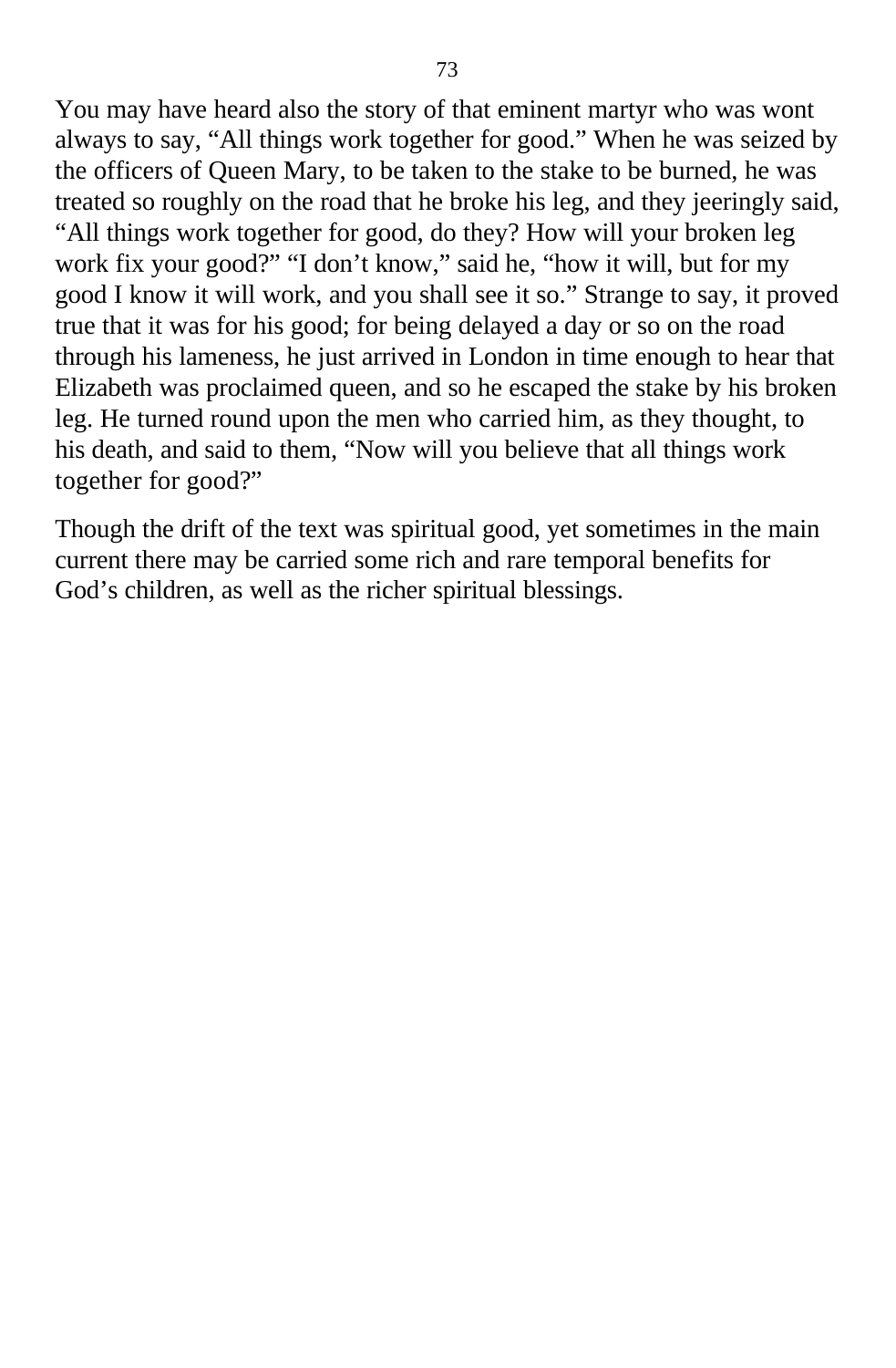You may have heard also the story of that eminent martyr who was wont always to say, "All things work together for good." When he was seized by the officers of Queen Mary, to be taken to the stake to be burned, he was treated so roughly on the road that he broke his leg, and they jeeringly said, "All things work together for good, do they? How will your broken leg work fix your good?" "I don't know," said he, "how it will, but for my good I know it will work, and you shall see it so." Strange to say, it proved true that it was for his good; for being delayed a day or so on the road through his lameness, he just arrived in London in time enough to hear that Elizabeth was proclaimed queen, and so he escaped the stake by his broken leg. He turned round upon the men who carried him, as they thought, to his death, and said to them, "Now will you believe that all things work together for good?"

Though the drift of the text was spiritual good, yet sometimes in the main current there may be carried some rich and rare temporal benefits for God's children, as well as the richer spiritual blessings.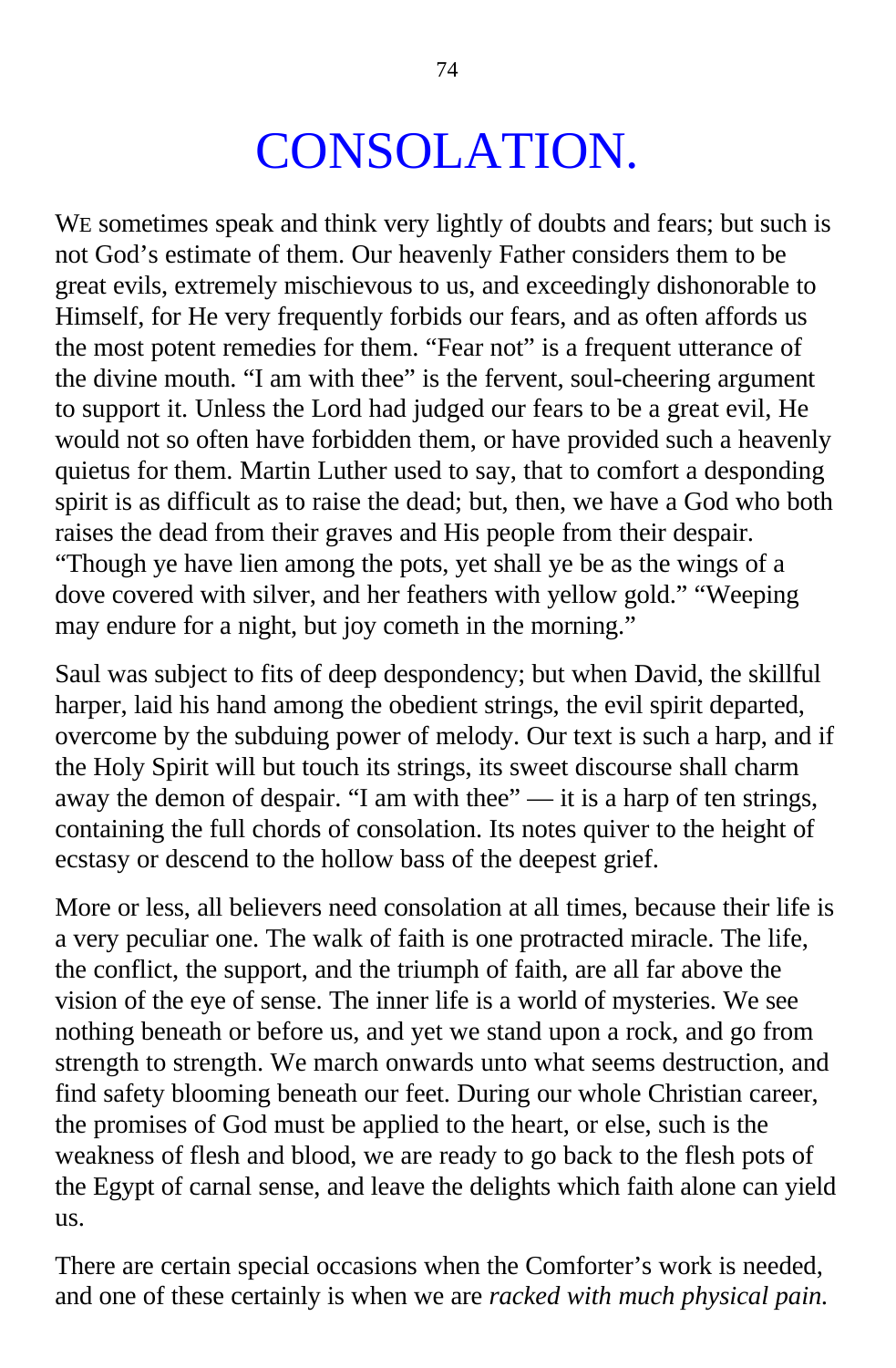# CONSOLATION.

WE sometimes speak and think very lightly of doubts and fears; but such is not God's estimate of them. Our heavenly Father considers them to be great evils, extremely mischievous to us, and exceedingly dishonorable to Himself, for He very frequently forbids our fears, and as often affords us the most potent remedies for them. "Fear not" is a frequent utterance of the divine mouth. "I am with thee" is the fervent, soul-cheering argument to support it. Unless the Lord had judged our fears to be a great evil, He would not so often have forbidden them, or have provided such a heavenly quietus for them. Martin Luther used to say, that to comfort a desponding spirit is as difficult as to raise the dead; but, then, we have a God who both raises the dead from their graves and His people from their despair. "Though ye have lien among the pots, yet shall ye be as the wings of a dove covered with silver, and her feathers with yellow gold." "Weeping may endure for a night, but joy cometh in the morning."

Saul was subject to fits of deep despondency; but when David, the skillful harper, laid his hand among the obedient strings, the evil spirit departed, overcome by the subduing power of melody. Our text is such a harp, and if the Holy Spirit will but touch its strings, its sweet discourse shall charm away the demon of despair. "I am with thee" — it is a harp of ten strings, containing the full chords of consolation. Its notes quiver to the height of ecstasy or descend to the hollow bass of the deepest grief.

More or less, all believers need consolation at all times, because their life is a very peculiar one. The walk of faith is one protracted miracle. The life, the conflict, the support, and the triumph of faith, are all far above the vision of the eye of sense. The inner life is a world of mysteries. We see nothing beneath or before us, and yet we stand upon a rock, and go from strength to strength. We march onwards unto what seems destruction, and find safety blooming beneath our feet. During our whole Christian career, the promises of God must be applied to the heart, or else, such is the weakness of flesh and blood, we are ready to go back to the flesh pots of the Egypt of carnal sense, and leave the delights which faith alone can yield us.

There are certain special occasions when the Comforter's work is needed, and one of these certainly is when we are *racked with much physical pain.*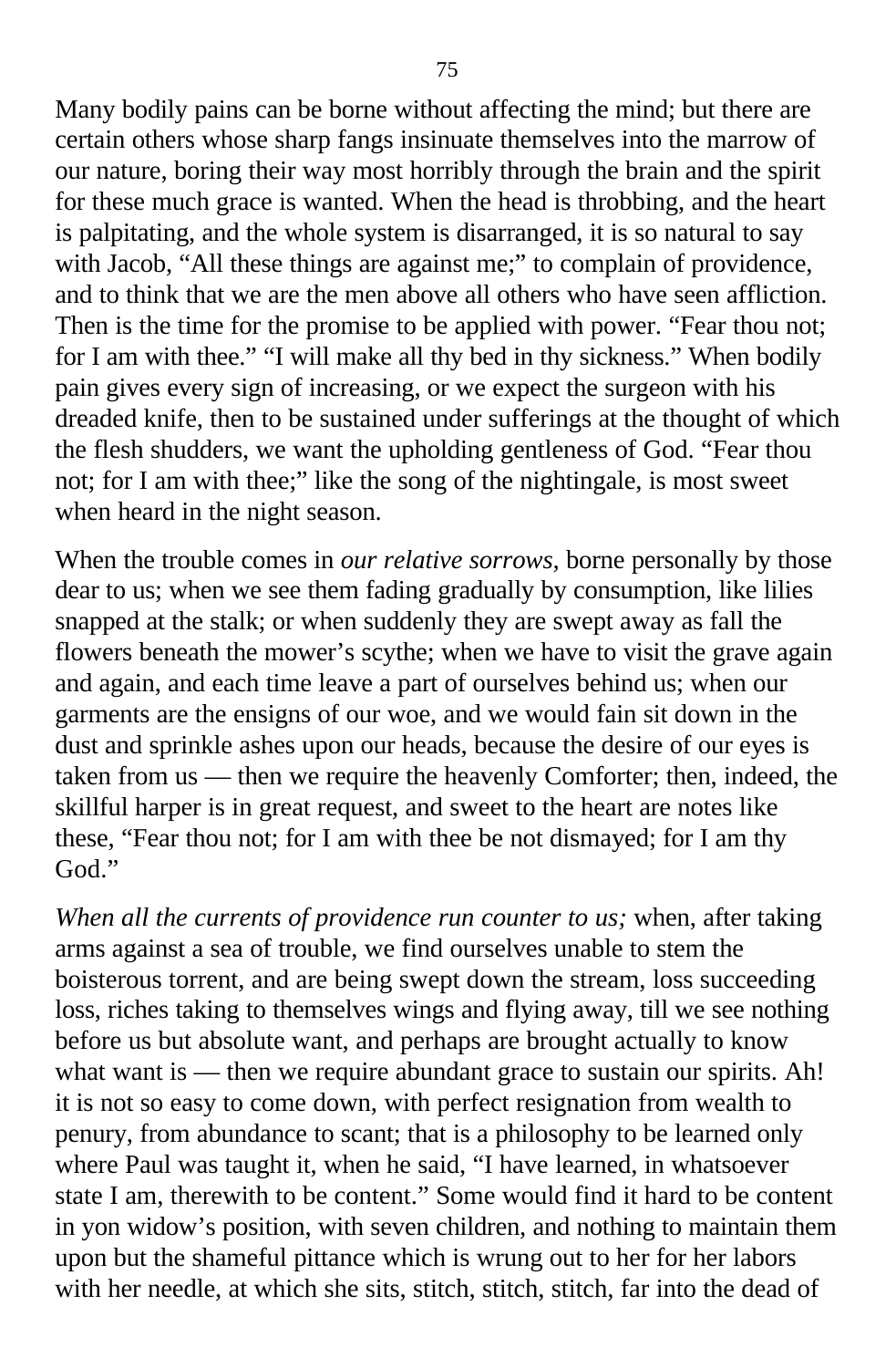Many bodily pains can be borne without affecting the mind; but there are certain others whose sharp fangs insinuate themselves into the marrow of our nature, boring their way most horribly through the brain and the spirit for these much grace is wanted. When the head is throbbing, and the heart is palpitating, and the whole system is disarranged, it is so natural to say with Jacob, "All these things are against me;" to complain of providence, and to think that we are the men above all others who have seen affliction. Then is the time for the promise to be applied with power. "Fear thou not; for I am with thee." "I will make all thy bed in thy sickness." When bodily pain gives every sign of increasing, or we expect the surgeon with his dreaded knife, then to be sustained under sufferings at the thought of which the flesh shudders, we want the upholding gentleness of God. "Fear thou not; for I am with thee;" like the song of the nightingale, is most sweet when heard in the night season.

When the trouble comes in *our relative sorrows,* borne personally by those dear to us; when we see them fading gradually by consumption, like lilies snapped at the stalk; or when suddenly they are swept away as fall the flowers beneath the mower's scythe; when we have to visit the grave again and again, and each time leave a part of ourselves behind us; when our garments are the ensigns of our woe, and we would fain sit down in the dust and sprinkle ashes upon our heads, because the desire of our eyes is taken from us — then we require the heavenly Comforter; then, indeed, the skillful harper is in great request, and sweet to the heart are notes like these, "Fear thou not; for I am with thee be not dismayed; for I am thy God."

*When all the currents of providence run counter to us;* when, after taking arms against a sea of trouble, we find ourselves unable to stem the boisterous torrent, and are being swept down the stream, loss succeeding loss, riches taking to themselves wings and flying away, till we see nothing before us but absolute want, and perhaps are brought actually to know what want is — then we require abundant grace to sustain our spirits. Ah! it is not so easy to come down, with perfect resignation from wealth to penury, from abundance to scant; that is a philosophy to be learned only where Paul was taught it, when he said, "I have learned, in whatsoever state I am, therewith to be content." Some would find it hard to be content in yon widow's position, with seven children, and nothing to maintain them upon but the shameful pittance which is wrung out to her for her labors with her needle, at which she sits, stitch, stitch, stitch, far into the dead of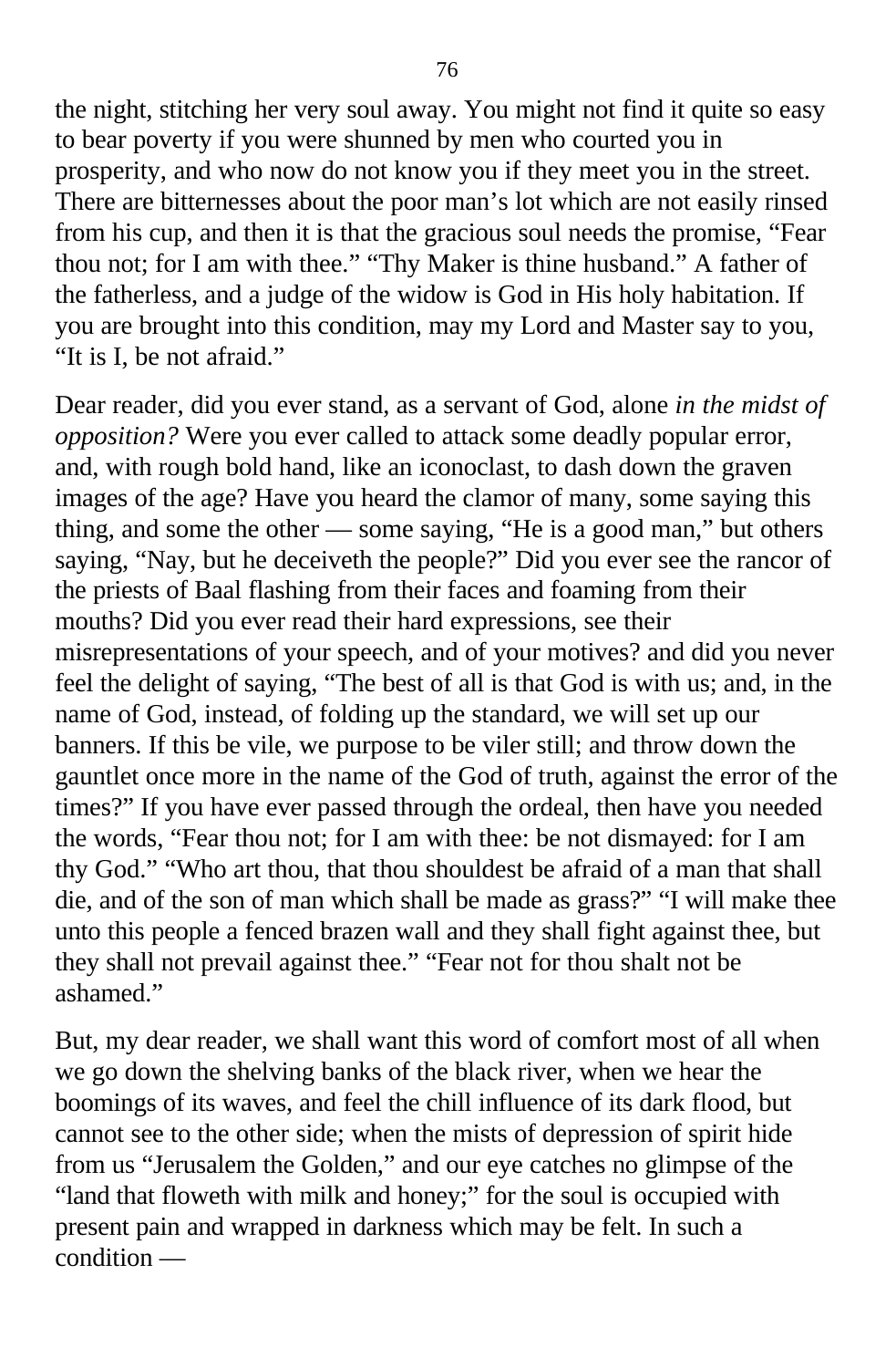the night, stitching her very soul away. You might not find it quite so easy to bear poverty if you were shunned by men who courted you in prosperity, and who now do not know you if they meet you in the street. There are bitternesses about the poor man's lot which are not easily rinsed from his cup, and then it is that the gracious soul needs the promise, "Fear thou not; for I am with thee." "Thy Maker is thine husband." A father of the fatherless, and a judge of the widow is God in His holy habitation. If you are brought into this condition, may my Lord and Master say to you, "It is I, be not afraid."

Dear reader, did you ever stand, as a servant of God, alone *in the midst of opposition?* Were you ever called to attack some deadly popular error, and, with rough bold hand, like an iconoclast, to dash down the graven images of the age? Have you heard the clamor of many, some saying this thing, and some the other — some saying, "He is a good man," but others saying, "Nay, but he deceiveth the people?" Did you ever see the rancor of the priests of Baal flashing from their faces and foaming from their mouths? Did you ever read their hard expressions, see their misrepresentations of your speech, and of your motives? and did you never feel the delight of saying, "The best of all is that God is with us; and, in the name of God, instead, of folding up the standard, we will set up our banners. If this be vile, we purpose to be viler still; and throw down the gauntlet once more in the name of the God of truth, against the error of the times?" If you have ever passed through the ordeal, then have you needed the words, "Fear thou not; for I am with thee: be not dismayed: for I am thy God." "Who art thou, that thou shouldest be afraid of a man that shall die, and of the son of man which shall be made as grass?" "I will make thee unto this people a fenced brazen wall and they shall fight against thee, but they shall not prevail against thee." "Fear not for thou shalt not be ashamed."

But, my dear reader, we shall want this word of comfort most of all when we go down the shelving banks of the black river, when we hear the boomings of its waves, and feel the chill influence of its dark flood, but cannot see to the other side; when the mists of depression of spirit hide from us "Jerusalem the Golden," and our eye catches no glimpse of the "land that floweth with milk and honey;" for the soul is occupied with present pain and wrapped in darkness which may be felt. In such a condition —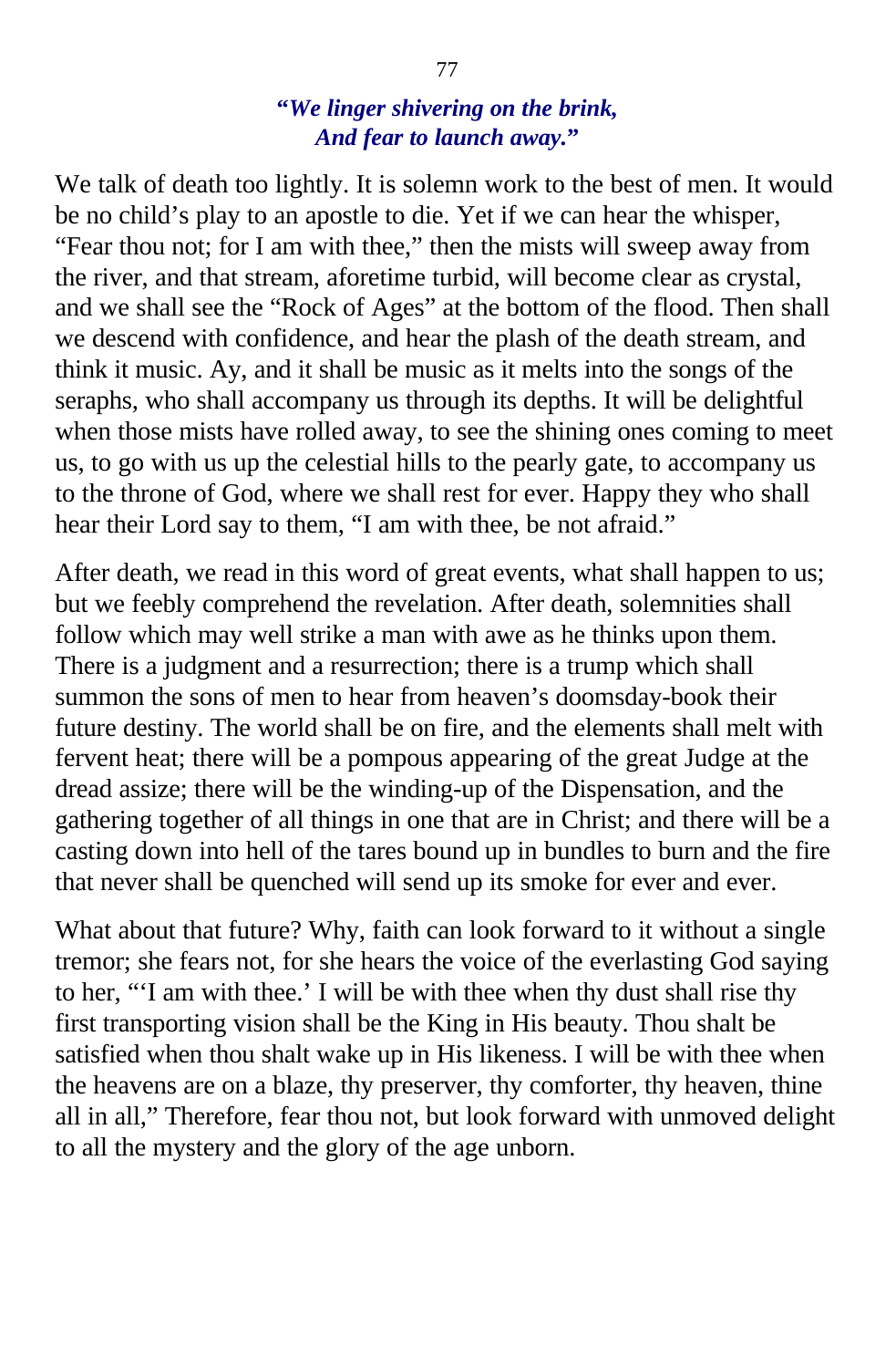#### **"***We linger shivering on the brink, And fear to launch away.***"**

We talk of death too lightly. It is solemn work to the best of men. It would be no child's play to an apostle to die. Yet if we can hear the whisper, "Fear thou not; for I am with thee," then the mists will sweep away from the river, and that stream, aforetime turbid, will become clear as crystal, and we shall see the "Rock of Ages" at the bottom of the flood. Then shall we descend with confidence, and hear the plash of the death stream, and think it music. Ay, and it shall be music as it melts into the songs of the seraphs, who shall accompany us through its depths. It will be delightful when those mists have rolled away, to see the shining ones coming to meet us, to go with us up the celestial hills to the pearly gate, to accompany us to the throne of God, where we shall rest for ever. Happy they who shall hear their Lord say to them, "I am with thee, be not afraid."

After death, we read in this word of great events, what shall happen to us; but we feebly comprehend the revelation. After death, solemnities shall follow which may well strike a man with awe as he thinks upon them. There is a judgment and a resurrection; there is a trump which shall summon the sons of men to hear from heaven's doomsday-book their future destiny. The world shall be on fire, and the elements shall melt with fervent heat; there will be a pompous appearing of the great Judge at the dread assize; there will be the winding-up of the Dispensation, and the gathering together of all things in one that are in Christ; and there will be a casting down into hell of the tares bound up in bundles to burn and the fire that never shall be quenched will send up its smoke for ever and ever.

What about that future? Why, faith can look forward to it without a single tremor; she fears not, for she hears the voice of the everlasting God saying to her, "'I am with thee.' I will be with thee when thy dust shall rise thy first transporting vision shall be the King in His beauty. Thou shalt be satisfied when thou shalt wake up in His likeness. I will be with thee when the heavens are on a blaze, thy preserver, thy comforter, thy heaven, thine all in all," Therefore, fear thou not, but look forward with unmoved delight to all the mystery and the glory of the age unborn.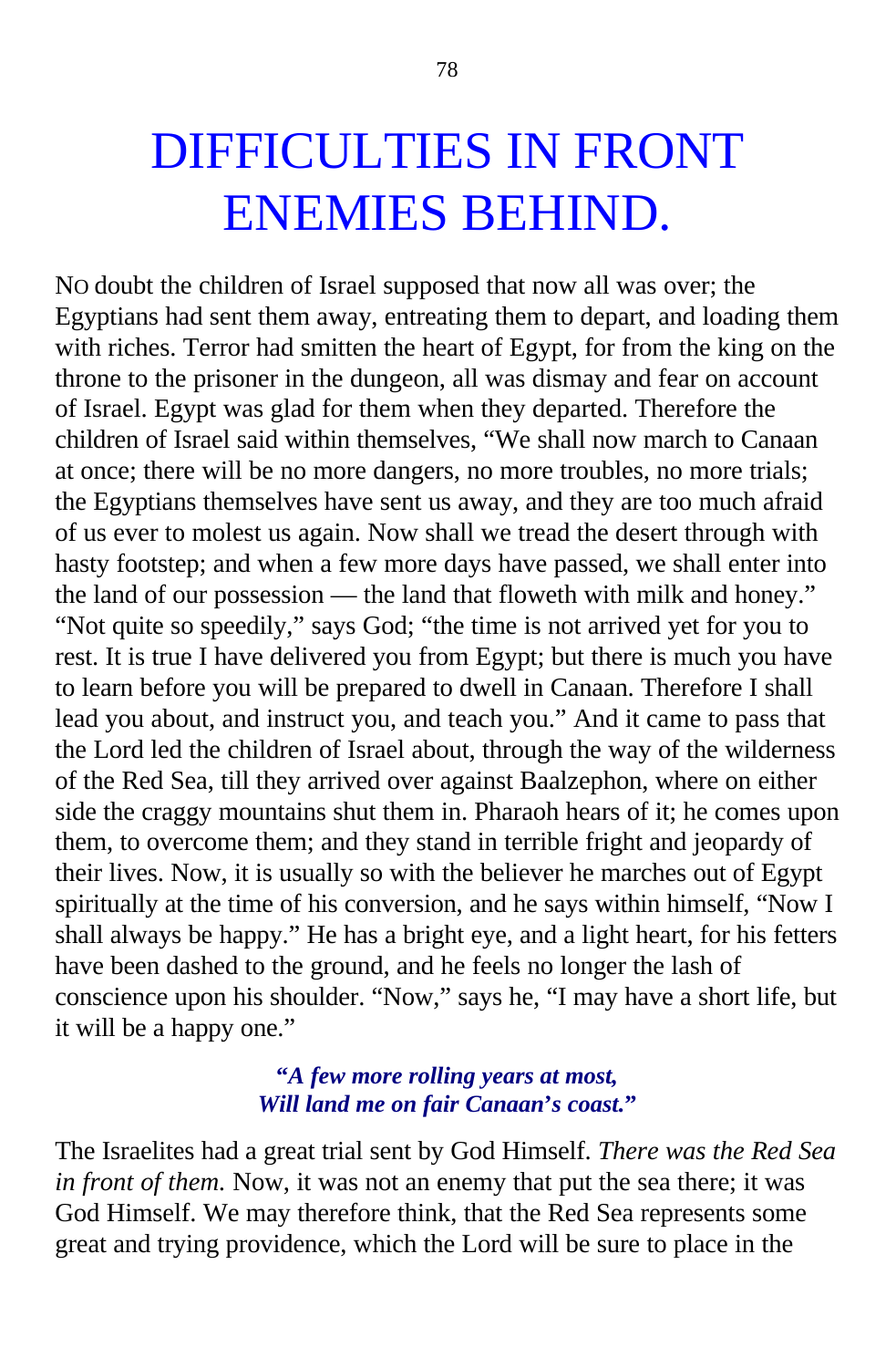# DIFFICULTIES IN FRONT ENEMIES BEHIND.

NO doubt the children of Israel supposed that now all was over; the Egyptians had sent them away, entreating them to depart, and loading them with riches. Terror had smitten the heart of Egypt, for from the king on the throne to the prisoner in the dungeon, all was dismay and fear on account of Israel. Egypt was glad for them when they departed. Therefore the children of Israel said within themselves, "We shall now march to Canaan at once; there will be no more dangers, no more troubles, no more trials; the Egyptians themselves have sent us away, and they are too much afraid of us ever to molest us again. Now shall we tread the desert through with hasty footstep; and when a few more days have passed, we shall enter into the land of our possession — the land that floweth with milk and honey." "Not quite so speedily," says God; "the time is not arrived yet for you to rest. It is true I have delivered you from Egypt; but there is much you have to learn before you will be prepared to dwell in Canaan. Therefore I shall lead you about, and instruct you, and teach you." And it came to pass that the Lord led the children of Israel about, through the way of the wilderness of the Red Sea, till they arrived over against Baalzephon, where on either side the craggy mountains shut them in. Pharaoh hears of it; he comes upon them, to overcome them; and they stand in terrible fright and jeopardy of their lives. Now, it is usually so with the believer he marches out of Egypt spiritually at the time of his conversion, and he says within himself, "Now I shall always be happy." He has a bright eye, and a light heart, for his fetters have been dashed to the ground, and he feels no longer the lash of conscience upon his shoulder. "Now," says he, "I may have a short life, but it will be a happy one."

#### **"***A few more rolling years at most, Will land me on fair Canaan***'***s coast.***"**

The Israelites had a great trial sent by God Himself. *There was the Red Sea in front of them.* Now, it was not an enemy that put the sea there; it was God Himself. We may therefore think, that the Red Sea represents some great and trying providence, which the Lord will be sure to place in the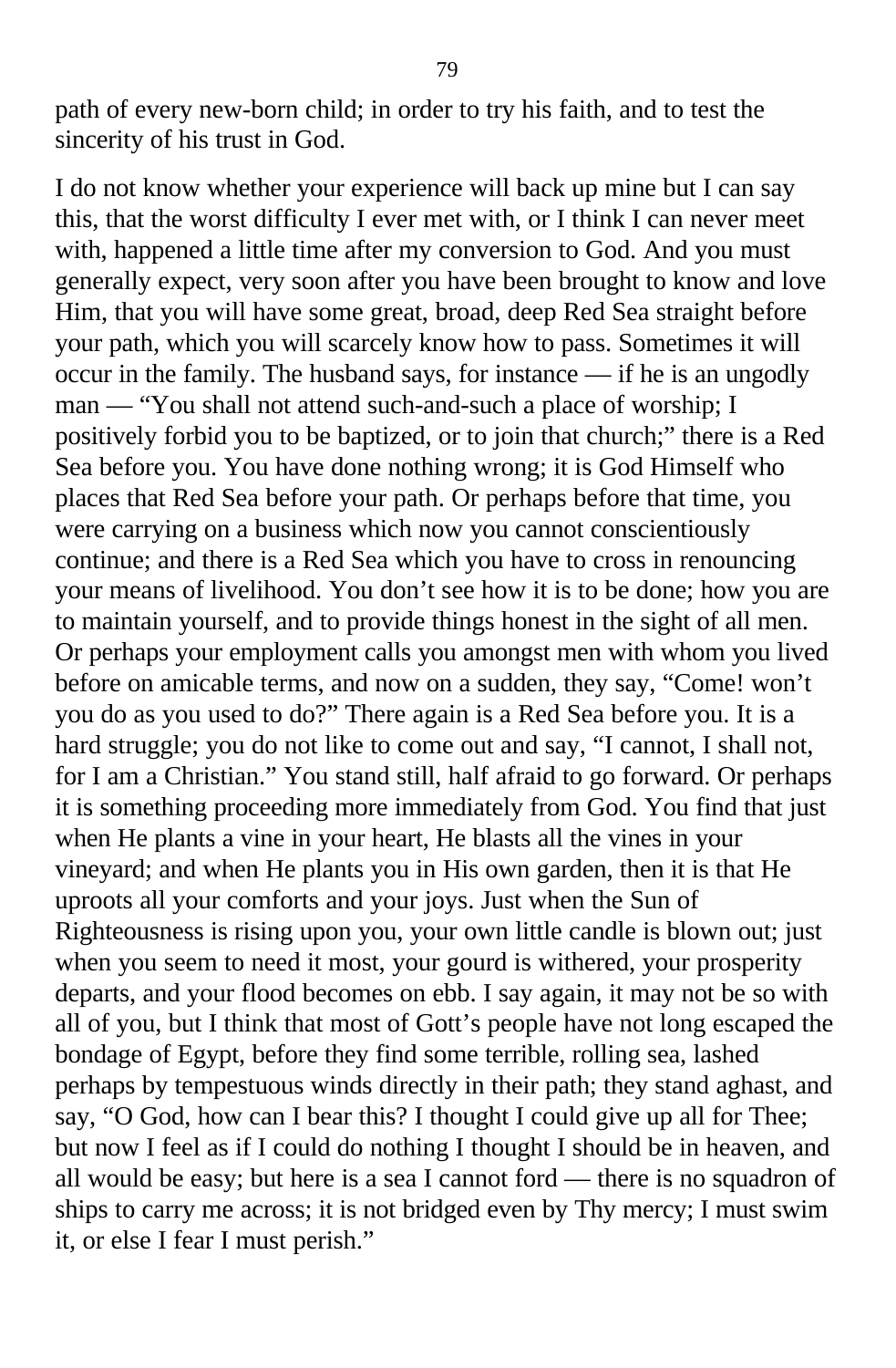path of every new-born child; in order to try his faith, and to test the sincerity of his trust in God.

I do not know whether your experience will back up mine but I can say this, that the worst difficulty I ever met with, or I think I can never meet with, happened a little time after my conversion to God. And you must generally expect, very soon after you have been brought to know and love Him, that you will have some great, broad, deep Red Sea straight before your path, which you will scarcely know how to pass. Sometimes it will occur in the family. The husband says, for instance — if he is an ungodly man — "You shall not attend such-and-such a place of worship; I positively forbid you to be baptized, or to join that church;" there is a Red Sea before you. You have done nothing wrong; it is God Himself who places that Red Sea before your path. Or perhaps before that time, you were carrying on a business which now you cannot conscientiously continue; and there is a Red Sea which you have to cross in renouncing your means of livelihood. You don't see how it is to be done; how you are to maintain yourself, and to provide things honest in the sight of all men. Or perhaps your employment calls you amongst men with whom you lived before on amicable terms, and now on a sudden, they say, "Come! won't you do as you used to do?" There again is a Red Sea before you. It is a hard struggle; you do not like to come out and say, "I cannot, I shall not, for I am a Christian." You stand still, half afraid to go forward. Or perhaps it is something proceeding more immediately from God. You find that just when He plants a vine in your heart, He blasts all the vines in your vineyard; and when He plants you in His own garden, then it is that He uproots all your comforts and your joys. Just when the Sun of Righteousness is rising upon you, your own little candle is blown out; just when you seem to need it most, your gourd is withered, your prosperity departs, and your flood becomes on ebb. I say again, it may not be so with all of you, but I think that most of Gott's people have not long escaped the bondage of Egypt, before they find some terrible, rolling sea, lashed perhaps by tempestuous winds directly in their path; they stand aghast, and say, "O God, how can I bear this? I thought I could give up all for Thee; but now I feel as if I could do nothing I thought I should be in heaven, and all would be easy; but here is a sea I cannot ford — there is no squadron of ships to carry me across; it is not bridged even by Thy mercy; I must swim it, or else I fear I must perish."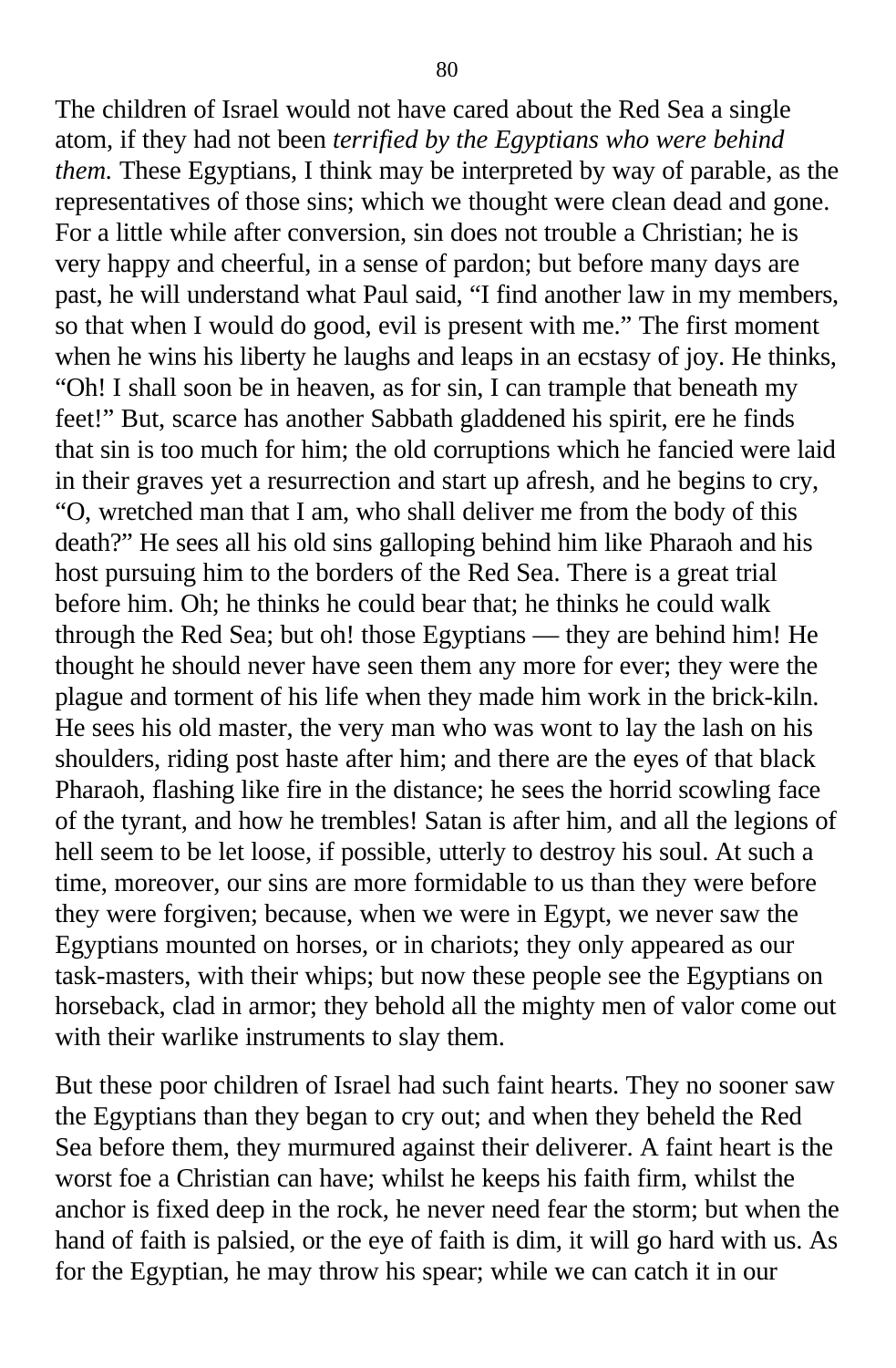The children of Israel would not have cared about the Red Sea a single atom, if they had not been *terrified by the Egyptians who were behind them.* These Egyptians, I think may be interpreted by way of parable, as the representatives of those sins; which we thought were clean dead and gone. For a little while after conversion, sin does not trouble a Christian; he is very happy and cheerful, in a sense of pardon; but before many days are past, he will understand what Paul said, "I find another law in my members, so that when I would do good, evil is present with me." The first moment when he wins his liberty he laughs and leaps in an ecstasy of joy. He thinks, "Oh! I shall soon be in heaven, as for sin, I can trample that beneath my feet!" But, scarce has another Sabbath gladdened his spirit, ere he finds that sin is too much for him; the old corruptions which he fancied were laid in their graves yet a resurrection and start up afresh, and he begins to cry, "O, wretched man that I am, who shall deliver me from the body of this death?" He sees all his old sins galloping behind him like Pharaoh and his host pursuing him to the borders of the Red Sea. There is a great trial before him. Oh; he thinks he could bear that; he thinks he could walk through the Red Sea; but oh! those Egyptians — they are behind him! He thought he should never have seen them any more for ever; they were the plague and torment of his life when they made him work in the brick-kiln. He sees his old master, the very man who was wont to lay the lash on his shoulders, riding post haste after him; and there are the eyes of that black Pharaoh, flashing like fire in the distance; he sees the horrid scowling face of the tyrant, and how he trembles! Satan is after him, and all the legions of hell seem to be let loose, if possible, utterly to destroy his soul. At such a time, moreover, our sins are more formidable to us than they were before they were forgiven; because, when we were in Egypt, we never saw the Egyptians mounted on horses, or in chariots; they only appeared as our task-masters, with their whips; but now these people see the Egyptians on horseback, clad in armor; they behold all the mighty men of valor come out with their warlike instruments to slay them.

But these poor children of Israel had such faint hearts. They no sooner saw the Egyptians than they began to cry out; and when they beheld the Red Sea before them, they murmured against their deliverer. A faint heart is the worst foe a Christian can have; whilst he keeps his faith firm, whilst the anchor is fixed deep in the rock, he never need fear the storm; but when the hand of faith is palsied, or the eye of faith is dim, it will go hard with us. As for the Egyptian, he may throw his spear; while we can catch it in our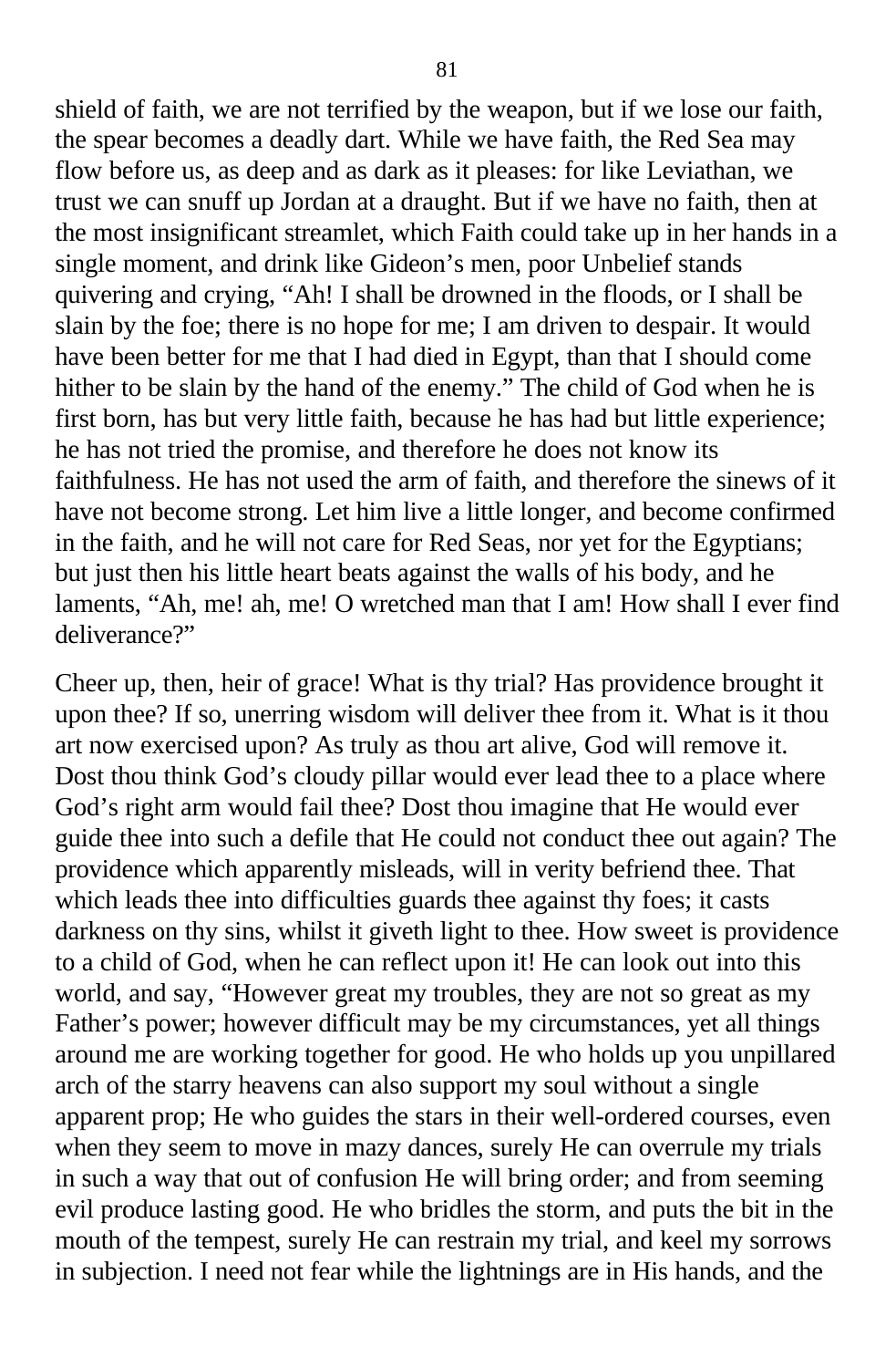shield of faith, we are not terrified by the weapon, but if we lose our faith, the spear becomes a deadly dart. While we have faith, the Red Sea may flow before us, as deep and as dark as it pleases: for like Leviathan, we trust we can snuff up Jordan at a draught. But if we have no faith, then at the most insignificant streamlet, which Faith could take up in her hands in a single moment, and drink like Gideon's men, poor Unbelief stands quivering and crying, "Ah! I shall be drowned in the floods, or I shall be slain by the foe; there is no hope for me; I am driven to despair. It would have been better for me that I had died in Egypt, than that I should come hither to be slain by the hand of the enemy." The child of God when he is first born, has but very little faith, because he has had but little experience; he has not tried the promise, and therefore he does not know its faithfulness. He has not used the arm of faith, and therefore the sinews of it have not become strong. Let him live a little longer, and become confirmed in the faith, and he will not care for Red Seas, nor yet for the Egyptians; but just then his little heart beats against the walls of his body, and he laments, "Ah, me! ah, me! O wretched man that I am! How shall I ever find deliverance?"

Cheer up, then, heir of grace! What is thy trial? Has providence brought it upon thee? If so, unerring wisdom will deliver thee from it. What is it thou art now exercised upon? As truly as thou art alive, God will remove it. Dost thou think God's cloudy pillar would ever lead thee to a place where God's right arm would fail thee? Dost thou imagine that He would ever guide thee into such a defile that He could not conduct thee out again? The providence which apparently misleads, will in verity befriend thee. That which leads thee into difficulties guards thee against thy foes; it casts darkness on thy sins, whilst it giveth light to thee. How sweet is providence to a child of God, when he can reflect upon it! He can look out into this world, and say, "However great my troubles, they are not so great as my Father's power; however difficult may be my circumstances, yet all things around me are working together for good. He who holds up you unpillared arch of the starry heavens can also support my soul without a single apparent prop; He who guides the stars in their well-ordered courses, even when they seem to move in mazy dances, surely He can overrule my trials in such a way that out of confusion He will bring order; and from seeming evil produce lasting good. He who bridles the storm, and puts the bit in the mouth of the tempest, surely He can restrain my trial, and keel my sorrows in subjection. I need not fear while the lightnings are in His hands, and the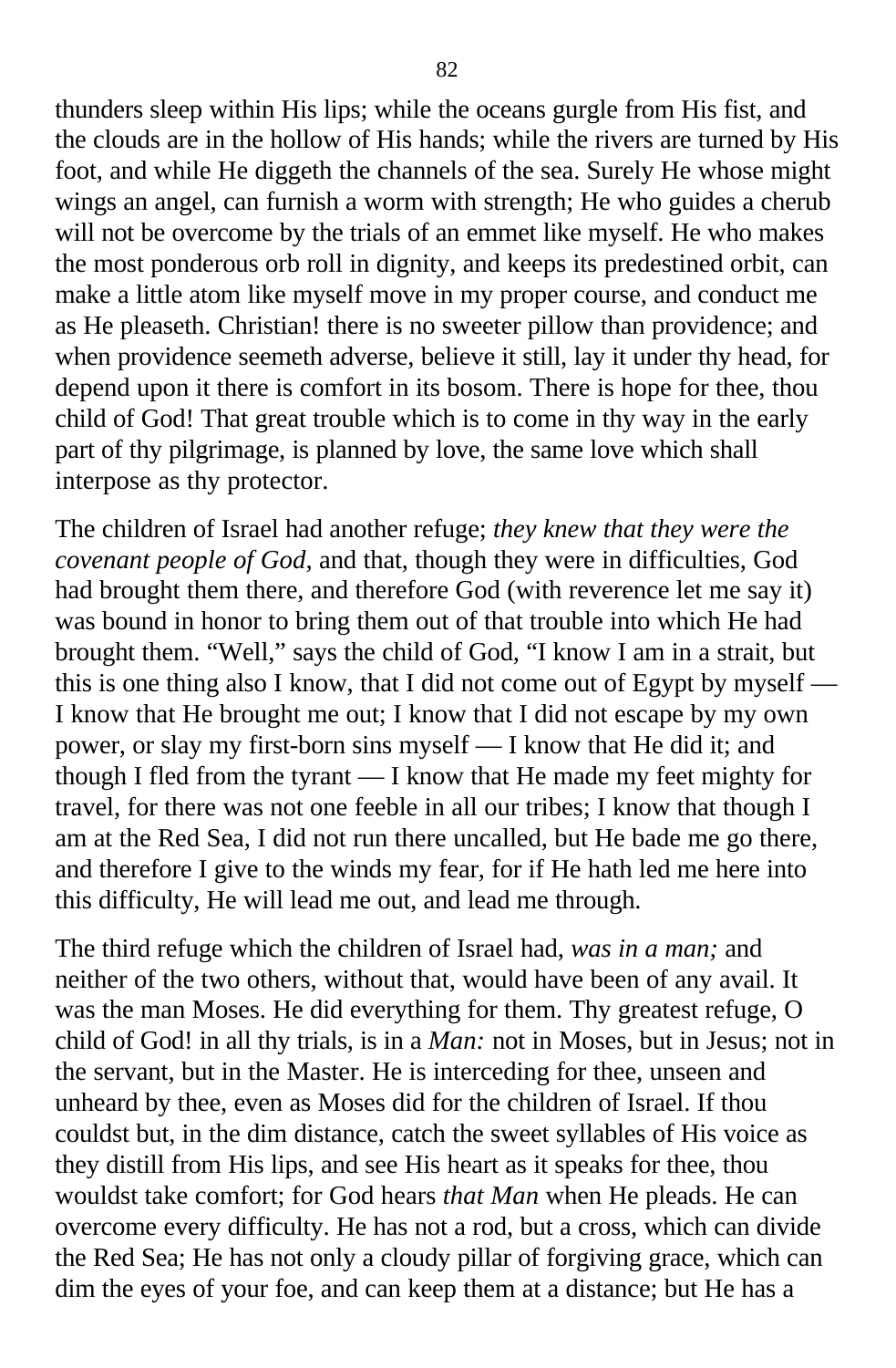thunders sleep within His lips; while the oceans gurgle from His fist, and the clouds are in the hollow of His hands; while the rivers are turned by His foot, and while He diggeth the channels of the sea. Surely He whose might wings an angel, can furnish a worm with strength; He who guides a cherub will not be overcome by the trials of an emmet like myself. He who makes the most ponderous orb roll in dignity, and keeps its predestined orbit, can make a little atom like myself move in my proper course, and conduct me as He pleaseth. Christian! there is no sweeter pillow than providence; and when providence seemeth adverse, believe it still, lay it under thy head, for depend upon it there is comfort in its bosom. There is hope for thee, thou child of God! That great trouble which is to come in thy way in the early part of thy pilgrimage, is planned by love, the same love which shall interpose as thy protector.

The children of Israel had another refuge; *they knew that they were the covenant people of God,* and that, though they were in difficulties, God had brought them there, and therefore God (with reverence let me say it) was bound in honor to bring them out of that trouble into which He had brought them. "Well," says the child of God, "I know I am in a strait, but this is one thing also I know, that I did not come out of Egypt by myself — I know that He brought me out; I know that I did not escape by my own power, or slay my first-born sins myself — I know that He did it; and though I fled from the tyrant — I know that He made my feet mighty for travel, for there was not one feeble in all our tribes; I know that though I am at the Red Sea, I did not run there uncalled, but He bade me go there, and therefore I give to the winds my fear, for if He hath led me here into this difficulty, He will lead me out, and lead me through.

The third refuge which the children of Israel had, *was in a man;* and neither of the two others, without that, would have been of any avail. It was the man Moses. He did everything for them. Thy greatest refuge, O child of God! in all thy trials, is in a *Man:* not in Moses, but in Jesus; not in the servant, but in the Master. He is interceding for thee, unseen and unheard by thee, even as Moses did for the children of Israel. If thou couldst but, in the dim distance, catch the sweet syllables of His voice as they distill from His lips, and see His heart as it speaks for thee, thou wouldst take comfort; for God hears *that Man* when He pleads. He can overcome every difficulty. He has not a rod, but a cross, which can divide the Red Sea; He has not only a cloudy pillar of forgiving grace, which can dim the eyes of your foe, and can keep them at a distance; but He has a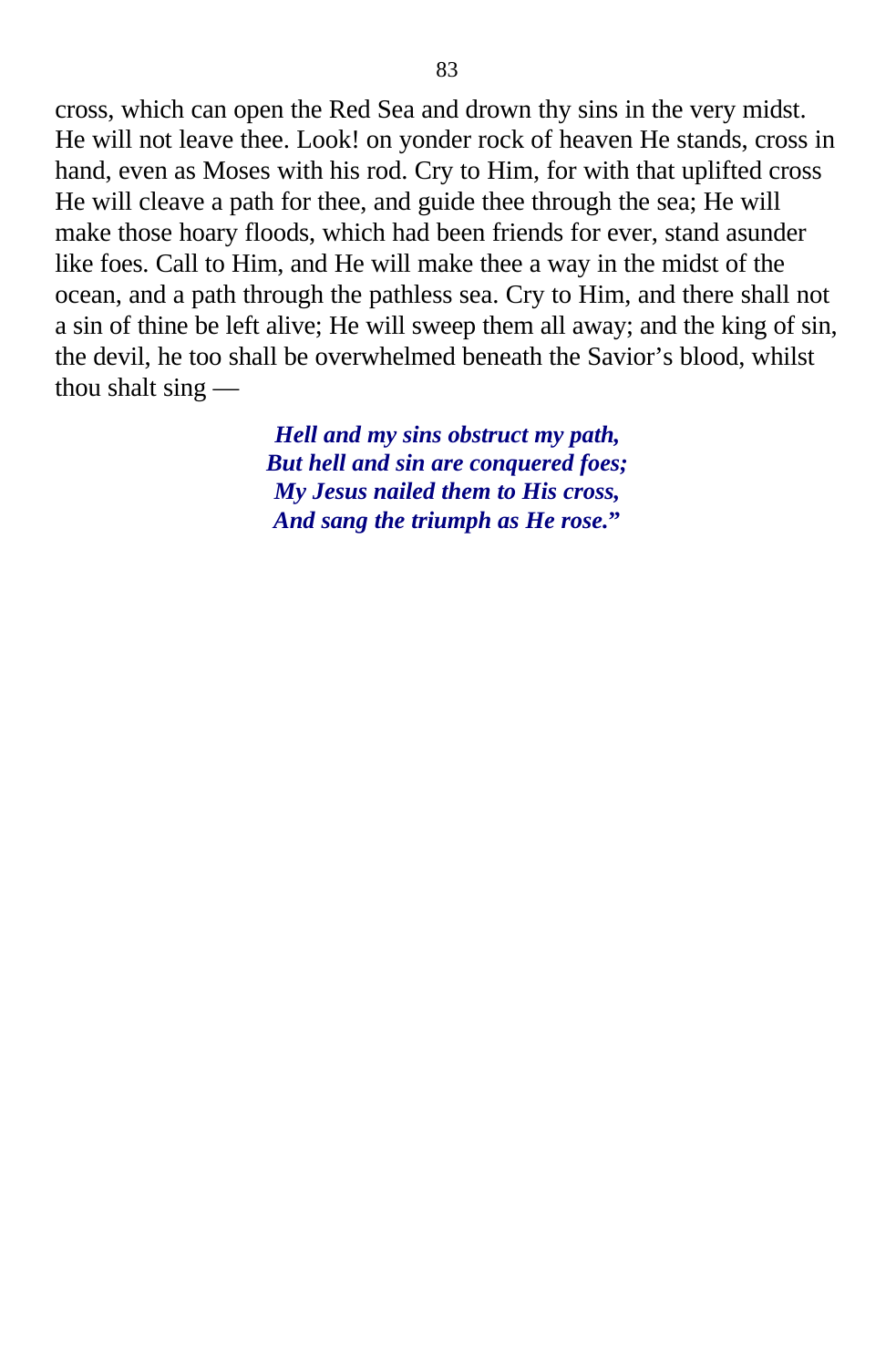cross, which can open the Red Sea and drown thy sins in the very midst. He will not leave thee. Look! on yonder rock of heaven He stands, cross in hand, even as Moses with his rod. Cry to Him, for with that uplifted cross He will cleave a path for thee, and guide thee through the sea; He will make those hoary floods, which had been friends for ever, stand asunder like foes. Call to Him, and He will make thee a way in the midst of the ocean, and a path through the pathless sea. Cry to Him, and there shall not a sin of thine be left alive; He will sweep them all away; and the king of sin, the devil, he too shall be overwhelmed beneath the Savior's blood, whilst thou shalt sing —

> *Hell and my sins obstruct my path, But hell and sin are conquered foes; My Jesus nailed them to His cross, And sang the triumph as He rose.***"**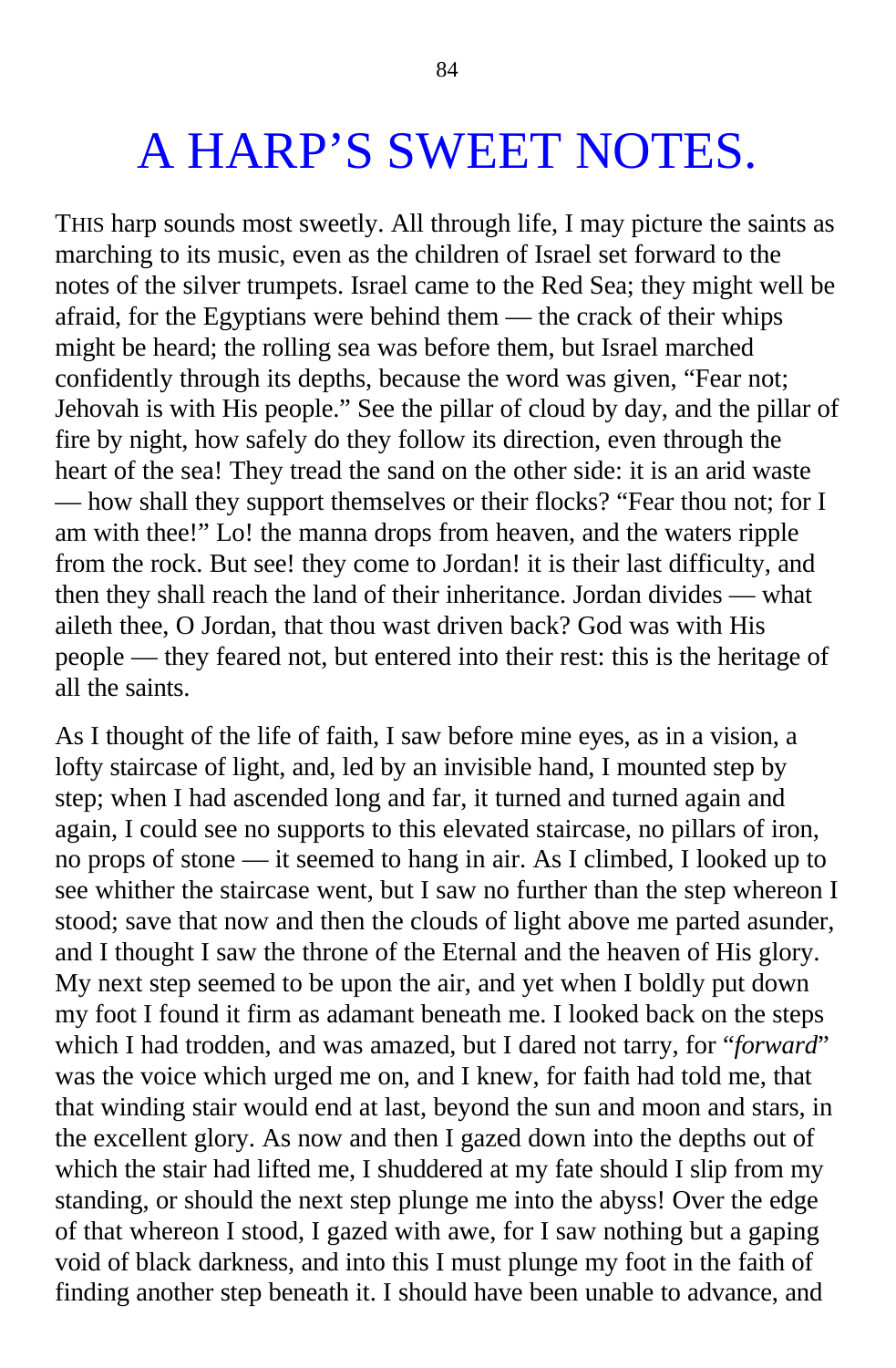### A HARP'S SWEET NOTES.

THIS harp sounds most sweetly. All through life, I may picture the saints as marching to its music, even as the children of Israel set forward to the notes of the silver trumpets. Israel came to the Red Sea; they might well be afraid, for the Egyptians were behind them — the crack of their whips might be heard; the rolling sea was before them, but Israel marched confidently through its depths, because the word was given, "Fear not; Jehovah is with His people." See the pillar of cloud by day, and the pillar of fire by night, how safely do they follow its direction, even through the heart of the sea! They tread the sand on the other side: it is an arid waste — how shall they support themselves or their flocks? "Fear thou not; for I am with thee!" Lo! the manna drops from heaven, and the waters ripple from the rock. But see! they come to Jordan! it is their last difficulty, and then they shall reach the land of their inheritance. Jordan divides — what aileth thee, O Jordan, that thou wast driven back? God was with His people — they feared not, but entered into their rest: this is the heritage of all the saints.

As I thought of the life of faith, I saw before mine eyes, as in a vision, a lofty staircase of light, and, led by an invisible hand, I mounted step by step; when I had ascended long and far, it turned and turned again and again, I could see no supports to this elevated staircase, no pillars of iron, no props of stone — it seemed to hang in air. As I climbed, I looked up to see whither the staircase went, but I saw no further than the step whereon I stood; save that now and then the clouds of light above me parted asunder, and I thought I saw the throne of the Eternal and the heaven of His glory. My next step seemed to be upon the air, and yet when I boldly put down my foot I found it firm as adamant beneath me. I looked back on the steps which I had trodden, and was amazed, but I dared not tarry, for "*forward*" was the voice which urged me on, and I knew, for faith had told me, that that winding stair would end at last, beyond the sun and moon and stars, in the excellent glory. As now and then I gazed down into the depths out of which the stair had lifted me, I shuddered at my fate should I slip from my standing, or should the next step plunge me into the abyss! Over the edge of that whereon I stood, I gazed with awe, for I saw nothing but a gaping void of black darkness, and into this I must plunge my foot in the faith of finding another step beneath it. I should have been unable to advance, and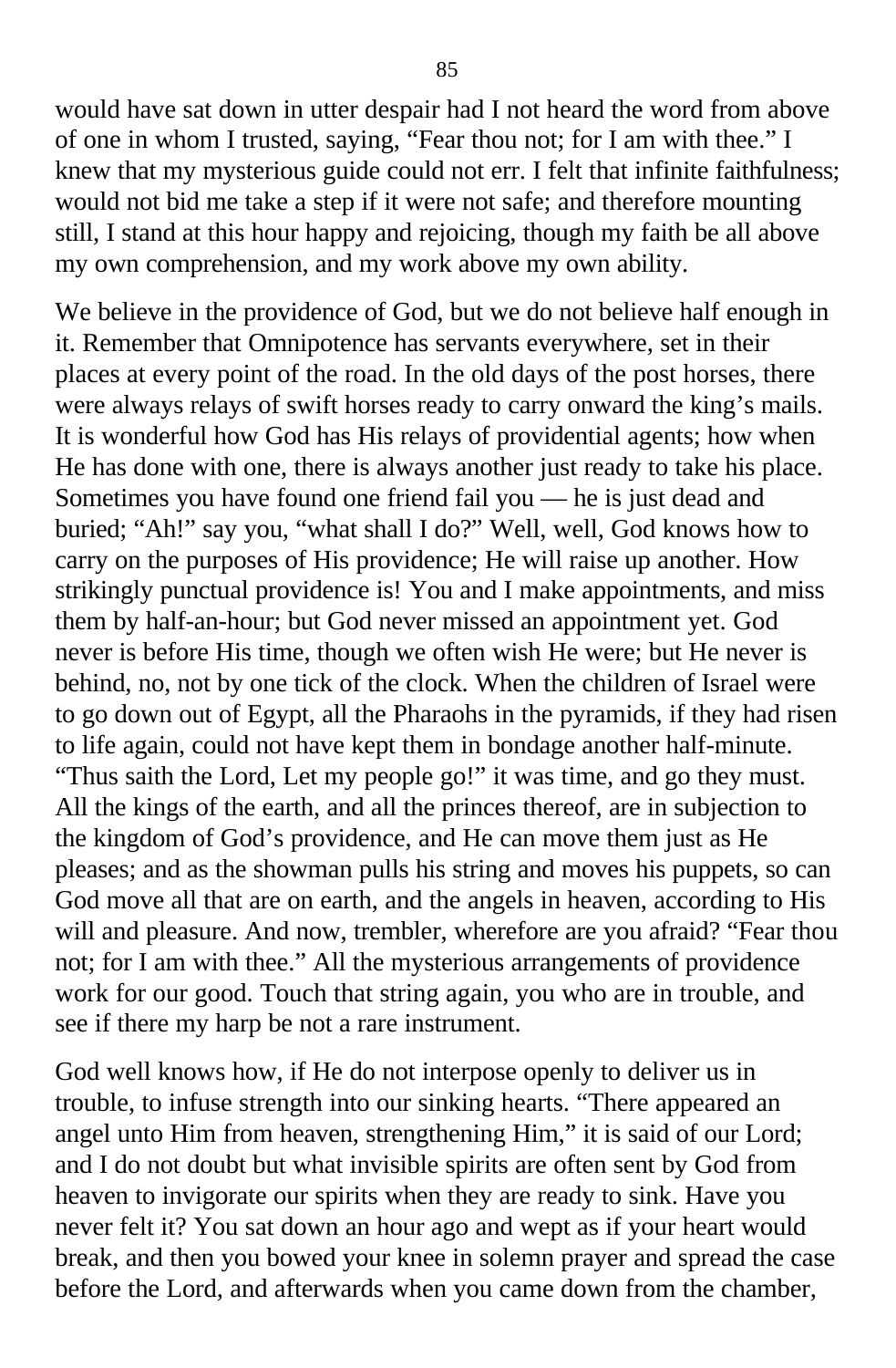would have sat down in utter despair had I not heard the word from above of one in whom I trusted, saying, "Fear thou not; for I am with thee." I knew that my mysterious guide could not err. I felt that infinite faithfulness; would not bid me take a step if it were not safe; and therefore mounting still, I stand at this hour happy and rejoicing, though my faith be all above my own comprehension, and my work above my own ability.

We believe in the providence of God, but we do not believe half enough in it. Remember that Omnipotence has servants everywhere, set in their places at every point of the road. In the old days of the post horses, there were always relays of swift horses ready to carry onward the king's mails. It is wonderful how God has His relays of providential agents; how when He has done with one, there is always another just ready to take his place. Sometimes you have found one friend fail you — he is just dead and buried; "Ah!" say you, "what shall I do?" Well, well, God knows how to carry on the purposes of His providence; He will raise up another. How strikingly punctual providence is! You and I make appointments, and miss them by half-an-hour; but God never missed an appointment yet. God never is before His time, though we often wish He were; but He never is behind, no, not by one tick of the clock. When the children of Israel were to go down out of Egypt, all the Pharaohs in the pyramids, if they had risen to life again, could not have kept them in bondage another half-minute. "Thus saith the Lord, Let my people go!" it was time, and go they must. All the kings of the earth, and all the princes thereof, are in subjection to the kingdom of God's providence, and He can move them just as He pleases; and as the showman pulls his string and moves his puppets, so can God move all that are on earth, and the angels in heaven, according to His will and pleasure. And now, trembler, wherefore are you afraid? "Fear thou not; for I am with thee." All the mysterious arrangements of providence work for our good. Touch that string again, you who are in trouble, and see if there my harp be not a rare instrument.

God well knows how, if He do not interpose openly to deliver us in trouble, to infuse strength into our sinking hearts. "There appeared an angel unto Him from heaven, strengthening Him," it is said of our Lord; and I do not doubt but what invisible spirits are often sent by God from heaven to invigorate our spirits when they are ready to sink. Have you never felt it? You sat down an hour ago and wept as if your heart would break, and then you bowed your knee in solemn prayer and spread the case before the Lord, and afterwards when you came down from the chamber,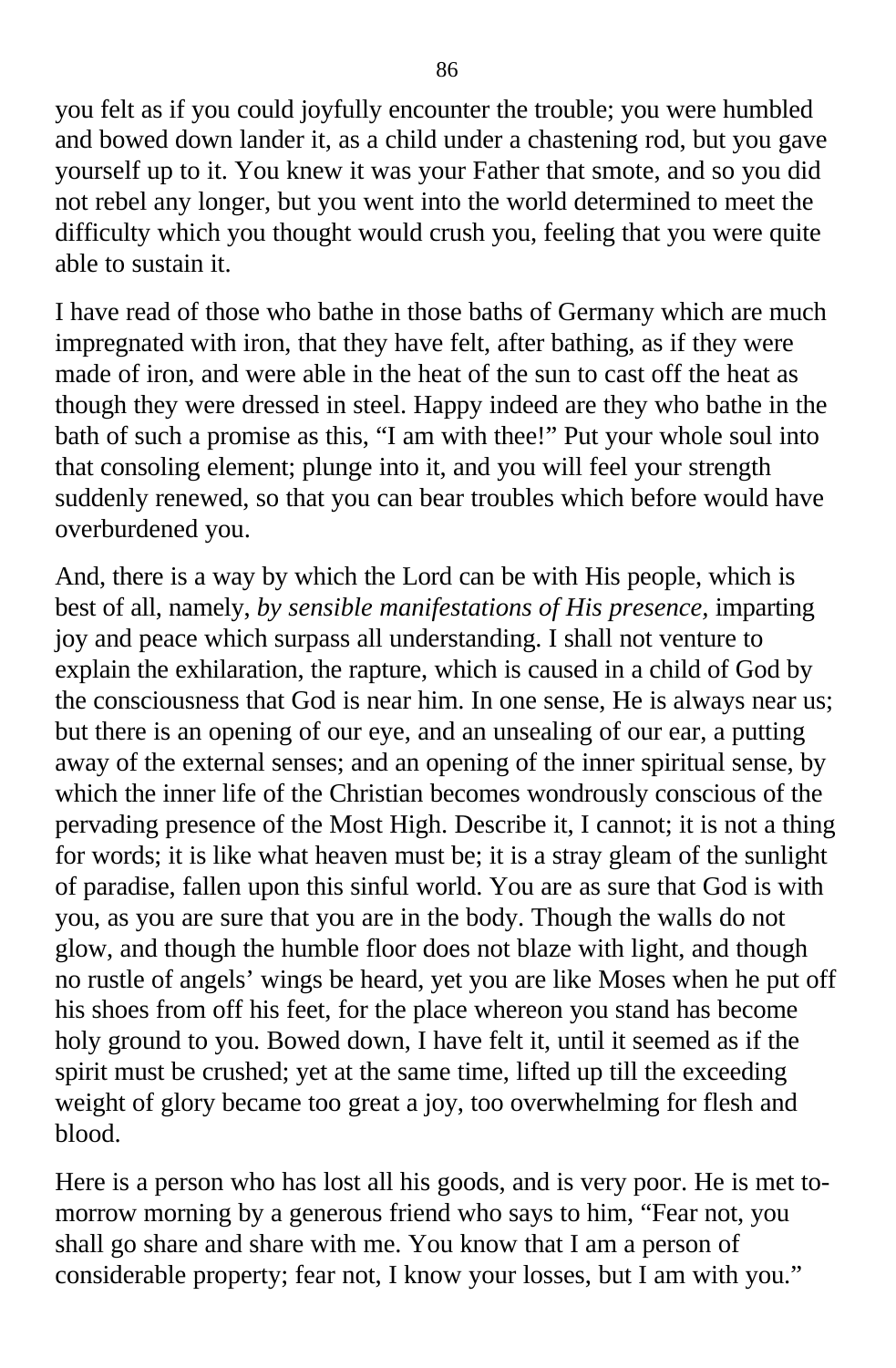you felt as if you could joyfully encounter the trouble; you were humbled and bowed down lander it, as a child under a chastening rod, but you gave yourself up to it. You knew it was your Father that smote, and so you did not rebel any longer, but you went into the world determined to meet the difficulty which you thought would crush you, feeling that you were quite able to sustain it.

I have read of those who bathe in those baths of Germany which are much impregnated with iron, that they have felt, after bathing, as if they were made of iron, and were able in the heat of the sun to cast off the heat as though they were dressed in steel. Happy indeed are they who bathe in the bath of such a promise as this, "I am with thee!" Put your whole soul into that consoling element; plunge into it, and you will feel your strength suddenly renewed, so that you can bear troubles which before would have overburdened you.

And, there is a way by which the Lord can be with His people, which is best of all, namely, *by sensible manifestations of His presence,* imparting joy and peace which surpass all understanding. I shall not venture to explain the exhilaration, the rapture, which is caused in a child of God by the consciousness that God is near him. In one sense, He is always near us; but there is an opening of our eye, and an unsealing of our ear, a putting away of the external senses; and an opening of the inner spiritual sense, by which the inner life of the Christian becomes wondrously conscious of the pervading presence of the Most High. Describe it, I cannot; it is not a thing for words; it is like what heaven must be; it is a stray gleam of the sunlight of paradise, fallen upon this sinful world. You are as sure that God is with you, as you are sure that you are in the body. Though the walls do not glow, and though the humble floor does not blaze with light, and though no rustle of angels' wings be heard, yet you are like Moses when he put off his shoes from off his feet, for the place whereon you stand has become holy ground to you. Bowed down, I have felt it, until it seemed as if the spirit must be crushed; yet at the same time, lifted up till the exceeding weight of glory became too great a joy, too overwhelming for flesh and blood.

Here is a person who has lost all his goods, and is very poor. He is met tomorrow morning by a generous friend who says to him, "Fear not, you shall go share and share with me. You know that I am a person of considerable property; fear not, I know your losses, but I am with you."